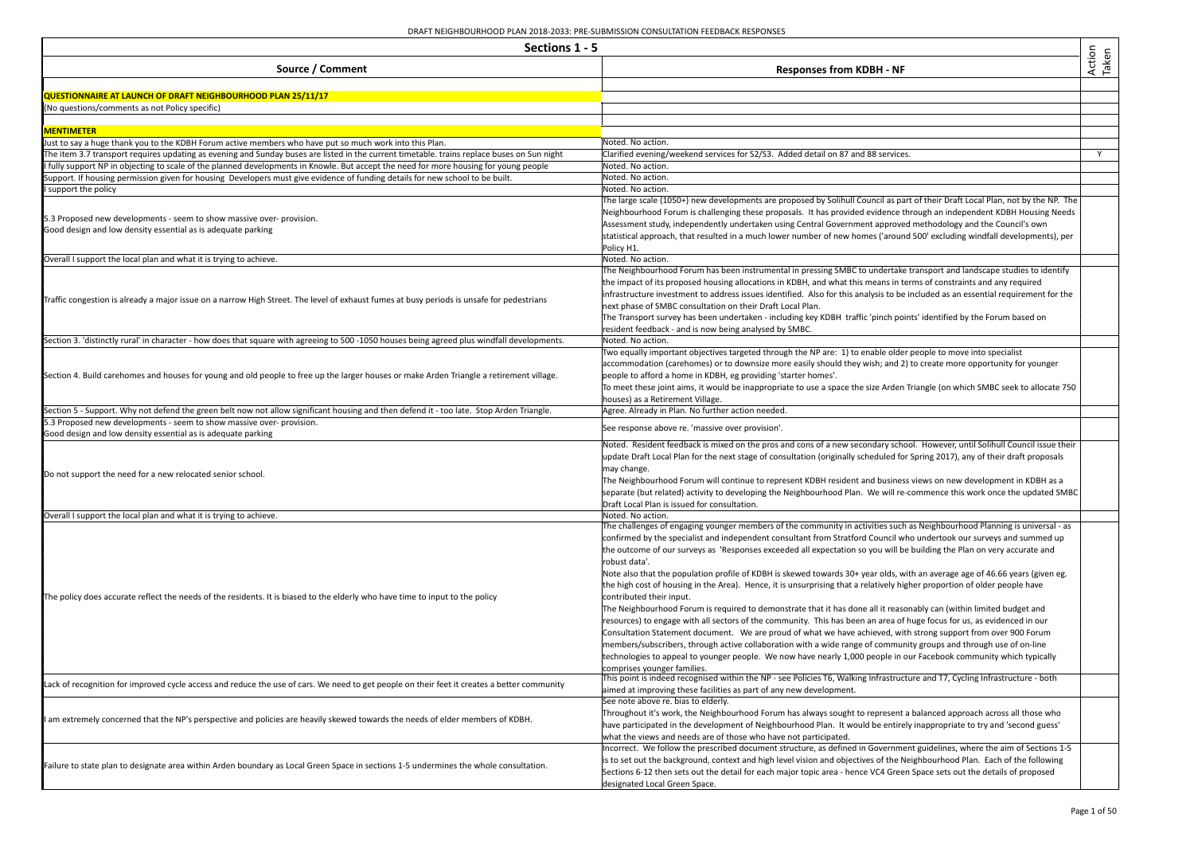| Sections 1 - 5                                                                                                                              |                                                                                                                                                      |                 |
|---------------------------------------------------------------------------------------------------------------------------------------------|------------------------------------------------------------------------------------------------------------------------------------------------------|-----------------|
| Source / Comment                                                                                                                            | <b>Responses from KDBH - NF</b>                                                                                                                      | Action<br>Taken |
| QUESTIONNAIRE AT LAUNCH OF DRAFT NEIGHBOURHOOD PLAN 25/11/17                                                                                |                                                                                                                                                      |                 |
| (No questions/comments as not Policy specific)                                                                                              |                                                                                                                                                      |                 |
|                                                                                                                                             |                                                                                                                                                      |                 |
| <b>MENTIMETER</b>                                                                                                                           |                                                                                                                                                      |                 |
| Just to say a huge thank you to the KDBH Forum active members who have put so much work into this Plan.                                     | Noted. No action.                                                                                                                                    |                 |
| The item 3.7 transport requires updating as evening and Sunday buses are listed in the current timetable. trains replace buses on Sun night | Clarified evening/weekend services for S2/S3. Added detail on 87 and 88 services.                                                                    | Y               |
| fully support NP in objecting to scale of the planned developments in Knowle. But accept the need for more housing for young people         | Noted. No action.                                                                                                                                    |                 |
| Support. If housing permission given for housing Developers must give evidence of funding details for new school to be built.               | Noted. No action.                                                                                                                                    |                 |
| support the policy                                                                                                                          | Noted. No action.<br>The large scale (1050+) new developments are proposed by Solihull Council as part of their Draft Local Plan, not by the NP. The |                 |
|                                                                                                                                             | Neighbourhood Forum is challenging these proposals. It has provided evidence through an independent KDBH Housing Needs                               |                 |
| 5.3 Proposed new developments - seem to show massive over- provision.                                                                       | Assessment study, independently undertaken using Central Government approved methodology and the Council's own                                       |                 |
| Good design and low density essential as is adequate parking                                                                                | statistical approach, that resulted in a much lower number of new homes ('around 500' excluding windfall developments), per                          |                 |
|                                                                                                                                             | Policy H1.                                                                                                                                           |                 |
| Overall I support the local plan and what it is trying to achieve.                                                                          | Noted. No action.                                                                                                                                    |                 |
|                                                                                                                                             | The Neighbourhood Forum has been instrumental in pressing SMBC to undertake transport and landscape studies to identify                              |                 |
|                                                                                                                                             | the impact of its proposed housing allocations in KDBH, and what this means in terms of constraints and any required                                 |                 |
|                                                                                                                                             | infrastructure investment to address issues identified. Also for this analysis to be included as an essential requirement for the                    |                 |
| Traffic congestion is already a major issue on a narrow High Street. The level of exhaust fumes at busy periods is unsafe for pedestrians   | next phase of SMBC consultation on their Draft Local Plan.                                                                                           |                 |
|                                                                                                                                             | The Transport survey has been undertaken - including key KDBH traffic 'pinch points' identified by the Forum based on                                |                 |
|                                                                                                                                             | resident feedback - and is now being analysed by SMBC.                                                                                               |                 |
| Section 3. 'distinctly rural' in character - how does that square with agreeing to 500-1050 houses being agreed plus windfall developments. | Noted. No action.                                                                                                                                    |                 |
|                                                                                                                                             | Two equally important objectives targeted through the NP are: 1) to enable older people to move into specialist                                      |                 |
|                                                                                                                                             | accommodation (carehomes) or to downsize more easily should they wish; and 2) to create more opportunity for younger                                 |                 |
| Section 4. Build carehomes and houses for young and old people to free up the larger houses or make Arden Triangle a retirement village.    | people to afford a home in KDBH, eg providing 'starter homes'.                                                                                       |                 |
|                                                                                                                                             | To meet these joint aims, it would be inappropriate to use a space the size Arden Triangle (on which SMBC seek to allocate 750                       |                 |
|                                                                                                                                             | houses) as a Retirement Village.                                                                                                                     |                 |
| Section 5 - Support. Why not defend the green belt now not allow significant housing and then defend it - too late. Stop Arden Triangle.    | Agree. Already in Plan. No further action needed.                                                                                                    |                 |
| 5.3 Proposed new developments - seem to show massive over- provision.                                                                       | See response above re. 'massive over provision'.                                                                                                     |                 |
| Good design and low density essential as is adequate parking                                                                                |                                                                                                                                                      |                 |
|                                                                                                                                             | Noted. Resident feedback is mixed on the pros and cons of a new secondary school. However, until Solihull Council issue their                        |                 |
|                                                                                                                                             | update Draft Local Plan for the next stage of consultation (originally scheduled for Spring 2017), any of their draft proposals<br>may change.       |                 |
| Do not support the need for a new relocated senior school.                                                                                  | The Neighbourhood Forum will continue to represent KDBH resident and business views on new development in KDBH as a                                  |                 |
|                                                                                                                                             | separate (but related) activity to developing the Neighbourhood Plan. We will re-commence this work once the updated SMBC                            |                 |
|                                                                                                                                             | Draft Local Plan is issued for consultation.                                                                                                         |                 |
| Overall I support the local plan and what it is trying to achieve.                                                                          | Noted. No action.                                                                                                                                    |                 |
|                                                                                                                                             | The challenges of engaging younger members of the community in activities such as Neighbourhood Planning is universal - as                           |                 |
|                                                                                                                                             | confirmed by the specialist and independent consultant from Stratford Council who undertook our surveys and summed up                                |                 |
|                                                                                                                                             | the outcome of our surveys as 'Responses exceeded all expectation so you will be building the Plan on very accurate and                              |                 |
|                                                                                                                                             | robust data'.                                                                                                                                        |                 |
|                                                                                                                                             | Note also that the population profile of KDBH is skewed towards 30+ year olds, with an average age of 46.66 years (given eg.                         |                 |
|                                                                                                                                             | the high cost of housing in the Area). Hence, it is unsurprising that a relatively higher proportion of older people have                            |                 |
| The policy does accurate reflect the needs of the residents. It is biased to the elderly who have time to input to the policy               | contributed their input.                                                                                                                             |                 |
|                                                                                                                                             | The Neighbourhood Forum is required to demonstrate that it has done all it reasonably can (within limited budget and                                 |                 |
|                                                                                                                                             | resources) to engage with all sectors of the community. This has been an area of huge focus for us, as evidenced in our                              |                 |
|                                                                                                                                             | Consultation Statement document. We are proud of what we have achieved, with strong support from over 900 Forum                                      |                 |
|                                                                                                                                             | members/subscribers, through active collaboration with a wide range of community groups and through use of on-line                                   |                 |
|                                                                                                                                             | technologies to appeal to younger people. We now have nearly 1,000 people in our Facebook community which typically                                  |                 |
|                                                                                                                                             | comprises younger families.                                                                                                                          |                 |
| Lack of recognition for improved cycle access and reduce the use of cars. We need to get people on their feet it creates a better community | This point is indeed recognised within the NP - see Policies T6, Walking Infrastructure and T7, Cycling Infrastructure - both                        |                 |
|                                                                                                                                             | aimed at improving these facilities as part of any new development.                                                                                  |                 |
|                                                                                                                                             | See note above re. bias to elderly.                                                                                                                  |                 |
| am extremely concerned that the NP's perspective and policies are heavily skewed towards the needs of elder members of KDBH.                | Throughout it's work, the Neighbourhood Forum has always sought to represent a balanced approach across all those who                                |                 |
|                                                                                                                                             | have participated in the development of Neighbourhood Plan. It would be entirely inappropriate to try and 'second guess'                             |                 |
|                                                                                                                                             | what the views and needs are of those who have not participated.                                                                                     |                 |
|                                                                                                                                             | Incorrect. We follow the prescribed document structure, as defined in Government guidelines, where the aim of Sections 1-5                           |                 |
| Failure to state plan to designate area within Arden boundary as Local Green Space in sections 1-5 undermines the whole consultation.       | is to set out the background, context and high level vision and objectives of the Neighbourhood Plan. Each of the following                          |                 |
|                                                                                                                                             | Sections 6-12 then sets out the detail for each major topic area - hence VC4 Green Space sets out the details of proposed                            |                 |
|                                                                                                                                             | designated Local Green Space.                                                                                                                        |                 |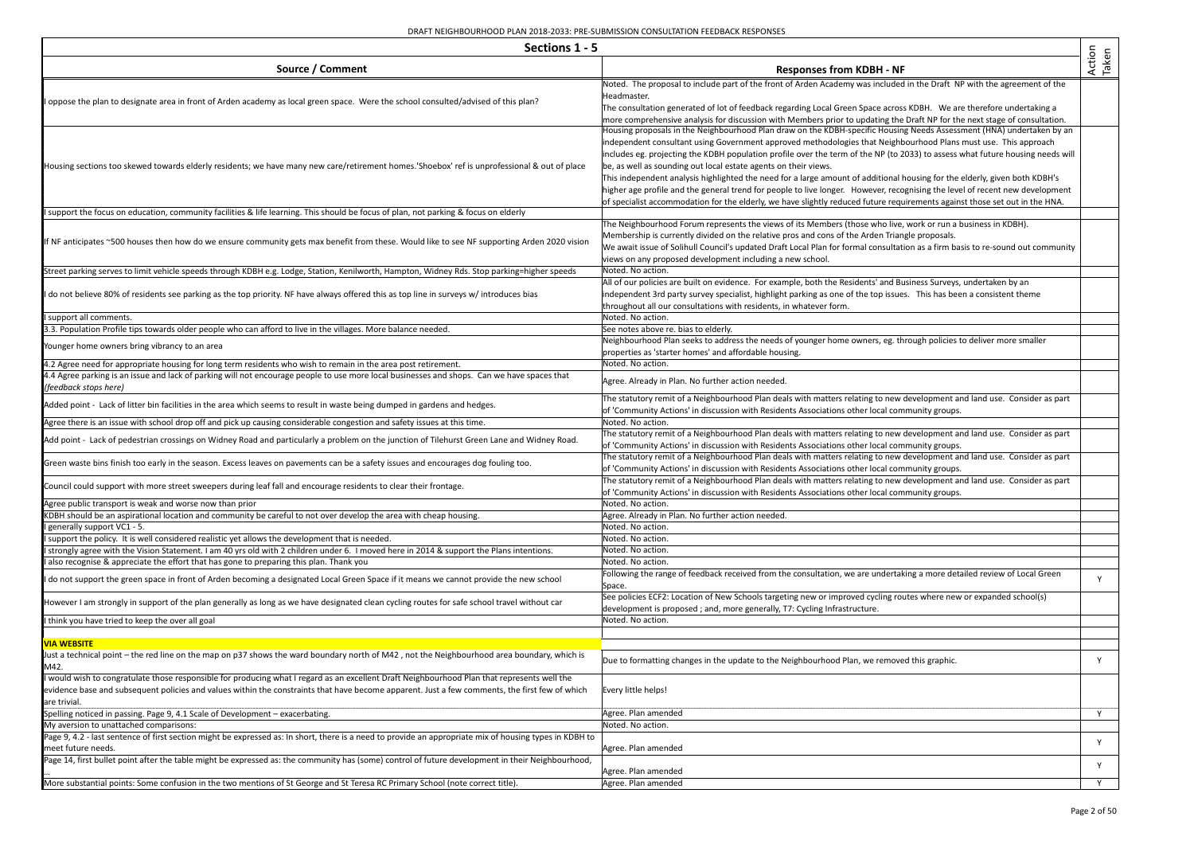| Sections 1 - 5                                                                                                                                                                                                                                                                                                                     |                                                                                                                                                                                                                                                                                                                                                                                                                                                                                                                                                                                                                                                                                                                                                                                                                                            |                 |
|------------------------------------------------------------------------------------------------------------------------------------------------------------------------------------------------------------------------------------------------------------------------------------------------------------------------------------|--------------------------------------------------------------------------------------------------------------------------------------------------------------------------------------------------------------------------------------------------------------------------------------------------------------------------------------------------------------------------------------------------------------------------------------------------------------------------------------------------------------------------------------------------------------------------------------------------------------------------------------------------------------------------------------------------------------------------------------------------------------------------------------------------------------------------------------------|-----------------|
| Source / Comment                                                                                                                                                                                                                                                                                                                   | <b>Responses from KDBH - NF</b>                                                                                                                                                                                                                                                                                                                                                                                                                                                                                                                                                                                                                                                                                                                                                                                                            | Action<br>Taken |
| oppose the plan to designate area in front of Arden academy as local green space. Were the school consulted/advised of this plan?                                                                                                                                                                                                  | Noted. The proposal to include part of the front of Arden Academy was included in the Draft NP with the agreement of the<br>Headmaster.<br>The consultation generated of lot of feedback regarding Local Green Space across KDBH. We are therefore undertaking a<br>more comprehensive analysis for discussion with Members prior to updating the Draft NP for the next stage of consultation.                                                                                                                                                                                                                                                                                                                                                                                                                                             |                 |
| Housing sections too skewed towards elderly residents; we have many new care/retirement homes. Shoebox' ref is unprofessional & out of place                                                                                                                                                                                       | Housing proposals in the Neighbourhood Plan draw on the KDBH-specific Housing Needs Assessment (HNA) undertaken by an<br>independent consultant using Government approved methodologies that Neighbourhood Plans must use. This approach<br>includes eg. projecting the KDBH population profile over the term of the NP (to 2033) to assess what future housing needs will<br>be, as well as sounding out local estate agents on their views.<br>This independent analysis highlighted the need for a large amount of additional housing for the elderly, given both KDBH's<br>higher age profile and the general trend for people to live longer. However, recognising the level of recent new development<br>of specialist accommodation for the elderly, we have slightly reduced future requirements against those set out in the HNA. |                 |
| support the focus on education, community facilities & life learning. This should be focus of plan, not parking & focus on elderly                                                                                                                                                                                                 |                                                                                                                                                                                                                                                                                                                                                                                                                                                                                                                                                                                                                                                                                                                                                                                                                                            |                 |
| f NF anticipates ~500 houses then how do we ensure community gets max benefit from these. Would like to see NF supporting Arden 2020 vision                                                                                                                                                                                        | The Neighbourhood Forum represents the views of its Members (those who live, work or run a business in KDBH).<br>Membership is currently divided on the relative pros and cons of the Arden Triangle proposals.<br>We await issue of Solihull Council's updated Draft Local Plan for formal consultation as a firm basis to re-sound out community<br>views on any proposed development including a new school.                                                                                                                                                                                                                                                                                                                                                                                                                            |                 |
| Street parking serves to limit vehicle speeds through KDBH e.g. Lodge, Station, Kenilworth, Hampton, Widney Rds. Stop parking=higher speeds                                                                                                                                                                                        | Noted. No action.                                                                                                                                                                                                                                                                                                                                                                                                                                                                                                                                                                                                                                                                                                                                                                                                                          |                 |
| do not believe 80% of residents see parking as the top priority. NF have always offered this as top line in surveys w/ introduces bias                                                                                                                                                                                             | All of our policies are built on evidence. For example, both the Residents' and Business Surveys, undertaken by an<br>independent 3rd party survey specialist, highlight parking as one of the top issues. This has been a consistent theme<br>throughout all our consultations with residents, in whatever form.                                                                                                                                                                                                                                                                                                                                                                                                                                                                                                                          |                 |
| support all comments.                                                                                                                                                                                                                                                                                                              | Noted. No action.                                                                                                                                                                                                                                                                                                                                                                                                                                                                                                                                                                                                                                                                                                                                                                                                                          |                 |
| 3.3. Population Profile tips towards older people who can afford to live in the villages. More balance needed.<br>Younger home owners bring vibrancy to an area                                                                                                                                                                    | See notes above re. bias to elderly.<br>Neighbourhood Plan seeks to address the needs of younger home owners, eg. through policies to deliver more smaller<br>properties as 'starter homes' and affordable housing.                                                                                                                                                                                                                                                                                                                                                                                                                                                                                                                                                                                                                        |                 |
| 4.2 Agree need for appropriate housing for long term residents who wish to remain in the area post retirement.                                                                                                                                                                                                                     | Noted. No action.                                                                                                                                                                                                                                                                                                                                                                                                                                                                                                                                                                                                                                                                                                                                                                                                                          |                 |
| 4.4 Agree parking is an issue and lack of parking will not encourage people to use more local businesses and shops. Can we have spaces that<br>(feedback stops here)                                                                                                                                                               | Agree. Already in Plan. No further action needed.                                                                                                                                                                                                                                                                                                                                                                                                                                                                                                                                                                                                                                                                                                                                                                                          |                 |
| Added point - Lack of litter bin facilities in the area which seems to result in waste being dumped in gardens and hedges.                                                                                                                                                                                                         | The statutory remit of a Neighbourhood Plan deals with matters relating to new development and land use. Consider as part<br>of 'Community Actions' in discussion with Residents Associations other local community groups.                                                                                                                                                                                                                                                                                                                                                                                                                                                                                                                                                                                                                |                 |
| Agree there is an issue with school drop off and pick up causing considerable congestion and safety issues at this time.                                                                                                                                                                                                           | Noted. No action.                                                                                                                                                                                                                                                                                                                                                                                                                                                                                                                                                                                                                                                                                                                                                                                                                          |                 |
| Add point - Lack of pedestrian crossings on Widney Road and particularly a problem on the junction of Tilehurst Green Lane and Widney Road.                                                                                                                                                                                        | The statutory remit of a Neighbourhood Plan deals with matters relating to new development and land use. Consider as part<br>of 'Community Actions' in discussion with Residents Associations other local community groups.                                                                                                                                                                                                                                                                                                                                                                                                                                                                                                                                                                                                                |                 |
| Green waste bins finish too early in the season. Excess leaves on pavements can be a safety issues and encourages dog fouling too.                                                                                                                                                                                                 | The statutory remit of a Neighbourhood Plan deals with matters relating to new development and land use. Consider as part<br>of 'Community Actions' in discussion with Residents Associations other local community groups.                                                                                                                                                                                                                                                                                                                                                                                                                                                                                                                                                                                                                |                 |
| Council could support with more street sweepers during leaf fall and encourage residents to clear their frontage.                                                                                                                                                                                                                  | The statutory remit of a Neighbourhood Plan deals with matters relating to new development and land use. Consider as part<br>of 'Community Actions' in discussion with Residents Associations other local community groups.                                                                                                                                                                                                                                                                                                                                                                                                                                                                                                                                                                                                                |                 |
| Agree public transport is weak and worse now than prior                                                                                                                                                                                                                                                                            | Noted. No action.                                                                                                                                                                                                                                                                                                                                                                                                                                                                                                                                                                                                                                                                                                                                                                                                                          |                 |
| KDBH should be an aspirational location and community be careful to not over develop the area with cheap housing.                                                                                                                                                                                                                  | Agree. Already in Plan. No further action needed.                                                                                                                                                                                                                                                                                                                                                                                                                                                                                                                                                                                                                                                                                                                                                                                          |                 |
| generally support VC1 - 5.                                                                                                                                                                                                                                                                                                         | Noted. No action.                                                                                                                                                                                                                                                                                                                                                                                                                                                                                                                                                                                                                                                                                                                                                                                                                          |                 |
| support the policy. It is well considered realistic yet allows the development that is needed.<br>strongly agree with the Vision Statement. I am 40 yrs old with 2 children under 6. I moved here in 2014 & support the Plans intentions.                                                                                          | Noted. No action.<br>Noted. No action.                                                                                                                                                                                                                                                                                                                                                                                                                                                                                                                                                                                                                                                                                                                                                                                                     |                 |
| also recognise & appreciate the effort that has gone to preparing this plan. Thank you                                                                                                                                                                                                                                             | Noted. No action.                                                                                                                                                                                                                                                                                                                                                                                                                                                                                                                                                                                                                                                                                                                                                                                                                          |                 |
| do not support the green space in front of Arden becoming a designated Local Green Space if it means we cannot provide the new school                                                                                                                                                                                              | Following the range of feedback received from the consultation, we are undertaking a more detailed review of Local Green<br>Space.                                                                                                                                                                                                                                                                                                                                                                                                                                                                                                                                                                                                                                                                                                         | Y               |
| However I am strongly in support of the plan generally as long as we have designated clean cycling routes for safe school travel without car                                                                                                                                                                                       | See policies ECF2: Location of New Schools targeting new or improved cycling routes where new or expanded school(s)<br>development is proposed; and, more generally, T7: Cycling Infrastructure.                                                                                                                                                                                                                                                                                                                                                                                                                                                                                                                                                                                                                                           |                 |
| I think you have tried to keep the over all goal                                                                                                                                                                                                                                                                                   | Noted. No action.                                                                                                                                                                                                                                                                                                                                                                                                                                                                                                                                                                                                                                                                                                                                                                                                                          |                 |
| <b>VIA WEBSITE</b>                                                                                                                                                                                                                                                                                                                 |                                                                                                                                                                                                                                                                                                                                                                                                                                                                                                                                                                                                                                                                                                                                                                                                                                            |                 |
| Just a technical point – the red line on the map on p37 shows the ward boundary north of M42, not the Neighbourhood area boundary, which is<br>M42.                                                                                                                                                                                | Due to formatting changes in the update to the Neighbourhood Plan, we removed this graphic.                                                                                                                                                                                                                                                                                                                                                                                                                                                                                                                                                                                                                                                                                                                                                | Y               |
| I would wish to congratulate those responsible for producing what I regard as an excellent Draft Neighbourhood Plan that represents well the<br>evidence base and subsequent policies and values within the constraints that have become apparent. Just a few comments, the first few of which<br>are trivial.                     | Every little helps!                                                                                                                                                                                                                                                                                                                                                                                                                                                                                                                                                                                                                                                                                                                                                                                                                        |                 |
| Spelling noticed in passing. Page 9, 4.1 Scale of Development - exacerbating.                                                                                                                                                                                                                                                      | Agree. Plan amended                                                                                                                                                                                                                                                                                                                                                                                                                                                                                                                                                                                                                                                                                                                                                                                                                        | Y.              |
| My aversion to unattached comparisons:                                                                                                                                                                                                                                                                                             | Noted. No action.                                                                                                                                                                                                                                                                                                                                                                                                                                                                                                                                                                                                                                                                                                                                                                                                                          |                 |
| Page 9, 4.2 - last sentence of first section might be expressed as: In short, there is a need to provide an appropriate mix of housing types in KDBH to<br>meet future needs.<br>Page 14, first bullet point after the table might be expressed as: the community has (some) control of future development in their Neighbourhood, | Agree. Plan amended                                                                                                                                                                                                                                                                                                                                                                                                                                                                                                                                                                                                                                                                                                                                                                                                                        | Y               |
|                                                                                                                                                                                                                                                                                                                                    | Agree. Plan amended                                                                                                                                                                                                                                                                                                                                                                                                                                                                                                                                                                                                                                                                                                                                                                                                                        | Y               |
| More substantial points: Some confusion in the two mentions of St George and St Teresa RC Primary School (note correct title).                                                                                                                                                                                                     | Agree. Plan amended                                                                                                                                                                                                                                                                                                                                                                                                                                                                                                                                                                                                                                                                                                                                                                                                                        | Y.              |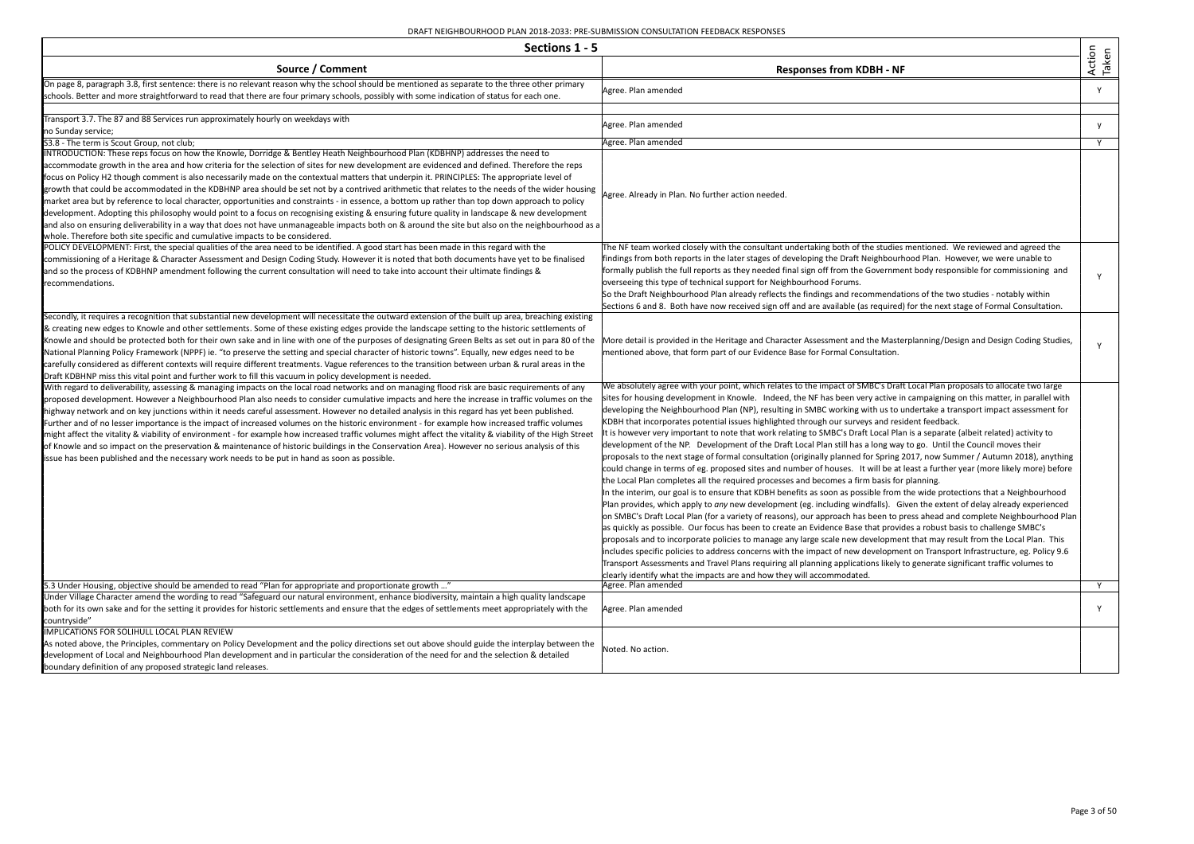| Sections 1 - 5                                                                                                                                                                                                                                                                                                                                                                                                                                                                                                                                                                                                                                                                                                                                                                                                                                                                                                                                                                                                                                                                                                           |                                                                                                                                                                                                                                                                                                                                                                                                                                                                                                                                                                                                                                                                                                                                                                                                                                                                                                                                                                                                                                                                                                                                                                                                                                                                                                                                                                                                                                                                                                                                                                                                                                                                                                                                                                                                                                                                                                                                                                                                                                                                                                                |                 |
|--------------------------------------------------------------------------------------------------------------------------------------------------------------------------------------------------------------------------------------------------------------------------------------------------------------------------------------------------------------------------------------------------------------------------------------------------------------------------------------------------------------------------------------------------------------------------------------------------------------------------------------------------------------------------------------------------------------------------------------------------------------------------------------------------------------------------------------------------------------------------------------------------------------------------------------------------------------------------------------------------------------------------------------------------------------------------------------------------------------------------|----------------------------------------------------------------------------------------------------------------------------------------------------------------------------------------------------------------------------------------------------------------------------------------------------------------------------------------------------------------------------------------------------------------------------------------------------------------------------------------------------------------------------------------------------------------------------------------------------------------------------------------------------------------------------------------------------------------------------------------------------------------------------------------------------------------------------------------------------------------------------------------------------------------------------------------------------------------------------------------------------------------------------------------------------------------------------------------------------------------------------------------------------------------------------------------------------------------------------------------------------------------------------------------------------------------------------------------------------------------------------------------------------------------------------------------------------------------------------------------------------------------------------------------------------------------------------------------------------------------------------------------------------------------------------------------------------------------------------------------------------------------------------------------------------------------------------------------------------------------------------------------------------------------------------------------------------------------------------------------------------------------------------------------------------------------------------------------------------------------|-----------------|
| Source / Comment                                                                                                                                                                                                                                                                                                                                                                                                                                                                                                                                                                                                                                                                                                                                                                                                                                                                                                                                                                                                                                                                                                         | <b>Responses from KDBH - NF</b>                                                                                                                                                                                                                                                                                                                                                                                                                                                                                                                                                                                                                                                                                                                                                                                                                                                                                                                                                                                                                                                                                                                                                                                                                                                                                                                                                                                                                                                                                                                                                                                                                                                                                                                                                                                                                                                                                                                                                                                                                                                                                | Action<br>Taken |
| On page 8, paragraph 3.8, first sentence: there is no relevant reason why the school should be mentioned as separate to the three other primary<br>schools. Better and more straightforward to read that there are four primary schools, possibly with some indication of status for each one.                                                                                                                                                                                                                                                                                                                                                                                                                                                                                                                                                                                                                                                                                                                                                                                                                           | Agree. Plan amended                                                                                                                                                                                                                                                                                                                                                                                                                                                                                                                                                                                                                                                                                                                                                                                                                                                                                                                                                                                                                                                                                                                                                                                                                                                                                                                                                                                                                                                                                                                                                                                                                                                                                                                                                                                                                                                                                                                                                                                                                                                                                            | Y               |
| Transport 3.7. The 87 and 88 Services run approximately hourly on weekdays with<br>no Sunday service;                                                                                                                                                                                                                                                                                                                                                                                                                                                                                                                                                                                                                                                                                                                                                                                                                                                                                                                                                                                                                    | Agree. Plan amended                                                                                                                                                                                                                                                                                                                                                                                                                                                                                                                                                                                                                                                                                                                                                                                                                                                                                                                                                                                                                                                                                                                                                                                                                                                                                                                                                                                                                                                                                                                                                                                                                                                                                                                                                                                                                                                                                                                                                                                                                                                                                            | y               |
| S3.8 - The term is Scout Group, not club;                                                                                                                                                                                                                                                                                                                                                                                                                                                                                                                                                                                                                                                                                                                                                                                                                                                                                                                                                                                                                                                                                | Agree. Plan amended                                                                                                                                                                                                                                                                                                                                                                                                                                                                                                                                                                                                                                                                                                                                                                                                                                                                                                                                                                                                                                                                                                                                                                                                                                                                                                                                                                                                                                                                                                                                                                                                                                                                                                                                                                                                                                                                                                                                                                                                                                                                                            | Y               |
| INTRODUCTION: These reps focus on how the Knowle, Dorridge & Bentley Heath Neighbourhood Plan (KDBHNP) addresses the need to<br>accommodate growth in the area and how criteria for the selection of sites for new development are evidenced and defined. Therefore the reps<br>focus on Policy H2 though comment is also necessarily made on the contextual matters that underpin it. PRINCIPLES: The appropriate level of<br>growth that could be accommodated in the KDBHNP area should be set not by a contrived arithmetic that relates to the needs of the wider housing<br>market area but by reference to local character, opportunities and constraints - in essence, a bottom up rather than top down approach to policy<br>development. Adopting this philosophy would point to a focus on recognising existing & ensuring future quality in landscape & new development<br>and also on ensuring deliverability in a way that does not have unmanageable impacts both on & around the site but also on the neighbourhood as a<br>whole. Therefore both site specific and cumulative impacts to be considered. | Agree. Already in Plan. No further action needed.                                                                                                                                                                                                                                                                                                                                                                                                                                                                                                                                                                                                                                                                                                                                                                                                                                                                                                                                                                                                                                                                                                                                                                                                                                                                                                                                                                                                                                                                                                                                                                                                                                                                                                                                                                                                                                                                                                                                                                                                                                                              |                 |
| POLICY DEVELOPMENT: First, the special qualities of the area need to be identified. A good start has been made in this regard with the<br>commissioning of a Heritage & Character Assessment and Design Coding Study. However it is noted that both documents have yet to be finalised<br>and so the process of KDBHNP amendment following the current consultation will need to take into account their ultimate findings &<br>recommendations.                                                                                                                                                                                                                                                                                                                                                                                                                                                                                                                                                                                                                                                                         | The NF team worked closely with the consultant undertaking both of the studies mentioned. We reviewed and agreed the<br>findings from both reports in the later stages of developing the Draft Neighbourhood Plan. However, we were unable to<br>formally publish the full reports as they needed final sign off from the Government body responsible for commissioning and<br>overseeing this type of technical support for Neighbourhood Forums.<br>So the Draft Neighbourhood Plan already reflects the findings and recommendations of the two studies - notably within<br>Sections 6 and 8. Both have now received sign off and are available (as required) for the next stage of Formal Consultation.                                                                                                                                                                                                                                                                                                                                                                                                                                                                                                                                                                                                                                                                                                                                                                                                                                                                                                                                                                                                                                                                                                                                                                                                                                                                                                                                                                                                    | Y               |
| Secondly, it requires a recognition that substantial new development will necessitate the outward extension of the built up area, breaching existing<br>& creating new edges to Knowle and other settlements. Some of these existing edges provide the landscape setting to the historic settlements of<br>Knowle and should be protected both for their own sake and in line with one of the purposes of designating Green Belts as set out in para 80 of the   More detail is provided in the Heritage and Character Assessment and the<br>National Planning Policy Framework (NPPF) ie. "to preserve the setting and special character of historic towns". Equally, new edges need to be<br>carefully considered as different contexts will require different treatments. Vague references to the transition between urban & rural areas in the<br>Draft KDBHNP miss this vital point and further work to fill this vacuum in policy development is needed.                                                                                                                                                           | mentioned above, that form part of our Evidence Base for Formal Consultation.                                                                                                                                                                                                                                                                                                                                                                                                                                                                                                                                                                                                                                                                                                                                                                                                                                                                                                                                                                                                                                                                                                                                                                                                                                                                                                                                                                                                                                                                                                                                                                                                                                                                                                                                                                                                                                                                                                                                                                                                                                  | Y               |
| With regard to deliverability, assessing & managing impacts on the local road networks and on managing flood risk are basic requirements of any<br>proposed development. However a Neighbourhood Plan also needs to consider cumulative impacts and here the increase in traffic volumes on the<br>highway network and on key junctions within it needs careful assessment. However no detailed analysis in this regard has yet been published.<br>Further and of no lesser importance is the impact of increased volumes on the historic environment - for example how increased traffic volumes<br>might affect the vitality & viability of environment - for example how increased traffic volumes might affect the vitality & viability of the High Street<br>of Knowle and so impact on the preservation & maintenance of historic buildings in the Conservation Area). However no serious analysis of this<br>issue has been published and the necessary work needs to be put in hand as soon as possible.                                                                                                         | We absolutely agree with your point, which relates to the impact of SMBC's Draft Local Plan proposals to allocate two large<br>sites for housing development in Knowle. Indeed, the NF has been very active in campaigning on this matter, in parallel with<br>developing the Neighbourhood Plan (NP), resulting in SMBC working with us to undertake a transport impact assessment for<br>KDBH that incorporates potential issues highlighted through our surveys and resident feedback.<br>It is however very important to note that work relating to SMBC's Draft Local Plan is a separate (albeit related) activity to<br>development of the NP. Development of the Draft Local Plan still has a long way to go. Until the Council moves their<br>proposals to the next stage of formal consultation (originally planned for Spring 2017, now Summer / Autumn 2018), anything<br>could change in terms of eg. proposed sites and number of houses. It will be at least a further year (more likely more) before<br>the Local Plan completes all the required processes and becomes a firm basis for planning.<br>In the interim, our goal is to ensure that KDBH benefits as soon as possible from the wide protections that a Neighbourhood<br>Plan provides, which apply to any new development (eg. including windfalls). Given the extent of delay already experienced<br>on SMBC's Draft Local Plan (for a variety of reasons), our approach has been to press ahead and complete Neighbourhood Plan<br>as quickly as possible. Our focus has been to create an Evidence Base that provides a robust basis to challenge SMBC's<br>proposals and to incorporate policies to manage any large scale new development that may result from the Local Plan. This<br>includes specific policies to address concerns with the impact of new development on Transport Infrastructure, eg. Policy 9.6<br>Transport Assessments and Travel Plans requiring all planning applications likely to generate significant traffic volumes to<br>clearly identify what the impacts are and how they will accommodated. |                 |
| 5.3 Under Housing, objective should be amended to read "Plan for appropriate and proportionate growth "                                                                                                                                                                                                                                                                                                                                                                                                                                                                                                                                                                                                                                                                                                                                                                                                                                                                                                                                                                                                                  | Agree. Plan amended                                                                                                                                                                                                                                                                                                                                                                                                                                                                                                                                                                                                                                                                                                                                                                                                                                                                                                                                                                                                                                                                                                                                                                                                                                                                                                                                                                                                                                                                                                                                                                                                                                                                                                                                                                                                                                                                                                                                                                                                                                                                                            | Y               |
| Under Village Character amend the wording to read "Safeguard our natural environment, enhance biodiversity, maintain a high quality landscape<br>both for its own sake and for the setting it provides for historic settlements and ensure that the edges of settlements meet appropriately with the<br>countryside"                                                                                                                                                                                                                                                                                                                                                                                                                                                                                                                                                                                                                                                                                                                                                                                                     | Agree. Plan amended                                                                                                                                                                                                                                                                                                                                                                                                                                                                                                                                                                                                                                                                                                                                                                                                                                                                                                                                                                                                                                                                                                                                                                                                                                                                                                                                                                                                                                                                                                                                                                                                                                                                                                                                                                                                                                                                                                                                                                                                                                                                                            | Y               |
| IMPLICATIONS FOR SOLIHULL LOCAL PLAN REVIEW<br>As noted above, the Principles, commentary on Policy Development and the policy directions set out above should guide the interplay between the<br>development of Local and Neighbourhood Plan development and in particular the consideration of the need for and the selection & detailed<br>boundary definition of any proposed strategic land releases.                                                                                                                                                                                                                                                                                                                                                                                                                                                                                                                                                                                                                                                                                                               | Noted. No action.                                                                                                                                                                                                                                                                                                                                                                                                                                                                                                                                                                                                                                                                                                                                                                                                                                                                                                                                                                                                                                                                                                                                                                                                                                                                                                                                                                                                                                                                                                                                                                                                                                                                                                                                                                                                                                                                                                                                                                                                                                                                                              |                 |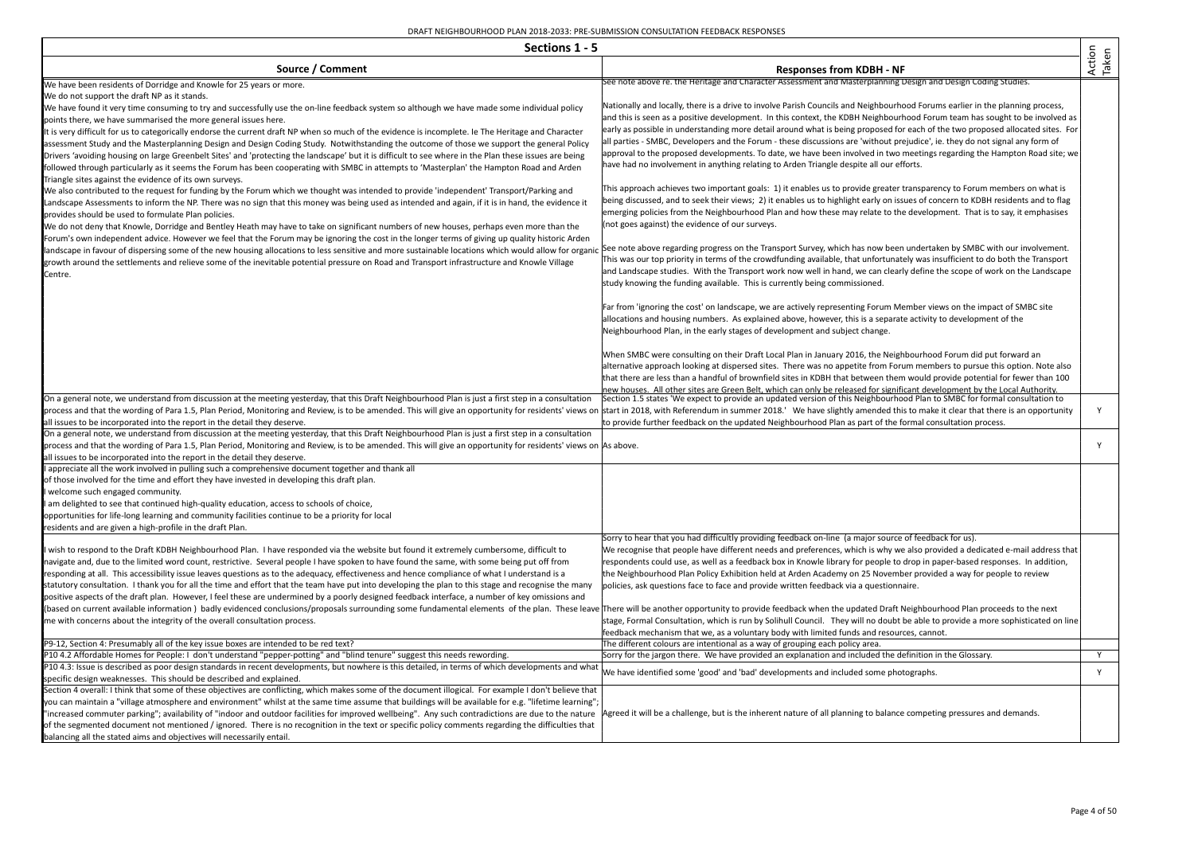| Sections 1 - 5                                                                                                                                                                                                                                                                                                                                                                                                                                                                                                                                                                                                                                                                                                                                                                                                                                                                                                                        |                                                                                                                                                                                                                                                                                                                                                                                                                                                                                                                                                                                                                                                                                                                                                        |                 |
|---------------------------------------------------------------------------------------------------------------------------------------------------------------------------------------------------------------------------------------------------------------------------------------------------------------------------------------------------------------------------------------------------------------------------------------------------------------------------------------------------------------------------------------------------------------------------------------------------------------------------------------------------------------------------------------------------------------------------------------------------------------------------------------------------------------------------------------------------------------------------------------------------------------------------------------|--------------------------------------------------------------------------------------------------------------------------------------------------------------------------------------------------------------------------------------------------------------------------------------------------------------------------------------------------------------------------------------------------------------------------------------------------------------------------------------------------------------------------------------------------------------------------------------------------------------------------------------------------------------------------------------------------------------------------------------------------------|-----------------|
| Source / Comment                                                                                                                                                                                                                                                                                                                                                                                                                                                                                                                                                                                                                                                                                                                                                                                                                                                                                                                      | <b>Responses from KDBH - NF</b>                                                                                                                                                                                                                                                                                                                                                                                                                                                                                                                                                                                                                                                                                                                        | Action<br>Taken |
| We have been residents of Dorridge and Knowle for 25 years or more.                                                                                                                                                                                                                                                                                                                                                                                                                                                                                                                                                                                                                                                                                                                                                                                                                                                                   | See note above re. the Heritage and Character Assessment and Masterplanning Design and Design Coding Studies.                                                                                                                                                                                                                                                                                                                                                                                                                                                                                                                                                                                                                                          |                 |
| We do not support the draft NP as it stands.<br>We have found it very time consuming to try and successfully use the on-line feedback system so although we have made some individual policy<br>points there, we have summarised the more general issues here.<br>It is very difficult for us to categorically endorse the current draft NP when so much of the evidence is incomplete. Ie The Heritage and Character<br>assessment Study and the Masterplanning Design and Design Coding Study. Notwithstanding the outcome of those we support the general Policy<br>Drivers 'avoiding housing on large Greenbelt Sites' and 'protecting the landscape' but it is difficult to see where in the Plan these issues are being<br>followed through particularly as it seems the Forum has been cooperating with SMBC in attempts to 'Masterplan' the Hampton Road and Arden<br>Triangle sites against the evidence of its own surveys. | Nationally and locally, there is a drive to involve Parish Councils and Neighbourhood Forums earlier in the planning process,<br>and this is seen as a positive development. In this context, the KDBH Neighbourhood Forum team has sought to be involved as<br>early as possible in understanding more detail around what is being proposed for each of the two proposed allocated sites. For<br>all parties - SMBC, Developers and the Forum - these discussions are 'without prejudice', ie. they do not signal any form of<br>approval to the proposed developments. To date, we have been involved in two meetings regarding the Hampton Road site; we<br>have had no involvement in anything relating to Arden Triangle despite all our efforts. |                 |
| We also contributed to the request for funding by the Forum which we thought was intended to provide 'independent' Transport/Parking and<br>Landscape Assessments to inform the NP. There was no sign that this money was being used as intended and again, if it is in hand, the evidence it<br>provides should be used to formulate Plan policies.<br>We do not deny that Knowle, Dorridge and Bentley Heath may have to take on significant numbers of new houses, perhaps even more than the<br>Forum's own independent advice. However we feel that the Forum may be ignoring the cost in the longer terms of giving up quality historic Arden                                                                                                                                                                                                                                                                                   | This approach achieves two important goals: 1) it enables us to provide greater transparency to Forum members on what is<br>being discussed, and to seek their views; 2) it enables us to highlight early on issues of concern to KDBH residents and to flag<br>emerging policies from the Neighbourhood Plan and how these may relate to the development. That is to say, it emphasises<br>(not goes against) the evidence of our surveys.                                                                                                                                                                                                                                                                                                            |                 |
| landscape in favour of dispersing some of the new housing allocations to less sensitive and more sustainable locations which would allow for organic See note above regarding progress on the Transport Survey, which has now<br>growth around the settlements and relieve some of the inevitable potential pressure on Road and Transport infrastructure and Knowle Village<br>Centre.                                                                                                                                                                                                                                                                                                                                                                                                                                                                                                                                               | This was our top priority in terms of the crowdfunding available, that unfortunately was insufficient to do both the Transport<br>and Landscape studies. With the Transport work now well in hand, we can clearly define the scope of work on the Landscape<br>study knowing the funding available. This is currently being commissioned.                                                                                                                                                                                                                                                                                                                                                                                                              |                 |
|                                                                                                                                                                                                                                                                                                                                                                                                                                                                                                                                                                                                                                                                                                                                                                                                                                                                                                                                       | Far from 'ignoring the cost' on landscape, we are actively representing Forum Member views on the impact of SMBC site<br>allocations and housing numbers. As explained above, however, this is a separate activity to development of the<br>Neighbourhood Plan, in the early stages of development and subject change.                                                                                                                                                                                                                                                                                                                                                                                                                                 |                 |
|                                                                                                                                                                                                                                                                                                                                                                                                                                                                                                                                                                                                                                                                                                                                                                                                                                                                                                                                       | When SMBC were consulting on their Draft Local Plan in January 2016, the Neighbourhood Forum did put forward an<br>alternative approach looking at dispersed sites. There was no appetite from Forum members to pursue this option. Note also<br>that there are less than a handful of brownfield sites in KDBH that between them would provide potential for fewer than 100<br>new houses. All other sites are Green Belt, which can only be released for significant development by the Local Authority.                                                                                                                                                                                                                                             |                 |
| On a general note, we understand from discussion at the meeting yesterday, that this Draft Neighbourhood Plan is just a first step in a consultation<br>process and that the wording of Para 1.5, Plan Period, Monitoring and Review, is to be amended. This will give an opportunity for residents' views on start in 2018, with Referendum in summer 2018. 'We have slightly amended<br>all issues to be incorporated into the report in the detail they deserve.                                                                                                                                                                                                                                                                                                                                                                                                                                                                   | Section 1.5 states 'We expect to provide an updated version of this Neighbourhood Plan to SMBC for formal consultation to<br>to provide further feedback on the updated Neighbourhood Plan as part of the formal consultation process.                                                                                                                                                                                                                                                                                                                                                                                                                                                                                                                 | Y               |
| On a general note, we understand from discussion at the meeting yesterday, that this Draft Neighbourhood Plan is just a first step in a consultation                                                                                                                                                                                                                                                                                                                                                                                                                                                                                                                                                                                                                                                                                                                                                                                  |                                                                                                                                                                                                                                                                                                                                                                                                                                                                                                                                                                                                                                                                                                                                                        |                 |
| process and that the wording of Para 1.5, Plan Period, Monitoring and Review, is to be amended. This will give an opportunity for residents' views on As above.<br>all issues to be incorporated into the report in the detail they deserve.<br>appreciate all the work involved in pulling such a comprehensive document together and thank all                                                                                                                                                                                                                                                                                                                                                                                                                                                                                                                                                                                      |                                                                                                                                                                                                                                                                                                                                                                                                                                                                                                                                                                                                                                                                                                                                                        | Y               |
| of those involved for the time and effort they have invested in developing this draft plan.                                                                                                                                                                                                                                                                                                                                                                                                                                                                                                                                                                                                                                                                                                                                                                                                                                           |                                                                                                                                                                                                                                                                                                                                                                                                                                                                                                                                                                                                                                                                                                                                                        |                 |
| welcome such engaged community.<br>I am delighted to see that continued high-quality education, access to schools of choice,                                                                                                                                                                                                                                                                                                                                                                                                                                                                                                                                                                                                                                                                                                                                                                                                          |                                                                                                                                                                                                                                                                                                                                                                                                                                                                                                                                                                                                                                                                                                                                                        |                 |
| opportunities for life-long learning and community facilities continue to be a priority for local                                                                                                                                                                                                                                                                                                                                                                                                                                                                                                                                                                                                                                                                                                                                                                                                                                     |                                                                                                                                                                                                                                                                                                                                                                                                                                                                                                                                                                                                                                                                                                                                                        |                 |
| residents and are given a high-profile in the draft Plan.                                                                                                                                                                                                                                                                                                                                                                                                                                                                                                                                                                                                                                                                                                                                                                                                                                                                             | Sorry to hear that you had difficultly providing feedback on-line (a major source of feedback for us).                                                                                                                                                                                                                                                                                                                                                                                                                                                                                                                                                                                                                                                 |                 |
| I wish to respond to the Draft KDBH Neighbourhood Plan. I have responded via the website but found it extremely cumbersome, difficult to<br>navigate and, due to the limited word count, restrictive. Several people I have spoken to have found the same, with some being put off from<br>responding at all. This accessibility issue leaves questions as to the adequacy, effectiveness and hence compliance of what I understand is a<br>statutory consultation. I thank you for all the time and effort that the team have put into developing the plan to this stage and recognise the many                                                                                                                                                                                                                                                                                                                                      | We recognise that people have different needs and preferences, which is why we also provided a dedicated e-mail address that<br>respondents could use, as well as a feedback box in Knowle library for people to drop in paper-based responses. In addition,<br>the Neighbourhood Plan Policy Exhibition held at Arden Academy on 25 November provided a way for people to review<br>policies, ask questions face to face and provide written feedback via a questionnaire.                                                                                                                                                                                                                                                                            |                 |
| positive aspects of the draft plan. However, I feel these are undermined by a poorly designed feedback interface, a number of key omissions and<br>(based on current available information) badly evidenced conclusions/proposals surrounding some fundamental elements of the plan. These leave There will be another opportunity to provide feedback when the updated Draft Nei<br>me with concerns about the integrity of the overall consultation process.                                                                                                                                                                                                                                                                                                                                                                                                                                                                        | stage, Formal Consultation, which is run by Solihull Council. They will no doubt be able to provide a more sophisticated on line                                                                                                                                                                                                                                                                                                                                                                                                                                                                                                                                                                                                                       |                 |
| P9-12, Section 4: Presumably all of the key issue boxes are intended to be red text?                                                                                                                                                                                                                                                                                                                                                                                                                                                                                                                                                                                                                                                                                                                                                                                                                                                  | feedback mechanism that we, as a voluntary body with limited funds and resources, cannot.<br>The different colours are intentional as a way of grouping each policy area.                                                                                                                                                                                                                                                                                                                                                                                                                                                                                                                                                                              |                 |
| P10 4.2 Affordable Homes for People: I don't understand "pepper-potting" and "blind tenure" suggest this needs rewording.                                                                                                                                                                                                                                                                                                                                                                                                                                                                                                                                                                                                                                                                                                                                                                                                             | Sorry for the jargon there. We have provided an explanation and included the definition in the Glossary.                                                                                                                                                                                                                                                                                                                                                                                                                                                                                                                                                                                                                                               | Y.              |
| P10 4.3: Issue is described as poor design standards in recent developments, but nowhere is this detailed, in terms of which developments and what<br>specific design weaknesses. This should be described and explained.                                                                                                                                                                                                                                                                                                                                                                                                                                                                                                                                                                                                                                                                                                             | We have identified some 'good' and 'bad' developments and included some photographs.                                                                                                                                                                                                                                                                                                                                                                                                                                                                                                                                                                                                                                                                   | Y               |
| Section 4 overall: I think that some of these objectives are conflicting, which makes some of the document illogical. For example I don't believe that<br>you can maintain a "village atmosphere and environment" whilst at the same time assume that buildings will be available for e.g. "lifetime learning";<br>"increased commuter parking"; availability of "indoor and outdoor facilities for improved wellbeing". Any such contradictions are due to the nature<br>of the segmented document not mentioned / ignored. There is no recognition in the text or specific policy comments regarding the difficulties that                                                                                                                                                                                                                                                                                                          | Agreed it will be a challenge, but is the inherent nature of all planning to balance competing pressures and demands.                                                                                                                                                                                                                                                                                                                                                                                                                                                                                                                                                                                                                                  |                 |
| balancing all the stated aims and objectives will necessarily entail.                                                                                                                                                                                                                                                                                                                                                                                                                                                                                                                                                                                                                                                                                                                                                                                                                                                                 |                                                                                                                                                                                                                                                                                                                                                                                                                                                                                                                                                                                                                                                                                                                                                        |                 |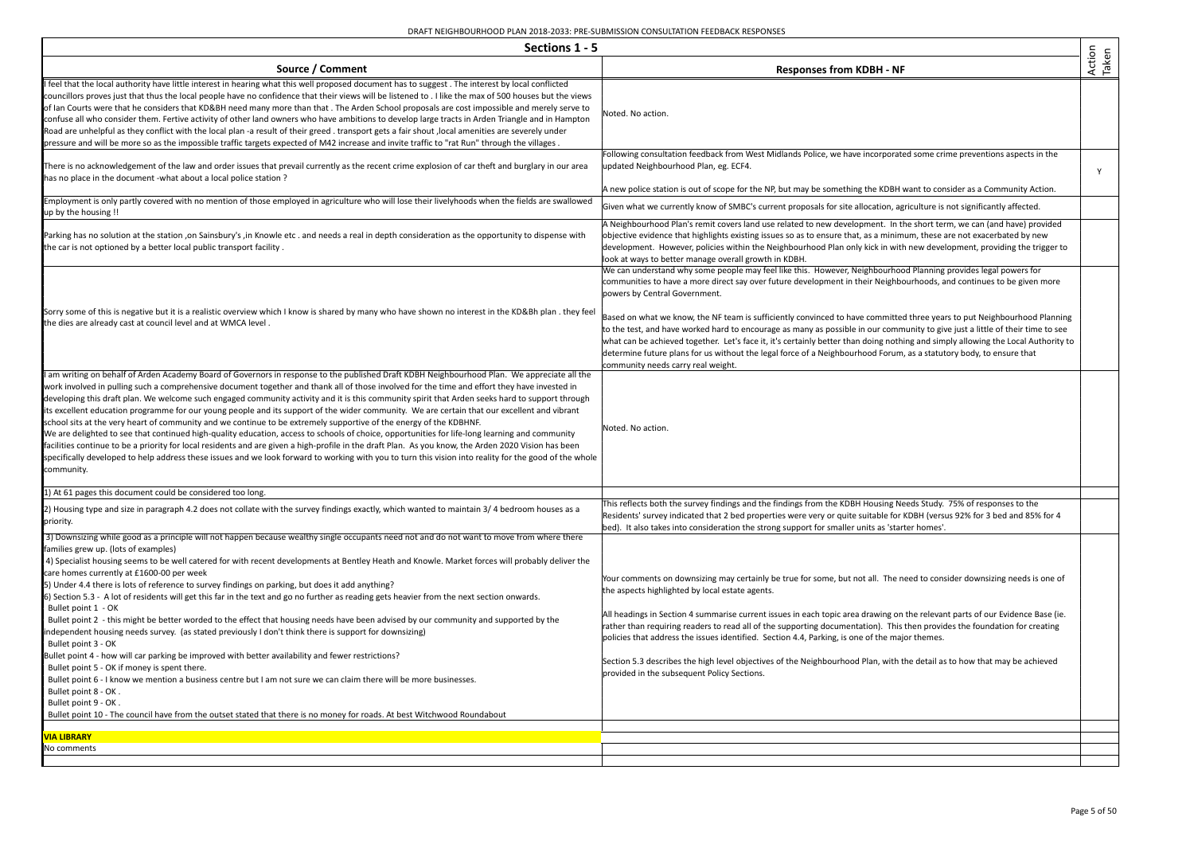| Sections 1 - 5                                                                                                                                                                                                                                                                                                                                                                                                                                                                                                                                                                                                                                                                                                                                                                                                                                                                                                                                                                                                                                                                                                                                                                                                                                                                                                                                                                                  |                                                                                                                                                                                                                                                                                                                                                                                                                                                                                                                                                                                                                                                                                                                          |                 |
|-------------------------------------------------------------------------------------------------------------------------------------------------------------------------------------------------------------------------------------------------------------------------------------------------------------------------------------------------------------------------------------------------------------------------------------------------------------------------------------------------------------------------------------------------------------------------------------------------------------------------------------------------------------------------------------------------------------------------------------------------------------------------------------------------------------------------------------------------------------------------------------------------------------------------------------------------------------------------------------------------------------------------------------------------------------------------------------------------------------------------------------------------------------------------------------------------------------------------------------------------------------------------------------------------------------------------------------------------------------------------------------------------|--------------------------------------------------------------------------------------------------------------------------------------------------------------------------------------------------------------------------------------------------------------------------------------------------------------------------------------------------------------------------------------------------------------------------------------------------------------------------------------------------------------------------------------------------------------------------------------------------------------------------------------------------------------------------------------------------------------------------|-----------------|
| Source / Comment                                                                                                                                                                                                                                                                                                                                                                                                                                                                                                                                                                                                                                                                                                                                                                                                                                                                                                                                                                                                                                                                                                                                                                                                                                                                                                                                                                                | <b>Responses from KDBH - NF</b>                                                                                                                                                                                                                                                                                                                                                                                                                                                                                                                                                                                                                                                                                          | Action<br>Taken |
| I feel that the local authority have little interest in hearing what this well proposed document has to suggest. The interest by local conflicted<br>councillors proves just that thus the local people have no confidence that their views will be listened to . I like the max of 500 houses but the views<br>of Ian Courts were that he considers that KD&BH need many more than that . The Arden School proposals are cost impossible and merely serve to<br>confuse all who consider them. Fertive activity of other land owners who have ambitions to develop large tracts in Arden Triangle and in Hampton<br>Road are unhelpful as they conflict with the local plan -a result of their greed. transport gets a fair shout, local amenities are severely under<br>pressure and will be more so as the impossible traffic targets expected of M42 increase and invite traffic to "rat Run" through the villages.                                                                                                                                                                                                                                                                                                                                                                                                                                                                         | Noted. No action.                                                                                                                                                                                                                                                                                                                                                                                                                                                                                                                                                                                                                                                                                                        |                 |
| There is no acknowledgement of the law and order issues that prevail currently as the recent crime explosion of car theft and burglary in our area<br>has no place in the document -what about a local police station ?                                                                                                                                                                                                                                                                                                                                                                                                                                                                                                                                                                                                                                                                                                                                                                                                                                                                                                                                                                                                                                                                                                                                                                         | Following consultation feedback from West Midlands Police, we have incorporated some crime preventions aspects in the<br>updated Neighbourhood Plan, eg. ECF4.                                                                                                                                                                                                                                                                                                                                                                                                                                                                                                                                                           | Y               |
| Employment is only partly covered with no mention of those employed in agriculture who will lose their livelyhoods when the fields are swallowed<br>up by the housing !!                                                                                                                                                                                                                                                                                                                                                                                                                                                                                                                                                                                                                                                                                                                                                                                                                                                                                                                                                                                                                                                                                                                                                                                                                        | A new police station is out of scope for the NP, but may be something the KDBH want to consider as a Community Action.<br>Given what we currently know of SMBC's current proposals for site allocation, agriculture is not significantly affected.                                                                                                                                                                                                                                                                                                                                                                                                                                                                       |                 |
| Parking has no solution at the station, on Sainsbury's, in Knowle etc. and needs a real in depth consideration as the opportunity to dispense with<br>the car is not optioned by a better local public transport facility.                                                                                                                                                                                                                                                                                                                                                                                                                                                                                                                                                                                                                                                                                                                                                                                                                                                                                                                                                                                                                                                                                                                                                                      | A Neighbourhood Plan's remit covers land use related to new development. In the short term, we can (and have) provided<br>objective evidence that highlights existing issues so as to ensure that, as a minimum, these are not exacerbated by new<br>development. However, policies within the Neighbourhood Plan only kick in with new development, providing the trigger to<br>look at ways to better manage overall growth in KDBH.<br>We can understand why some people may feel like this. However, Neighbourhood Planning provides legal powers for                                                                                                                                                                |                 |
| Sorry some of this is negative but it is a realistic overview which I know is shared by many who have shown no interest in the KD&Bh plan. they feel<br>the dies are already cast at council level and at WMCA level.                                                                                                                                                                                                                                                                                                                                                                                                                                                                                                                                                                                                                                                                                                                                                                                                                                                                                                                                                                                                                                                                                                                                                                           | communities to have a more direct say over future development in their Neighbourhoods, and continues to be given more<br>powers by Central Government.<br>Based on what we know, the NF team is sufficiently convinced to have committed three years to put Neighbourhood Planning<br>to the test, and have worked hard to encourage as many as possible in our community to give just a little of their time to see<br>what can be achieved together. Let's face it, it's certainly better than doing nothing and simply allowing the Local Authority to<br>determine future plans for us without the legal force of a Neighbourhood Forum, as a statutory body, to ensure that<br>community needs carry real weight.   |                 |
| I am writing on behalf of Arden Academy Board of Governors in response to the published Draft KDBH Neighbourhood Plan. We appreciate all the<br>work involved in pulling such a comprehensive document together and thank all of those involved for the time and effort they have invested in<br>developing this draft plan. We welcome such engaged community activity and it is this community spirit that Arden seeks hard to support through<br>its excellent education programme for our young people and its support of the wider community. We are certain that our excellent and vibrant<br>school sits at the very heart of community and we continue to be extremely supportive of the energy of the KDBHNF.<br>We are delighted to see that continued high-quality education, access to schools of choice, opportunities for life-long learning and community<br>facilities continue to be a priority for local residents and are given a high-profile in the draft Plan. As you know, the Arden 2020 Vision has been<br>specifically developed to help address these issues and we look forward to working with you to turn this vision into reality for the good of the whole<br>community.                                                                                                                                                                                        | Noted. No action.                                                                                                                                                                                                                                                                                                                                                                                                                                                                                                                                                                                                                                                                                                        |                 |
| 1) At 61 pages this document could be considered too long.                                                                                                                                                                                                                                                                                                                                                                                                                                                                                                                                                                                                                                                                                                                                                                                                                                                                                                                                                                                                                                                                                                                                                                                                                                                                                                                                      |                                                                                                                                                                                                                                                                                                                                                                                                                                                                                                                                                                                                                                                                                                                          |                 |
| 2) Housing type and size in paragraph 4.2 does not collate with the survey findings exactly, which wanted to maintain 3/4 bedroom houses as a<br>priority.                                                                                                                                                                                                                                                                                                                                                                                                                                                                                                                                                                                                                                                                                                                                                                                                                                                                                                                                                                                                                                                                                                                                                                                                                                      | This reflects both the survey findings and the findings from the KDBH Housing Needs Study. 75% of responses to the<br>Residents' survey indicated that 2 bed properties were very or quite suitable for KDBH (versus 92% for 3 bed and 85% for 4<br>bed). It also takes into consideration the strong support for smaller units as 'starter homes'.                                                                                                                                                                                                                                                                                                                                                                      |                 |
| 3) Downsizing while good as a principle will not happen because wealthy single occupants need not and do not want to move from where there<br>families grew up. (lots of examples)<br>4) Specialist housing seems to be well catered for with recent developments at Bentley Heath and Knowle. Market forces will probably deliver the<br>care homes currently at £1600-00 per week<br>[5] Under 4.4 there is lots of reference to survey findings on parking, but does it add anything?<br>6) Section 5.3 - A lot of residents will get this far in the text and go no further as reading gets heavier from the next section onwards.<br>Bullet point 1 - OK<br>Bullet point 2 - this might be better worded to the effect that housing needs have been advised by our community and supported by the<br>independent housing needs survey. (as stated previously I don't think there is support for downsizing)<br>Bullet point 3 - OK<br>Bullet point 4 - how will car parking be improved with better availability and fewer restrictions?<br>Bullet point 5 - OK if money is spent there.<br>Bullet point 6 - I know we mention a business centre but I am not sure we can claim there will be more businesses.<br>Bullet point 8 - OK.<br>Bullet point 9 - OK.<br>Bullet point 10 - The council have from the outset stated that there is no money for roads. At best Witchwood Roundabout | Your comments on downsizing may certainly be true for some, but not all. The need to consider downsizing needs is one of<br>the aspects highlighted by local estate agents.<br>All headings in Section 4 summarise current issues in each topic area drawing on the relevant parts of our Evidence Base (ie.<br>rather than requiring readers to read all of the supporting documentation). This then provides the foundation for creating<br>policies that address the issues identified. Section 4.4, Parking, is one of the major themes.<br>Section 5.3 describes the high level objectives of the Neighbourhood Plan, with the detail as to how that may be achieved<br>provided in the subsequent Policy Sections. |                 |
| <b>VIA LIBRARY</b>                                                                                                                                                                                                                                                                                                                                                                                                                                                                                                                                                                                                                                                                                                                                                                                                                                                                                                                                                                                                                                                                                                                                                                                                                                                                                                                                                                              |                                                                                                                                                                                                                                                                                                                                                                                                                                                                                                                                                                                                                                                                                                                          |                 |
| No comments                                                                                                                                                                                                                                                                                                                                                                                                                                                                                                                                                                                                                                                                                                                                                                                                                                                                                                                                                                                                                                                                                                                                                                                                                                                                                                                                                                                     |                                                                                                                                                                                                                                                                                                                                                                                                                                                                                                                                                                                                                                                                                                                          |                 |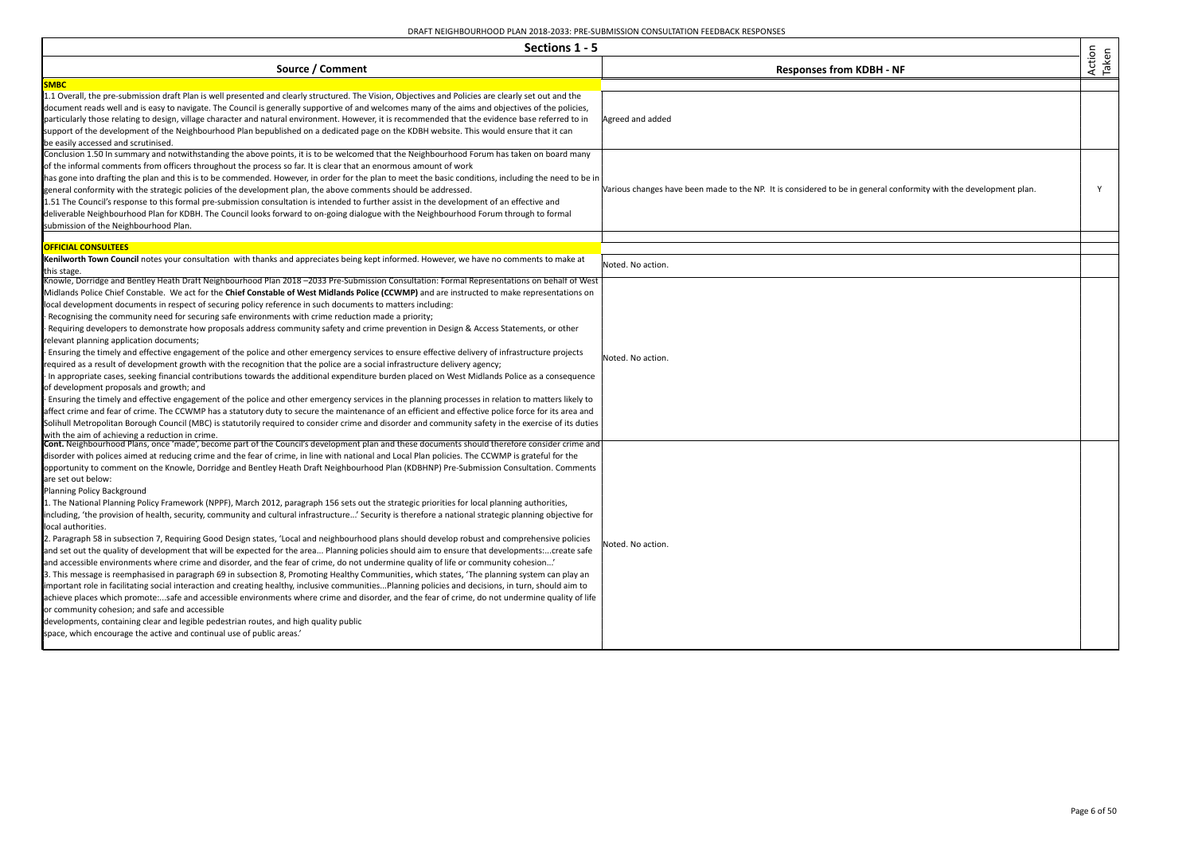| Sections 1 - 5                                                                                                                                                                                                                                                                                                                                                                                                                                                                                                                                                                                                                                    |                                                                                                                   |                 |
|---------------------------------------------------------------------------------------------------------------------------------------------------------------------------------------------------------------------------------------------------------------------------------------------------------------------------------------------------------------------------------------------------------------------------------------------------------------------------------------------------------------------------------------------------------------------------------------------------------------------------------------------------|-------------------------------------------------------------------------------------------------------------------|-----------------|
| Source / Comment                                                                                                                                                                                                                                                                                                                                                                                                                                                                                                                                                                                                                                  | <b>Responses from KDBH - NF</b>                                                                                   | Action<br>Taken |
| <b>SMBC</b>                                                                                                                                                                                                                                                                                                                                                                                                                                                                                                                                                                                                                                       |                                                                                                                   |                 |
| 1.1 Overall, the pre-submission draft Plan is well presented and clearly structured. The Vision, Objectives and Policies are clearly set out and the<br>document reads well and is easy to navigate. The Council is generally supportive of and welcomes many of the aims and objectives of the policies,<br>particularly those relating to design, village character and natural environment. However, it is recommended that the evidence base referred to in<br>support of the development of the Neighbourhood Plan bepublished on a dedicated page on the KDBH website. This would ensure that it can<br>be easily accessed and scrutinised. | Agreed and added                                                                                                  |                 |
| Conclusion 1.50 In summary and notwithstanding the above points, it is to be welcomed that the Neighbourhood Forum has taken on board many                                                                                                                                                                                                                                                                                                                                                                                                                                                                                                        |                                                                                                                   |                 |
| of the informal comments from officers throughout the process so far. It is clear that an enormous amount of work                                                                                                                                                                                                                                                                                                                                                                                                                                                                                                                                 |                                                                                                                   |                 |
| has gone into drafting the plan and this is to be commended. However, in order for the plan to meet the basic conditions, including the need to be in                                                                                                                                                                                                                                                                                                                                                                                                                                                                                             |                                                                                                                   |                 |
| general conformity with the strategic policies of the development plan, the above comments should be addressed.                                                                                                                                                                                                                                                                                                                                                                                                                                                                                                                                   | Various changes have been made to the NP. It is considered to be in general conformity with the development plan. | Y               |
| 1.51 The Council's response to this formal pre-submission consultation is intended to further assist in the development of an effective and                                                                                                                                                                                                                                                                                                                                                                                                                                                                                                       |                                                                                                                   |                 |
| deliverable Neighbourhood Plan for KDBH. The Council looks forward to on-going dialogue with the Neighbourhood Forum through to formal                                                                                                                                                                                                                                                                                                                                                                                                                                                                                                            |                                                                                                                   |                 |
| submission of the Neighbourhood Plan.                                                                                                                                                                                                                                                                                                                                                                                                                                                                                                                                                                                                             |                                                                                                                   |                 |
| <b>OFFICIAL CONSULTEES</b>                                                                                                                                                                                                                                                                                                                                                                                                                                                                                                                                                                                                                        |                                                                                                                   |                 |
| Kenilworth Town Council notes your consultation with thanks and appreciates being kept informed. However, we have no comments to make at                                                                                                                                                                                                                                                                                                                                                                                                                                                                                                          |                                                                                                                   |                 |
| this stage.                                                                                                                                                                                                                                                                                                                                                                                                                                                                                                                                                                                                                                       | Noted. No action.                                                                                                 |                 |
| Knowle, Dorridge and Bentley Heath Draft Neighbourhood Plan 2018–2033 Pre-Submission Consultation: Formal Representations on behalf of West                                                                                                                                                                                                                                                                                                                                                                                                                                                                                                       |                                                                                                                   |                 |
| Midlands Police Chief Constable. We act for the Chief Constable of West Midlands Police (CCWMP) and are instructed to make representations on                                                                                                                                                                                                                                                                                                                                                                                                                                                                                                     |                                                                                                                   |                 |
| local development documents in respect of securing policy reference in such documents to matters including:                                                                                                                                                                                                                                                                                                                                                                                                                                                                                                                                       |                                                                                                                   |                 |
| Recognising the community need for securing safe environments with crime reduction made a priority;                                                                                                                                                                                                                                                                                                                                                                                                                                                                                                                                               |                                                                                                                   |                 |
| Requiring developers to demonstrate how proposals address community safety and crime prevention in Design & Access Statements, or other                                                                                                                                                                                                                                                                                                                                                                                                                                                                                                           |                                                                                                                   |                 |
| relevant planning application documents;                                                                                                                                                                                                                                                                                                                                                                                                                                                                                                                                                                                                          |                                                                                                                   |                 |
| Ensuring the timely and effective engagement of the police and other emergency services to ensure effective delivery of infrastructure projects                                                                                                                                                                                                                                                                                                                                                                                                                                                                                                   | Noted. No action.                                                                                                 |                 |
| required as a result of development growth with the recognition that the police are a social infrastructure delivery agency;                                                                                                                                                                                                                                                                                                                                                                                                                                                                                                                      |                                                                                                                   |                 |
| In appropriate cases, seeking financial contributions towards the additional expenditure burden placed on West Midlands Police as a consequence                                                                                                                                                                                                                                                                                                                                                                                                                                                                                                   |                                                                                                                   |                 |
| of development proposals and growth; and                                                                                                                                                                                                                                                                                                                                                                                                                                                                                                                                                                                                          |                                                                                                                   |                 |
| Ensuring the timely and effective engagement of the police and other emergency services in the planning processes in relation to matters likely to                                                                                                                                                                                                                                                                                                                                                                                                                                                                                                |                                                                                                                   |                 |
| affect crime and fear of crime. The CCWMP has a statutory duty to secure the maintenance of an efficient and effective police force for its area and                                                                                                                                                                                                                                                                                                                                                                                                                                                                                              |                                                                                                                   |                 |
| Solihull Metropolitan Borough Council (MBC) is statutorily required to consider crime and disorder and community safety in the exercise of its duties                                                                                                                                                                                                                                                                                                                                                                                                                                                                                             |                                                                                                                   |                 |
| with the aim of achieving a reduction in crime.<br><b>Cont.</b> Neighbourhood Plans, once 'made', become part of the Council's development plan and these documents should therefore consider crime and                                                                                                                                                                                                                                                                                                                                                                                                                                           |                                                                                                                   |                 |
| disorder with polices aimed at reducing crime and the fear of crime, in line with national and Local Plan policies. The CCWMP is grateful for the                                                                                                                                                                                                                                                                                                                                                                                                                                                                                                 |                                                                                                                   |                 |
| opportunity to comment on the Knowle, Dorridge and Bentley Heath Draft Neighbourhood Plan (KDBHNP) Pre-Submission Consultation. Comments                                                                                                                                                                                                                                                                                                                                                                                                                                                                                                          |                                                                                                                   |                 |
| are set out below:                                                                                                                                                                                                                                                                                                                                                                                                                                                                                                                                                                                                                                |                                                                                                                   |                 |
| Planning Policy Background                                                                                                                                                                                                                                                                                                                                                                                                                                                                                                                                                                                                                        |                                                                                                                   |                 |
| 1. The National Planning Policy Framework (NPPF), March 2012, paragraph 156 sets out the strategic priorities for local planning authorities,                                                                                                                                                                                                                                                                                                                                                                                                                                                                                                     |                                                                                                                   |                 |
| including, 'the provision of health, security, community and cultural infrastructure' Security is therefore a national strategic planning objective for<br>local authorities.                                                                                                                                                                                                                                                                                                                                                                                                                                                                     |                                                                                                                   |                 |
| 2. Paragraph 58 in subsection 7, Requiring Good Design states, 'Local and neighbourhood plans should develop robust and comprehensive policies                                                                                                                                                                                                                                                                                                                                                                                                                                                                                                    |                                                                                                                   |                 |
| and set out the quality of development that will be expected for the area Planning policies should aim to ensure that developmentscreate safe                                                                                                                                                                                                                                                                                                                                                                                                                                                                                                     | Noted. No action.                                                                                                 |                 |
| and accessible environments where crime and disorder, and the fear of crime, do not undermine quality of life or community cohesion'                                                                                                                                                                                                                                                                                                                                                                                                                                                                                                              |                                                                                                                   |                 |
| 3. This message is reemphasised in paragraph 69 in subsection 8, Promoting Healthy Communities, which states, 'The planning system can play an                                                                                                                                                                                                                                                                                                                                                                                                                                                                                                    |                                                                                                                   |                 |
| important role in facilitating social interaction and creating healthy, inclusive communitiesPlanning policies and decisions, in turn, should aim to                                                                                                                                                                                                                                                                                                                                                                                                                                                                                              |                                                                                                                   |                 |
| achieve places which promote:safe and accessible environments where crime and disorder, and the fear of crime, do not undermine quality of life                                                                                                                                                                                                                                                                                                                                                                                                                                                                                                   |                                                                                                                   |                 |
| or community cohesion; and safe and accessible                                                                                                                                                                                                                                                                                                                                                                                                                                                                                                                                                                                                    |                                                                                                                   |                 |
| developments, containing clear and legible pedestrian routes, and high quality public                                                                                                                                                                                                                                                                                                                                                                                                                                                                                                                                                             |                                                                                                                   |                 |
| space, which encourage the active and continual use of public areas.'                                                                                                                                                                                                                                                                                                                                                                                                                                                                                                                                                                             |                                                                                                                   |                 |
|                                                                                                                                                                                                                                                                                                                                                                                                                                                                                                                                                                                                                                                   |                                                                                                                   |                 |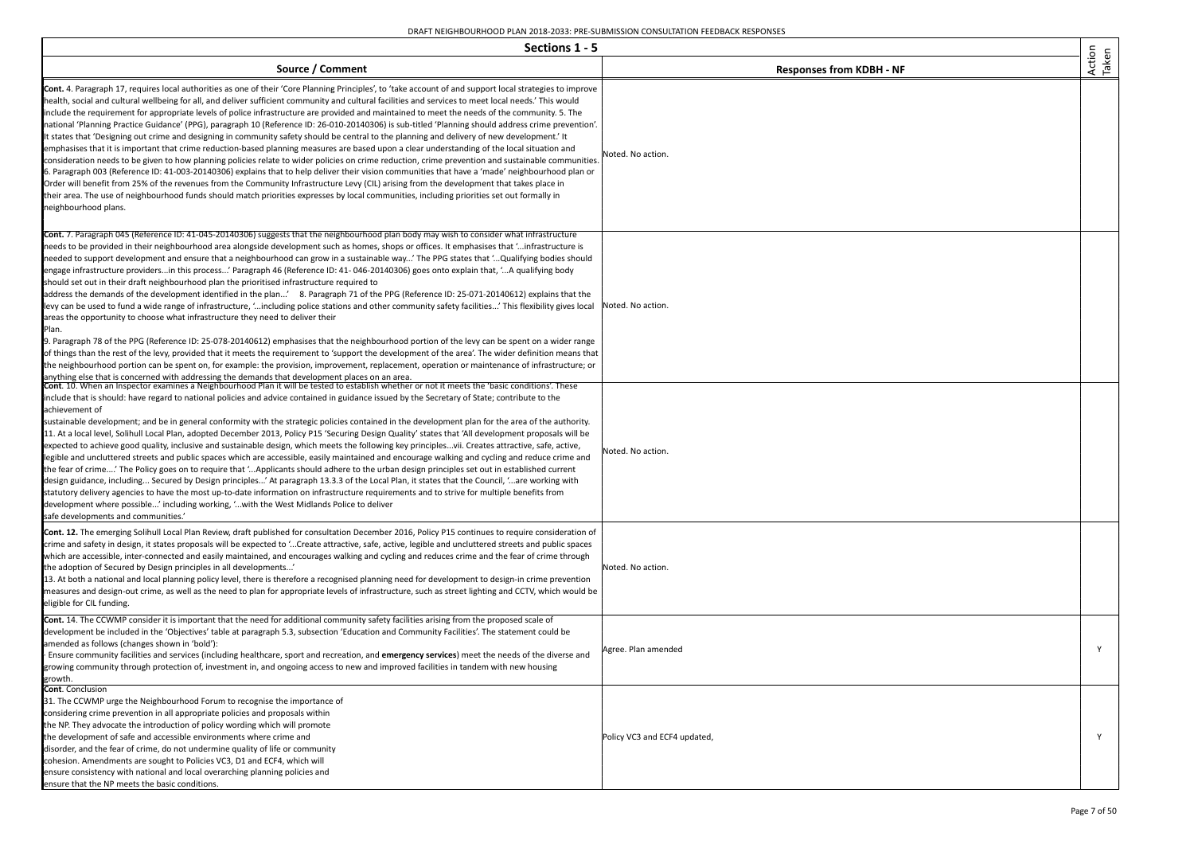| Sections 1 - 5                                                                                                                                                                                                                                                                                                                                                                                                                                                                                                                                                                                                                                                                                                                                                                                                                                                                                                                                                                                                                                                                                                                                                                                                                                                                                                                                                                                                                                                                                                                                                                                                                                                  |                                 |                 |
|-----------------------------------------------------------------------------------------------------------------------------------------------------------------------------------------------------------------------------------------------------------------------------------------------------------------------------------------------------------------------------------------------------------------------------------------------------------------------------------------------------------------------------------------------------------------------------------------------------------------------------------------------------------------------------------------------------------------------------------------------------------------------------------------------------------------------------------------------------------------------------------------------------------------------------------------------------------------------------------------------------------------------------------------------------------------------------------------------------------------------------------------------------------------------------------------------------------------------------------------------------------------------------------------------------------------------------------------------------------------------------------------------------------------------------------------------------------------------------------------------------------------------------------------------------------------------------------------------------------------------------------------------------------------|---------------------------------|-----------------|
| Source / Comment                                                                                                                                                                                                                                                                                                                                                                                                                                                                                                                                                                                                                                                                                                                                                                                                                                                                                                                                                                                                                                                                                                                                                                                                                                                                                                                                                                                                                                                                                                                                                                                                                                                | <b>Responses from KDBH - NF</b> | Action<br>Taken |
| Cont. 4. Paragraph 17, requires local authorities as one of their 'Core Planning Principles', to 'take account of and support local strategies to improve<br>health, social and cultural wellbeing for all, and deliver sufficient community and cultural facilities and services to meet local needs.' This would<br>include the requirement for appropriate levels of police infrastructure are provided and maintained to meet the needs of the community. 5. The<br>national 'Planning Practice Guidance' (PPG), paragraph 10 (Reference ID: 26-010-20140306) is sub-titled 'Planning should address crime prevention'.<br>It states that 'Designing out crime and designing in community safety should be central to the planning and delivery of new development.' It<br>emphasises that it is important that crime reduction-based planning measures are based upon a clear understanding of the local situation and<br>consideration needs to be given to how planning policies relate to wider policies on crime reduction, crime prevention and sustainable communities.<br>6. Paragraph 003 (Reference ID: 41-003-20140306) explains that to help deliver their vision communities that have a 'made' neighbourhood plan or<br>Order will benefit from 25% of the revenues from the Community Infrastructure Levy (CIL) arising from the development that takes place in<br>their area. The use of neighbourhood funds should match priorities expresses by local communities, including priorities set out formally in<br>neighbourhood plans.                                                                                                      | Noted. No action.               |                 |
| <b>Cont.</b> 7. Paragraph 045 (Reference ID: 41-045-20140306) suggests that the neighbourhood plan body may wish to consider what infrastructure<br>needs to be provided in their neighbourhood area alongside development such as homes, shops or offices. It emphasises that 'infrastructure is<br>needed to support development and ensure that a neighbourhood can grow in a sustainable way' The PPG states that 'Qualifying bodies should<br>engage infrastructure providersin this process' Paragraph 46 (Reference ID: 41-046-20140306) goes onto explain that, 'A qualifying body<br>should set out in their draft neighbourhood plan the prioritised infrastructure required to<br>address the demands of the development identified in the plan' 8. Paragraph 71 of the PPG (Reference ID: 25-071-20140612) explains that the<br>levy can be used to fund a wide range of infrastructure, 'including police stations and other community safety facilities' This flexibility gives local<br>areas the opportunity to choose what infrastructure they need to deliver their<br>Plan.<br>9. Paragraph 78 of the PPG (Reference ID: 25-078-20140612) emphasises that the neighbourhood portion of the levy can be spent on a wider range<br>of things than the rest of the levy, provided that it meets the requirement to 'support the development of the area'. The wider definition means that<br>the neighbourhood portion can be spent on, for example: the provision, improvement, replacement, operation or maintenance of infrastructure; or<br>anything else that is concerned with addressing the demands that development places on an area. | Noted. No action.               |                 |
| Cont. 10. When an Inspector examines a Neighbourhood Plan it will be tested to establish whether or not it meets the 'basic conditions'. These<br>include that is should: have regard to national policies and advice contained in guidance issued by the Secretary of State; contribute to the<br>achievement of<br>sustainable development; and be in general conformity with the strategic policies contained in the development plan for the area of the authority.<br>11. At a local level, Solihull Local Plan, adopted December 2013, Policy P15 'Securing Design Quality' states that 'All development proposals will be<br>expected to achieve good quality, inclusive and sustainable design, which meets the following key principlesvii. Creates attractive, safe, active,<br>legible and uncluttered streets and public spaces which are accessible, easily maintained and encourage walking and cycling and reduce crime and<br>the fear of crime' The Policy goes on to require that 'Applicants should adhere to the urban design principles set out in established current<br>design guidance, including Secured by Design principles' At paragraph 13.3.3 of the Local Plan, it states that the Council, 'are working with<br>statutory delivery agencies to have the most up-to-date information on infrastructure requirements and to strive for multiple benefits from<br>development where possible' including working, 'with the West Midlands Police to deliver<br>safe developments and communities.'                                                                                                                                  | Noted. No action.               |                 |
| Cont. 12. The emerging Solihull Local Plan Review, draft published for consultation December 2016, Policy P15 continues to require consideration of<br>crime and safety in design, it states proposals will be expected to 'Create attractive, safe, active, legible and uncluttered streets and public spaces<br>which are accessible, inter-connected and easily maintained, and encourages walking and cycling and reduces crime and the fear of crime through<br>the adoption of Secured by Design principles in all developments'<br>13. At both a national and local planning policy level, there is therefore a recognised planning need for development to design-in crime prevention<br>measures and design-out crime, as well as the need to plan for appropriate levels of infrastructure, such as street lighting and CCTV, which would be<br>eligible for CIL funding.                                                                                                                                                                                                                                                                                                                                                                                                                                                                                                                                                                                                                                                                                                                                                                             | Noted. No action.               |                 |
| <b>Cont.</b> 14. The CCWMP consider it is important that the need for additional community safety facilities arising from the proposed scale of<br>development be included in the 'Objectives' table at paragraph 5.3, subsection 'Education and Community Facilities'. The statement could be<br>amended as follows (changes shown in 'bold'):<br>· Ensure community facilities and services (including healthcare, sport and recreation, and emergency services) meet the needs of the diverse and<br>growing community through protection of, investment in, and ongoing access to new and improved facilities in tandem with new housing<br>growth.                                                                                                                                                                                                                                                                                                                                                                                                                                                                                                                                                                                                                                                                                                                                                                                                                                                                                                                                                                                                         | Agree. Plan amended             | Y               |
| Cont. Conclusion<br>31. The CCWMP urge the Neighbourhood Forum to recognise the importance of<br>considering crime prevention in all appropriate policies and proposals within<br>the NP. They advocate the introduction of policy wording which will promote<br>the development of safe and accessible environments where crime and<br>disorder, and the fear of crime, do not undermine quality of life or community<br>cohesion. Amendments are sought to Policies VC3, D1 and ECF4, which will<br>ensure consistency with national and local overarching planning policies and<br>ensure that the NP meets the basic conditions.                                                                                                                                                                                                                                                                                                                                                                                                                                                                                                                                                                                                                                                                                                                                                                                                                                                                                                                                                                                                                            | Policy VC3 and ECF4 updated,    | Y               |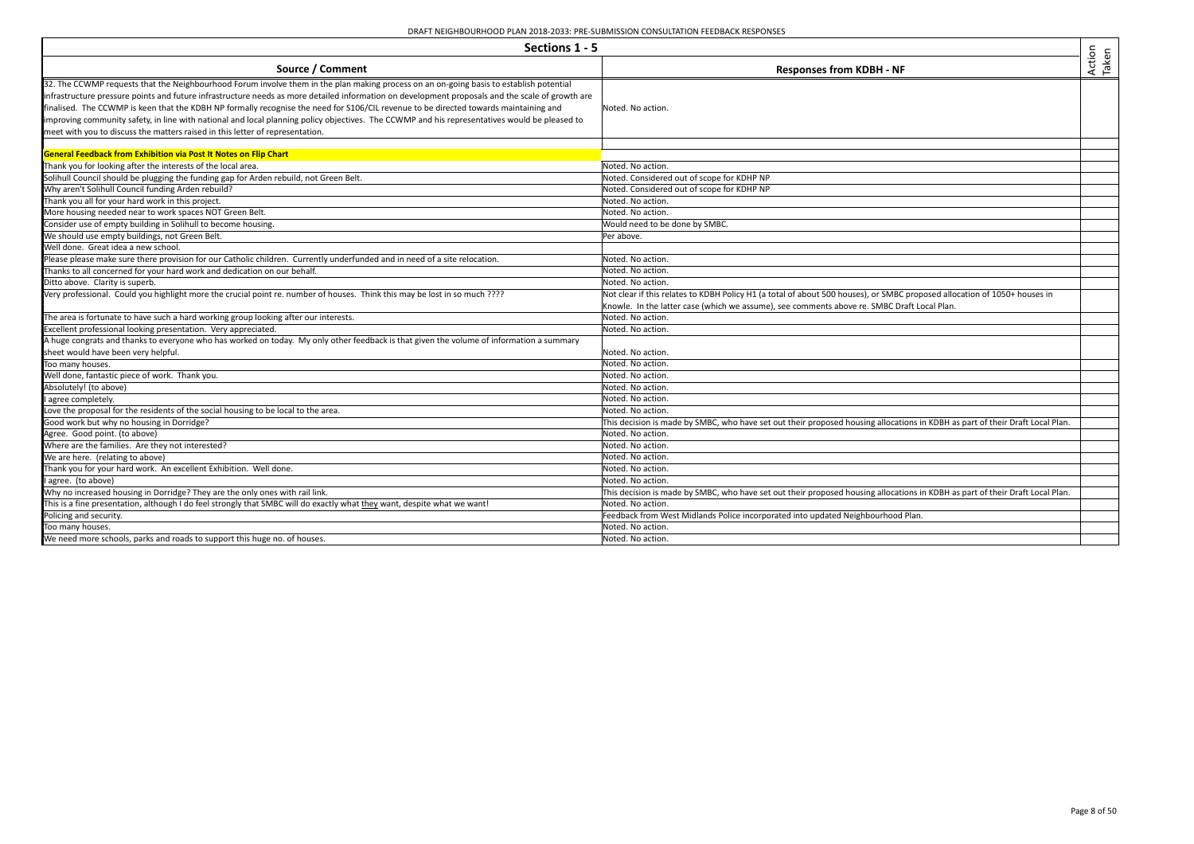| Sections 1 - 5                                                                                                                                                                                                                                                                                                                                                                                                                                                                                                                                                                                                                                                         |                                                                                                                                                                                                                          |                 |
|------------------------------------------------------------------------------------------------------------------------------------------------------------------------------------------------------------------------------------------------------------------------------------------------------------------------------------------------------------------------------------------------------------------------------------------------------------------------------------------------------------------------------------------------------------------------------------------------------------------------------------------------------------------------|--------------------------------------------------------------------------------------------------------------------------------------------------------------------------------------------------------------------------|-----------------|
| Source / Comment                                                                                                                                                                                                                                                                                                                                                                                                                                                                                                                                                                                                                                                       | <b>Responses from KDBH - NF</b>                                                                                                                                                                                          | Action<br>Taken |
| 32. The CCWMP requests that the Neighbourhood Forum involve them in the plan making process on an on-going basis to establish potential<br>infrastructure pressure points and future infrastructure needs as more detailed information on development proposals and the scale of growth are<br>finalised. The CCWMP is keen that the KDBH NP formally recognise the need for S106/CIL revenue to be directed towards maintaining and<br>improving community safety, in line with national and local planning policy objectives. The CCWMP and his representatives would be pleased to<br>meet with you to discuss the matters raised in this letter of representation. | Noted. No action.                                                                                                                                                                                                        |                 |
| General Feedback from Exhibition via Post It Notes on Flip Chart                                                                                                                                                                                                                                                                                                                                                                                                                                                                                                                                                                                                       |                                                                                                                                                                                                                          |                 |
| Thank you for looking after the interests of the local area.                                                                                                                                                                                                                                                                                                                                                                                                                                                                                                                                                                                                           | Noted. No action.                                                                                                                                                                                                        |                 |
| Solihull Council should be plugging the funding gap for Arden rebuild, not Green Belt.                                                                                                                                                                                                                                                                                                                                                                                                                                                                                                                                                                                 | Noted. Considered out of scope for KDHP NP                                                                                                                                                                               |                 |
| Why aren't Solihull Council funding Arden rebuild?                                                                                                                                                                                                                                                                                                                                                                                                                                                                                                                                                                                                                     | Noted. Considered out of scope for KDHP NP                                                                                                                                                                               |                 |
| Thank you all for your hard work in this project.                                                                                                                                                                                                                                                                                                                                                                                                                                                                                                                                                                                                                      | Noted. No action.                                                                                                                                                                                                        |                 |
| More housing needed near to work spaces NOT Green Belt.                                                                                                                                                                                                                                                                                                                                                                                                                                                                                                                                                                                                                | Noted. No action.                                                                                                                                                                                                        |                 |
| Consider use of empty building in Solihull to become housing.                                                                                                                                                                                                                                                                                                                                                                                                                                                                                                                                                                                                          | Would need to be done by SMBC.                                                                                                                                                                                           |                 |
| We should use empty buildings, not Green Belt.                                                                                                                                                                                                                                                                                                                                                                                                                                                                                                                                                                                                                         | Per above.                                                                                                                                                                                                               |                 |
| Well done. Great idea a new school.                                                                                                                                                                                                                                                                                                                                                                                                                                                                                                                                                                                                                                    |                                                                                                                                                                                                                          |                 |
| Please please make sure there provision for our Catholic children. Currently underfunded and in need of a site relocation.                                                                                                                                                                                                                                                                                                                                                                                                                                                                                                                                             | Noted. No action.                                                                                                                                                                                                        |                 |
| Thanks to all concerned for your hard work and dedication on our behalf.                                                                                                                                                                                                                                                                                                                                                                                                                                                                                                                                                                                               | Noted. No action.                                                                                                                                                                                                        |                 |
| Ditto above. Clarity is superb.                                                                                                                                                                                                                                                                                                                                                                                                                                                                                                                                                                                                                                        | Noted. No action.                                                                                                                                                                                                        |                 |
| Very professional. Could you highlight more the crucial point re. number of houses. Think this may be lost in so much ????                                                                                                                                                                                                                                                                                                                                                                                                                                                                                                                                             | Not clear if this relates to KDBH Policy H1 (a total of about 500 houses), or SMBC proposed allocation of 1050+ houses in<br>Knowle. In the latter case (which we assume), see comments above re. SMBC Draft Local Plan. |                 |
| The area is fortunate to have such a hard working group looking after our interests.                                                                                                                                                                                                                                                                                                                                                                                                                                                                                                                                                                                   | Noted. No action.                                                                                                                                                                                                        |                 |
| Excellent professional looking presentation. Very appreciated.                                                                                                                                                                                                                                                                                                                                                                                                                                                                                                                                                                                                         | Noted. No action.                                                                                                                                                                                                        |                 |
| A huge congrats and thanks to everyone who has worked on today. My only other feedback is that given the volume of information a summary                                                                                                                                                                                                                                                                                                                                                                                                                                                                                                                               |                                                                                                                                                                                                                          |                 |
| sheet would have been very helpful.                                                                                                                                                                                                                                                                                                                                                                                                                                                                                                                                                                                                                                    | Noted. No action.                                                                                                                                                                                                        |                 |
| Too many houses.                                                                                                                                                                                                                                                                                                                                                                                                                                                                                                                                                                                                                                                       | Noted. No action.                                                                                                                                                                                                        |                 |
| Well done, fantastic piece of work. Thank you.                                                                                                                                                                                                                                                                                                                                                                                                                                                                                                                                                                                                                         | Noted. No action.                                                                                                                                                                                                        |                 |
| Absolutely! (to above)                                                                                                                                                                                                                                                                                                                                                                                                                                                                                                                                                                                                                                                 | Noted. No action.                                                                                                                                                                                                        |                 |
| I agree completely.                                                                                                                                                                                                                                                                                                                                                                                                                                                                                                                                                                                                                                                    | Noted. No action.                                                                                                                                                                                                        |                 |
| Love the proposal for the residents of the social housing to be local to the area.                                                                                                                                                                                                                                                                                                                                                                                                                                                                                                                                                                                     | Noted. No action.                                                                                                                                                                                                        |                 |
| Good work but why no housing in Dorridge?                                                                                                                                                                                                                                                                                                                                                                                                                                                                                                                                                                                                                              | This decision is made by SMBC, who have set out their proposed housing allocations in KDBH as part of their Draft Local Plan.                                                                                            |                 |
| Agree. Good point. (to above)                                                                                                                                                                                                                                                                                                                                                                                                                                                                                                                                                                                                                                          | Noted. No action.                                                                                                                                                                                                        |                 |
| Where are the families. Are they not interested?                                                                                                                                                                                                                                                                                                                                                                                                                                                                                                                                                                                                                       | Noted. No action.                                                                                                                                                                                                        |                 |
| We are here. (relating to above)                                                                                                                                                                                                                                                                                                                                                                                                                                                                                                                                                                                                                                       | Noted. No action.                                                                                                                                                                                                        |                 |
| Thank you for your hard work. An excellent Exhibition. Well done.                                                                                                                                                                                                                                                                                                                                                                                                                                                                                                                                                                                                      | Noted. No action.                                                                                                                                                                                                        |                 |
| I agree. (to above)                                                                                                                                                                                                                                                                                                                                                                                                                                                                                                                                                                                                                                                    | Noted. No action.                                                                                                                                                                                                        |                 |
| Why no increased housing in Dorridge? They are the only ones with rail link.                                                                                                                                                                                                                                                                                                                                                                                                                                                                                                                                                                                           | This decision is made by SMBC, who have set out their proposed housing allocations in KDBH as part of their Draft Local Plan.                                                                                            |                 |
| This is a fine presentation, although I do feel strongly that SMBC will do exactly what they want, despite what we want!                                                                                                                                                                                                                                                                                                                                                                                                                                                                                                                                               | Noted. No action.                                                                                                                                                                                                        |                 |
| Policing and security.                                                                                                                                                                                                                                                                                                                                                                                                                                                                                                                                                                                                                                                 | Feedback from West Midlands Police incorporated into updated Neighbourhood Plan.                                                                                                                                         |                 |
| Too many houses.                                                                                                                                                                                                                                                                                                                                                                                                                                                                                                                                                                                                                                                       | Noted. No action.                                                                                                                                                                                                        |                 |
| We need more schools, parks and roads to support this huge no. of houses.                                                                                                                                                                                                                                                                                                                                                                                                                                                                                                                                                                                              | Noted. No action.                                                                                                                                                                                                        |                 |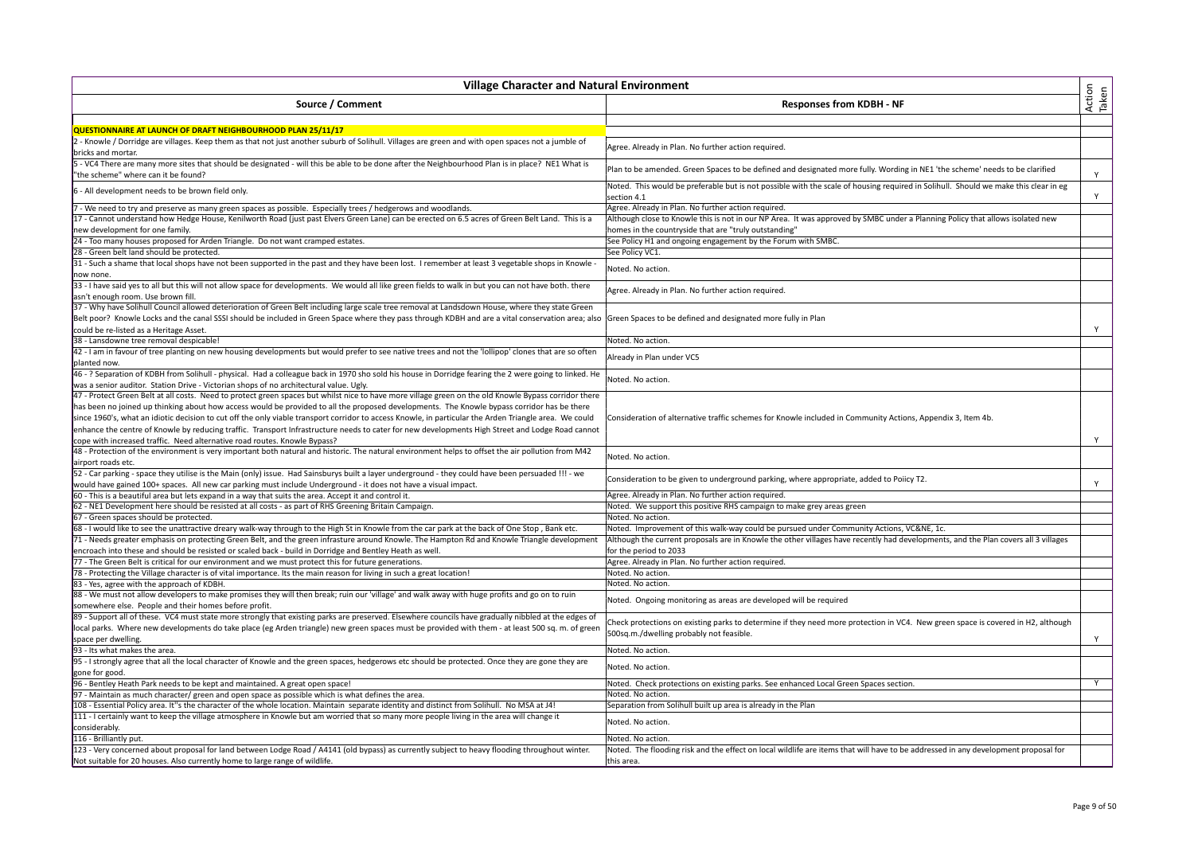| <b>Village Character and Natural Environment</b>                                                                                                                                                                                                 |                                                                                                                                                    |                 |
|--------------------------------------------------------------------------------------------------------------------------------------------------------------------------------------------------------------------------------------------------|----------------------------------------------------------------------------------------------------------------------------------------------------|-----------------|
| Source / Comment                                                                                                                                                                                                                                 | <b>Responses from KDBH - NF</b>                                                                                                                    | Action<br>Taken |
| QUESTIONNAIRE AT LAUNCH OF DRAFT NEIGHBOURHOOD PLAN 25/11/17                                                                                                                                                                                     |                                                                                                                                                    |                 |
| - Knowle / Dorridge are villages. Keep them as that not just another suburb of Solihull. Villages are green and with open spaces not a jumble of<br>bricks and mortar.                                                                           | Agree. Already in Plan. No further action required.                                                                                                |                 |
| - VC4 There are many more sites that should be designated - will this be able to be done after the Neighbourhood Plan is in place? NE1 What is<br>"the scheme" where can it be found?                                                            | Plan to be amended. Green Spaces to be defined and designated more fully. Wording in NE1 'the scheme' needs to be clarified                        | Υ               |
| - All development needs to be brown field only.                                                                                                                                                                                                  | Noted. This would be preferable but is not possible with the scale of housing required in Solihull. Should we make this clear in eg<br>section 4.1 | Y               |
| - We need to try and preserve as many green spaces as possible. Especially trees / hedgerows and woodlands.                                                                                                                                      | Agree. Already in Plan. No further action required.                                                                                                |                 |
| 17 - Cannot understand how Hedge House, Kenilworth Road (just past Elvers Green Lane) can be erected on 6.5 acres of Green Belt Land. This is a                                                                                                  | Although close to Knowle this is not in our NP Area. It was approved by SMBC under a Planning Policy that allows isolated new                      |                 |
| new development for one family.                                                                                                                                                                                                                  | homes in the countryside that are "truly outstanding"                                                                                              |                 |
| 24 - Too many houses proposed for Arden Triangle. Do not want cramped estates.                                                                                                                                                                   | See Policy H1 and ongoing engagement by the Forum with SMBC.                                                                                       |                 |
| 28 - Green belt land should be protected.                                                                                                                                                                                                        | See Policy VC1.                                                                                                                                    |                 |
| 31 - Such a shame that local shops have not been supported in the past and they have been lost. I remember at least 3 vegetable shops in Knowle -                                                                                                |                                                                                                                                                    |                 |
| now none.                                                                                                                                                                                                                                        | Noted. No action.                                                                                                                                  |                 |
| 33 - I have said yes to all but this will not allow space for developments. We would all like green fields to walk in but you can not have both. there<br>asn't enough room. Use brown fill.                                                     | Agree. Already in Plan. No further action required.                                                                                                |                 |
| 37 - Why have Solihull Council allowed deterioration of Green Belt including large scale tree removal at Landsdown House, where they state Green                                                                                                 |                                                                                                                                                    |                 |
| Belt poor? Knowle Locks and the canal SSSI should be included in Green Space where they pass through KDBH and are a vital conservation area; also<br>could be re-listed as a Heritage Asset.                                                     | Green Spaces to be defined and designated more fully in Plan                                                                                       | Υ               |
| 38 - Lansdowne tree removal despicable!                                                                                                                                                                                                          | Noted. No action.                                                                                                                                  |                 |
| 42 - I am in favour of tree planting on new housing developments but would prefer to see native trees and not the 'lollipop' clones that are so often                                                                                            |                                                                                                                                                    |                 |
| planted now.                                                                                                                                                                                                                                     | Already in Plan under VC5                                                                                                                          |                 |
| 46 - ? Separation of KDBH from Solihull - physical. Had a colleague back in 1970 sho sold his house in Dorridge fearing the 2 were going to linked. He<br>was a senior auditor. Station Drive - Victorian shops of no architectural value. Ugly. | Noted. No action.                                                                                                                                  |                 |
| 47 - Protect Green Belt at all costs. Need to protect green spaces but whilst nice to have more village green on the old Knowle Bypass corridor there                                                                                            |                                                                                                                                                    |                 |
| has been no joined up thinking about how access would be provided to all the proposed developments. The Knowle bypass corridor has be there                                                                                                      |                                                                                                                                                    |                 |
| since 1960's, what an idiotic decision to cut off the only viable transport corridor to access Knowle, in particular the Arden Triangle area. We could                                                                                           | Consideration of alternative traffic schemes for Knowle included in Community Actions, Appendix 3, Item 4b.                                        |                 |
| enhance the centre of Knowle by reducing traffic. Transport Infrastructure needs to cater for new developments High Street and Lodge Road cannot                                                                                                 |                                                                                                                                                    |                 |
| cope with increased traffic. Need alternative road routes. Knowle Bypass?                                                                                                                                                                        |                                                                                                                                                    | Y               |
| 48 - Protection of the environment is very important both natural and historic. The natural environment helps to offset the air pollution from M42                                                                                               | Noted. No action.                                                                                                                                  |                 |
| airport roads etc.                                                                                                                                                                                                                               |                                                                                                                                                    |                 |
| 52 - Car parking - space they utilise is the Main (only) issue. Had Sainsburys built a layer underground - they could have been persuaded !!! - we                                                                                               | Consideration to be given to underground parking, where appropriate, added to Poiicy T2.                                                           |                 |
| would have gained 100+ spaces. All new car parking must include Underground - it does not have a visual impact.<br>60 - This is a beautiful area but lets expand in a way that suits the area. Accept it and control it.                         |                                                                                                                                                    | Y               |
| 62 - NE1 Development here should be resisted at all costs - as part of RHS Greening Britain Campaign.                                                                                                                                            | Agree. Already in Plan. No further action required.                                                                                                |                 |
| 67 - Green spaces should be protected.                                                                                                                                                                                                           | Noted. We support this positive RHS campaign to make grey areas green<br>Noted. No action.                                                         |                 |
| 68 - I would like to see the unattractive dreary walk-way through to the High St in Knowle from the car park at the back of One Stop, Bank etc.                                                                                                  | Noted. Improvement of this walk-way could be pursued under Community Actions, VC&NE, 1c.                                                           |                 |
| 71 - Needs greater emphasis on protecting Green Belt, and the green infrasture around Knowle. The Hampton Rd and Knowle Triangle development                                                                                                     | Although the current proposals are in Knowle the other villages have recently had developments, and the Plan covers all 3 villages                 |                 |
| encroach into these and should be resisted or scaled back - build in Dorridge and Bentley Heath as well.                                                                                                                                         | for the period to 2033                                                                                                                             |                 |
| 77 - The Green Belt is critical for our environment and we must protect this for future generations.                                                                                                                                             | Agree. Already in Plan. No further action required.                                                                                                |                 |
| 78 - Protecting the Village character is of vital importance. Its the main reason for living in such a great location!                                                                                                                           | Noted. No action.                                                                                                                                  |                 |
| 83 - Yes, agree with the approach of KDBH.                                                                                                                                                                                                       | Noted. No action.                                                                                                                                  |                 |
| 88 - We must not allow developers to make promises they will then break; ruin our 'village' and walk away with huge profits and go on to ruin                                                                                                    |                                                                                                                                                    |                 |
| somewhere else. People and their homes before profit.                                                                                                                                                                                            | Noted. Ongoing monitoring as areas are developed will be required                                                                                  |                 |
| 89 - Support all of these. VC4 must state more strongly that existing parks are preserved. Elsewhere councils have gradually nibbled at the edges of                                                                                             |                                                                                                                                                    |                 |
| local parks. Where new developments do take place (eg Arden triangle) new green spaces must be provided with them - at least 500 sq. m. of green                                                                                                 | Check protections on existing parks to determine if they need more protection in VC4. New green space is covered in H2, although                   |                 |
| space per dwelling.                                                                                                                                                                                                                              | 500sq.m./dwelling probably not feasible.                                                                                                           | Y               |
| 93 - Its what makes the area.                                                                                                                                                                                                                    | Noted. No action.                                                                                                                                  |                 |
| 95 - I strongly agree that all the local character of Knowle and the green spaces, hedgerows etc should be protected. Once they are gone they are<br>gone for good.                                                                              | Noted. No action.                                                                                                                                  |                 |
| 96 - Bentley Heath Park needs to be kept and maintained. A great open space!                                                                                                                                                                     | Noted. Check protections on existing parks. See enhanced Local Green Spaces section.                                                               | Y               |
| 97 - Maintain as much character/ green and open space as possible which is what defines the area.                                                                                                                                                | Noted. No action.                                                                                                                                  |                 |
| 108 - Essential Policy area. It"s the character of the whole location. Maintain separate identity and distinct from Solihull. No MSA at J4!                                                                                                      | Separation from Solihull built up area is already in the Plan                                                                                      |                 |
| 111 - I certainly want to keep the village atmosphere in Knowle but am worried that so many more people living in the area will change it<br>considerably.                                                                                       | Noted. No action.                                                                                                                                  |                 |
| 116 - Brilliantly put.                                                                                                                                                                                                                           | Noted. No action.                                                                                                                                  |                 |
| 123 - Very concerned about proposal for land between Lodge Road / A4141 (old bypass) as currently subject to heavy flooding throughout winter.                                                                                                   | Noted. The flooding risk and the effect on local wildlife are items that will have to be addressed in any development proposal for                 |                 |
| Not suitable for 20 houses. Also currently home to large range of wildlife.                                                                                                                                                                      | this area                                                                                                                                          |                 |
|                                                                                                                                                                                                                                                  |                                                                                                                                                    |                 |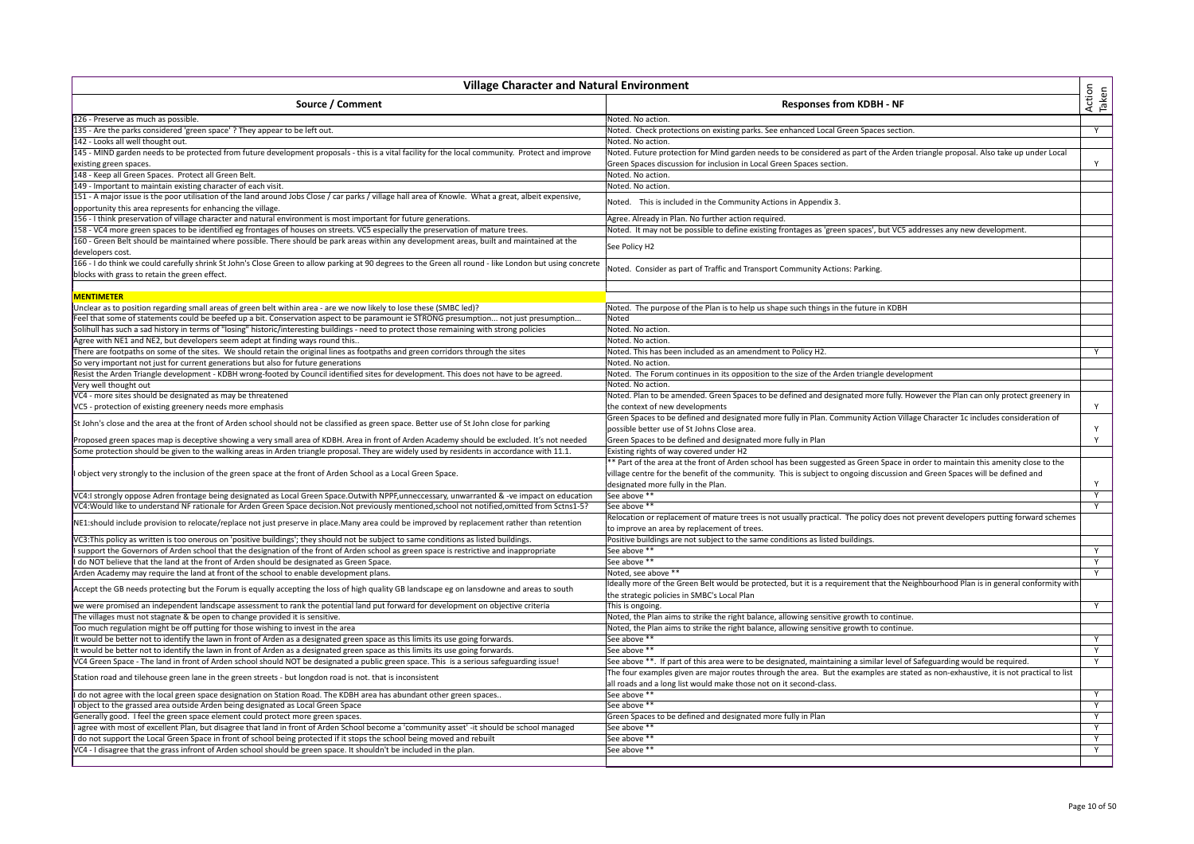| <b>Village Character and Natural Environment</b>                                                                                                        |                                                                                                                                                                                   |                 |
|---------------------------------------------------------------------------------------------------------------------------------------------------------|-----------------------------------------------------------------------------------------------------------------------------------------------------------------------------------|-----------------|
| Source / Comment                                                                                                                                        | <b>Responses from KDBH - NF</b>                                                                                                                                                   | Action<br>Taken |
| 126 - Preserve as much as possible.                                                                                                                     | Noted. No action.                                                                                                                                                                 |                 |
| 135 - Are the parks considered 'green space' ? They appear to be left out.                                                                              | Noted. Check protections on existing parks. See enhanced Local Green Spaces section.                                                                                              | Y               |
| 142 - Looks all well thought out.                                                                                                                       | Noted. No action.                                                                                                                                                                 |                 |
| 145 - MIND garden needs to be protected from future development proposals - this is a vital facility for the local community. Protect and improve       | Noted. Future protection for Mind garden needs to be considered as part of the Arden triangle proposal. Also take up under Local                                                  |                 |
| existing green spaces.                                                                                                                                  | Green Spaces discussion for inclusion in Local Green Spaces section.                                                                                                              | Y               |
| 148 - Keep all Green Spaces. Protect all Green Belt.                                                                                                    | Noted. No action.                                                                                                                                                                 |                 |
| 149 - Important to maintain existing character of each visit.                                                                                           | Noted. No action.                                                                                                                                                                 |                 |
| 151 - A major issue is the poor utilisation of the land around Jobs Close / car parks / village hall area of Knowle. What a great, albeit expensive,    | Noted. This is included in the Community Actions in Appendix 3.                                                                                                                   |                 |
| opportunity this area represents for enhancing the village.                                                                                             |                                                                                                                                                                                   |                 |
| 156 - I think preservation of village character and natural environment is most important for future generations.                                       | Agree. Already in Plan. No further action required.                                                                                                                               |                 |
| 158 - VC4 more green spaces to be identified eg frontages of houses on streets. VC5 especially the preservation of mature trees.                        | Noted. It may not be possible to define existing frontages as 'green spaces', but VC5 addresses any new development.                                                              |                 |
| 160 - Green Belt should be maintained where possible. There should be park areas within any development areas, built and maintained at the              | See Policy H2                                                                                                                                                                     |                 |
| developers cost.                                                                                                                                        |                                                                                                                                                                                   |                 |
| 166 - I do think we could carefully shrink St John's Close Green to allow parking at 90 degrees to the Green all round - like London but using concrete |                                                                                                                                                                                   |                 |
| blocks with grass to retain the green effect.                                                                                                           | Noted. Consider as part of Traffic and Transport Community Actions: Parking.                                                                                                      |                 |
| <b>MENTIMETER</b>                                                                                                                                       |                                                                                                                                                                                   |                 |
| Unclear as to position regarding small areas of green belt within area - are we now likely to lose these (SMBC led)?                                    | Noted. The purpose of the Plan is to help us shape such things in the future in KDBH                                                                                              |                 |
| Feel that some of statements could be beefed up a bit. Conservation aspect to be paramount ie STRONG presumption not just presumption                   | Noted                                                                                                                                                                             |                 |
| Solihull has such a sad history in terms of "losing" historic/interesting buildings - need to protect those remaining with strong policies              | Noted. No action.                                                                                                                                                                 |                 |
| Agree with NE1 and NE2, but developers seem adept at finding ways round this.                                                                           | Noted. No action.                                                                                                                                                                 |                 |
| There are footpaths on some of the sites. We should retain the original lines as footpaths and green corridors through the sites                        | Noted. This has been included as an amendment to Policy H2.                                                                                                                       | Y               |
| So very important not just for current generations but also for future generations                                                                      | Noted. No action.                                                                                                                                                                 |                 |
| Resist the Arden Triangle development - KDBH wrong-footed by Council identified sites for development. This does not have to be agreed.                 | Noted. The Forum continues in its opposition to the size of the Arden triangle development                                                                                        |                 |
| Very well thought out                                                                                                                                   | Noted. No action.                                                                                                                                                                 |                 |
| VC4 - more sites should be designated as may be threatened                                                                                              | Noted. Plan to be amended. Green Spaces to be defined and designated more fully. However the Plan can only protect greenery in                                                    |                 |
| VC5 - protection of existing greenery needs more emphasis                                                                                               | the context of new developments                                                                                                                                                   | Y               |
|                                                                                                                                                         | Green Spaces to be defined and designated more fully in Plan. Community Action Village Character 1c includes consideration of                                                     |                 |
| St John's close and the area at the front of Arden school should not be classified as green space. Better use of St John close for parking              | possible better use of St Johns Close area.                                                                                                                                       | Y               |
| Proposed green spaces map is deceptive showing a very small area of KDBH. Area in front of Arden Academy should be excluded. It's not needed            | Green Spaces to be defined and designated more fully in Plan                                                                                                                      | Y               |
| Some protection should be given to the walking areas in Arden triangle proposal. They are widely used by residents in accordance with 11.1              | Existing rights of way covered under H2                                                                                                                                           |                 |
|                                                                                                                                                         |                                                                                                                                                                                   |                 |
| object very strongly to the inclusion of the green space at the front of Arden School as a Local Green Space.                                           | * Part of the area at the front of Arden school has been suggested as Green Space in order to maintain this amenity close to the                                                  |                 |
|                                                                                                                                                         | village centre for the benefit of the community. This is subject to ongoing discussion and Green Spaces will be defined and                                                       |                 |
|                                                                                                                                                         | designated more fully in the Plan.                                                                                                                                                |                 |
| VC4:I strongly oppose Adren frontage being designated as Local Green Space.Outwith NPPF,unneccessary, unwarranted & -ve impact on education             | See above **                                                                                                                                                                      | Y               |
| VC4: Would like to understand NF rationale for Arden Green Space decision. Not previously mentioned, school not notified, omitted from Sctns1-5?        | See above **                                                                                                                                                                      | Y               |
| NE1:should include provision to relocate/replace not just preserve in place.Many area could be improved by replacement rather than retention            | Relocation or replacement of mature trees is not usually practical. The policy does not prevent developers putting forward schemes<br>to improve an area by replacement of trees. |                 |
| VC3:This policy as written is too onerous on 'positive buildings'; they should not be subject to same conditions as listed buildings.                   | Positive buildings are not subject to the same conditions as listed buildings.                                                                                                    |                 |
| support the Governors of Arden school that the designation of the front of Arden school as green space is restrictive and inappropriate                 | See above **                                                                                                                                                                      | Y               |
| do NOT believe that the land at the front of Arden should be designated as Green Space.                                                                 | See above **                                                                                                                                                                      | Y               |
| Arden Academy may require the land at front of the school to enable development plans.                                                                  | Noted, see above **                                                                                                                                                               | Y               |
|                                                                                                                                                         | Ideally more of the Green Belt would be protected, but it is a requirement that the Neighbourhood Plan is in general conformity with                                              |                 |
| Accept the GB needs protecting but the Forum is equally accepting the loss of high quality GB landscape eg on lansdowne and areas to south              | the strategic policies in SMBC's Local Plan                                                                                                                                       |                 |
| we were promised an independent landscape assessment to rank the potential land put forward for development on objective criteria                       | This is ongoing.                                                                                                                                                                  | Y               |
| he villages must not stagnate & be open to change provided it is sensitive.                                                                             | Noted, the Plan aims to strike the right balance, allowing sensitive growth to continue.                                                                                          |                 |
| Too much regulation might be off putting for those wishing to invest in the area                                                                        | Noted, the Plan aims to strike the right balance, allowing sensitive growth to continue.                                                                                          |                 |
| would be better not to identify the lawn in front of Arden as a designated green space as this limits its use going forwards.                           | See above **                                                                                                                                                                      | Y               |
| would be better not to identify the lawn in front of Arden as a designated green space as this limits its use going forwards.                           | See above **                                                                                                                                                                      | Y               |
| VC4 Green Space - The land in front of Arden school should NOT be designated a public green space. This is a serious safeguarding issue!                | See above **. If part of this area were to be designated, maintaining a similar level of Safeguarding would be required.                                                          | Y               |
| Station road and tilehouse green lane in the green streets - but longdon road is not. that is inconsistent                                              | The four examples given are major routes through the area. But the examples are stated as non-exhaustive, it is not practical to list                                             |                 |
|                                                                                                                                                         | all roads and a long list would make those not on it second-class.                                                                                                                |                 |
| I do not agree with the local green space designation on Station Road. The KDBH area has abundant other green spaces                                    | See above **                                                                                                                                                                      | Y               |
| I object to the grassed area outside Arden being designated as Local Green Space                                                                        | See above **                                                                                                                                                                      | Y               |
| Generally good. I feel the green space element could protect more green spaces.                                                                         | Green Spaces to be defined and designated more fully in Plan                                                                                                                      | Y               |
| agree with most of excellent Plan, but disagree that land in front of Arden School become a 'community asset' -it should be school managed              | See above **                                                                                                                                                                      | Y               |
| I do not support the Local Green Space in front of school being protected if it stops the school being moved and rebuilt                                | See above **                                                                                                                                                                      | Υ               |
| VC4 - I disagree that the grass infront of Arden school should be green space. It shouldn't be included in the plan.                                    | See above **                                                                                                                                                                      | Y               |
|                                                                                                                                                         |                                                                                                                                                                                   |                 |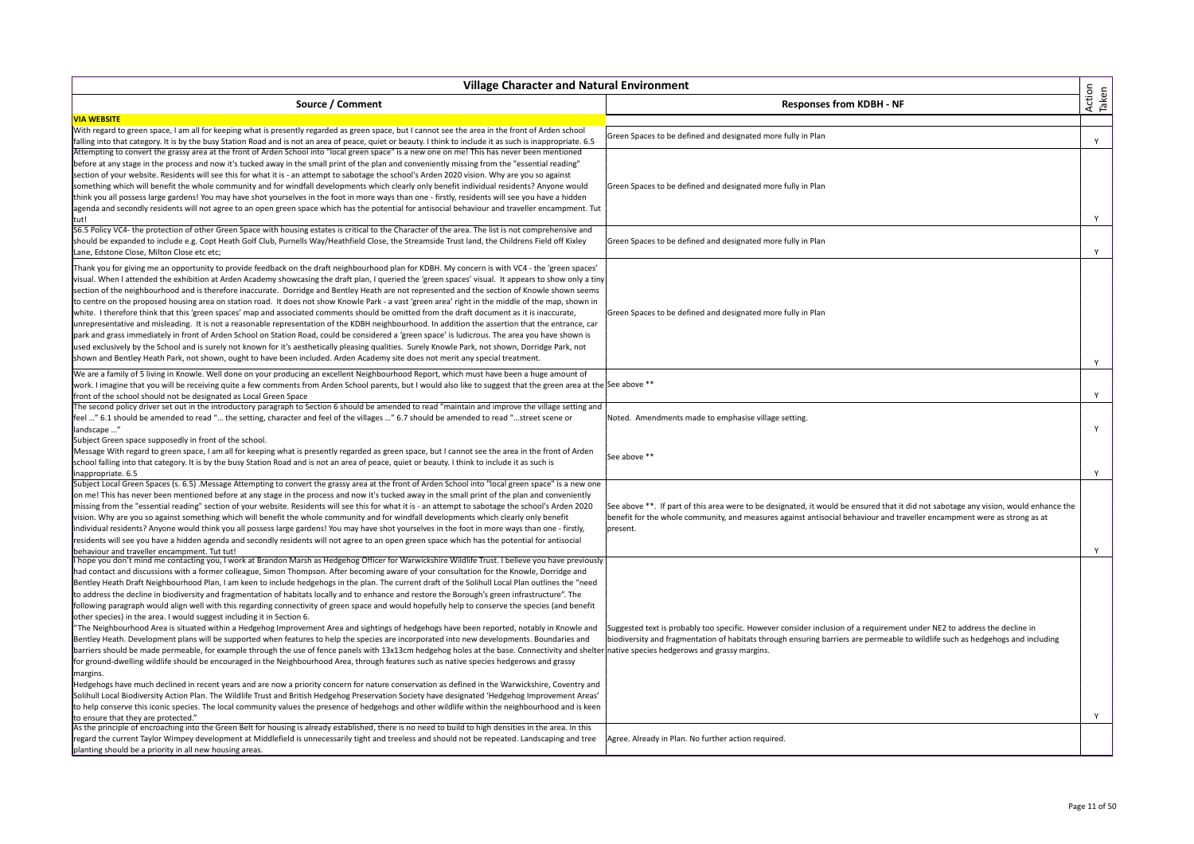| <b>Village Character and Natural Environment</b>                                                                                                                                              |                                                                                                                                      |                 |
|-----------------------------------------------------------------------------------------------------------------------------------------------------------------------------------------------|--------------------------------------------------------------------------------------------------------------------------------------|-----------------|
| Source / Comment                                                                                                                                                                              | <b>Responses from KDBH - NF</b>                                                                                                      | Action<br>Taken |
| <b>VIA WEBSITE</b>                                                                                                                                                                            |                                                                                                                                      |                 |
| With regard to green space, I am all for keeping what is presently regarded as green space, but I cannot see the area in the front of Arden school                                            | Green Spaces to be defined and designated more fully in Plan                                                                         |                 |
| falling into that category. It is by the busy Station Road and is not an area of peace, quiet or beauty. I think to include it as such is inappropriate. 6.5                                  |                                                                                                                                      | Y               |
| Attempting to convert the grassy area at the front of Arden School into "local green space" is a new one on me! This has never been mentioned                                                 |                                                                                                                                      |                 |
| before at any stage in the process and now it's tucked away in the small print of the plan and conveniently missing from the "essential reading"                                              |                                                                                                                                      |                 |
| section of your website. Residents will see this for what it is - an attempt to sabotage the school's Arden 2020 vision. Why are you so against                                               |                                                                                                                                      |                 |
| something which will benefit the whole community and for windfall developments which clearly only benefit individual residents? Anyone would                                                  | Green Spaces to be defined and designated more fully in Plan                                                                         |                 |
| think you all possess large gardens! You may have shot yourselves in the foot in more ways than one - firstly, residents will see you have a hidden                                           |                                                                                                                                      |                 |
| agenda and secondly residents will not agree to an open green space which has the potential for antisocial behaviour and traveller encampment. Tut                                            |                                                                                                                                      |                 |
| tut!                                                                                                                                                                                          |                                                                                                                                      | Y               |
| S6.5 Policy VC4- the protection of other Green Space with housing estates is critical to the Character of the area. The list is not comprehensive and                                         |                                                                                                                                      |                 |
| should be expanded to include e.g. Copt Heath Golf Club, Purnells Way/Heathfield Close, the Streamside Trust land, the Childrens Field off Kixley                                             | Green Spaces to be defined and designated more fully in Plan                                                                         |                 |
| Lane, Edstone Close, Milton Close etc etc;                                                                                                                                                    |                                                                                                                                      | Y               |
| Thank you for giving me an opportunity to provide feedback on the draft neighbourhood plan for KDBH. My concern is with VC4 - the 'green spaces'                                              |                                                                                                                                      |                 |
| visual. When I attended the exhibition at Arden Academy showcasing the draft plan, I queried the 'green spaces' visual. It appears to show only a tiny                                        |                                                                                                                                      |                 |
| section of the neighbourhood and is therefore inaccurate. Dorridge and Bentley Heath are not represented and the section of Knowle shown seems                                                |                                                                                                                                      |                 |
| to centre on the proposed housing area on station road. It does not show Knowle Park - a vast 'green area' right in the middle of the map, shown in                                           |                                                                                                                                      |                 |
| white. I therefore think that this 'green spaces' map and associated comments should be omitted from the draft document as it is inaccurate,                                                  | Green Spaces to be defined and designated more fully in Plan                                                                         |                 |
| unrepresentative and misleading. It is not a reasonable representation of the KDBH neighbourhood. In addition the assertion that the entrance, car                                            |                                                                                                                                      |                 |
| park and grass immediately in front of Arden School on Station Road, could be considered a 'green space' is ludicrous. The area you have shown is                                             |                                                                                                                                      |                 |
| used exclusively by the School and is surely not known for it's aesthetically pleasing qualities. Surely Knowle Park, not shown, Dorridge Park, not                                           |                                                                                                                                      |                 |
| shown and Bentley Heath Park, not shown, ought to have been included. Arden Academy site does not merit any special treatment.                                                                |                                                                                                                                      | Y               |
| We are a family of 5 living in Knowle. Well done on your producing an excellent Neighbourhood Report, which must have been a huge amount of                                                   |                                                                                                                                      |                 |
| work. I imagine that you will be receiving quite a few comments from Arden School parents, but I would also like to suggest that the green area at the See above **                           |                                                                                                                                      |                 |
| front of the school should not be designated as Local Green Space                                                                                                                             |                                                                                                                                      | Y               |
| The second policy driver set out in the introductory paragraph to Section 6 should be amended to read "maintain and improve the village setting and                                           |                                                                                                                                      |                 |
| feel " 6.1 should be amended to read " the setting, character and feel of the villages " 6.7 should be amended to read "street scene or                                                       | Noted. Amendments made to emphasise village setting.                                                                                 |                 |
| landscape                                                                                                                                                                                     |                                                                                                                                      | Y               |
| Subject Green space supposedly in front of the school.                                                                                                                                        |                                                                                                                                      |                 |
| Message With regard to green space, I am all for keeping what is presently regarded as green space, but I cannot see the area in the front of Arden                                           |                                                                                                                                      |                 |
| school falling into that category. It is by the busy Station Road and is not an area of peace, quiet or beauty. I think to include it as such is                                              | See above **                                                                                                                         |                 |
| inappropriate. 6.5                                                                                                                                                                            |                                                                                                                                      | Y               |
| Subject Local Green Spaces (s. 6.5) .Message Attempting to convert the grassy area at the front of Arden School into "local green space" is a new one                                         |                                                                                                                                      |                 |
| on me! This has never been mentioned before at any stage in the process and now it's tucked away in the small print of the plan and conveniently                                              |                                                                                                                                      |                 |
| missing from the "essential reading" section of your website. Residents will see this for what it is - an attempt to sabotage the school's Arden 2020                                         | See above **. If part of this area were to be designated, it would be ensured that it did not sabotage any vision, would enhance the |                 |
| vision. Why are you so against something which will benefit the whole community and for windfall developments which clearly only benefit                                                      | benefit for the whole community, and measures against antisocial behaviour and traveller encampment were as strong as at             |                 |
| individual residents? Anyone would think you all possess large gardens! You may have shot yourselves in the foot in more ways than one - firstly,                                             | present.                                                                                                                             |                 |
| residents will see you have a hidden agenda and secondly residents will not agree to an open green space which has the potential for antisocial                                               |                                                                                                                                      |                 |
| behaviour and traveller encampment. Tut tut!                                                                                                                                                  |                                                                                                                                      | Y               |
| I hope you don't mind me contacting you, I work at Brandon Marsh as Hedgehog Officer for Warwickshire Wildlife Trust. I believe you have previously                                           |                                                                                                                                      |                 |
| had contact and discussions with a former colleague, Simon Thompson. After becoming aware of your consultation for the Knowle, Dorridge and                                                   |                                                                                                                                      |                 |
| Bentley Heath Draft Neighbourhood Plan, I am keen to include hedgehogs in the plan. The current draft of the Solihull Local Plan outlines the "need                                           |                                                                                                                                      |                 |
| to address the decline in biodiversity and fragmentation of habitats locally and to enhance and restore the Borough's green infrastructure". The                                              |                                                                                                                                      |                 |
| following paragraph would align well with this regarding connectivity of green space and would hopefully help to conserve the species (and benefit                                            |                                                                                                                                      |                 |
| other species) in the area. I would suggest including it in Section 6.                                                                                                                        |                                                                                                                                      |                 |
| "The Neighbourhood Area is situated within a Hedgehog Improvement Area and sightings of hedgehogs have been reported, notably in Knowle and                                                   | Suggested text is probably too specific. However consider inclusion of a requirement under NE2 to address the decline in             |                 |
| Bentley Heath. Development plans will be supported when features to help the species are incorporated into new developments. Boundaries and                                                   | biodiversity and fragmentation of habitats through ensuring barriers are permeable to wildlife such as hedgehogs and including       |                 |
| barriers should be made permeable, for example through the use of fence panels with 13x13cm hedgehog holes at the base. Connectivity and shelter native species hedgerows and grassy margins. |                                                                                                                                      |                 |
| for ground-dwelling wildlife should be encouraged in the Neighbourhood Area, through features such as native species hedgerows and grassy                                                     |                                                                                                                                      |                 |
| margins.                                                                                                                                                                                      |                                                                                                                                      |                 |
| Hedgehogs have much declined in recent years and are now a priority concern for nature conservation as defined in the Warwickshire, Coventry and                                              |                                                                                                                                      |                 |
| Solihull Local Biodiversity Action Plan. The Wildlife Trust and British Hedgehog Preservation Society have designated 'Hedgehog Improvement Areas'                                            |                                                                                                                                      |                 |
| to help conserve this iconic species. The local community values the presence of hedgehogs and other wildlife within the neighbourhood and is keen                                            |                                                                                                                                      |                 |
| to ensure that they are protected."                                                                                                                                                           |                                                                                                                                      | Y               |
| As the principle of encroaching into the Green Belt for housing is already established, there is no need to build to high densities in the area. In this                                      |                                                                                                                                      |                 |
| regard the current Taylor Wimpey development at Middlefield is unnecessarily tight and treeless and should not be repeated. Landscaping and tree                                              | Agree. Already in Plan. No further action required.                                                                                  |                 |
| planting should be a priority in all new housing areas.                                                                                                                                       |                                                                                                                                      |                 |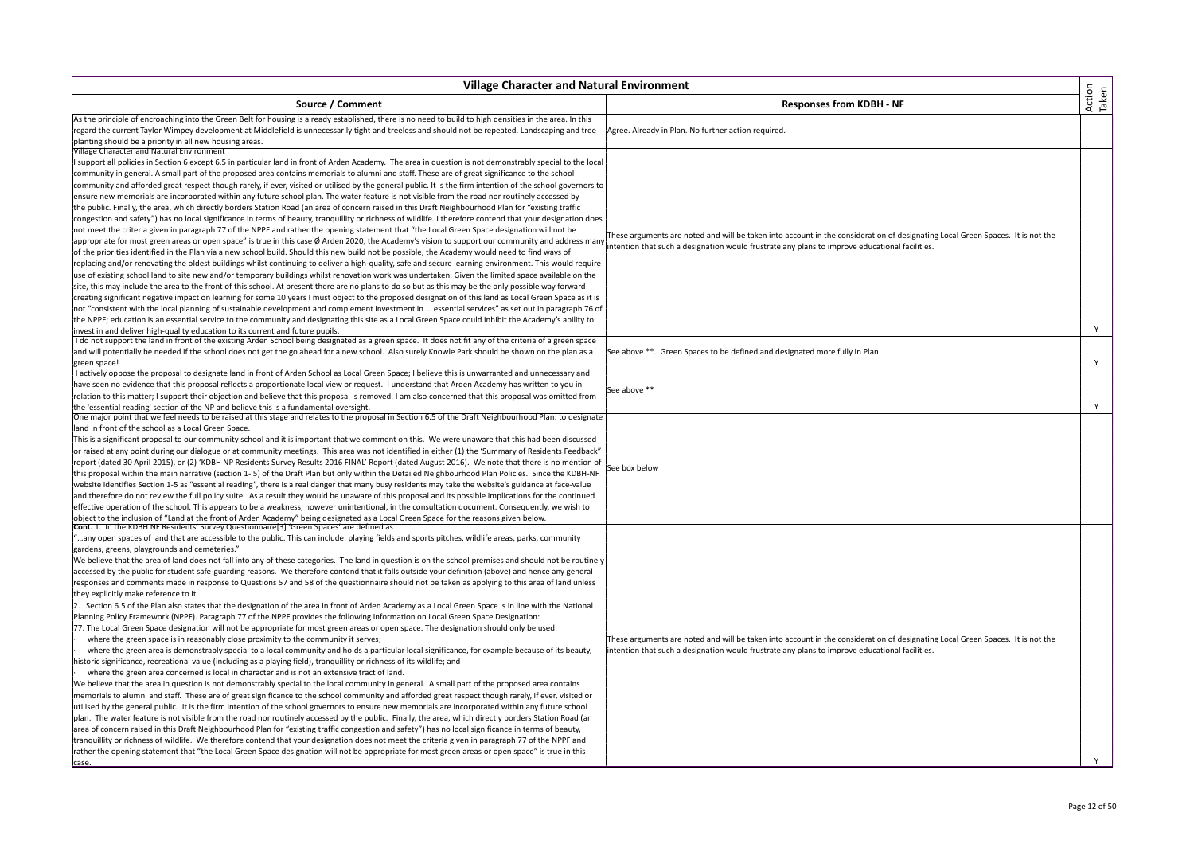| <b>Village Character and Natural Environment</b>                                                                                                                                                                                                                                                                                                                                                                                                                                                                                                                                                                                                                                                                                                                                                                                                                                                                                                                                                                                                                                                                                                                                                                                                                                                                                                                                                                                                                                                                                                                                                                                                                                                                                                                                                                                                                                                                                                                                                                                                                                                                                                                                                                                                                                                                                                                                                                                                                                                                                                                                                                                                                                                                                                                                                                       |                                                                                                                                                                                                                                  |                 |
|------------------------------------------------------------------------------------------------------------------------------------------------------------------------------------------------------------------------------------------------------------------------------------------------------------------------------------------------------------------------------------------------------------------------------------------------------------------------------------------------------------------------------------------------------------------------------------------------------------------------------------------------------------------------------------------------------------------------------------------------------------------------------------------------------------------------------------------------------------------------------------------------------------------------------------------------------------------------------------------------------------------------------------------------------------------------------------------------------------------------------------------------------------------------------------------------------------------------------------------------------------------------------------------------------------------------------------------------------------------------------------------------------------------------------------------------------------------------------------------------------------------------------------------------------------------------------------------------------------------------------------------------------------------------------------------------------------------------------------------------------------------------------------------------------------------------------------------------------------------------------------------------------------------------------------------------------------------------------------------------------------------------------------------------------------------------------------------------------------------------------------------------------------------------------------------------------------------------------------------------------------------------------------------------------------------------------------------------------------------------------------------------------------------------------------------------------------------------------------------------------------------------------------------------------------------------------------------------------------------------------------------------------------------------------------------------------------------------------------------------------------------------------------------------------------------------|----------------------------------------------------------------------------------------------------------------------------------------------------------------------------------------------------------------------------------|-----------------|
| Source / Comment                                                                                                                                                                                                                                                                                                                                                                                                                                                                                                                                                                                                                                                                                                                                                                                                                                                                                                                                                                                                                                                                                                                                                                                                                                                                                                                                                                                                                                                                                                                                                                                                                                                                                                                                                                                                                                                                                                                                                                                                                                                                                                                                                                                                                                                                                                                                                                                                                                                                                                                                                                                                                                                                                                                                                                                                       | <b>Responses from KDBH - NF</b>                                                                                                                                                                                                  | Action<br>Taken |
| As the principle of encroaching into the Green Belt for housing is already established, there is no need to build to high densities in the area. In this<br>regard the current Taylor Wimpey development at Middlefield is unnecessarily tight and treeless and should not be repeated. Landscaping and tree                                                                                                                                                                                                                                                                                                                                                                                                                                                                                                                                                                                                                                                                                                                                                                                                                                                                                                                                                                                                                                                                                                                                                                                                                                                                                                                                                                                                                                                                                                                                                                                                                                                                                                                                                                                                                                                                                                                                                                                                                                                                                                                                                                                                                                                                                                                                                                                                                                                                                                           | Agree. Already in Plan. No further action required.                                                                                                                                                                              |                 |
| planting should be a priority in all new housing areas.<br><b>Village Character and Natural Environment</b>                                                                                                                                                                                                                                                                                                                                                                                                                                                                                                                                                                                                                                                                                                                                                                                                                                                                                                                                                                                                                                                                                                                                                                                                                                                                                                                                                                                                                                                                                                                                                                                                                                                                                                                                                                                                                                                                                                                                                                                                                                                                                                                                                                                                                                                                                                                                                                                                                                                                                                                                                                                                                                                                                                            |                                                                                                                                                                                                                                  |                 |
| I support all policies in Section 6 except 6.5 in particular land in front of Arden Academy. The area in question is not demonstrably special to the local<br>community in general. A small part of the proposed area contains memorials to alumni and staff. These are of great significance to the school<br>community and afforded great respect though rarely, if ever, visited or utilised by the general public. It is the firm intention of the school governors to<br>ensure new memorials are incorporated within any future school plan. The water feature is not visible from the road nor routinely accessed by<br>the public. Finally, the area, which directly borders Station Road (an area of concern raised in this Draft Neighbourhood Plan for "existing traffic<br>congestion and safety") has no local significance in terms of beauty, tranquillity or richness of wildlife. I therefore contend that your designation does<br>not meet the criteria given in paragraph 77 of the NPPF and rather the opening statement that "the Local Green Space designation will not be<br>appropriate for most green areas or open space" is true in this case Ø Arden 2020, the Academy's vision to support our community and address many<br>of the priorities identified in the Plan via a new school build. Should this new build not be possible, the Academy would need to find ways of                                                                                                                                                                                                                                                                                                                                                                                                                                                                                                                                                                                                                                                                                                                                                                                                                                                                                                                                                                                                                                                                                                                                                                                                                                                                                                                                                                                                               | These arguments are noted and will be taken into account in the consideration of designating Local Green Spaces. It is not the<br>intention that such a designation would frustrate any plans to improve educational facilities. |                 |
| replacing and/or renovating the oldest buildings whilst continuing to deliver a high-quality, safe and secure learning environment. This would require<br>use of existing school land to site new and/or temporary buildings whilst renovation work was undertaken. Given the limited space available on the<br>site, this may include the area to the front of this school. At present there are no plans to do so but as this may be the only possible way forward<br>creating significant negative impact on learning for some 10 years I must object to the proposed designation of this land as Local Green Space as it is<br>not "consistent with the local planning of sustainable development and complement investment in  essential services" as set out in paragraph 76 of<br>the NPPF; education is an essential service to the community and designating this site as a Local Green Space could inhibit the Academy's ability to<br>invest in and deliver high-quality education to its current and future pupils.                                                                                                                                                                                                                                                                                                                                                                                                                                                                                                                                                                                                                                                                                                                                                                                                                                                                                                                                                                                                                                                                                                                                                                                                                                                                                                                                                                                                                                                                                                                                                                                                                                                                                                                                                                                        |                                                                                                                                                                                                                                  | Y               |
| I do not support the land in front of the existing Arden School being designated as a green space. It does not fit any of the criteria of a green space<br>and will potentially be needed if the school does not get the go ahead for a new school. Also surely Knowle Park should be shown on the plan as a<br>green space!                                                                                                                                                                                                                                                                                                                                                                                                                                                                                                                                                                                                                                                                                                                                                                                                                                                                                                                                                                                                                                                                                                                                                                                                                                                                                                                                                                                                                                                                                                                                                                                                                                                                                                                                                                                                                                                                                                                                                                                                                                                                                                                                                                                                                                                                                                                                                                                                                                                                                           | See above **. Green Spaces to be defined and designated more fully in Plan                                                                                                                                                       | Υ               |
| I actively oppose the proposal to designate land in front of Arden School as Local Green Space; I believe this is unwarranted and unnecessary and<br>have seen no evidence that this proposal reflects a proportionate local view or request. I understand that Arden Academy has written to you in<br>relation to this matter; I support their objection and believe that this proposal is removed. I am also concerned that this proposal was omitted from<br>the 'essential reading' section of the NP and believe this is a fundamental oversight.<br>One major point that we feel needs to be raised at this stage and relates to the proposal in Section 6.5 of the Draft Neighbourhood Plan: to designate                                                                                                                                                                                                                                                                                                                                                                                                                                                                                                                                                                                                                                                                                                                                                                                                                                                                                                                                                                                                                                                                                                                                                                                                                                                                                                                                                                                                                                                                                                                                                                                                                                                                                                                                                                                                                                                                                                                                                                                                                                                                                                       | See above **                                                                                                                                                                                                                     | Y               |
| land in front of the school as a Local Green Space.<br>This is a significant proposal to our community school and it is important that we comment on this. We were unaware that this had been discussed<br>or raised at any point during our dialogue or at community meetings. This area was not identified in either (1) the 'Summary of Residents Feedback"<br>report (dated 30 April 2015), or (2) 'KDBH NP Residents Survey Results 2016 FINAL' Report (dated August 2016). We note that there is no mention of<br>this proposal within the main narrative (section 1-5) of the Draft Plan but only within the Detailed Neighbourhood Plan Policies. Since the KDBH-NF<br>website identifies Section 1-5 as "essential reading", there is a real danger that many busy residents may take the website's guidance at face-value<br>and therefore do not review the full policy suite. As a result they would be unaware of this proposal and its possible implications for the continued<br>effective operation of the school. This appears to be a weakness, however unintentional, in the consultation document. Consequently, we wish to<br>object to the inclusion of "Land at the front of Arden Academy" being designated as a Local Green Space for the reasons given below.                                                                                                                                                                                                                                                                                                                                                                                                                                                                                                                                                                                                                                                                                                                                                                                                                                                                                                                                                                                                                                                                                                                                                                                                                                                                                                                                                                                                                                                                                                                                | See box below                                                                                                                                                                                                                    |                 |
| Cont. 1. In the KDBH NF Residents' Survey Questionnaire [3] 'Green Spaces' are defined as<br>"any open spaces of land that are accessible to the public. This can include: playing fields and sports pitches, wildlife areas, parks, community<br>gardens, greens, playgrounds and cemeteries."<br>We believe that the area of land does not fall into any of these categories. The land in question is on the school premises and should not be routinely<br>accessed by the public for student safe-guarding reasons. We therefore contend that it falls outside your definition (above) and hence any general<br>responses and comments made in response to Questions 57 and 58 of the questionnaire should not be taken as applying to this area of land unless<br>they explicitly make reference to it.<br>2. Section 6.5 of the Plan also states that the designation of the area in front of Arden Academy as a Local Green Space is in line with the National<br>Planning Policy Framework (NPPF). Paragraph 77 of the NPPF provides the following information on Local Green Space Designation:<br>77. The Local Green Space designation will not be appropriate for most green areas or open space. The designation should only be used:<br>where the green space is in reasonably close proximity to the community it serves;<br>where the green area is demonstrably special to a local community and holds a particular local significance, for example because of its beauty,<br>historic significance, recreational value (including as a playing field), tranquillity or richness of its wildlife; and<br>where the green area concerned is local in character and is not an extensive tract of land.<br>We believe that the area in question is not demonstrably special to the local community in general. A small part of the proposed area contains<br>memorials to alumni and staff. These are of great significance to the school community and afforded great respect though rarely, if ever, visited or<br>utilised by the general public. It is the firm intention of the school governors to ensure new memorials are incorporated within any future school<br>plan. The water feature is not visible from the road nor routinely accessed by the public. Finally, the area, which directly borders Station Road (an<br>area of concern raised in this Draft Neighbourhood Plan for "existing traffic congestion and safety") has no local significance in terms of beauty,<br>tranquillity or richness of wildlife. We therefore contend that your designation does not meet the criteria given in paragraph 77 of the NPPF and<br>rather the opening statement that "the Local Green Space designation will not be appropriate for most green areas or open space" is true in this<br>case | These arguments are noted and will be taken into account in the consideration of designating Local Green Spaces. It is not the<br>intention that such a designation would frustrate any plans to improve educational facilities. |                 |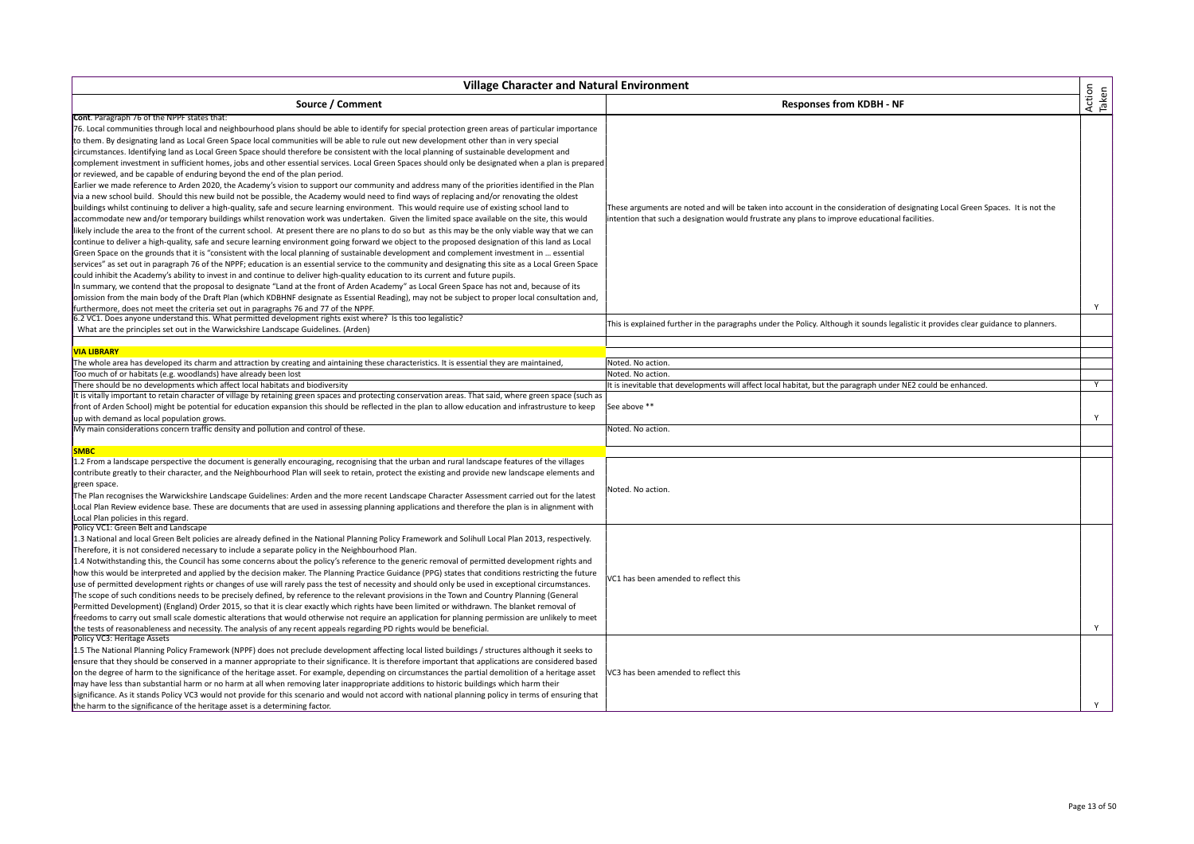| <b>Village Character and Natural Environment</b>                                                                                                                                                                                                                                                                                                                                                                                                                                                                                                                                                                                                                                                                                                                                                                                                                                                                                                                                                                                                                                                                                                                                                                                                                                                                                                                                                                                                                                                                                                                                                                                                                                                                                                                                                                                                                                                                                                                                                                                                                                                                                                                                                                                                                                                                                                                                                     |                                                                                                                                                                                                                                  |                 |
|------------------------------------------------------------------------------------------------------------------------------------------------------------------------------------------------------------------------------------------------------------------------------------------------------------------------------------------------------------------------------------------------------------------------------------------------------------------------------------------------------------------------------------------------------------------------------------------------------------------------------------------------------------------------------------------------------------------------------------------------------------------------------------------------------------------------------------------------------------------------------------------------------------------------------------------------------------------------------------------------------------------------------------------------------------------------------------------------------------------------------------------------------------------------------------------------------------------------------------------------------------------------------------------------------------------------------------------------------------------------------------------------------------------------------------------------------------------------------------------------------------------------------------------------------------------------------------------------------------------------------------------------------------------------------------------------------------------------------------------------------------------------------------------------------------------------------------------------------------------------------------------------------------------------------------------------------------------------------------------------------------------------------------------------------------------------------------------------------------------------------------------------------------------------------------------------------------------------------------------------------------------------------------------------------------------------------------------------------------------------------------------------------|----------------------------------------------------------------------------------------------------------------------------------------------------------------------------------------------------------------------------------|-----------------|
| Source / Comment                                                                                                                                                                                                                                                                                                                                                                                                                                                                                                                                                                                                                                                                                                                                                                                                                                                                                                                                                                                                                                                                                                                                                                                                                                                                                                                                                                                                                                                                                                                                                                                                                                                                                                                                                                                                                                                                                                                                                                                                                                                                                                                                                                                                                                                                                                                                                                                     | <b>Responses from KDBH - NF</b>                                                                                                                                                                                                  | Action<br>Taken |
| Cont. Paragraph 76 of the NPPF states that:<br>76. Local communities through local and neighbourhood plans should be able to identify for special protection green areas of particular importance<br>to them. By designating land as Local Green Space local communities will be able to rule out new development other than in very special<br>circumstances. Identifying land as Local Green Space should therefore be consistent with the local planning of sustainable development and<br>complement investment in sufficient homes, jobs and other essential services. Local Green Spaces should only be designated when a plan is prepared<br>or reviewed, and be capable of enduring beyond the end of the plan period.<br>Earlier we made reference to Arden 2020, the Academy's vision to support our community and address many of the priorities identified in the Plan<br>via a new school build. Should this new build not be possible, the Academy would need to find ways of replacing and/or renovating the oldest<br>buildings whilst continuing to deliver a high-quality, safe and secure learning environment. This would require use of existing school land to<br>accommodate new and/or temporary buildings whilst renovation work was undertaken. Given the limited space available on the site, this would<br>likely include the area to the front of the current school. At present there are no plans to do so but as this may be the only viable way that we can<br>continue to deliver a high-quality, safe and secure learning environment going forward we object to the proposed designation of this land as Local<br>Green Space on the grounds that it is "consistent with the local planning of sustainable development and complement investment in  essential<br>services" as set out in paragraph 76 of the NPPF; education is an essential service to the community and designating this site as a Local Green Space<br>could inhibit the Academy's ability to invest in and continue to deliver high-quality education to its current and future pupils.<br>In summary, we contend that the proposal to designate "Land at the front of Arden Academy" as Local Green Space has not and, because of its<br>omission from the main body of the Draft Plan (which KDBHNF designate as Essential Reading), may not be subject to proper local consultation and, | These arguments are noted and will be taken into account in the consideration of designating Local Green Spaces. It is not the<br>intention that such a designation would frustrate any plans to improve educational facilities. |                 |
| furthermore, does not meet the criteria set out in paragraphs 76 and 77 of the NPPF.<br>[6.2 VC1. Does anyone understand this. What permitted development rights exist where? Is this too legalistic?<br>What are the principles set out in the Warwickshire Landscape Guidelines. (Arden)                                                                                                                                                                                                                                                                                                                                                                                                                                                                                                                                                                                                                                                                                                                                                                                                                                                                                                                                                                                                                                                                                                                                                                                                                                                                                                                                                                                                                                                                                                                                                                                                                                                                                                                                                                                                                                                                                                                                                                                                                                                                                                           | This is explained further in the paragraphs under the Policy. Although it sounds legalistic it provides clear guidance to planners.                                                                                              | Y               |
|                                                                                                                                                                                                                                                                                                                                                                                                                                                                                                                                                                                                                                                                                                                                                                                                                                                                                                                                                                                                                                                                                                                                                                                                                                                                                                                                                                                                                                                                                                                                                                                                                                                                                                                                                                                                                                                                                                                                                                                                                                                                                                                                                                                                                                                                                                                                                                                                      |                                                                                                                                                                                                                                  |                 |
| <b>VIA LIBRARY</b>                                                                                                                                                                                                                                                                                                                                                                                                                                                                                                                                                                                                                                                                                                                                                                                                                                                                                                                                                                                                                                                                                                                                                                                                                                                                                                                                                                                                                                                                                                                                                                                                                                                                                                                                                                                                                                                                                                                                                                                                                                                                                                                                                                                                                                                                                                                                                                                   |                                                                                                                                                                                                                                  |                 |
| The whole area has developed its charm and attraction by creating and aintaining these characteristics. It is essential they are maintained,                                                                                                                                                                                                                                                                                                                                                                                                                                                                                                                                                                                                                                                                                                                                                                                                                                                                                                                                                                                                                                                                                                                                                                                                                                                                                                                                                                                                                                                                                                                                                                                                                                                                                                                                                                                                                                                                                                                                                                                                                                                                                                                                                                                                                                                         | Noted. No action.                                                                                                                                                                                                                |                 |
| Too much of or habitats (e.g. woodlands) have already been lost                                                                                                                                                                                                                                                                                                                                                                                                                                                                                                                                                                                                                                                                                                                                                                                                                                                                                                                                                                                                                                                                                                                                                                                                                                                                                                                                                                                                                                                                                                                                                                                                                                                                                                                                                                                                                                                                                                                                                                                                                                                                                                                                                                                                                                                                                                                                      | Noted. No action.                                                                                                                                                                                                                |                 |
| There should be no developments which affect local habitats and biodiversity                                                                                                                                                                                                                                                                                                                                                                                                                                                                                                                                                                                                                                                                                                                                                                                                                                                                                                                                                                                                                                                                                                                                                                                                                                                                                                                                                                                                                                                                                                                                                                                                                                                                                                                                                                                                                                                                                                                                                                                                                                                                                                                                                                                                                                                                                                                         | It is inevitable that developments will affect local habitat, but the paragraph under NE2 could be enhanced.                                                                                                                     | Y               |
| It is vitally important to retain character of village by retaining green spaces and protecting conservation areas. That said, where green space (such as<br>front of Arden School) might be potential for education expansion this should be reflected in the plan to allow education and infrastrusture to keep<br>up with demand as local population grows.                                                                                                                                                                                                                                                                                                                                                                                                                                                                                                                                                                                                                                                                                                                                                                                                                                                                                                                                                                                                                                                                                                                                                                                                                                                                                                                                                                                                                                                                                                                                                                                                                                                                                                                                                                                                                                                                                                                                                                                                                                       | See above **                                                                                                                                                                                                                     | Y               |
| My main considerations concern traffic density and pollution and control of these.                                                                                                                                                                                                                                                                                                                                                                                                                                                                                                                                                                                                                                                                                                                                                                                                                                                                                                                                                                                                                                                                                                                                                                                                                                                                                                                                                                                                                                                                                                                                                                                                                                                                                                                                                                                                                                                                                                                                                                                                                                                                                                                                                                                                                                                                                                                   | Noted. No action.                                                                                                                                                                                                                |                 |
|                                                                                                                                                                                                                                                                                                                                                                                                                                                                                                                                                                                                                                                                                                                                                                                                                                                                                                                                                                                                                                                                                                                                                                                                                                                                                                                                                                                                                                                                                                                                                                                                                                                                                                                                                                                                                                                                                                                                                                                                                                                                                                                                                                                                                                                                                                                                                                                                      |                                                                                                                                                                                                                                  |                 |
| <b>SMBC</b>                                                                                                                                                                                                                                                                                                                                                                                                                                                                                                                                                                                                                                                                                                                                                                                                                                                                                                                                                                                                                                                                                                                                                                                                                                                                                                                                                                                                                                                                                                                                                                                                                                                                                                                                                                                                                                                                                                                                                                                                                                                                                                                                                                                                                                                                                                                                                                                          |                                                                                                                                                                                                                                  |                 |
| 1.2 From a landscape perspective the document is generally encouraging, recognising that the urban and rural landscape features of the villages<br>contribute greatly to their character, and the Neighbourhood Plan will seek to retain, protect the existing and provide new landscape elements and<br>green space.<br>The Plan recognises the Warwickshire Landscape Guidelines: Arden and the more recent Landscape Character Assessment carried out for the latest<br>Local Plan Review evidence base. These are documents that are used in assessing planning applications and therefore the plan is in alignment with<br>Local Plan policies in this regard.                                                                                                                                                                                                                                                                                                                                                                                                                                                                                                                                                                                                                                                                                                                                                                                                                                                                                                                                                                                                                                                                                                                                                                                                                                                                                                                                                                                                                                                                                                                                                                                                                                                                                                                                  | Noted. No action.                                                                                                                                                                                                                |                 |
| Policy VC1: Green Belt and Landscape<br>1.3 National and local Green Belt policies are already defined in the National Planning Policy Framework and Solihull Local Plan 2013, respectively.<br>Therefore, it is not considered necessary to include a separate policy in the Neighbourhood Plan.<br>1.4 Notwithstanding this, the Council has some concerns about the policy's reference to the generic removal of permitted development rights and<br>how this would be interpreted and applied by the decision maker. The Planning Practice Guidance (PPG) states that conditions restricting the future<br>use of permitted development rights or changes of use will rarely pass the test of necessity and should only be used in exceptional circumstances.<br>The scope of such conditions needs to be precisely defined, by reference to the relevant provisions in the Town and Country Planning (General<br>Permitted Development) (England) Order 2015, so that it is clear exactly which rights have been limited or withdrawn. The blanket removal of<br>freedoms to carry out small scale domestic alterations that would otherwise not require an application for planning permission are unlikely to meet<br>the tests of reasonableness and necessity. The analysis of any recent appeals regarding PD rights would be beneficial.<br>Policy VC3: Heritage Assets<br>1.5 The National Planning Policy Framework (NPPF) does not preclude development affecting local listed buildings / structures although it seeks to<br>ensure that they should be conserved in a manner appropriate to their significance. It is therefore important that applications are considered based                                                                                                                                                                                                                                                                                                                                                                                                                                                                                                                                                                                                                                                                                                     | VC1 has been amended to reflect this                                                                                                                                                                                             | Y               |
| on the degree of harm to the significance of the heritage asset. For example, depending on circumstances the partial demolition of a heritage asset<br>may have less than substantial harm or no harm at all when removing later inappropriate additions to historic buildings which harm their<br>significance. As it stands Policy VC3 would not provide for this scenario and would not accord with national planning policy in terms of ensuring that<br>the harm to the significance of the heritage asset is a determining factor.                                                                                                                                                                                                                                                                                                                                                                                                                                                                                                                                                                                                                                                                                                                                                                                                                                                                                                                                                                                                                                                                                                                                                                                                                                                                                                                                                                                                                                                                                                                                                                                                                                                                                                                                                                                                                                                             | /C3 has been amended to reflect this                                                                                                                                                                                             | Y               |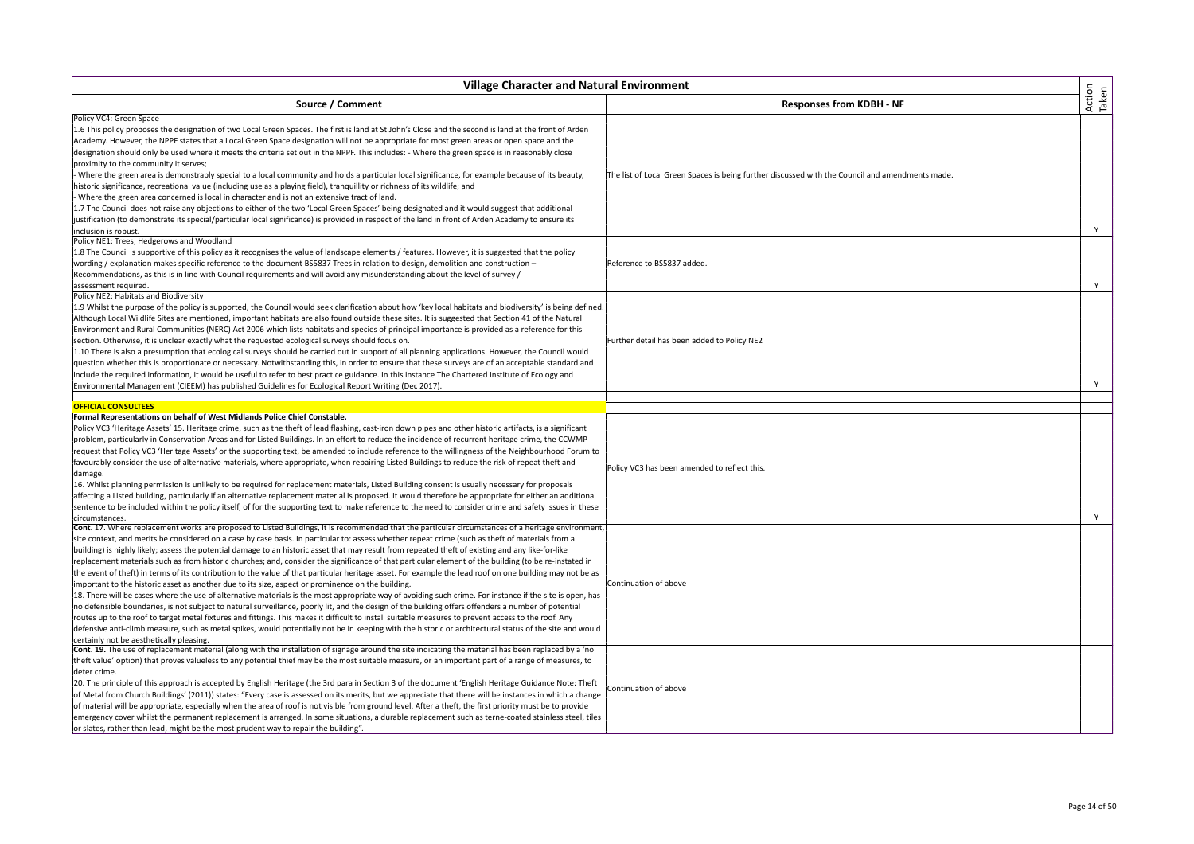| <b>Village Character and Natural Environment</b>                                                                                                                                                                                                                                                                                                                                                                                                                                                                                                                                                                                                                                                                                                                                                                                                                                                                                                                                                                                                                                                                                                                                                                                                                                                                                                                                                                                                                                                                                                                         |                                                                                                 |                 |
|--------------------------------------------------------------------------------------------------------------------------------------------------------------------------------------------------------------------------------------------------------------------------------------------------------------------------------------------------------------------------------------------------------------------------------------------------------------------------------------------------------------------------------------------------------------------------------------------------------------------------------------------------------------------------------------------------------------------------------------------------------------------------------------------------------------------------------------------------------------------------------------------------------------------------------------------------------------------------------------------------------------------------------------------------------------------------------------------------------------------------------------------------------------------------------------------------------------------------------------------------------------------------------------------------------------------------------------------------------------------------------------------------------------------------------------------------------------------------------------------------------------------------------------------------------------------------|-------------------------------------------------------------------------------------------------|-----------------|
| Source / Comment                                                                                                                                                                                                                                                                                                                                                                                                                                                                                                                                                                                                                                                                                                                                                                                                                                                                                                                                                                                                                                                                                                                                                                                                                                                                                                                                                                                                                                                                                                                                                         | <b>Responses from KDBH - NF</b>                                                                 | Action<br>Taken |
| Policy VC4: Green Space<br>1.6 This policy proposes the designation of two Local Green Spaces. The first is land at St John's Close and the second is land at the front of Arden<br>Academy. However, the NPPF states that a Local Green Space designation will not be appropriate for most green areas or open space and the<br>designation should only be used where it meets the criteria set out in the NPPF. This includes: - Where the green space is in reasonably close<br>proximity to the community it serves;<br>- Where the green area is demonstrably special to a local community and holds a particular local significance, for example because of its beauty,<br>historic significance, recreational value (including use as a playing field), tranquillity or richness of its wildlife; and<br>- Where the green area concerned is local in character and is not an extensive tract of land.<br>1.7 The Council does not raise any objections to either of the two 'Local Green Spaces' being designated and it would suggest that additional<br>justification (to demonstrate its special/particular local significance) is provided in respect of the land in front of Arden Academy to ensure its<br>inclusion is robust.                                                                                                                                                                                                                                                                                                                            | The list of Local Green Spaces is being further discussed with the Council and amendments made. | Y               |
| Policy NE1: Trees, Hedgerows and Woodland<br>1.8 The Council is supportive of this policy as it recognises the value of landscape elements / features. However, it is suggested that the policy<br>wording / explanation makes specific reference to the document BS5837 Trees in relation to design, demolition and construction -<br>Recommendations, as this is in line with Council requirements and will avoid any misunderstanding about the level of survey /<br>assessment required.                                                                                                                                                                                                                                                                                                                                                                                                                                                                                                                                                                                                                                                                                                                                                                                                                                                                                                                                                                                                                                                                             | Reference to BS5837 added.                                                                      | Y               |
| Policy NE2: Habitats and Biodiversity<br>1.9 Whilst the purpose of the policy is supported, the Council would seek clarification about how 'key local habitats and biodiversity' is being defined.<br>Although Local Wildlife Sites are mentioned, important habitats are also found outside these sites. It is suggested that Section 41 of the Natural<br>Environment and Rural Communities (NERC) Act 2006 which lists habitats and species of principal importance is provided as a reference for this<br>section. Otherwise, it is unclear exactly what the requested ecological surveys should focus on.<br>1.10 There is also a presumption that ecological surveys should be carried out in support of all planning applications. However, the Council would<br>question whether this is proportionate or necessary. Notwithstanding this, in order to ensure that these surveys are of an acceptable standard and<br>include the required information, it would be useful to refer to best practice guidance. In this instance The Chartered Institute of Ecology and<br>Environmental Management (CIEEM) has published Guidelines for Ecological Report Writing (Dec 2017).                                                                                                                                                                                                                                                                                                                                                                                    | Further detail has been added to Policy NE2                                                     | Y               |
| <b>OFFICIAL CONSULTEES</b>                                                                                                                                                                                                                                                                                                                                                                                                                                                                                                                                                                                                                                                                                                                                                                                                                                                                                                                                                                                                                                                                                                                                                                                                                                                                                                                                                                                                                                                                                                                                               |                                                                                                 |                 |
| Formal Representations on behalf of West Midlands Police Chief Constable.<br>Policy VC3 'Heritage Assets' 15. Heritage crime, such as the theft of lead flashing, cast-iron down pipes and other historic artifacts, is a significant<br>problem, particularly in Conservation Areas and for Listed Buildings. In an effort to reduce the incidence of recurrent heritage crime, the CCWMP<br>request that Policy VC3 'Heritage Assets' or the supporting text, be amended to include reference to the willingness of the Neighbourhood Forum to<br>favourably consider the use of alternative materials, where appropriate, when repairing Listed Buildings to reduce the risk of repeat theft and<br>damage.<br>16. Whilst planning permission is unlikely to be required for replacement materials, Listed Building consent is usually necessary for proposals<br>affecting a Listed building, particularly if an alternative replacement material is proposed. It would therefore be appropriate for either an additional<br>sentence to be included within the policy itself, of for the supporting text to make reference to the need to consider crime and safety issues in these<br>circumstances.                                                                                                                                                                                                                                                                                                                                                               | Policy VC3 has been amended to reflect this.                                                    | Y               |
| Cont. 17. Where replacement works are proposed to Listed Buildings, it is recommended that the particular circumstances of a heritage environment,<br>site context, and merits be considered on a case by case basis. In particular to: assess whether repeat crime (such as theft of materials from a<br>building) is highly likely; assess the potential damage to an historic asset that may result from repeated theft of existing and any like-for-like<br>replacement materials such as from historic churches; and, consider the significance of that particular element of the building (to be re-instated in<br>the event of theft) in terms of its contribution to the value of that particular heritage asset. For example the lead roof on one building may not be as<br>important to the historic asset as another due to its size, aspect or prominence on the building.<br>18. There will be cases where the use of alternative materials is the most appropriate way of avoiding such crime. For instance if the site is open, has<br>no defensible boundaries, is not subject to natural surveillance, poorly lit, and the design of the building offers offenders a number of potential<br>routes up to the roof to target metal fixtures and fittings. This makes it difficult to install suitable measures to prevent access to the roof. Any<br>defensive anti-climb measure, such as metal spikes, would potentially not be in keeping with the historic or architectural status of the site and would<br>certainly not be aesthetically pleasing. | Continuation of above                                                                           |                 |
| Cont. 19. The use of replacement material (along with the installation of signage around the site indicating the material has been replaced by a 'no<br>theft value' option) that proves valueless to any potential thief may be the most suitable measure, or an important part of a range of measures, to<br>deter crime.<br>20. The principle of this approach is accepted by English Heritage (the 3rd para in Section 3 of the document 'English Heritage Guidance Note: Theft<br>of Metal from Church Buildings' (2011)) states: "Every case is assessed on its merits, but we appreciate that there will be instances in which a change<br>of material will be appropriate, especially when the area of roof is not visible from ground level. After a theft, the first priority must be to provide<br>emergency cover whilst the permanent replacement is arranged. In some situations, a durable replacement such as terne-coated stainless steel, tiles<br>or slates, rather than lead, might be the most prudent way to repair the building".                                                                                                                                                                                                                                                                                                                                                                                                                                                                                                                 | Continuation of above                                                                           |                 |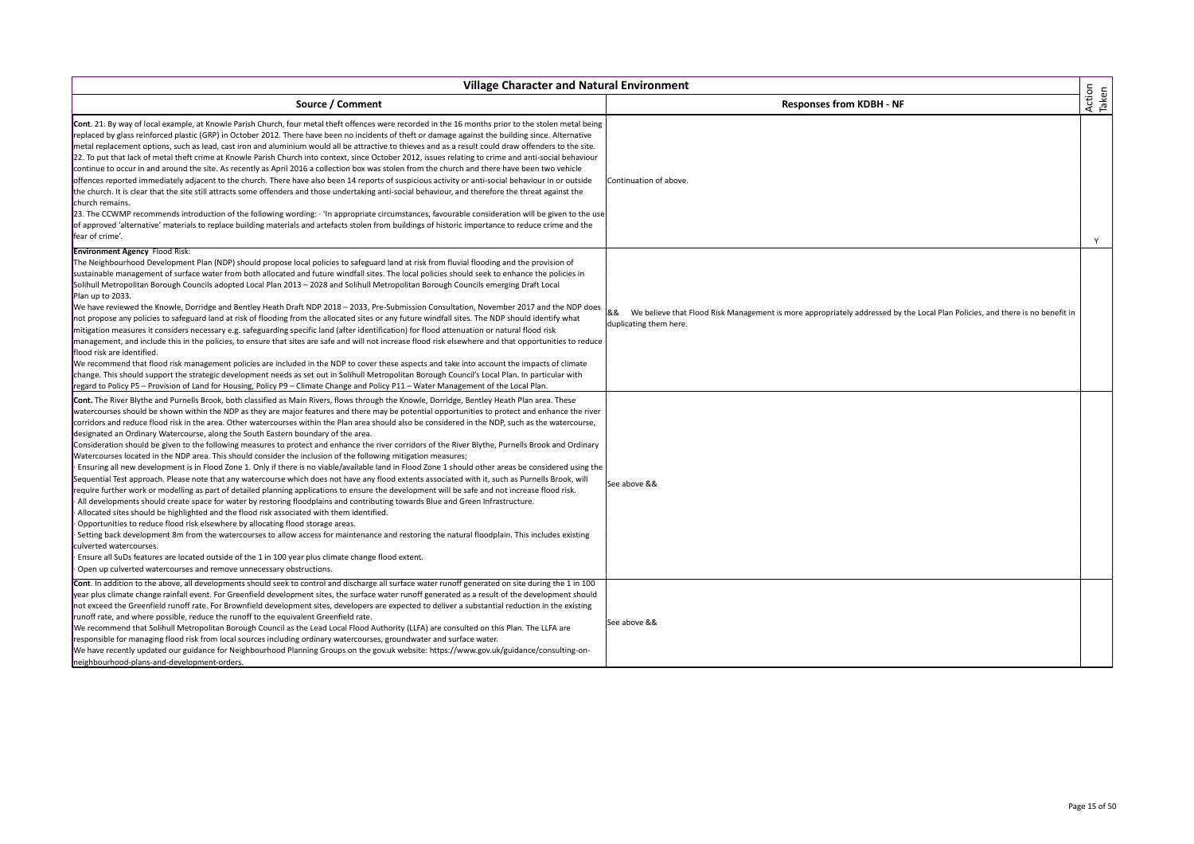| <b>Village Character and Natural Environment</b>                                                                                                                                                                                                                                                                                                                                                                                                                                                                                                                                                                                                                                                                                                                                                                                                                                                                                                                                                                                                                                                                                                                                                                                                                                                                                                                                                                                                                                                                                                                                                                                                                                                                                                                                                                                                                                                                                                                                    |                                                                                                                                                              |                 |
|-------------------------------------------------------------------------------------------------------------------------------------------------------------------------------------------------------------------------------------------------------------------------------------------------------------------------------------------------------------------------------------------------------------------------------------------------------------------------------------------------------------------------------------------------------------------------------------------------------------------------------------------------------------------------------------------------------------------------------------------------------------------------------------------------------------------------------------------------------------------------------------------------------------------------------------------------------------------------------------------------------------------------------------------------------------------------------------------------------------------------------------------------------------------------------------------------------------------------------------------------------------------------------------------------------------------------------------------------------------------------------------------------------------------------------------------------------------------------------------------------------------------------------------------------------------------------------------------------------------------------------------------------------------------------------------------------------------------------------------------------------------------------------------------------------------------------------------------------------------------------------------------------------------------------------------------------------------------------------------|--------------------------------------------------------------------------------------------------------------------------------------------------------------|-----------------|
| Source / Comment                                                                                                                                                                                                                                                                                                                                                                                                                                                                                                                                                                                                                                                                                                                                                                                                                                                                                                                                                                                                                                                                                                                                                                                                                                                                                                                                                                                                                                                                                                                                                                                                                                                                                                                                                                                                                                                                                                                                                                    | <b>Responses from KDBH - NF</b>                                                                                                                              | Action<br>Taken |
| Cont. 21. By way of local example, at Knowle Parish Church, four metal theft offences were recorded in the 16 months prior to the stolen metal being<br>replaced by glass reinforced plastic (GRP) in October 2012. There have been no incidents of theft or damage against the building since. Alternative<br>metal replacement options, such as lead, cast iron and aluminium would all be attractive to thieves and as a result could draw offenders to the site.<br>22. To put that lack of metal theft crime at Knowle Parish Church into context, since October 2012, issues relating to crime and anti-social behaviour<br>continue to occur in and around the site. As recently as April 2016 a collection box was stolen from the church and there have been two vehicle<br>offences reported immediately adjacent to the church. There have also been 14 reports of suspicious activity or anti-social behaviour in or outside<br>the church. It is clear that the site still attracts some offenders and those undertaking anti-social behaviour, and therefore the threat against the<br>church remains.<br>[23. The CCWMP recommends introduction of the following wording: · 'In appropriate circumstances, favourable consideration will be given to the use<br>of approved 'alternative' materials to replace building materials and artefacts stolen from buildings of historic importance to reduce crime and the<br>fear of crime'.                                                                                                                                                                                                                                                                                                                                                                                                                                                                                                                              | Continuation of above.                                                                                                                                       | Y               |
| <b>Environment Agency Flood Risk:</b><br>The Neighbourhood Development Plan (NDP) should propose local policies to safeguard land at risk from fluvial flooding and the provision of<br>sustainable management of surface water from both allocated and future windfall sites. The local policies should seek to enhance the policies in<br>Solihull Metropolitan Borough Councils adopted Local Plan 2013 - 2028 and Solihull Metropolitan Borough Councils emerging Draft Local<br>Plan up to 2033.<br>We have reviewed the Knowle, Dorridge and Bentley Heath Draft NDP 2018 - 2033, Pre-Submission Consultation, November 2017 and the NDP does<br>not propose any policies to safeguard land at risk of flooding from the allocated sites or any future windfall sites. The NDP should identify what<br>mitigation measures it considers necessary e.g. safeguarding specific land (after identification) for flood attenuation or natural flood risk<br>management, and include this in the policies, to ensure that sites are safe and will not increase flood risk elsewhere and that opportunities to reduce<br>flood risk are identified.<br>We recommend that flood risk management policies are included in the NDP to cover these aspects and take into account the impacts of climate<br>change. This should support the strategic development needs as set out in Solihull Metropolitan Borough Council's Local Plan. In particular with<br>regard to Policy P5 - Provision of Land for Housing, Policy P9 - Climate Change and Policy P11 - Water Management of the Local Plan.                                                                                                                                                                                                                                                                                                                                                                                     | We believe that Flood Risk Management is more appropriately addressed by the Local Plan Policies, and there is no benefit in<br>&&<br>duplicating them here. |                 |
| Cont. The River Blythe and Purnells Brook, both classified as Main Rivers, flows through the Knowle, Dorridge, Bentley Heath Plan area. These<br>watercourses should be shown within the NDP as they are major features and there may be potential opportunities to protect and enhance the river<br>corridors and reduce flood risk in the area. Other watercourses within the Plan area should also be considered in the NDP, such as the watercourse,<br>designated an Ordinary Watercourse, along the South Eastern boundary of the area.<br>Consideration should be given to the following measures to protect and enhance the river corridors of the River Blythe, Purnells Brook and Ordinary<br>Watercourses located in the NDP area. This should consider the inclusion of the following mitigation measures;<br>· Ensuring all new development is in Flood Zone 1. Only if there is no viable/available land in Flood Zone 1 should other areas be considered using the<br>Sequential Test approach. Please note that any watercourse which does not have any flood extents associated with it, such as Purnells Brook, will<br>require further work or modelling as part of detailed planning applications to ensure the development will be safe and not increase flood risk.<br>· All developments should create space for water by restoring floodplains and contributing towards Blue and Green Infrastructure.<br>· Allocated sites should be highlighted and the flood risk associated with them identified.<br>· Opportunities to reduce flood risk elsewhere by allocating flood storage areas.<br>· Setting back development 8m from the watercourses to allow access for maintenance and restoring the natural floodplain. This includes existing<br>culverted watercourses.<br>· Ensure all SuDs features are located outside of the 1 in 100 year plus climate change flood extent.<br>· Open up culverted watercourses and remove unnecessary obstructions. | See above &&                                                                                                                                                 |                 |
| Cont. In addition to the above, all developments should seek to control and discharge all surface water runoff generated on site during the 1 in 100<br>year plus climate change rainfall event. For Greenfield development sites, the surface water runoff generated as a result of the development should<br>not exceed the Greenfield runoff rate. For Brownfield development sites, developers are expected to deliver a substantial reduction in the existing<br>runoff rate, and where possible, reduce the runoff to the equivalent Greenfield rate.<br>We recommend that Solihull Metropolitan Borough Council as the Lead Local Flood Authority (LLFA) are consulted on this Plan. The LLFA are<br>responsible for managing flood risk from local sources including ordinary watercourses, groundwater and surface water.<br>We have recently updated our guidance for Neighbourhood Planning Groups on the gov.uk website: https://www.gov.uk/guidance/consulting-on-<br>neighbourhood-plans-and-development-orders.                                                                                                                                                                                                                                                                                                                                                                                                                                                                                                                                                                                                                                                                                                                                                                                                                                                                                                                                                      | See above &&                                                                                                                                                 |                 |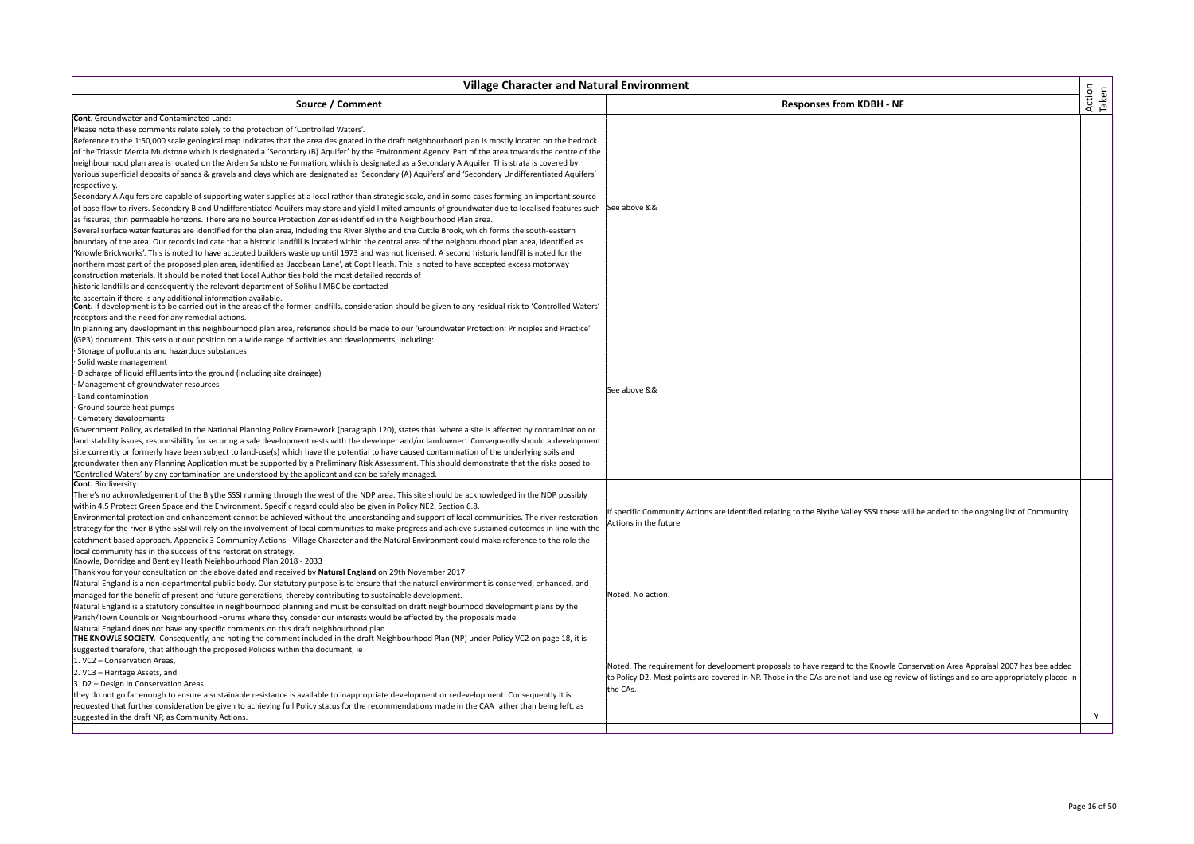| <b>Village Character and Natural Environment</b>                                                                                                                                                                                                                                                     |                                                                                                                                         |                 |
|------------------------------------------------------------------------------------------------------------------------------------------------------------------------------------------------------------------------------------------------------------------------------------------------------|-----------------------------------------------------------------------------------------------------------------------------------------|-----------------|
| Source / Comment                                                                                                                                                                                                                                                                                     | <b>Responses from KDBH - NF</b>                                                                                                         | Action<br>Taken |
| <b>Cont.</b> Groundwater and Contaminated Land:                                                                                                                                                                                                                                                      |                                                                                                                                         |                 |
| Please note these comments relate solely to the protection of 'Controlled Waters'.                                                                                                                                                                                                                   |                                                                                                                                         |                 |
| Reference to the 1:50,000 scale geological map indicates that the area designated in the draft neighbourhood plan is mostly located on the bedrock                                                                                                                                                   |                                                                                                                                         |                 |
| of the Triassic Mercia Mudstone which is designated a 'Secondary (B) Aquifer' by the Environment Agency. Part of the area towards the centre of the                                                                                                                                                  |                                                                                                                                         |                 |
| neighbourhood plan area is located on the Arden Sandstone Formation, which is designated as a Secondary A Aquifer. This strata is covered by                                                                                                                                                         |                                                                                                                                         |                 |
| various superficial deposits of sands & gravels and clays which are designated as 'Secondary (A) Aquifers' and 'Secondary Undifferentiated Aquifers'                                                                                                                                                 |                                                                                                                                         |                 |
| respectively.                                                                                                                                                                                                                                                                                        |                                                                                                                                         |                 |
| Secondary A Aquifers are capable of supporting water supplies at a local rather than strategic scale, and in some cases forming an important source                                                                                                                                                  |                                                                                                                                         |                 |
| of base flow to rivers. Secondary B and Undifferentiated Aquifers may store and yield limited amounts of groundwater due to localised features such See above &&<br>as fissures, thin permeable horizons. There are no Source Protection Zones identified in the Neighbourhood Plan area.            |                                                                                                                                         |                 |
| Several surface water features are identified for the plan area, including the River Blythe and the Cuttle Brook, which forms the south-eastern                                                                                                                                                      |                                                                                                                                         |                 |
| boundary of the area. Our records indicate that a historic landfill is located within the central area of the neighbourhood plan area, identified as                                                                                                                                                 |                                                                                                                                         |                 |
| 'Knowle Brickworks'. This is noted to have accepted builders waste up until 1973 and was not licensed. A second historic landfill is noted for the                                                                                                                                                   |                                                                                                                                         |                 |
|                                                                                                                                                                                                                                                                                                      |                                                                                                                                         |                 |
| northern most part of the proposed plan area, identified as 'Jacobean Lane', at Copt Heath. This is noted to have accepted excess motorway<br>construction materials. It should be noted that Local Authorities hold the most detailed records of                                                    |                                                                                                                                         |                 |
| historic landfills and consequently the relevant department of Solihull MBC be contacted                                                                                                                                                                                                             |                                                                                                                                         |                 |
| to ascertain if there is any additional information available                                                                                                                                                                                                                                        |                                                                                                                                         |                 |
| Cont. If development is to be carried out in the areas of the former landfills, consideration should be given to any residual risk to 'Controlled Waters'                                                                                                                                            |                                                                                                                                         |                 |
| receptors and the need for any remedial actions.                                                                                                                                                                                                                                                     |                                                                                                                                         |                 |
| In planning any development in this neighbourhood plan area, reference should be made to our 'Groundwater Protection: Principles and Practice'                                                                                                                                                       |                                                                                                                                         |                 |
| (GP3) document. This sets out our position on a wide range of activities and developments, including:                                                                                                                                                                                                |                                                                                                                                         |                 |
| Storage of pollutants and hazardous substances                                                                                                                                                                                                                                                       |                                                                                                                                         |                 |
| Solid waste management                                                                                                                                                                                                                                                                               |                                                                                                                                         |                 |
| Discharge of liquid effluents into the ground (including site drainage)                                                                                                                                                                                                                              |                                                                                                                                         |                 |
| Management of groundwater resources                                                                                                                                                                                                                                                                  | See above &&                                                                                                                            |                 |
| Land contamination                                                                                                                                                                                                                                                                                   |                                                                                                                                         |                 |
| Ground source heat pumps                                                                                                                                                                                                                                                                             |                                                                                                                                         |                 |
| Cemetery developments                                                                                                                                                                                                                                                                                |                                                                                                                                         |                 |
| Government Policy, as detailed in the National Planning Policy Framework (paragraph 120), states that 'where a site is affected by contamination or                                                                                                                                                  |                                                                                                                                         |                 |
| land stability issues, responsibility for securing a safe development rests with the developer and/or landowner'. Consequently should a development                                                                                                                                                  |                                                                                                                                         |                 |
| site currently or formerly have been subject to land-use(s) which have the potential to have caused contamination of the underlying soils and                                                                                                                                                        |                                                                                                                                         |                 |
| groundwater then any Planning Application must be supported by a Preliminary Risk Assessment. This should demonstrate that the risks posed to                                                                                                                                                        |                                                                                                                                         |                 |
| 'Controlled Waters' by any contamination are understood by the applicant and can be safely managed.                                                                                                                                                                                                  |                                                                                                                                         |                 |
| Cont. Biodiversity:                                                                                                                                                                                                                                                                                  |                                                                                                                                         |                 |
| There's no acknowledgement of the Blythe SSSI running through the west of the NDP area. This site should be acknowledged in the NDP possibly                                                                                                                                                         |                                                                                                                                         |                 |
| within 4.5 Protect Green Space and the Environment. Specific regard could also be given in Policy NE2, Section 6.8.                                                                                                                                                                                  | If specific Community Actions are identified relating to the Blythe Valley SSSI these will be added to the ongoing list of Community    |                 |
| Environmental protection and enhancement cannot be achieved without the understanding and support of local communities. The river restoration                                                                                                                                                        | Actions in the future                                                                                                                   |                 |
| strategy for the river Blythe SSSI will rely on the involvement of local communities to make progress and achieve sustained outcomes in line with the<br>catchment based approach. Appendix 3 Community Actions - Village Character and the Natural Environment could make reference to the role the |                                                                                                                                         |                 |
| local community has in the success of the restoration strategy.                                                                                                                                                                                                                                      |                                                                                                                                         |                 |
| Knowle, Dorridge and Bentley Heath Neighbourhood Plan 2018 - 2033                                                                                                                                                                                                                                    |                                                                                                                                         |                 |
| Thank you for your consultation on the above dated and received by Natural England on 29th November 2017.                                                                                                                                                                                            |                                                                                                                                         |                 |
| Natural England is a non-departmental public body. Our statutory purpose is to ensure that the natural environment is conserved, enhanced, and                                                                                                                                                       |                                                                                                                                         |                 |
| managed for the benefit of present and future generations, thereby contributing to sustainable development.                                                                                                                                                                                          | Noted. No action.                                                                                                                       |                 |
| Natural England is a statutory consultee in neighbourhood planning and must be consulted on draft neighbourhood development plans by the                                                                                                                                                             |                                                                                                                                         |                 |
| Parish/Town Councils or Neighbourhood Forums where they consider our interests would be affected by the proposals made.                                                                                                                                                                              |                                                                                                                                         |                 |
| Natural England does not have any specific comments on this draft neighbourhood plan.                                                                                                                                                                                                                |                                                                                                                                         |                 |
| THE KNOWLE SOCIETY. Consequently, and noting the comment included in the draft Neighbourhood Plan (NP) under Policy VC2 on page 18, it is                                                                                                                                                            |                                                                                                                                         |                 |
| suggested therefore, that although the proposed Policies within the document, ie                                                                                                                                                                                                                     |                                                                                                                                         |                 |
| 1. VC2 - Conservation Areas,                                                                                                                                                                                                                                                                         | Noted. The requirement for development proposals to have regard to the Knowle Conservation Area Appraisal 2007 has bee added            |                 |
| 2. VC3 - Heritage Assets, and                                                                                                                                                                                                                                                                        | to Policy D2. Most points are covered in NP. Those in the CAs are not land use eg review of listings and so are appropriately placed in |                 |
| 3. D2 - Design in Conservation Areas                                                                                                                                                                                                                                                                 | the CAs.                                                                                                                                |                 |
| they do not go far enough to ensure a sustainable resistance is available to inappropriate development or redevelopment. Consequently it is                                                                                                                                                          |                                                                                                                                         |                 |
| requested that further consideration be given to achieving full Policy status for the recommendations made in the CAA rather than being left, as                                                                                                                                                     |                                                                                                                                         |                 |
| suggested in the draft NP, as Community Actions.                                                                                                                                                                                                                                                     |                                                                                                                                         | Y               |
|                                                                                                                                                                                                                                                                                                      |                                                                                                                                         |                 |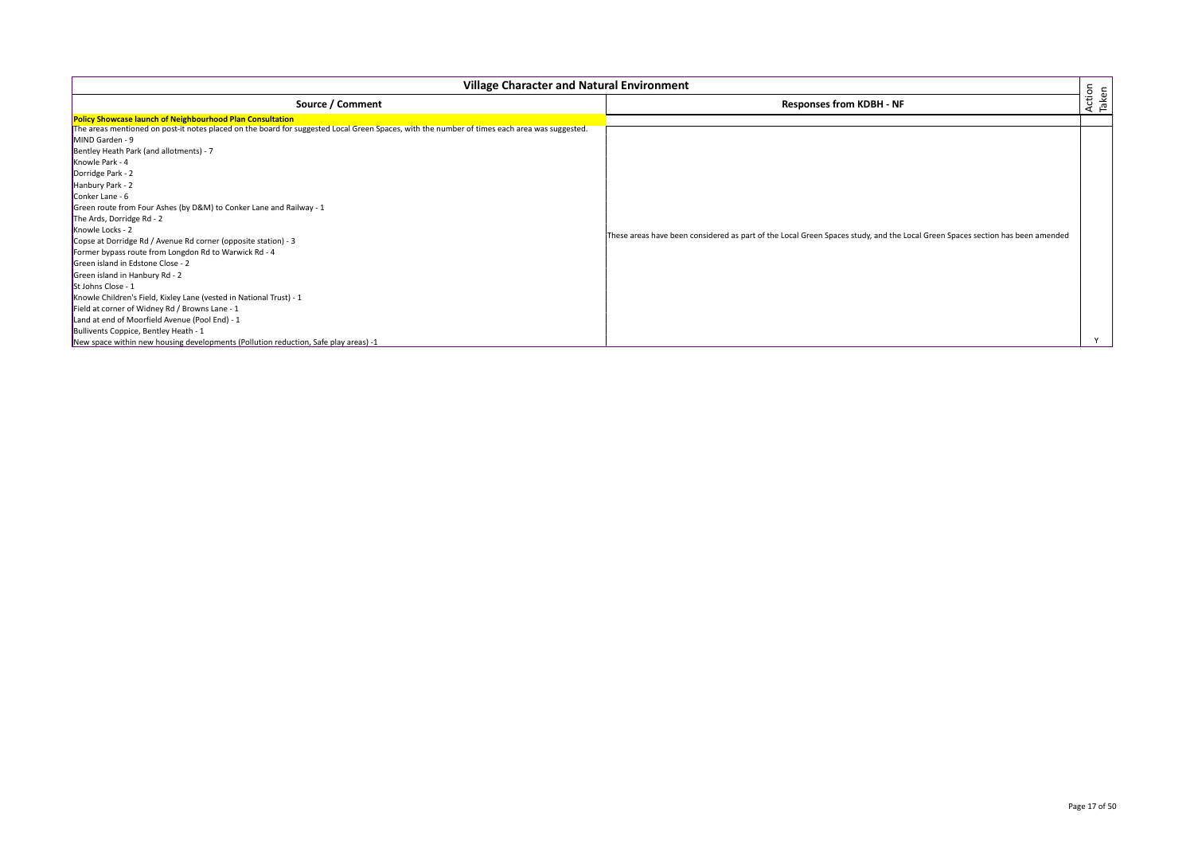| <b>Village Character and Natural Environment</b>                                                                                                                                                                                                                                                                                                                                                                                                                                                                                                                                                                                                                                                                                                                                                                                                                                                |                                                                                                                               |                 |
|-------------------------------------------------------------------------------------------------------------------------------------------------------------------------------------------------------------------------------------------------------------------------------------------------------------------------------------------------------------------------------------------------------------------------------------------------------------------------------------------------------------------------------------------------------------------------------------------------------------------------------------------------------------------------------------------------------------------------------------------------------------------------------------------------------------------------------------------------------------------------------------------------|-------------------------------------------------------------------------------------------------------------------------------|-----------------|
| Source / Comment                                                                                                                                                                                                                                                                                                                                                                                                                                                                                                                                                                                                                                                                                                                                                                                                                                                                                | <b>Responses from KDBH - NF</b>                                                                                               | Action<br>Taken |
| <b>Policy Showcase launch of Neighbourhood Plan Consultation</b><br>The areas mentioned on post-it notes placed on the board for suggested Local Green Spaces, with the number of times each area was suggested.<br>MIND Garden - 9<br>Bentley Heath Park (and allotments) - 7<br>Knowle Park - 4<br>Dorridge Park - 2<br>Hanbury Park - 2<br>Conker Lane - 6<br>Green route from Four Ashes (by D&M) to Conker Lane and Railway - 1<br>The Ards, Dorridge Rd - 2<br>Knowle Locks - 2<br>Copse at Dorridge Rd / Avenue Rd corner (opposite station) - 3<br>Former bypass route from Longdon Rd to Warwick Rd - 4<br>Green island in Edstone Close - 2<br>Green island in Hanbury Rd - 2<br><b>St Johns Close - 1</b><br>Knowle Children's Field, Kixley Lane (vested in National Trust) - 1<br>Field at corner of Widney Rd / Browns Lane - 1<br>Land at end of Moorfield Avenue (Pool End) - 1 | These areas have been considered as part of the Local Green Spaces study, and the Local Green Spaces section has been amended |                 |
| Bullivents Coppice, Bentley Heath - 1<br>New space within new housing developments (Pollution reduction, Safe play areas) -1                                                                                                                                                                                                                                                                                                                                                                                                                                                                                                                                                                                                                                                                                                                                                                    |                                                                                                                               |                 |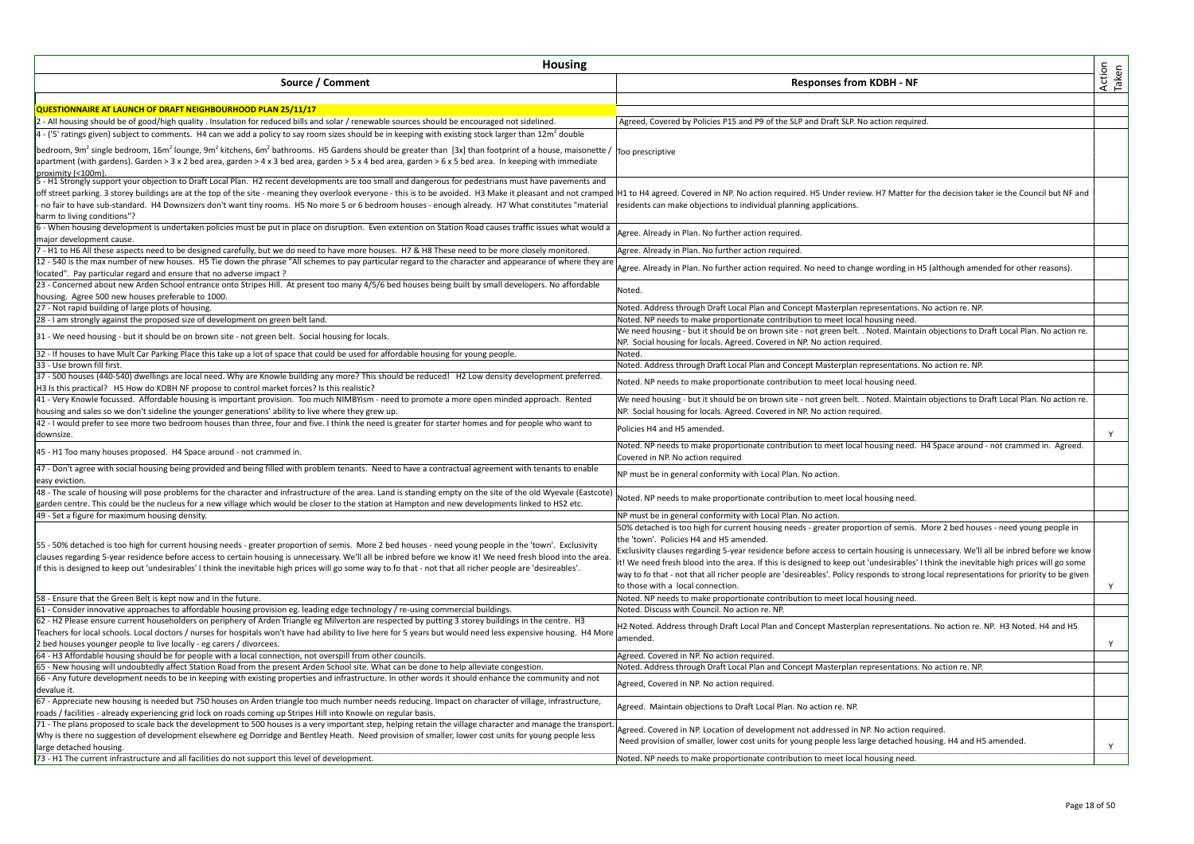| Action<br>Taken<br>Source / Comment<br><b>Responses from KDBH - NF</b><br>QUESTIONNAIRE AT LAUNCH OF DRAFT NEIGHBOURHOOD PLAN 25/11/17<br>2 - All housing should be of good/high quality . Insulation for reduced bills and solar / renewable sources should be encouraged not sidelined.<br>Agreed, Covered by Policies P15 and P9 of the SLP and Draft SLP. No action required.<br>4 - ('5' ratings given) subject to comments. H4 can we add a policy to say room sizes should be in keeping with existing stock larger than 12m <sup>2</sup> double<br>bedroom, 9m <sup>2</sup> single bedroom, 16m <sup>2</sup> lounge, 9m <sup>2</sup> kitchens, 6m <sup>2</sup> bathrooms. H5 Gardens should be greater than [3x] than footprint of a house, maisonette /  T <sub>OO</sub> prescriptive<br>apartment (with gardens). Garden > 3 x 2 bed area, garden > 4 x 3 bed area, garden > 5 x 4 bed area, garden > 6 x 5 bed area. In keeping with immediate<br>proximity (<100m)<br>5 - H1 Strongly support your objection to Draft Local Plan. H2 recent developments are too small and dangerous for pedestrians must have pavements and<br>off street parking. 3 storey buildings are at the top of the site - meaning they overlook everyone - this is to be avoided. H3 Make it pleasant and not cramped  H1 to H4 agreed. Covered in NP. No action required. H5 Under<br>no fair to have sub-standard. H4 Downsizers don't want tiny rooms. H5 No more 5 or 6 bedroom houses - enough already. H7 What constitutes "material<br>residents can make objections to individual planning applications.<br>harm to living conditions"?<br>6 - When housing development is undertaken policies must be put in place on disruption. Even extention on Station Road causes traffic issues what would a<br>Agree. Already in Plan. No further action required.<br>major development cause.<br>7 - H1 to H6 All these aspects need to be designed carefully, but we do need to have more houses. H7 & H8 These need to be more closely monitored.<br>Agree. Already in Plan. No further action required.<br>12 - 540 is the max number of new houses. H5 Tie down the phrase "All schemes to pay particular regard to the character and appearance of where they are<br>Agree. Already in Plan. No further action required. No need to change wording in H5 (although amended for other reasons).<br>located". Pay particular regard and ensure that no adverse impact?<br>23 - Concerned about new Arden School entrance onto Stripes Hill. At present too many 4/5/6 bed houses being built by small developers. No affordable<br>Noted.<br>housing. Agree 500 new houses preferable to 1000.<br>27 - Not rapid building of large plots of housing.<br>Noted. Address through Draft Local Plan and Concept Masterplan representations. No action re. NP.<br>28 - I am strongly against the proposed size of development on green belt land.<br>Noted. NP needs to make proportionate contribution to meet local housing need.<br>We need housing - but it should be on brown site - not green belt. . Noted. Maintain objections to Draft Local Plan. No action re.<br>31 - We need housing - but it should be on brown site - not green belt. Social housing for locals.<br>NP. Social housing for locals. Agreed. Covered in NP. No action required.<br>Noted.<br>33 - Use brown fill first.<br>Noted. Address through Draft Local Plan and Concept Masterplan representations. No action re. NP.<br>Noted. NP needs to make proportionate contribution to meet local housing need.<br>H3 Is this practical? H5 How do KDBH NF propose to control market forces? Is this realistic?<br>41 - Very Knowle focussed. Affordable housing is important provision. Too much NIMBYism - need to promote a more open minded approach. Rented<br>We need housing - but it should be on brown site - not green belt. . Noted. Maintain objections to Draft Local Plan. No action re.<br>housing and sales so we don't sideline the younger generations' ability to live where they grew up.<br>NP. Social housing for locals. Agreed. Covered in NP. No action required.<br>42 - I would prefer to see more two bedroom houses than three, four and five. I think the need is greater for starter homes and for people who want to<br>Policies H4 and H5 amended.<br>downsize.<br>Y<br>Noted. NP needs to make proportionate contribution to meet local housing need. H4 Space around - not crammed in. Agreed.<br>45 - H1 Too many houses proposed. H4 Space around - not crammed in.<br>Covered in NP. No action required<br>NP must be in general conformity with Local Plan. No action.<br>easy eviction.<br>48 - The scale of housing will pose problems for the character and infrastructure of the area. Land is standing empty on the site of the old Wyevale (Eastcote)<br>Noted. NP needs to make proportionate contribution to meet local housing need.<br>garden centre. This could be the nucleus for a new village which would be closer to the station at Hampton and new developments linked to HS2 etc.<br>49 - Set a figure for maximum housing density.<br>NP must be in general conformity with Local Plan. No action.<br>50% detached is too high for current housing needs - greater proportion of semis. More 2 bed houses - need young people in<br>the 'town'. Policies H4 and H5 amended.<br>Exclusivity clauses regarding 5-year residence before access to certain housing is unnecessary. We'll all be inbred before we know<br>clauses regarding 5-year residence before access to certain housing is unnecessary. We'll all be inbred before we know it! We need fresh blood into the area<br>it! We need fresh blood into the area. If this is designed to keep out 'undesirables' I think the inevitable high prices will go some<br>If this is designed to keep out 'undesirables' I think the inevitable high prices will go some way to fo that - not that all richer people are 'desireables'.<br>way to fo that - not that all richer people are 'desireables'. Policy responds to strong local representations for priority to be given<br>to those with a local connection.<br>Y<br>58 - Ensure that the Green Belt is kept now and in the future.<br>Noted. NP needs to make proportionate contribution to meet local housing need.<br>61 - Consider innovative approaches to affordable housing provision eg. leading edge technology / re-using commercial buildings.<br>Noted. Discuss with Council. No action re. NP.<br>62 - H2 Please ensure current householders on periphery of Arden Triangle eg Milverton are respected by putting 3 storey buildings in the centre. H3<br>H2 Noted. Address through Draft Local Plan and Concept Masterplan representations. No action re. NP. H3 Noted. H4 and H5<br>Teachers for local schools. Local doctors / nurses for hospitals won't have had ability to live here for 5 years but would need less expensive housing. H4 More<br>amended.<br>Y<br>bed houses younger people to live locally - eg carers / divorcees.<br>64 - H3 Affordable housing should be for people with a local connection, not overspill from other councils.<br>Agreed. Covered in NP. No action required.<br>65 - New housing will undoubtedly affect Station Road from the present Arden School site. What can be done to help alleviate congestion.<br>Noted. Address through Draft Local Plan and Concept Masterplan representations. No action re. NP.<br>66 - Any future development needs to be in keeping with existing properties and infrastructure. In other words it should enhance the community and not<br>Agreed, Covered in NP. No action required.<br>devalue it.<br>Agreed. Maintain objections to Draft Local Plan. No action re. NP.<br>roads / facilities - already experiencing grid lock on roads coming up Stripes Hill into Knowle on regular basis.<br>71 - The plans proposed to scale back the development to 500 houses is a very important step, helping retain the village character and manage the transport.<br>Agreed. Covered in NP. Location of development not addressed in NP. No action required.<br>Why is there no suggestion of development elsewhere eg Dorridge and Bentley Heath. Need provision of smaller, lower cost units for young people less<br>Need provision of smaller, lower cost units for young people less large detached housing. H4 and H5 amended.<br>Y<br>large detached housing.<br>Noted. NP needs to make proportionate contribution to meet local housing need. | <b>Housing</b>                                                                                                                                           |  |  |
|-------------------------------------------------------------------------------------------------------------------------------------------------------------------------------------------------------------------------------------------------------------------------------------------------------------------------------------------------------------------------------------------------------------------------------------------------------------------------------------------------------------------------------------------------------------------------------------------------------------------------------------------------------------------------------------------------------------------------------------------------------------------------------------------------------------------------------------------------------------------------------------------------------------------------------------------------------------------------------------------------------------------------------------------------------------------------------------------------------------------------------------------------------------------------------------------------------------------------------------------------------------------------------------------------------------------------------------------------------------------------------------------------------------------------------------------------------------------------------------------------------------------------------------------------------------------------------------------------------------------------------------------------------------------------------------------------------------------------------------------------------------------------------------------------------------------------------------------------------------------------------------------------------------------------------------------------------------------------------------------------------------------------------------------------------------------------------------------------------------------------------------------------------------------------------------------------------------------------------------------------------------------------------------------------------------------------------------------------------------------------------------------------------------------------------------------------------------------------------------------------------------------------------------------------------------------------------------------------------------------------------------------------------------------------------------------------------------------------------------------------------------------------------------------------------------------------------------------------------------------------------------------------------------------------------------------------------------------------------------------------------------------------------------------------------------------------------------------------------------------------------------------------------------------------------------------------------------------------------------------------------------------------------------------------------------------------------------------------------------------------------------------------------------------------------------------------------------------------------------------------------------------------------------------------------------------------------------------------------------------------------------------------------------------------------------------------------------------------------------------------------------------------------------------------------------------------------------------------------------------------------------------------------------------------------------------------------------------------------------------------------------------------------------------------------------------------------------------------------------------------------------------------------------------------------------------------------------------------------------------------------------------------------------------------------------------------------------------------------------------------------------------------------------------------------------------------------------------------------------------------------------------------------------------------------------------------------------------------------------------------------------------------------------------------------------------------------------------------------------------------------------------------------------------------------------------------------------------------------------------------------------------------------------------------------------------------------------------------------------------------------------------------------------------------------------------------------------------------------------------------------------------------------------------------------------------------------------------------------------------------------------------------------------------------------------------------------------------------------------------------------------------------------------------------------------------------------------------------------------------------------------------------------------------------------------------------------------------------------------------------------------------------------------------------------------------------------------------------------------------------------------------------------------------------------------------------------------------------------------------------------------------------------------------------------------------------------------------------------------------------------------------------------------------------------------------------------------------------------------------------------------------------------------------------------------------------------------------------------------------------------------------------------------------------------------------------------------------------------------------------------------------------------------------------------------------------------------------------------------------------------------------------------------------------------------------------------------------------------------------------------------------------------------------------------------------------------------------------------------------------------------------------------------------------------------------------------------------------------------------------------------------------------------------------------------------------------------------------------------------------------------------------------------------------------------------------------------------------------------------------------------------------------------------------------------------------------------------------------------------------------------------------------------------------------------------------------------------------------------------------------------------------------------------------------------------------------------------------------------------------------------------------------------------------------------------------------------------------------------------------------------------------------------------------------------------------------------------------------------------------------------------------------------------------------------------------------------------------------------------------------------------------------------------------------------------------------------------------------------------------------------------------------------------------------------------------------------------------------------------------------------------------------------------------------------------------------------------------------------------------------------------------------------------------------------------------------------------------------------------------------------------------------------------------------------------------------------------------------------------------------------------------------------------------------------------------------------------|----------------------------------------------------------------------------------------------------------------------------------------------------------|--|--|
|                                                                                                                                                                                                                                                                                                                                                                                                                                                                                                                                                                                                                                                                                                                                                                                                                                                                                                                                                                                                                                                                                                                                                                                                                                                                                                                                                                                                                                                                                                                                                                                                                                                                                                                                                                                                                                                                                                                                                                                                                                                                                                                                                                                                                                                                                                                                                                                                                                                                                                                                                                                                                                                                                                                                                                                                                                                                                                                                                                                                                                                                                                                                                                                                                                                                                                                                                                                                                                                                                                                                                                                                                                                                                                                                                                                                                                                                                                                                                                                                                                                                                                                                                                                                                                                                                                                                                                                                                                                                                                                                                                                                                                                                                                                                                                                                                                                                                                                                                                                                                                                                                                                                                                                                                                                                                                                                                                                                                                                                                                                                                                                                                                                                                                                                                                                                                                                                                                                                                                                                                                                                                                                                                                                                                                                                                                                                                                                                                                                                                                                                                                                                                                                                                                                                                                                                                                                                                                                                                                                                                                                                                                                                                                                                                                                                                                                                                                                                                                                                                                                                                                                                                                                                                                                                                                                                                                                                                                                                                                                                                                                                                                                                                                                                                                                                                                                                                                                                                                                                                                                                                                                           |                                                                                                                                                          |  |  |
|                                                                                                                                                                                                                                                                                                                                                                                                                                                                                                                                                                                                                                                                                                                                                                                                                                                                                                                                                                                                                                                                                                                                                                                                                                                                                                                                                                                                                                                                                                                                                                                                                                                                                                                                                                                                                                                                                                                                                                                                                                                                                                                                                                                                                                                                                                                                                                                                                                                                                                                                                                                                                                                                                                                                                                                                                                                                                                                                                                                                                                                                                                                                                                                                                                                                                                                                                                                                                                                                                                                                                                                                                                                                                                                                                                                                                                                                                                                                                                                                                                                                                                                                                                                                                                                                                                                                                                                                                                                                                                                                                                                                                                                                                                                                                                                                                                                                                                                                                                                                                                                                                                                                                                                                                                                                                                                                                                                                                                                                                                                                                                                                                                                                                                                                                                                                                                                                                                                                                                                                                                                                                                                                                                                                                                                                                                                                                                                                                                                                                                                                                                                                                                                                                                                                                                                                                                                                                                                                                                                                                                                                                                                                                                                                                                                                                                                                                                                                                                                                                                                                                                                                                                                                                                                                                                                                                                                                                                                                                                                                                                                                                                                                                                                                                                                                                                                                                                                                                                                                                                                                                                                           |                                                                                                                                                          |  |  |
|                                                                                                                                                                                                                                                                                                                                                                                                                                                                                                                                                                                                                                                                                                                                                                                                                                                                                                                                                                                                                                                                                                                                                                                                                                                                                                                                                                                                                                                                                                                                                                                                                                                                                                                                                                                                                                                                                                                                                                                                                                                                                                                                                                                                                                                                                                                                                                                                                                                                                                                                                                                                                                                                                                                                                                                                                                                                                                                                                                                                                                                                                                                                                                                                                                                                                                                                                                                                                                                                                                                                                                                                                                                                                                                                                                                                                                                                                                                                                                                                                                                                                                                                                                                                                                                                                                                                                                                                                                                                                                                                                                                                                                                                                                                                                                                                                                                                                                                                                                                                                                                                                                                                                                                                                                                                                                                                                                                                                                                                                                                                                                                                                                                                                                                                                                                                                                                                                                                                                                                                                                                                                                                                                                                                                                                                                                                                                                                                                                                                                                                                                                                                                                                                                                                                                                                                                                                                                                                                                                                                                                                                                                                                                                                                                                                                                                                                                                                                                                                                                                                                                                                                                                                                                                                                                                                                                                                                                                                                                                                                                                                                                                                                                                                                                                                                                                                                                                                                                                                                                                                                                                                           |                                                                                                                                                          |  |  |
|                                                                                                                                                                                                                                                                                                                                                                                                                                                                                                                                                                                                                                                                                                                                                                                                                                                                                                                                                                                                                                                                                                                                                                                                                                                                                                                                                                                                                                                                                                                                                                                                                                                                                                                                                                                                                                                                                                                                                                                                                                                                                                                                                                                                                                                                                                                                                                                                                                                                                                                                                                                                                                                                                                                                                                                                                                                                                                                                                                                                                                                                                                                                                                                                                                                                                                                                                                                                                                                                                                                                                                                                                                                                                                                                                                                                                                                                                                                                                                                                                                                                                                                                                                                                                                                                                                                                                                                                                                                                                                                                                                                                                                                                                                                                                                                                                                                                                                                                                                                                                                                                                                                                                                                                                                                                                                                                                                                                                                                                                                                                                                                                                                                                                                                                                                                                                                                                                                                                                                                                                                                                                                                                                                                                                                                                                                                                                                                                                                                                                                                                                                                                                                                                                                                                                                                                                                                                                                                                                                                                                                                                                                                                                                                                                                                                                                                                                                                                                                                                                                                                                                                                                                                                                                                                                                                                                                                                                                                                                                                                                                                                                                                                                                                                                                                                                                                                                                                                                                                                                                                                                                                           |                                                                                                                                                          |  |  |
|                                                                                                                                                                                                                                                                                                                                                                                                                                                                                                                                                                                                                                                                                                                                                                                                                                                                                                                                                                                                                                                                                                                                                                                                                                                                                                                                                                                                                                                                                                                                                                                                                                                                                                                                                                                                                                                                                                                                                                                                                                                                                                                                                                                                                                                                                                                                                                                                                                                                                                                                                                                                                                                                                                                                                                                                                                                                                                                                                                                                                                                                                                                                                                                                                                                                                                                                                                                                                                                                                                                                                                                                                                                                                                                                                                                                                                                                                                                                                                                                                                                                                                                                                                                                                                                                                                                                                                                                                                                                                                                                                                                                                                                                                                                                                                                                                                                                                                                                                                                                                                                                                                                                                                                                                                                                                                                                                                                                                                                                                                                                                                                                                                                                                                                                                                                                                                                                                                                                                                                                                                                                                                                                                                                                                                                                                                                                                                                                                                                                                                                                                                                                                                                                                                                                                                                                                                                                                                                                                                                                                                                                                                                                                                                                                                                                                                                                                                                                                                                                                                                                                                                                                                                                                                                                                                                                                                                                                                                                                                                                                                                                                                                                                                                                                                                                                                                                                                                                                                                                                                                                                                                           |                                                                                                                                                          |  |  |
|                                                                                                                                                                                                                                                                                                                                                                                                                                                                                                                                                                                                                                                                                                                                                                                                                                                                                                                                                                                                                                                                                                                                                                                                                                                                                                                                                                                                                                                                                                                                                                                                                                                                                                                                                                                                                                                                                                                                                                                                                                                                                                                                                                                                                                                                                                                                                                                                                                                                                                                                                                                                                                                                                                                                                                                                                                                                                                                                                                                                                                                                                                                                                                                                                                                                                                                                                                                                                                                                                                                                                                                                                                                                                                                                                                                                                                                                                                                                                                                                                                                                                                                                                                                                                                                                                                                                                                                                                                                                                                                                                                                                                                                                                                                                                                                                                                                                                                                                                                                                                                                                                                                                                                                                                                                                                                                                                                                                                                                                                                                                                                                                                                                                                                                                                                                                                                                                                                                                                                                                                                                                                                                                                                                                                                                                                                                                                                                                                                                                                                                                                                                                                                                                                                                                                                                                                                                                                                                                                                                                                                                                                                                                                                                                                                                                                                                                                                                                                                                                                                                                                                                                                                                                                                                                                                                                                                                                                                                                                                                                                                                                                                                                                                                                                                                                                                                                                                                                                                                                                                                                                                                           |                                                                                                                                                          |  |  |
|                                                                                                                                                                                                                                                                                                                                                                                                                                                                                                                                                                                                                                                                                                                                                                                                                                                                                                                                                                                                                                                                                                                                                                                                                                                                                                                                                                                                                                                                                                                                                                                                                                                                                                                                                                                                                                                                                                                                                                                                                                                                                                                                                                                                                                                                                                                                                                                                                                                                                                                                                                                                                                                                                                                                                                                                                                                                                                                                                                                                                                                                                                                                                                                                                                                                                                                                                                                                                                                                                                                                                                                                                                                                                                                                                                                                                                                                                                                                                                                                                                                                                                                                                                                                                                                                                                                                                                                                                                                                                                                                                                                                                                                                                                                                                                                                                                                                                                                                                                                                                                                                                                                                                                                                                                                                                                                                                                                                                                                                                                                                                                                                                                                                                                                                                                                                                                                                                                                                                                                                                                                                                                                                                                                                                                                                                                                                                                                                                                                                                                                                                                                                                                                                                                                                                                                                                                                                                                                                                                                                                                                                                                                                                                                                                                                                                                                                                                                                                                                                                                                                                                                                                                                                                                                                                                                                                                                                                                                                                                                                                                                                                                                                                                                                                                                                                                                                                                                                                                                                                                                                                                                           |                                                                                                                                                          |  |  |
|                                                                                                                                                                                                                                                                                                                                                                                                                                                                                                                                                                                                                                                                                                                                                                                                                                                                                                                                                                                                                                                                                                                                                                                                                                                                                                                                                                                                                                                                                                                                                                                                                                                                                                                                                                                                                                                                                                                                                                                                                                                                                                                                                                                                                                                                                                                                                                                                                                                                                                                                                                                                                                                                                                                                                                                                                                                                                                                                                                                                                                                                                                                                                                                                                                                                                                                                                                                                                                                                                                                                                                                                                                                                                                                                                                                                                                                                                                                                                                                                                                                                                                                                                                                                                                                                                                                                                                                                                                                                                                                                                                                                                                                                                                                                                                                                                                                                                                                                                                                                                                                                                                                                                                                                                                                                                                                                                                                                                                                                                                                                                                                                                                                                                                                                                                                                                                                                                                                                                                                                                                                                                                                                                                                                                                                                                                                                                                                                                                                                                                                                                                                                                                                                                                                                                                                                                                                                                                                                                                                                                                                                                                                                                                                                                                                                                                                                                                                                                                                                                                                                                                                                                                                                                                                                                                                                                                                                                                                                                                                                                                                                                                                                                                                                                                                                                                                                                                                                                                                                                                                                                                                           |                                                                                                                                                          |  |  |
|                                                                                                                                                                                                                                                                                                                                                                                                                                                                                                                                                                                                                                                                                                                                                                                                                                                                                                                                                                                                                                                                                                                                                                                                                                                                                                                                                                                                                                                                                                                                                                                                                                                                                                                                                                                                                                                                                                                                                                                                                                                                                                                                                                                                                                                                                                                                                                                                                                                                                                                                                                                                                                                                                                                                                                                                                                                                                                                                                                                                                                                                                                                                                                                                                                                                                                                                                                                                                                                                                                                                                                                                                                                                                                                                                                                                                                                                                                                                                                                                                                                                                                                                                                                                                                                                                                                                                                                                                                                                                                                                                                                                                                                                                                                                                                                                                                                                                                                                                                                                                                                                                                                                                                                                                                                                                                                                                                                                                                                                                                                                                                                                                                                                                                                                                                                                                                                                                                                                                                                                                                                                                                                                                                                                                                                                                                                                                                                                                                                                                                                                                                                                                                                                                                                                                                                                                                                                                                                                                                                                                                                                                                                                                                                                                                                                                                                                                                                                                                                                                                                                                                                                                                                                                                                                                                                                                                                                                                                                                                                                                                                                                                                                                                                                                                                                                                                                                                                                                                                                                                                                                                                           |                                                                                                                                                          |  |  |
|                                                                                                                                                                                                                                                                                                                                                                                                                                                                                                                                                                                                                                                                                                                                                                                                                                                                                                                                                                                                                                                                                                                                                                                                                                                                                                                                                                                                                                                                                                                                                                                                                                                                                                                                                                                                                                                                                                                                                                                                                                                                                                                                                                                                                                                                                                                                                                                                                                                                                                                                                                                                                                                                                                                                                                                                                                                                                                                                                                                                                                                                                                                                                                                                                                                                                                                                                                                                                                                                                                                                                                                                                                                                                                                                                                                                                                                                                                                                                                                                                                                                                                                                                                                                                                                                                                                                                                                                                                                                                                                                                                                                                                                                                                                                                                                                                                                                                                                                                                                                                                                                                                                                                                                                                                                                                                                                                                                                                                                                                                                                                                                                                                                                                                                                                                                                                                                                                                                                                                                                                                                                                                                                                                                                                                                                                                                                                                                                                                                                                                                                                                                                                                                                                                                                                                                                                                                                                                                                                                                                                                                                                                                                                                                                                                                                                                                                                                                                                                                                                                                                                                                                                                                                                                                                                                                                                                                                                                                                                                                                                                                                                                                                                                                                                                                                                                                                                                                                                                                                                                                                                                                           |                                                                                                                                                          |  |  |
|                                                                                                                                                                                                                                                                                                                                                                                                                                                                                                                                                                                                                                                                                                                                                                                                                                                                                                                                                                                                                                                                                                                                                                                                                                                                                                                                                                                                                                                                                                                                                                                                                                                                                                                                                                                                                                                                                                                                                                                                                                                                                                                                                                                                                                                                                                                                                                                                                                                                                                                                                                                                                                                                                                                                                                                                                                                                                                                                                                                                                                                                                                                                                                                                                                                                                                                                                                                                                                                                                                                                                                                                                                                                                                                                                                                                                                                                                                                                                                                                                                                                                                                                                                                                                                                                                                                                                                                                                                                                                                                                                                                                                                                                                                                                                                                                                                                                                                                                                                                                                                                                                                                                                                                                                                                                                                                                                                                                                                                                                                                                                                                                                                                                                                                                                                                                                                                                                                                                                                                                                                                                                                                                                                                                                                                                                                                                                                                                                                                                                                                                                                                                                                                                                                                                                                                                                                                                                                                                                                                                                                                                                                                                                                                                                                                                                                                                                                                                                                                                                                                                                                                                                                                                                                                                                                                                                                                                                                                                                                                                                                                                                                                                                                                                                                                                                                                                                                                                                                                                                                                                                                                           |                                                                                                                                                          |  |  |
|                                                                                                                                                                                                                                                                                                                                                                                                                                                                                                                                                                                                                                                                                                                                                                                                                                                                                                                                                                                                                                                                                                                                                                                                                                                                                                                                                                                                                                                                                                                                                                                                                                                                                                                                                                                                                                                                                                                                                                                                                                                                                                                                                                                                                                                                                                                                                                                                                                                                                                                                                                                                                                                                                                                                                                                                                                                                                                                                                                                                                                                                                                                                                                                                                                                                                                                                                                                                                                                                                                                                                                                                                                                                                                                                                                                                                                                                                                                                                                                                                                                                                                                                                                                                                                                                                                                                                                                                                                                                                                                                                                                                                                                                                                                                                                                                                                                                                                                                                                                                                                                                                                                                                                                                                                                                                                                                                                                                                                                                                                                                                                                                                                                                                                                                                                                                                                                                                                                                                                                                                                                                                                                                                                                                                                                                                                                                                                                                                                                                                                                                                                                                                                                                                                                                                                                                                                                                                                                                                                                                                                                                                                                                                                                                                                                                                                                                                                                                                                                                                                                                                                                                                                                                                                                                                                                                                                                                                                                                                                                                                                                                                                                                                                                                                                                                                                                                                                                                                                                                                                                                                                                           |                                                                                                                                                          |  |  |
|                                                                                                                                                                                                                                                                                                                                                                                                                                                                                                                                                                                                                                                                                                                                                                                                                                                                                                                                                                                                                                                                                                                                                                                                                                                                                                                                                                                                                                                                                                                                                                                                                                                                                                                                                                                                                                                                                                                                                                                                                                                                                                                                                                                                                                                                                                                                                                                                                                                                                                                                                                                                                                                                                                                                                                                                                                                                                                                                                                                                                                                                                                                                                                                                                                                                                                                                                                                                                                                                                                                                                                                                                                                                                                                                                                                                                                                                                                                                                                                                                                                                                                                                                                                                                                                                                                                                                                                                                                                                                                                                                                                                                                                                                                                                                                                                                                                                                                                                                                                                                                                                                                                                                                                                                                                                                                                                                                                                                                                                                                                                                                                                                                                                                                                                                                                                                                                                                                                                                                                                                                                                                                                                                                                                                                                                                                                                                                                                                                                                                                                                                                                                                                                                                                                                                                                                                                                                                                                                                                                                                                                                                                                                                                                                                                                                                                                                                                                                                                                                                                                                                                                                                                                                                                                                                                                                                                                                                                                                                                                                                                                                                                                                                                                                                                                                                                                                                                                                                                                                                                                                                                                           |                                                                                                                                                          |  |  |
|                                                                                                                                                                                                                                                                                                                                                                                                                                                                                                                                                                                                                                                                                                                                                                                                                                                                                                                                                                                                                                                                                                                                                                                                                                                                                                                                                                                                                                                                                                                                                                                                                                                                                                                                                                                                                                                                                                                                                                                                                                                                                                                                                                                                                                                                                                                                                                                                                                                                                                                                                                                                                                                                                                                                                                                                                                                                                                                                                                                                                                                                                                                                                                                                                                                                                                                                                                                                                                                                                                                                                                                                                                                                                                                                                                                                                                                                                                                                                                                                                                                                                                                                                                                                                                                                                                                                                                                                                                                                                                                                                                                                                                                                                                                                                                                                                                                                                                                                                                                                                                                                                                                                                                                                                                                                                                                                                                                                                                                                                                                                                                                                                                                                                                                                                                                                                                                                                                                                                                                                                                                                                                                                                                                                                                                                                                                                                                                                                                                                                                                                                                                                                                                                                                                                                                                                                                                                                                                                                                                                                                                                                                                                                                                                                                                                                                                                                                                                                                                                                                                                                                                                                                                                                                                                                                                                                                                                                                                                                                                                                                                                                                                                                                                                                                                                                                                                                                                                                                                                                                                                                                                           |                                                                                                                                                          |  |  |
|                                                                                                                                                                                                                                                                                                                                                                                                                                                                                                                                                                                                                                                                                                                                                                                                                                                                                                                                                                                                                                                                                                                                                                                                                                                                                                                                                                                                                                                                                                                                                                                                                                                                                                                                                                                                                                                                                                                                                                                                                                                                                                                                                                                                                                                                                                                                                                                                                                                                                                                                                                                                                                                                                                                                                                                                                                                                                                                                                                                                                                                                                                                                                                                                                                                                                                                                                                                                                                                                                                                                                                                                                                                                                                                                                                                                                                                                                                                                                                                                                                                                                                                                                                                                                                                                                                                                                                                                                                                                                                                                                                                                                                                                                                                                                                                                                                                                                                                                                                                                                                                                                                                                                                                                                                                                                                                                                                                                                                                                                                                                                                                                                                                                                                                                                                                                                                                                                                                                                                                                                                                                                                                                                                                                                                                                                                                                                                                                                                                                                                                                                                                                                                                                                                                                                                                                                                                                                                                                                                                                                                                                                                                                                                                                                                                                                                                                                                                                                                                                                                                                                                                                                                                                                                                                                                                                                                                                                                                                                                                                                                                                                                                                                                                                                                                                                                                                                                                                                                                                                                                                                                                           |                                                                                                                                                          |  |  |
|                                                                                                                                                                                                                                                                                                                                                                                                                                                                                                                                                                                                                                                                                                                                                                                                                                                                                                                                                                                                                                                                                                                                                                                                                                                                                                                                                                                                                                                                                                                                                                                                                                                                                                                                                                                                                                                                                                                                                                                                                                                                                                                                                                                                                                                                                                                                                                                                                                                                                                                                                                                                                                                                                                                                                                                                                                                                                                                                                                                                                                                                                                                                                                                                                                                                                                                                                                                                                                                                                                                                                                                                                                                                                                                                                                                                                                                                                                                                                                                                                                                                                                                                                                                                                                                                                                                                                                                                                                                                                                                                                                                                                                                                                                                                                                                                                                                                                                                                                                                                                                                                                                                                                                                                                                                                                                                                                                                                                                                                                                                                                                                                                                                                                                                                                                                                                                                                                                                                                                                                                                                                                                                                                                                                                                                                                                                                                                                                                                                                                                                                                                                                                                                                                                                                                                                                                                                                                                                                                                                                                                                                                                                                                                                                                                                                                                                                                                                                                                                                                                                                                                                                                                                                                                                                                                                                                                                                                                                                                                                                                                                                                                                                                                                                                                                                                                                                                                                                                                                                                                                                                                                           | 32 - If houses to have Mult Car Parking Place this take up a lot of space that could be used for affordable housing for young people.                    |  |  |
|                                                                                                                                                                                                                                                                                                                                                                                                                                                                                                                                                                                                                                                                                                                                                                                                                                                                                                                                                                                                                                                                                                                                                                                                                                                                                                                                                                                                                                                                                                                                                                                                                                                                                                                                                                                                                                                                                                                                                                                                                                                                                                                                                                                                                                                                                                                                                                                                                                                                                                                                                                                                                                                                                                                                                                                                                                                                                                                                                                                                                                                                                                                                                                                                                                                                                                                                                                                                                                                                                                                                                                                                                                                                                                                                                                                                                                                                                                                                                                                                                                                                                                                                                                                                                                                                                                                                                                                                                                                                                                                                                                                                                                                                                                                                                                                                                                                                                                                                                                                                                                                                                                                                                                                                                                                                                                                                                                                                                                                                                                                                                                                                                                                                                                                                                                                                                                                                                                                                                                                                                                                                                                                                                                                                                                                                                                                                                                                                                                                                                                                                                                                                                                                                                                                                                                                                                                                                                                                                                                                                                                                                                                                                                                                                                                                                                                                                                                                                                                                                                                                                                                                                                                                                                                                                                                                                                                                                                                                                                                                                                                                                                                                                                                                                                                                                                                                                                                                                                                                                                                                                                                                           |                                                                                                                                                          |  |  |
|                                                                                                                                                                                                                                                                                                                                                                                                                                                                                                                                                                                                                                                                                                                                                                                                                                                                                                                                                                                                                                                                                                                                                                                                                                                                                                                                                                                                                                                                                                                                                                                                                                                                                                                                                                                                                                                                                                                                                                                                                                                                                                                                                                                                                                                                                                                                                                                                                                                                                                                                                                                                                                                                                                                                                                                                                                                                                                                                                                                                                                                                                                                                                                                                                                                                                                                                                                                                                                                                                                                                                                                                                                                                                                                                                                                                                                                                                                                                                                                                                                                                                                                                                                                                                                                                                                                                                                                                                                                                                                                                                                                                                                                                                                                                                                                                                                                                                                                                                                                                                                                                                                                                                                                                                                                                                                                                                                                                                                                                                                                                                                                                                                                                                                                                                                                                                                                                                                                                                                                                                                                                                                                                                                                                                                                                                                                                                                                                                                                                                                                                                                                                                                                                                                                                                                                                                                                                                                                                                                                                                                                                                                                                                                                                                                                                                                                                                                                                                                                                                                                                                                                                                                                                                                                                                                                                                                                                                                                                                                                                                                                                                                                                                                                                                                                                                                                                                                                                                                                                                                                                                                                           | 37 - 500 houses (440-540) dwellings are local need. Why are Knowle building any more? This should be reduced! H2 Low density development preferred.      |  |  |
|                                                                                                                                                                                                                                                                                                                                                                                                                                                                                                                                                                                                                                                                                                                                                                                                                                                                                                                                                                                                                                                                                                                                                                                                                                                                                                                                                                                                                                                                                                                                                                                                                                                                                                                                                                                                                                                                                                                                                                                                                                                                                                                                                                                                                                                                                                                                                                                                                                                                                                                                                                                                                                                                                                                                                                                                                                                                                                                                                                                                                                                                                                                                                                                                                                                                                                                                                                                                                                                                                                                                                                                                                                                                                                                                                                                                                                                                                                                                                                                                                                                                                                                                                                                                                                                                                                                                                                                                                                                                                                                                                                                                                                                                                                                                                                                                                                                                                                                                                                                                                                                                                                                                                                                                                                                                                                                                                                                                                                                                                                                                                                                                                                                                                                                                                                                                                                                                                                                                                                                                                                                                                                                                                                                                                                                                                                                                                                                                                                                                                                                                                                                                                                                                                                                                                                                                                                                                                                                                                                                                                                                                                                                                                                                                                                                                                                                                                                                                                                                                                                                                                                                                                                                                                                                                                                                                                                                                                                                                                                                                                                                                                                                                                                                                                                                                                                                                                                                                                                                                                                                                                                                           |                                                                                                                                                          |  |  |
|                                                                                                                                                                                                                                                                                                                                                                                                                                                                                                                                                                                                                                                                                                                                                                                                                                                                                                                                                                                                                                                                                                                                                                                                                                                                                                                                                                                                                                                                                                                                                                                                                                                                                                                                                                                                                                                                                                                                                                                                                                                                                                                                                                                                                                                                                                                                                                                                                                                                                                                                                                                                                                                                                                                                                                                                                                                                                                                                                                                                                                                                                                                                                                                                                                                                                                                                                                                                                                                                                                                                                                                                                                                                                                                                                                                                                                                                                                                                                                                                                                                                                                                                                                                                                                                                                                                                                                                                                                                                                                                                                                                                                                                                                                                                                                                                                                                                                                                                                                                                                                                                                                                                                                                                                                                                                                                                                                                                                                                                                                                                                                                                                                                                                                                                                                                                                                                                                                                                                                                                                                                                                                                                                                                                                                                                                                                                                                                                                                                                                                                                                                                                                                                                                                                                                                                                                                                                                                                                                                                                                                                                                                                                                                                                                                                                                                                                                                                                                                                                                                                                                                                                                                                                                                                                                                                                                                                                                                                                                                                                                                                                                                                                                                                                                                                                                                                                                                                                                                                                                                                                                                                           |                                                                                                                                                          |  |  |
|                                                                                                                                                                                                                                                                                                                                                                                                                                                                                                                                                                                                                                                                                                                                                                                                                                                                                                                                                                                                                                                                                                                                                                                                                                                                                                                                                                                                                                                                                                                                                                                                                                                                                                                                                                                                                                                                                                                                                                                                                                                                                                                                                                                                                                                                                                                                                                                                                                                                                                                                                                                                                                                                                                                                                                                                                                                                                                                                                                                                                                                                                                                                                                                                                                                                                                                                                                                                                                                                                                                                                                                                                                                                                                                                                                                                                                                                                                                                                                                                                                                                                                                                                                                                                                                                                                                                                                                                                                                                                                                                                                                                                                                                                                                                                                                                                                                                                                                                                                                                                                                                                                                                                                                                                                                                                                                                                                                                                                                                                                                                                                                                                                                                                                                                                                                                                                                                                                                                                                                                                                                                                                                                                                                                                                                                                                                                                                                                                                                                                                                                                                                                                                                                                                                                                                                                                                                                                                                                                                                                                                                                                                                                                                                                                                                                                                                                                                                                                                                                                                                                                                                                                                                                                                                                                                                                                                                                                                                                                                                                                                                                                                                                                                                                                                                                                                                                                                                                                                                                                                                                                                                           |                                                                                                                                                          |  |  |
|                                                                                                                                                                                                                                                                                                                                                                                                                                                                                                                                                                                                                                                                                                                                                                                                                                                                                                                                                                                                                                                                                                                                                                                                                                                                                                                                                                                                                                                                                                                                                                                                                                                                                                                                                                                                                                                                                                                                                                                                                                                                                                                                                                                                                                                                                                                                                                                                                                                                                                                                                                                                                                                                                                                                                                                                                                                                                                                                                                                                                                                                                                                                                                                                                                                                                                                                                                                                                                                                                                                                                                                                                                                                                                                                                                                                                                                                                                                                                                                                                                                                                                                                                                                                                                                                                                                                                                                                                                                                                                                                                                                                                                                                                                                                                                                                                                                                                                                                                                                                                                                                                                                                                                                                                                                                                                                                                                                                                                                                                                                                                                                                                                                                                                                                                                                                                                                                                                                                                                                                                                                                                                                                                                                                                                                                                                                                                                                                                                                                                                                                                                                                                                                                                                                                                                                                                                                                                                                                                                                                                                                                                                                                                                                                                                                                                                                                                                                                                                                                                                                                                                                                                                                                                                                                                                                                                                                                                                                                                                                                                                                                                                                                                                                                                                                                                                                                                                                                                                                                                                                                                                                           |                                                                                                                                                          |  |  |
|                                                                                                                                                                                                                                                                                                                                                                                                                                                                                                                                                                                                                                                                                                                                                                                                                                                                                                                                                                                                                                                                                                                                                                                                                                                                                                                                                                                                                                                                                                                                                                                                                                                                                                                                                                                                                                                                                                                                                                                                                                                                                                                                                                                                                                                                                                                                                                                                                                                                                                                                                                                                                                                                                                                                                                                                                                                                                                                                                                                                                                                                                                                                                                                                                                                                                                                                                                                                                                                                                                                                                                                                                                                                                                                                                                                                                                                                                                                                                                                                                                                                                                                                                                                                                                                                                                                                                                                                                                                                                                                                                                                                                                                                                                                                                                                                                                                                                                                                                                                                                                                                                                                                                                                                                                                                                                                                                                                                                                                                                                                                                                                                                                                                                                                                                                                                                                                                                                                                                                                                                                                                                                                                                                                                                                                                                                                                                                                                                                                                                                                                                                                                                                                                                                                                                                                                                                                                                                                                                                                                                                                                                                                                                                                                                                                                                                                                                                                                                                                                                                                                                                                                                                                                                                                                                                                                                                                                                                                                                                                                                                                                                                                                                                                                                                                                                                                                                                                                                                                                                                                                                                                           |                                                                                                                                                          |  |  |
|                                                                                                                                                                                                                                                                                                                                                                                                                                                                                                                                                                                                                                                                                                                                                                                                                                                                                                                                                                                                                                                                                                                                                                                                                                                                                                                                                                                                                                                                                                                                                                                                                                                                                                                                                                                                                                                                                                                                                                                                                                                                                                                                                                                                                                                                                                                                                                                                                                                                                                                                                                                                                                                                                                                                                                                                                                                                                                                                                                                                                                                                                                                                                                                                                                                                                                                                                                                                                                                                                                                                                                                                                                                                                                                                                                                                                                                                                                                                                                                                                                                                                                                                                                                                                                                                                                                                                                                                                                                                                                                                                                                                                                                                                                                                                                                                                                                                                                                                                                                                                                                                                                                                                                                                                                                                                                                                                                                                                                                                                                                                                                                                                                                                                                                                                                                                                                                                                                                                                                                                                                                                                                                                                                                                                                                                                                                                                                                                                                                                                                                                                                                                                                                                                                                                                                                                                                                                                                                                                                                                                                                                                                                                                                                                                                                                                                                                                                                                                                                                                                                                                                                                                                                                                                                                                                                                                                                                                                                                                                                                                                                                                                                                                                                                                                                                                                                                                                                                                                                                                                                                                                                           | 47 - Don't agree with social housing being provided and being filled with problem tenants. Need to have a contractual agreement with tenants to enable   |  |  |
|                                                                                                                                                                                                                                                                                                                                                                                                                                                                                                                                                                                                                                                                                                                                                                                                                                                                                                                                                                                                                                                                                                                                                                                                                                                                                                                                                                                                                                                                                                                                                                                                                                                                                                                                                                                                                                                                                                                                                                                                                                                                                                                                                                                                                                                                                                                                                                                                                                                                                                                                                                                                                                                                                                                                                                                                                                                                                                                                                                                                                                                                                                                                                                                                                                                                                                                                                                                                                                                                                                                                                                                                                                                                                                                                                                                                                                                                                                                                                                                                                                                                                                                                                                                                                                                                                                                                                                                                                                                                                                                                                                                                                                                                                                                                                                                                                                                                                                                                                                                                                                                                                                                                                                                                                                                                                                                                                                                                                                                                                                                                                                                                                                                                                                                                                                                                                                                                                                                                                                                                                                                                                                                                                                                                                                                                                                                                                                                                                                                                                                                                                                                                                                                                                                                                                                                                                                                                                                                                                                                                                                                                                                                                                                                                                                                                                                                                                                                                                                                                                                                                                                                                                                                                                                                                                                                                                                                                                                                                                                                                                                                                                                                                                                                                                                                                                                                                                                                                                                                                                                                                                                                           |                                                                                                                                                          |  |  |
|                                                                                                                                                                                                                                                                                                                                                                                                                                                                                                                                                                                                                                                                                                                                                                                                                                                                                                                                                                                                                                                                                                                                                                                                                                                                                                                                                                                                                                                                                                                                                                                                                                                                                                                                                                                                                                                                                                                                                                                                                                                                                                                                                                                                                                                                                                                                                                                                                                                                                                                                                                                                                                                                                                                                                                                                                                                                                                                                                                                                                                                                                                                                                                                                                                                                                                                                                                                                                                                                                                                                                                                                                                                                                                                                                                                                                                                                                                                                                                                                                                                                                                                                                                                                                                                                                                                                                                                                                                                                                                                                                                                                                                                                                                                                                                                                                                                                                                                                                                                                                                                                                                                                                                                                                                                                                                                                                                                                                                                                                                                                                                                                                                                                                                                                                                                                                                                                                                                                                                                                                                                                                                                                                                                                                                                                                                                                                                                                                                                                                                                                                                                                                                                                                                                                                                                                                                                                                                                                                                                                                                                                                                                                                                                                                                                                                                                                                                                                                                                                                                                                                                                                                                                                                                                                                                                                                                                                                                                                                                                                                                                                                                                                                                                                                                                                                                                                                                                                                                                                                                                                                                                           |                                                                                                                                                          |  |  |
|                                                                                                                                                                                                                                                                                                                                                                                                                                                                                                                                                                                                                                                                                                                                                                                                                                                                                                                                                                                                                                                                                                                                                                                                                                                                                                                                                                                                                                                                                                                                                                                                                                                                                                                                                                                                                                                                                                                                                                                                                                                                                                                                                                                                                                                                                                                                                                                                                                                                                                                                                                                                                                                                                                                                                                                                                                                                                                                                                                                                                                                                                                                                                                                                                                                                                                                                                                                                                                                                                                                                                                                                                                                                                                                                                                                                                                                                                                                                                                                                                                                                                                                                                                                                                                                                                                                                                                                                                                                                                                                                                                                                                                                                                                                                                                                                                                                                                                                                                                                                                                                                                                                                                                                                                                                                                                                                                                                                                                                                                                                                                                                                                                                                                                                                                                                                                                                                                                                                                                                                                                                                                                                                                                                                                                                                                                                                                                                                                                                                                                                                                                                                                                                                                                                                                                                                                                                                                                                                                                                                                                                                                                                                                                                                                                                                                                                                                                                                                                                                                                                                                                                                                                                                                                                                                                                                                                                                                                                                                                                                                                                                                                                                                                                                                                                                                                                                                                                                                                                                                                                                                                                           |                                                                                                                                                          |  |  |
|                                                                                                                                                                                                                                                                                                                                                                                                                                                                                                                                                                                                                                                                                                                                                                                                                                                                                                                                                                                                                                                                                                                                                                                                                                                                                                                                                                                                                                                                                                                                                                                                                                                                                                                                                                                                                                                                                                                                                                                                                                                                                                                                                                                                                                                                                                                                                                                                                                                                                                                                                                                                                                                                                                                                                                                                                                                                                                                                                                                                                                                                                                                                                                                                                                                                                                                                                                                                                                                                                                                                                                                                                                                                                                                                                                                                                                                                                                                                                                                                                                                                                                                                                                                                                                                                                                                                                                                                                                                                                                                                                                                                                                                                                                                                                                                                                                                                                                                                                                                                                                                                                                                                                                                                                                                                                                                                                                                                                                                                                                                                                                                                                                                                                                                                                                                                                                                                                                                                                                                                                                                                                                                                                                                                                                                                                                                                                                                                                                                                                                                                                                                                                                                                                                                                                                                                                                                                                                                                                                                                                                                                                                                                                                                                                                                                                                                                                                                                                                                                                                                                                                                                                                                                                                                                                                                                                                                                                                                                                                                                                                                                                                                                                                                                                                                                                                                                                                                                                                                                                                                                                                                           | [55 - 50% detached is too high for current housing needs - greater proportion of semis. More 2 bed houses - need young people in the 'town'. Exclusivity |  |  |
|                                                                                                                                                                                                                                                                                                                                                                                                                                                                                                                                                                                                                                                                                                                                                                                                                                                                                                                                                                                                                                                                                                                                                                                                                                                                                                                                                                                                                                                                                                                                                                                                                                                                                                                                                                                                                                                                                                                                                                                                                                                                                                                                                                                                                                                                                                                                                                                                                                                                                                                                                                                                                                                                                                                                                                                                                                                                                                                                                                                                                                                                                                                                                                                                                                                                                                                                                                                                                                                                                                                                                                                                                                                                                                                                                                                                                                                                                                                                                                                                                                                                                                                                                                                                                                                                                                                                                                                                                                                                                                                                                                                                                                                                                                                                                                                                                                                                                                                                                                                                                                                                                                                                                                                                                                                                                                                                                                                                                                                                                                                                                                                                                                                                                                                                                                                                                                                                                                                                                                                                                                                                                                                                                                                                                                                                                                                                                                                                                                                                                                                                                                                                                                                                                                                                                                                                                                                                                                                                                                                                                                                                                                                                                                                                                                                                                                                                                                                                                                                                                                                                                                                                                                                                                                                                                                                                                                                                                                                                                                                                                                                                                                                                                                                                                                                                                                                                                                                                                                                                                                                                                                                           |                                                                                                                                                          |  |  |
|                                                                                                                                                                                                                                                                                                                                                                                                                                                                                                                                                                                                                                                                                                                                                                                                                                                                                                                                                                                                                                                                                                                                                                                                                                                                                                                                                                                                                                                                                                                                                                                                                                                                                                                                                                                                                                                                                                                                                                                                                                                                                                                                                                                                                                                                                                                                                                                                                                                                                                                                                                                                                                                                                                                                                                                                                                                                                                                                                                                                                                                                                                                                                                                                                                                                                                                                                                                                                                                                                                                                                                                                                                                                                                                                                                                                                                                                                                                                                                                                                                                                                                                                                                                                                                                                                                                                                                                                                                                                                                                                                                                                                                                                                                                                                                                                                                                                                                                                                                                                                                                                                                                                                                                                                                                                                                                                                                                                                                                                                                                                                                                                                                                                                                                                                                                                                                                                                                                                                                                                                                                                                                                                                                                                                                                                                                                                                                                                                                                                                                                                                                                                                                                                                                                                                                                                                                                                                                                                                                                                                                                                                                                                                                                                                                                                                                                                                                                                                                                                                                                                                                                                                                                                                                                                                                                                                                                                                                                                                                                                                                                                                                                                                                                                                                                                                                                                                                                                                                                                                                                                                                                           |                                                                                                                                                          |  |  |
|                                                                                                                                                                                                                                                                                                                                                                                                                                                                                                                                                                                                                                                                                                                                                                                                                                                                                                                                                                                                                                                                                                                                                                                                                                                                                                                                                                                                                                                                                                                                                                                                                                                                                                                                                                                                                                                                                                                                                                                                                                                                                                                                                                                                                                                                                                                                                                                                                                                                                                                                                                                                                                                                                                                                                                                                                                                                                                                                                                                                                                                                                                                                                                                                                                                                                                                                                                                                                                                                                                                                                                                                                                                                                                                                                                                                                                                                                                                                                                                                                                                                                                                                                                                                                                                                                                                                                                                                                                                                                                                                                                                                                                                                                                                                                                                                                                                                                                                                                                                                                                                                                                                                                                                                                                                                                                                                                                                                                                                                                                                                                                                                                                                                                                                                                                                                                                                                                                                                                                                                                                                                                                                                                                                                                                                                                                                                                                                                                                                                                                                                                                                                                                                                                                                                                                                                                                                                                                                                                                                                                                                                                                                                                                                                                                                                                                                                                                                                                                                                                                                                                                                                                                                                                                                                                                                                                                                                                                                                                                                                                                                                                                                                                                                                                                                                                                                                                                                                                                                                                                                                                                                           |                                                                                                                                                          |  |  |
|                                                                                                                                                                                                                                                                                                                                                                                                                                                                                                                                                                                                                                                                                                                                                                                                                                                                                                                                                                                                                                                                                                                                                                                                                                                                                                                                                                                                                                                                                                                                                                                                                                                                                                                                                                                                                                                                                                                                                                                                                                                                                                                                                                                                                                                                                                                                                                                                                                                                                                                                                                                                                                                                                                                                                                                                                                                                                                                                                                                                                                                                                                                                                                                                                                                                                                                                                                                                                                                                                                                                                                                                                                                                                                                                                                                                                                                                                                                                                                                                                                                                                                                                                                                                                                                                                                                                                                                                                                                                                                                                                                                                                                                                                                                                                                                                                                                                                                                                                                                                                                                                                                                                                                                                                                                                                                                                                                                                                                                                                                                                                                                                                                                                                                                                                                                                                                                                                                                                                                                                                                                                                                                                                                                                                                                                                                                                                                                                                                                                                                                                                                                                                                                                                                                                                                                                                                                                                                                                                                                                                                                                                                                                                                                                                                                                                                                                                                                                                                                                                                                                                                                                                                                                                                                                                                                                                                                                                                                                                                                                                                                                                                                                                                                                                                                                                                                                                                                                                                                                                                                                                                                           |                                                                                                                                                          |  |  |
|                                                                                                                                                                                                                                                                                                                                                                                                                                                                                                                                                                                                                                                                                                                                                                                                                                                                                                                                                                                                                                                                                                                                                                                                                                                                                                                                                                                                                                                                                                                                                                                                                                                                                                                                                                                                                                                                                                                                                                                                                                                                                                                                                                                                                                                                                                                                                                                                                                                                                                                                                                                                                                                                                                                                                                                                                                                                                                                                                                                                                                                                                                                                                                                                                                                                                                                                                                                                                                                                                                                                                                                                                                                                                                                                                                                                                                                                                                                                                                                                                                                                                                                                                                                                                                                                                                                                                                                                                                                                                                                                                                                                                                                                                                                                                                                                                                                                                                                                                                                                                                                                                                                                                                                                                                                                                                                                                                                                                                                                                                                                                                                                                                                                                                                                                                                                                                                                                                                                                                                                                                                                                                                                                                                                                                                                                                                                                                                                                                                                                                                                                                                                                                                                                                                                                                                                                                                                                                                                                                                                                                                                                                                                                                                                                                                                                                                                                                                                                                                                                                                                                                                                                                                                                                                                                                                                                                                                                                                                                                                                                                                                                                                                                                                                                                                                                                                                                                                                                                                                                                                                                                                           |                                                                                                                                                          |  |  |
|                                                                                                                                                                                                                                                                                                                                                                                                                                                                                                                                                                                                                                                                                                                                                                                                                                                                                                                                                                                                                                                                                                                                                                                                                                                                                                                                                                                                                                                                                                                                                                                                                                                                                                                                                                                                                                                                                                                                                                                                                                                                                                                                                                                                                                                                                                                                                                                                                                                                                                                                                                                                                                                                                                                                                                                                                                                                                                                                                                                                                                                                                                                                                                                                                                                                                                                                                                                                                                                                                                                                                                                                                                                                                                                                                                                                                                                                                                                                                                                                                                                                                                                                                                                                                                                                                                                                                                                                                                                                                                                                                                                                                                                                                                                                                                                                                                                                                                                                                                                                                                                                                                                                                                                                                                                                                                                                                                                                                                                                                                                                                                                                                                                                                                                                                                                                                                                                                                                                                                                                                                                                                                                                                                                                                                                                                                                                                                                                                                                                                                                                                                                                                                                                                                                                                                                                                                                                                                                                                                                                                                                                                                                                                                                                                                                                                                                                                                                                                                                                                                                                                                                                                                                                                                                                                                                                                                                                                                                                                                                                                                                                                                                                                                                                                                                                                                                                                                                                                                                                                                                                                                                           |                                                                                                                                                          |  |  |
|                                                                                                                                                                                                                                                                                                                                                                                                                                                                                                                                                                                                                                                                                                                                                                                                                                                                                                                                                                                                                                                                                                                                                                                                                                                                                                                                                                                                                                                                                                                                                                                                                                                                                                                                                                                                                                                                                                                                                                                                                                                                                                                                                                                                                                                                                                                                                                                                                                                                                                                                                                                                                                                                                                                                                                                                                                                                                                                                                                                                                                                                                                                                                                                                                                                                                                                                                                                                                                                                                                                                                                                                                                                                                                                                                                                                                                                                                                                                                                                                                                                                                                                                                                                                                                                                                                                                                                                                                                                                                                                                                                                                                                                                                                                                                                                                                                                                                                                                                                                                                                                                                                                                                                                                                                                                                                                                                                                                                                                                                                                                                                                                                                                                                                                                                                                                                                                                                                                                                                                                                                                                                                                                                                                                                                                                                                                                                                                                                                                                                                                                                                                                                                                                                                                                                                                                                                                                                                                                                                                                                                                                                                                                                                                                                                                                                                                                                                                                                                                                                                                                                                                                                                                                                                                                                                                                                                                                                                                                                                                                                                                                                                                                                                                                                                                                                                                                                                                                                                                                                                                                                                                           |                                                                                                                                                          |  |  |
|                                                                                                                                                                                                                                                                                                                                                                                                                                                                                                                                                                                                                                                                                                                                                                                                                                                                                                                                                                                                                                                                                                                                                                                                                                                                                                                                                                                                                                                                                                                                                                                                                                                                                                                                                                                                                                                                                                                                                                                                                                                                                                                                                                                                                                                                                                                                                                                                                                                                                                                                                                                                                                                                                                                                                                                                                                                                                                                                                                                                                                                                                                                                                                                                                                                                                                                                                                                                                                                                                                                                                                                                                                                                                                                                                                                                                                                                                                                                                                                                                                                                                                                                                                                                                                                                                                                                                                                                                                                                                                                                                                                                                                                                                                                                                                                                                                                                                                                                                                                                                                                                                                                                                                                                                                                                                                                                                                                                                                                                                                                                                                                                                                                                                                                                                                                                                                                                                                                                                                                                                                                                                                                                                                                                                                                                                                                                                                                                                                                                                                                                                                                                                                                                                                                                                                                                                                                                                                                                                                                                                                                                                                                                                                                                                                                                                                                                                                                                                                                                                                                                                                                                                                                                                                                                                                                                                                                                                                                                                                                                                                                                                                                                                                                                                                                                                                                                                                                                                                                                                                                                                                                           |                                                                                                                                                          |  |  |
|                                                                                                                                                                                                                                                                                                                                                                                                                                                                                                                                                                                                                                                                                                                                                                                                                                                                                                                                                                                                                                                                                                                                                                                                                                                                                                                                                                                                                                                                                                                                                                                                                                                                                                                                                                                                                                                                                                                                                                                                                                                                                                                                                                                                                                                                                                                                                                                                                                                                                                                                                                                                                                                                                                                                                                                                                                                                                                                                                                                                                                                                                                                                                                                                                                                                                                                                                                                                                                                                                                                                                                                                                                                                                                                                                                                                                                                                                                                                                                                                                                                                                                                                                                                                                                                                                                                                                                                                                                                                                                                                                                                                                                                                                                                                                                                                                                                                                                                                                                                                                                                                                                                                                                                                                                                                                                                                                                                                                                                                                                                                                                                                                                                                                                                                                                                                                                                                                                                                                                                                                                                                                                                                                                                                                                                                                                                                                                                                                                                                                                                                                                                                                                                                                                                                                                                                                                                                                                                                                                                                                                                                                                                                                                                                                                                                                                                                                                                                                                                                                                                                                                                                                                                                                                                                                                                                                                                                                                                                                                                                                                                                                                                                                                                                                                                                                                                                                                                                                                                                                                                                                                                           |                                                                                                                                                          |  |  |
|                                                                                                                                                                                                                                                                                                                                                                                                                                                                                                                                                                                                                                                                                                                                                                                                                                                                                                                                                                                                                                                                                                                                                                                                                                                                                                                                                                                                                                                                                                                                                                                                                                                                                                                                                                                                                                                                                                                                                                                                                                                                                                                                                                                                                                                                                                                                                                                                                                                                                                                                                                                                                                                                                                                                                                                                                                                                                                                                                                                                                                                                                                                                                                                                                                                                                                                                                                                                                                                                                                                                                                                                                                                                                                                                                                                                                                                                                                                                                                                                                                                                                                                                                                                                                                                                                                                                                                                                                                                                                                                                                                                                                                                                                                                                                                                                                                                                                                                                                                                                                                                                                                                                                                                                                                                                                                                                                                                                                                                                                                                                                                                                                                                                                                                                                                                                                                                                                                                                                                                                                                                                                                                                                                                                                                                                                                                                                                                                                                                                                                                                                                                                                                                                                                                                                                                                                                                                                                                                                                                                                                                                                                                                                                                                                                                                                                                                                                                                                                                                                                                                                                                                                                                                                                                                                                                                                                                                                                                                                                                                                                                                                                                                                                                                                                                                                                                                                                                                                                                                                                                                                                                           | 67 - Appreciate new housing is needed but 750 houses on Arden triangle too much number needs reducing. Impact on character of village, infrastructure,   |  |  |
|                                                                                                                                                                                                                                                                                                                                                                                                                                                                                                                                                                                                                                                                                                                                                                                                                                                                                                                                                                                                                                                                                                                                                                                                                                                                                                                                                                                                                                                                                                                                                                                                                                                                                                                                                                                                                                                                                                                                                                                                                                                                                                                                                                                                                                                                                                                                                                                                                                                                                                                                                                                                                                                                                                                                                                                                                                                                                                                                                                                                                                                                                                                                                                                                                                                                                                                                                                                                                                                                                                                                                                                                                                                                                                                                                                                                                                                                                                                                                                                                                                                                                                                                                                                                                                                                                                                                                                                                                                                                                                                                                                                                                                                                                                                                                                                                                                                                                                                                                                                                                                                                                                                                                                                                                                                                                                                                                                                                                                                                                                                                                                                                                                                                                                                                                                                                                                                                                                                                                                                                                                                                                                                                                                                                                                                                                                                                                                                                                                                                                                                                                                                                                                                                                                                                                                                                                                                                                                                                                                                                                                                                                                                                                                                                                                                                                                                                                                                                                                                                                                                                                                                                                                                                                                                                                                                                                                                                                                                                                                                                                                                                                                                                                                                                                                                                                                                                                                                                                                                                                                                                                                                           |                                                                                                                                                          |  |  |
|                                                                                                                                                                                                                                                                                                                                                                                                                                                                                                                                                                                                                                                                                                                                                                                                                                                                                                                                                                                                                                                                                                                                                                                                                                                                                                                                                                                                                                                                                                                                                                                                                                                                                                                                                                                                                                                                                                                                                                                                                                                                                                                                                                                                                                                                                                                                                                                                                                                                                                                                                                                                                                                                                                                                                                                                                                                                                                                                                                                                                                                                                                                                                                                                                                                                                                                                                                                                                                                                                                                                                                                                                                                                                                                                                                                                                                                                                                                                                                                                                                                                                                                                                                                                                                                                                                                                                                                                                                                                                                                                                                                                                                                                                                                                                                                                                                                                                                                                                                                                                                                                                                                                                                                                                                                                                                                                                                                                                                                                                                                                                                                                                                                                                                                                                                                                                                                                                                                                                                                                                                                                                                                                                                                                                                                                                                                                                                                                                                                                                                                                                                                                                                                                                                                                                                                                                                                                                                                                                                                                                                                                                                                                                                                                                                                                                                                                                                                                                                                                                                                                                                                                                                                                                                                                                                                                                                                                                                                                                                                                                                                                                                                                                                                                                                                                                                                                                                                                                                                                                                                                                                                           |                                                                                                                                                          |  |  |
|                                                                                                                                                                                                                                                                                                                                                                                                                                                                                                                                                                                                                                                                                                                                                                                                                                                                                                                                                                                                                                                                                                                                                                                                                                                                                                                                                                                                                                                                                                                                                                                                                                                                                                                                                                                                                                                                                                                                                                                                                                                                                                                                                                                                                                                                                                                                                                                                                                                                                                                                                                                                                                                                                                                                                                                                                                                                                                                                                                                                                                                                                                                                                                                                                                                                                                                                                                                                                                                                                                                                                                                                                                                                                                                                                                                                                                                                                                                                                                                                                                                                                                                                                                                                                                                                                                                                                                                                                                                                                                                                                                                                                                                                                                                                                                                                                                                                                                                                                                                                                                                                                                                                                                                                                                                                                                                                                                                                                                                                                                                                                                                                                                                                                                                                                                                                                                                                                                                                                                                                                                                                                                                                                                                                                                                                                                                                                                                                                                                                                                                                                                                                                                                                                                                                                                                                                                                                                                                                                                                                                                                                                                                                                                                                                                                                                                                                                                                                                                                                                                                                                                                                                                                                                                                                                                                                                                                                                                                                                                                                                                                                                                                                                                                                                                                                                                                                                                                                                                                                                                                                                                                           | 73 - H1 The current infrastructure and all facilities do not support this level of development.                                                          |  |  |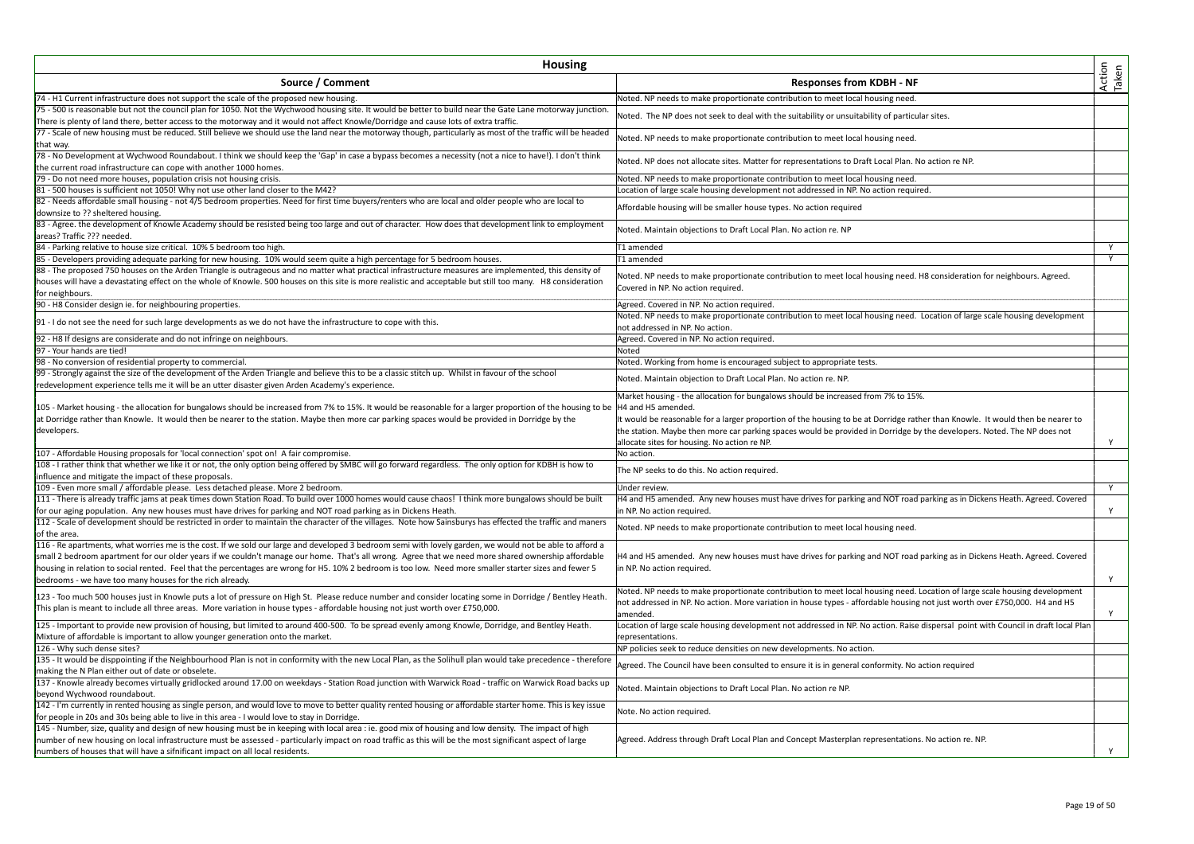| <b>Housing</b>                                                                                                                                                                                                                              |                                                                                                                                                                          |                 |
|---------------------------------------------------------------------------------------------------------------------------------------------------------------------------------------------------------------------------------------------|--------------------------------------------------------------------------------------------------------------------------------------------------------------------------|-----------------|
| Source / Comment                                                                                                                                                                                                                            | <b>Responses from KDBH - NF</b>                                                                                                                                          | Action<br>Taken |
| 74 - H1 Current infrastructure does not support the scale of the proposed new housing.                                                                                                                                                      | Noted. NP needs to make proportionate contribution to meet local housing need.                                                                                           |                 |
| 75 - 500 is reasonable but not the council plan for 1050. Not the Wychwood housing site. It would be better to build near the Gate Lane motorway junction.                                                                                  | Noted. The NP does not seek to deal with the suitability or unsuitability of particular sites.                                                                           |                 |
| There is plenty of land there, better access to the motorway and it would not affect Knowle/Dorridge and cause lots of extra traffic.                                                                                                       |                                                                                                                                                                          |                 |
| 77 - Scale of new housing must be reduced. Still believe we should use the land near the motorway though, particularly as most of the traffic will be headed<br>that way.                                                                   | Noted. NP needs to make proportionate contribution to meet local housing need.                                                                                           |                 |
| 78 - No Development at Wychwood Roundabout. I think we should keep the 'Gap' in case a bypass becomes a necessity (not a nice to have!). I don't think                                                                                      |                                                                                                                                                                          |                 |
| the current road infrastructure can cope with another 1000 homes.                                                                                                                                                                           | Noted. NP does not allocate sites. Matter for representations to Draft Local Plan. No action re NP.                                                                      |                 |
| 79 - Do not need more houses, population crisis not housing crisis.                                                                                                                                                                         | Noted. NP needs to make proportionate contribution to meet local housing need.                                                                                           |                 |
| 81 - 500 houses is sufficient not 1050! Why not use other land closer to the M42?                                                                                                                                                           | Location of large scale housing development not addressed in NP. No action required.                                                                                     |                 |
| 82 - Needs affordable small housing - not 4/5 bedroom properties. Need for first time buyers/renters who are local and older people who are local to                                                                                        | Affordable housing will be smaller house types. No action required                                                                                                       |                 |
| downsize to ?? sheltered housing.                                                                                                                                                                                                           |                                                                                                                                                                          |                 |
| 83 - Agree. the development of Knowle Academy should be resisted being too large and out of character. How does that development link to employment<br>areas? Traffic ??? needed.                                                           | Noted. Maintain objections to Draft Local Plan. No action re. NP                                                                                                         |                 |
| 84 - Parking relative to house size critical. 10% 5 bedroom too high.                                                                                                                                                                       | T1 amended                                                                                                                                                               | Y               |
| 85 - Developers providing adequate parking for new housing. 10% would seem quite a high percentage for 5 bedroom houses.                                                                                                                    | T1 amended                                                                                                                                                               | Y               |
| 88 - The proposed 750 houses on the Arden Triangle is outrageous and no matter what practical infrastructure measures are implemented, this density of                                                                                      |                                                                                                                                                                          |                 |
| houses will have a devastating effect on the whole of Knowle. 500 houses on this site is more realistic and acceptable but still too many. H8 consideration                                                                                 | Noted. NP needs to make proportionate contribution to meet local housing need. H8 consideration for neighbours. Agreed.<br>Covered in NP. No action required.            |                 |
| for neighbours.                                                                                                                                                                                                                             |                                                                                                                                                                          |                 |
| 90 - H8 Consider design ie. for neighbouring properties.                                                                                                                                                                                    | Agreed. Covered in NP. No action required.<br>Noted. NP needs to make proportionate contribution to meet local housing need. Location of large scale housing development |                 |
| 91 - I do not see the need for such large developments as we do not have the infrastructure to cope with this.                                                                                                                              | not addressed in NP. No action.                                                                                                                                          |                 |
| 92 - H8 If designs are considerate and do not infringe on neighbours.                                                                                                                                                                       | Agreed. Covered in NP. No action required.                                                                                                                               |                 |
| 97 - Your hands are tied!                                                                                                                                                                                                                   | Noted                                                                                                                                                                    |                 |
| 98 - No conversion of residential property to commercial.                                                                                                                                                                                   | Noted. Working from home is encouraged subject to appropriate tests.                                                                                                     |                 |
| 99 - Strongly against the size of the development of the Arden Triangle and believe this to be a classic stitch up. Whilst in favour of the school                                                                                          |                                                                                                                                                                          |                 |
| redevelopment experience tells me it will be an utter disaster given Arden Academy's experience.                                                                                                                                            | Noted. Maintain objection to Draft Local Plan. No action re. NP.                                                                                                         |                 |
|                                                                                                                                                                                                                                             | Market housing - the allocation for bungalows should be increased from 7% to 15%.                                                                                        |                 |
| 105 - Market housing - the allocation for bungalows should be increased from 7% to 15%. It would be reasonable for a larger proportion of the housing to be  H4 and H5 amended.                                                             |                                                                                                                                                                          |                 |
| at Dorridge rather than Knowle. It would then be nearer to the station. Maybe then more car parking spaces would be provided in Dorridge by the                                                                                             | It would be reasonable for a larger proportion of the housing to be at Dorridge rather than Knowle. It would then be nearer to                                           |                 |
| developers.                                                                                                                                                                                                                                 | the station. Maybe then more car parking spaces would be provided in Dorridge by the developers. Noted. The NP does not                                                  |                 |
|                                                                                                                                                                                                                                             | allocate sites for housing. No action re NP.                                                                                                                             | Y               |
| 107 - Affordable Housing proposals for 'local connection' spot on! A fair compromise.                                                                                                                                                       | No action.                                                                                                                                                               |                 |
| 108 - I rather think that whether we like it or not, the only option being offered by SMBC will go forward regardless. The only option for KDBH is how to                                                                                   | The NP seeks to do this. No action required.                                                                                                                             |                 |
| influence and mitigate the impact of these proposals.                                                                                                                                                                                       |                                                                                                                                                                          | Y               |
| 109 - Even more small / affordable please. Less detached please. More 2 bedroom.<br>111 - There is already traffic jams at peak times down Station Road. To build over 1000 homes would cause chaos! I think more bungalows should be built | Under review.<br>H4 and H5 amended. Any new houses must have drives for parking and NOT road parking as in Dickens Heath. Agreed. Covered                                |                 |
| for our aging population. Any new houses must have drives for parking and NOT road parking as in Dickens Heath.                                                                                                                             | in NP. No action required.                                                                                                                                               | Y               |
| 112 - Scale of development should be restricted in order to maintain the character of the villages. Note how Sainsburys has effected the traffic and maners                                                                                 |                                                                                                                                                                          |                 |
| of the area.                                                                                                                                                                                                                                | Noted. NP needs to make proportionate contribution to meet local housing need.                                                                                           |                 |
| 116 - Re apartments, what worries me is the cost. If we sold our large and developed 3 bedroom semi with lovely garden, we would not be able to afford a                                                                                    |                                                                                                                                                                          |                 |
| small 2 bedroom apartment for our older years if we couldn't manage our home. That's all wrong. Agree that we need more shared ownership affordable                                                                                         | H4 and H5 amended. Any new houses must have drives for parking and NOT road parking as in Dickens Heath. Agreed. Covered                                                 |                 |
| housing in relation to social rented. Feel that the percentages are wrong for H5. 10% 2 bedroom is too low. Need more smaller starter sizes and fewer 5                                                                                     | in NP. No action required.                                                                                                                                               |                 |
| bedrooms - we have too many houses for the rich already.                                                                                                                                                                                    |                                                                                                                                                                          | Y               |
|                                                                                                                                                                                                                                             | Noted. NP needs to make proportionate contribution to meet local housing need. Location of large scale housing development                                               |                 |
| 123 - Too much 500 houses just in Knowle puts a lot of pressure on High St. Please reduce number and consider locating some in Dorridge / Bentley Heath                                                                                     | not addressed in NP. No action. More variation in house types - affordable housing not just worth over £750,000. H4 and H5                                               |                 |
| This plan is meant to include all three areas. More variation in house types - affordable housing not just worth over £750,000.                                                                                                             | amended.                                                                                                                                                                 | Y               |
| 125 - Important to provide new provision of housing, but limited to around 400-500. To be spread evenly among Knowle, Dorridge, and Bentley Heath.                                                                                          | Location of large scale housing development not addressed in NP. No action. Raise dispersal point with Council in draft local Plan                                       |                 |
| Mixture of affordable is important to allow younger generation onto the market.                                                                                                                                                             | representations.                                                                                                                                                         |                 |
| 126 - Why such dense sites?                                                                                                                                                                                                                 | NP policies seek to reduce densities on new developments. No action.                                                                                                     |                 |
| 135 - It would be disppointing if the Neighbourhood Plan is not in conformity with the new Local Plan, as the Solihull plan would take precedence - therefore                                                                               | Agreed. The Council have been consulted to ensure it is in general conformity. No action required                                                                        |                 |
| making the N Plan either out of date or obselete.                                                                                                                                                                                           |                                                                                                                                                                          |                 |
| 137 - Knowle already becomes virtually gridlocked around 17.00 on weekdays - Station Road junction with Warwick Road - traffic on Warwick Road backs up                                                                                     | Noted. Maintain objections to Draft Local Plan. No action re NP.                                                                                                         |                 |
| beyond Wychwood roundabout.                                                                                                                                                                                                                 |                                                                                                                                                                          |                 |
| 142 - I'm currently in rented housing as single person, and would love to move to better quality rented housing or affordable starter home. This is key issue                                                                               | Note. No action required.                                                                                                                                                |                 |
| for people in 20s and 30s being able to live in this area - I would love to stay in Dorridge.                                                                                                                                               |                                                                                                                                                                          |                 |
| 145 - Number, size, quality and design of new housing must be in keeping with local area : ie. good mix of housing and low density. The impact of high                                                                                      |                                                                                                                                                                          |                 |
| number of new housing on local infrastructure must be assessed - particularly impact on road traffic as this will be the most significant aspect of large                                                                                   | Agreed. Address through Draft Local Plan and Concept Masterplan representations. No action re. NP.                                                                       |                 |
| numbers of houses that will have a sifnificant impact on all local residents.                                                                                                                                                               |                                                                                                                                                                          | Y               |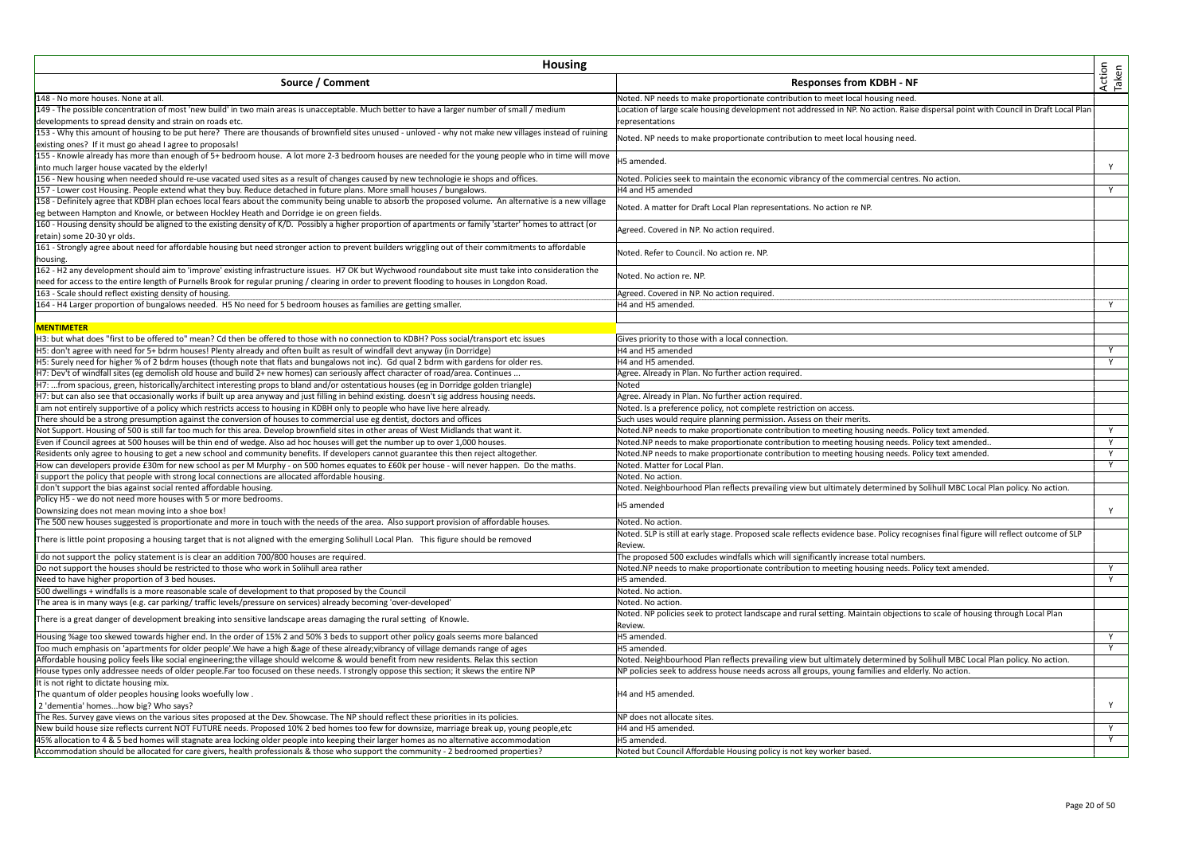| <b>Housing</b>                                                                                                                                                                                                       |                                                                                                                                       |                 |
|----------------------------------------------------------------------------------------------------------------------------------------------------------------------------------------------------------------------|---------------------------------------------------------------------------------------------------------------------------------------|-----------------|
| Source / Comment                                                                                                                                                                                                     | <b>Responses from KDBH - NF</b>                                                                                                       | Action<br>Taken |
| 148 - No more houses. None at all                                                                                                                                                                                    | Noted. NP needs to make proportionate contribution to meet local housing need.                                                        |                 |
| 149 - The possible concentration of most 'new build' in two main areas is unacceptable. Much better to have a larger number of small / medium                                                                        | Location of large scale housing development not addressed in NP. No action. Raise dispersal point with Council in Draft Local Plan    |                 |
| developments to spread density and strain on roads etc.                                                                                                                                                              | representations                                                                                                                       |                 |
| 153 - Why this amount of housing to be put here? There are thousands of brownfield sites unused - unloved - why not make new villages instead of ruining<br>existing ones? If it must go ahead I agree to proposals! | Noted. NP needs to make proportionate contribution to meet local housing need.                                                        |                 |
| 155 - Knowle already has more than enough of 5+ bedroom house. A lot more 2-3 bedroom houses are needed for the young people who in time will move                                                                   |                                                                                                                                       |                 |
| into much larger house vacated by the elderly!                                                                                                                                                                       | H5 amended.                                                                                                                           | Y               |
| 156 - New housing when needed should re-use vacated used sites as a result of changes caused by new technologie ie shops and offices.                                                                                | Noted. Policies seek to maintain the economic vibrancy of the commercial centres. No action.                                          |                 |
| 157 - Lower cost Housing. People extend what they buy. Reduce detached in future plans. More small houses / bungalows.                                                                                               | H4 and H5 amended                                                                                                                     | Y.              |
| 158 - Definitely agree that KDBH plan echoes local fears about the community being unable to absorb the proposed volume. An alternative is a new village                                                             |                                                                                                                                       |                 |
| eg between Hampton and Knowle, or between Hockley Heath and Dorridge ie on green fields.                                                                                                                             | Noted. A matter for Draft Local Plan representations. No action re NP.                                                                |                 |
| 160 - Housing density should be aligned to the existing density of K/D. Possibly a higher proportion of apartments or family 'starter' homes to attract (or<br>retain) some 20-30 vr olds.                           | Agreed. Covered in NP. No action required.                                                                                            |                 |
| 161 - Strongly agree about need for affordable housing but need stronger action to prevent builders wriggling out of their commitments to affordable                                                                 |                                                                                                                                       |                 |
| housing.                                                                                                                                                                                                             | Noted. Refer to Council. No action re. NP.                                                                                            |                 |
| 162 - H2 any development should aim to 'improve' existing infrastructure issues. H7 OK but Wychwood roundabout site must take into consideration the                                                                 |                                                                                                                                       |                 |
| need for access to the entire length of Purnells Brook for regular pruning / clearing in order to prevent flooding to houses in Longdon Road.                                                                        | Noted. No action re. NP.                                                                                                              |                 |
| 163 - Scale should reflect existing density of housing.                                                                                                                                                              | Agreed. Covered in NP. No action required.                                                                                            |                 |
| 164 - H4 Larger proportion of bungalows needed. H5 No need for 5 bedroom houses as families are getting smaller.                                                                                                     | H4 and H5 amended.                                                                                                                    | Y               |
|                                                                                                                                                                                                                      |                                                                                                                                       |                 |
| <b>MENTIMETER</b>                                                                                                                                                                                                    |                                                                                                                                       |                 |
| H3: but what does "first to be offered to" mean? Cd then be offered to those with no connection to KDBH? Poss social/transport etc issues                                                                            | Gives priority to those with a local connection.                                                                                      |                 |
| H5: don't agree with need for 5+ bdrm houses! Plenty already and often built as result of windfall devt anyway (in Dorridge)                                                                                         | H4 and H5 amended                                                                                                                     | Y               |
| H5: Surely need for higher % of 2 bdrm houses (though note that flats and bungalows not inc). Gd qual 2 bdrm with gardens for older res.                                                                             | H4 and H5 amended                                                                                                                     | Y               |
| H7: Dev't of windfall sites (eg demolish old house and build 2+ new homes) can seriously affect character of road/area. Continues                                                                                    | Agree. Already in Plan. No further action required.                                                                                   |                 |
| H7: from spacious, green, historically/architect interesting props to bland and/or ostentatious houses (eg in Dorridge golden triangle)                                                                              | Noted                                                                                                                                 |                 |
| H7: but can also see that occasionally works if built up area anyway and just filling in behind existing. doesn't sig address housing needs.                                                                         | Agree. Already in Plan. No further action required.                                                                                   |                 |
| I am not entirely supportive of a policy which restricts access to housing in KDBH only to people who have live here already.                                                                                        | Noted. Is a preference policy, not complete restriction on access.                                                                    |                 |
| There should be a strong presumption against the conversion of houses to commercial use eg dentist, doctors and offices                                                                                              | Such uses would require planning permission. Assess on their merits.                                                                  |                 |
| Not Support. Housing of 500 is still far too much for this area. Develop brownfield sites in other areas of West Midlands that want it.                                                                              | Noted.NP needs to make proportionate contribution to meeting housing needs. Policy text amended.                                      | Y               |
| Even if Council agrees at 500 houses will be thin end of wedge. Also ad hoc houses will get the number up to over 1,000 houses.                                                                                      | Noted.NP needs to make proportionate contribution to meeting housing needs. Policy text amended                                       | $\overline{Y}$  |
| Residents only agree to housing to get a new school and community benefits. If developers cannot guarantee this then reject altogether.                                                                              | Noted.NP needs to make proportionate contribution to meeting housing needs. Policy text amended.                                      | Y               |
| How can developers provide £30m for new school as per M Murphy - on 500 homes equates to £60k per house - will never happen. Do the maths.                                                                           | Noted. Matter for Local Plan.                                                                                                         | Y               |
| support the policy that people with strong local connections are allocated affordable housing.                                                                                                                       | Noted. No action.                                                                                                                     |                 |
| don't support the bias against social rented affordable housing.                                                                                                                                                     | Noted. Neighbourhood Plan reflects prevailing view but ultimately determined by Solihull MBC Local Plan policy. No action.            |                 |
| Policy H5 - we do not need more houses with 5 or more bedrooms.                                                                                                                                                      |                                                                                                                                       |                 |
| Downsizing does not mean moving into a shoe box!                                                                                                                                                                     | H5 amended                                                                                                                            | Y               |
| The 500 new houses suggested is proportionate and more in touch with the needs of the area. Also support provision of affordable houses.                                                                             | Noted. No action.                                                                                                                     |                 |
|                                                                                                                                                                                                                      | Noted. SLP is still at early stage. Proposed scale reflects evidence base. Policy recognises final figure will reflect outcome of SLP |                 |
| There is little point proposing a housing target that is not aligned with the emerging Solihull Local Plan. This figure should be removed                                                                            | Review.                                                                                                                               |                 |
| I do not support the policy statement is is clear an addition 700/800 houses are required.                                                                                                                           | The proposed 500 excludes windfalls which will significantly increase total numbers.                                                  |                 |
| Do not support the houses should be restricted to those who work in Solihull area rather                                                                                                                             | Noted.NP needs to make proportionate contribution to meeting housing needs. Policy text amended.                                      | Y               |
| Need to have higher proportion of 3 bed houses.                                                                                                                                                                      | H5 amended.                                                                                                                           | Y               |
| 500 dwellings + windfalls is a more reasonable scale of development to that proposed by the Council                                                                                                                  | Noted. No action.                                                                                                                     |                 |
| The area is in many ways (e.g. car parking/ traffic levels/pressure on services) already becoming 'over-developed'                                                                                                   | Noted. No action.                                                                                                                     |                 |
| There is a great danger of development breaking into sensitive landscape areas damaging the rural setting of Knowle.                                                                                                 | Noted. NP policies seek to protect landscape and rural setting. Maintain objections to scale of housing through Local Plan<br>Review. |                 |
| Housing %age too skewed towards higher end. In the order of 15% 2 and 50% 3 beds to support other policy goals seems more balanced                                                                                   | H5 amended.                                                                                                                           | Y               |
| Too much emphasis on 'apartments for older people'.We have a high &age of these already;vibrancy of village demands range of ages                                                                                    | H5 amended.                                                                                                                           | Y               |
| Affordable housing policy feels like social engineering;the village should welcome & would benefit from new residents. Relax this section                                                                            | Noted. Neighbourhood Plan reflects prevailing view but ultimately determined by Solihull MBC Local Plan policy. No action.            |                 |
| House types only addressee needs of older people.Far too focused on these needs. I strongly oppose this section; it skews the entire NP                                                                              | NP policies seek to address house needs across all groups, young families and elderly. No action.                                     |                 |
| It is not right to dictate housing mix.                                                                                                                                                                              |                                                                                                                                       |                 |
| The quantum of older peoples housing looks woefully low.                                                                                                                                                             | H4 and H5 amended.                                                                                                                    |                 |
| 2 'dementia' homeshow big? Who says?                                                                                                                                                                                 |                                                                                                                                       | Y               |
| The Res. Survey gave views on the various sites proposed at the Dev. Showcase. The NP should reflect these priorities in its policies.                                                                               | NP does not allocate sites.                                                                                                           |                 |
| New build house size reflects current NOT FUTURE needs. Proposed 10% 2 bed homes too few for downsize, marriage break up, young people,etc                                                                           | H4 and H5 amended                                                                                                                     | Y               |
| 45% allocation to 4 & 5 bed homes will stagnate area locking older people into keeping their larger homes as no alternative accommodation                                                                            | H5 amended.                                                                                                                           | Y               |
| Accommodation should be allocated for care givers, health professionals & those who support the community - 2 bedroomed properties?                                                                                  | Noted but Council Affordable Housing policy is not key worker based.                                                                  |                 |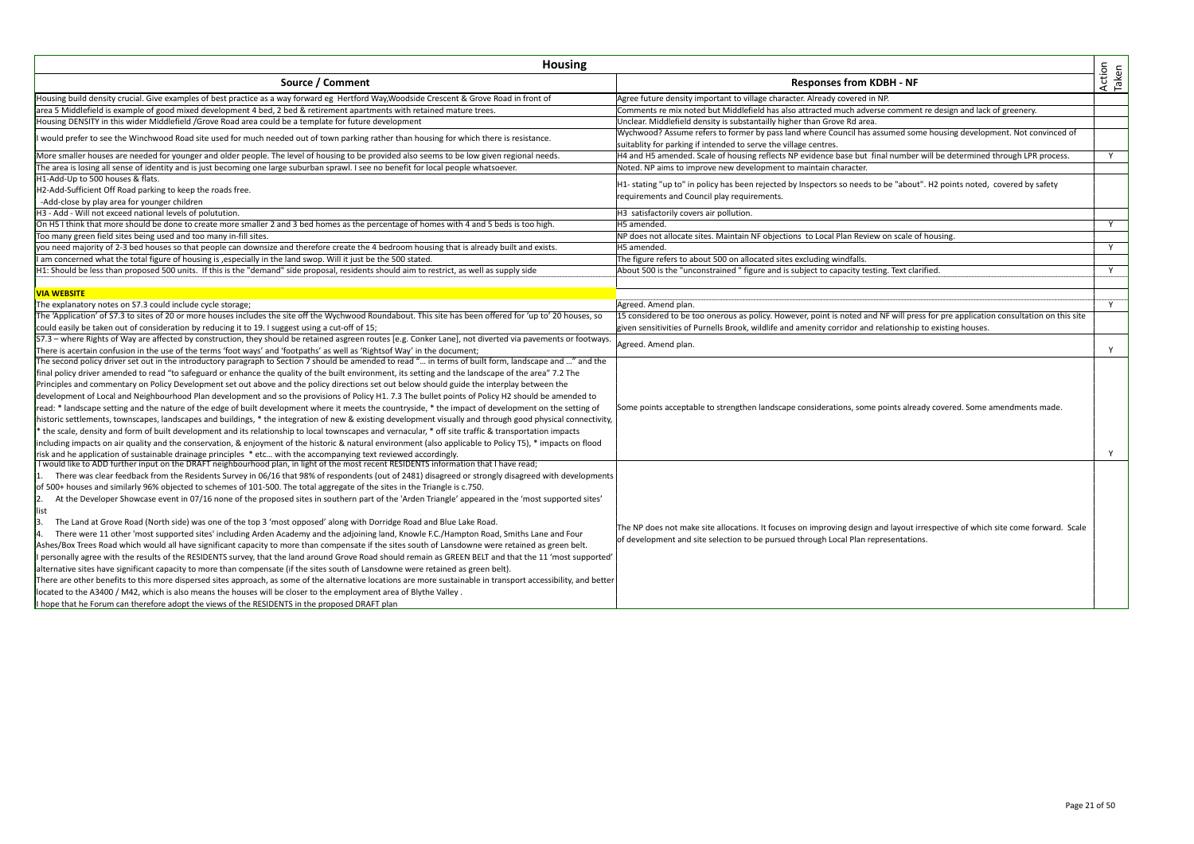| Housing                                                                                                                                                                                                                                                     |                                                                                                                                                                                         |                 |
|-------------------------------------------------------------------------------------------------------------------------------------------------------------------------------------------------------------------------------------------------------------|-----------------------------------------------------------------------------------------------------------------------------------------------------------------------------------------|-----------------|
| Source / Comment                                                                                                                                                                                                                                            | <b>Responses from KDBH - NF</b>                                                                                                                                                         | Action<br>Taken |
| Housing build density crucial. Give examples of best practice as a way forward eg Hertford Way, Woodside Crescent & Grove Road in front of                                                                                                                  | Agree future density important to village character. Already covered in NP.                                                                                                             |                 |
| area 5 Middlefield is example of good mixed development 4 bed, 2 bed & retirement apartments with retained mature trees.                                                                                                                                    | Comments re mix noted but Middlefield has also attracted much adverse comment re design and lack of greenery.                                                                           |                 |
| Housing DENSITY in this wider Middlefield /Grove Road area could be a template for future development                                                                                                                                                       | Unclear. Middlefield density is substantailly higher than Grove Rd area.                                                                                                                |                 |
| I would prefer to see the Winchwood Road site used for much needed out of town parking rather than housing for which there is resistance.                                                                                                                   | Wychwood? Assume refers to former by pass land where Council has assumed some housing development. Not convinced of<br>suitablity for parking if intended to serve the village centres. |                 |
| More smaller houses are needed for younger and older people. The level of housing to be provided also seems to be low given regional needs.                                                                                                                 | H4 and H5 amended. Scale of housing reflects NP evidence base but final number will be determined through LPR process.                                                                  | Y               |
| The area is losing all sense of identity and is just becoming one large suburban sprawl. I see no benefit for local people whatsoever.                                                                                                                      | Noted. NP aims to improve new development to maintain character.                                                                                                                        |                 |
| H1-Add-Up to 500 houses & flats.                                                                                                                                                                                                                            |                                                                                                                                                                                         |                 |
| H2-Add-Sufficient Off Road parking to keep the roads free.                                                                                                                                                                                                  | H1- stating "up to" in policy has been rejected by Inspectors so needs to be "about". H2 points noted, covered by safety                                                                |                 |
| -Add-close by play area for younger children                                                                                                                                                                                                                | requirements and Council play requirements.                                                                                                                                             |                 |
| H3 - Add - Will not exceed national levels of polutution.                                                                                                                                                                                                   | H3 satisfactorily covers air pollution.                                                                                                                                                 |                 |
| On H5 I think that more should be done to create more smaller 2 and 3 bed homes as the percentage of homes with 4 and 5 beds is too high.                                                                                                                   | H5 amended.                                                                                                                                                                             | Y               |
| Too many green field sites being used and too many in-fill sites.                                                                                                                                                                                           | NP does not allocate sites. Maintain NF objections to Local Plan Review on scale of housing.                                                                                            |                 |
| you need majority of 2-3 bed houses so that people can downsize and therefore create the 4 bedroom housing that is already built and exists.                                                                                                                | H5 amended.                                                                                                                                                                             | Y               |
| I am concerned what the total figure of housing is , especially in the land swop. Will it just be the 500 stated.                                                                                                                                           | The figure refers to about 500 on allocated sites excluding windfalls.                                                                                                                  |                 |
| H1: Should be less than proposed 500 units. If this is the "demand" side proposal, residents should aim to restrict, as well as supply side                                                                                                                 | About 500 is the "unconstrained " figure and is subject to capacity testing. Text clarified                                                                                             | Y               |
|                                                                                                                                                                                                                                                             |                                                                                                                                                                                         |                 |
| <b>VIA WEBSITE</b>                                                                                                                                                                                                                                          |                                                                                                                                                                                         |                 |
| The explanatory notes on \$7.3 could include cycle storage;                                                                                                                                                                                                 | Agreed. Amend plan.                                                                                                                                                                     | Y               |
| The 'Application' of S7.3 to sites of 20 or more houses includes the site off the Wychwood Roundabout. This site has been offered for 'up to' 20 houses, so                                                                                                 | 15 considered to be too onerous as policy. However, point is noted and NF will press for pre application consultation on this site                                                      |                 |
| could easily be taken out of consideration by reducing it to 19. I suggest using a cut-off of 15;                                                                                                                                                           | given sensitivities of Purnells Brook, wildlife and amenity corridor and relationship to existing houses.                                                                               |                 |
| S7.3 - where Rights of Way are affected by construction, they should be retained asgreen routes [e.g. Conker Lane], not diverted via pavements or footways                                                                                                  | Agreed. Amend plan.                                                                                                                                                                     |                 |
| There is acertain confusion in the use of the terms 'foot ways' and 'footpaths' as well as 'Rightsof Way' in the document;                                                                                                                                  |                                                                                                                                                                                         | Y               |
| The second policy driver set out in the introductory paragraph to Section 7 should be amended to read " in terms of built form, landscape and " and the                                                                                                     |                                                                                                                                                                                         |                 |
| final policy driver amended to read "to safeguard or enhance the quality of the built environment, its setting and the landscape of the area" 7.2 The                                                                                                       |                                                                                                                                                                                         |                 |
| Principles and commentary on Policy Development set out above and the policy directions set out below should guide the interplay between the                                                                                                                |                                                                                                                                                                                         |                 |
| development of Local and Neighbourhood Plan development and so the provisions of Policy H1. 7.3 The bullet points of Policy H2 should be amended to                                                                                                         |                                                                                                                                                                                         |                 |
| read: * landscape setting and the nature of the edge of built development where it meets the countryside, * the impact of development on the setting of                                                                                                     | Some points acceptable to strengthen landscape considerations, some points already covered. Some amendments made.                                                                       |                 |
| historic settlements, townscapes, landscapes and buildings, * the integration of new & existing development visually and through good physical connectivity,                                                                                                |                                                                                                                                                                                         |                 |
| the scale, density and form of built development and its relationship to local townscapes and vernacular, * off site traffic & transportation impacts                                                                                                       |                                                                                                                                                                                         |                 |
| including impacts on air quality and the conservation, & enjoyment of the historic & natural environment (also applicable to Policy T5), * impacts on flood                                                                                                 |                                                                                                                                                                                         |                 |
| risk and he application of sustainable drainage principles * etc with the accompanying text reviewed accordingly.<br>I would like to ADD further input on the DRAFT neighbourhood plan, in light of the most recent RESIDENTS information that I have read; |                                                                                                                                                                                         | Y               |
| There was clear feedback from the Residents Survey in 06/16 that 98% of respondents (out of 2481) disagreed or strongly disagreed with developments                                                                                                         |                                                                                                                                                                                         |                 |
| of 500+ houses and similarly 96% objected to schemes of 101-500. The total aggregate of the sites in the Triangle is c.750.                                                                                                                                 |                                                                                                                                                                                         |                 |
| 2.<br>At the Developer Showcase event in 07/16 none of the proposed sites in southern part of the 'Arden Triangle' appeared in the 'most supported sites'                                                                                                   |                                                                                                                                                                                         |                 |
| list                                                                                                                                                                                                                                                        |                                                                                                                                                                                         |                 |
| IЗ.<br>The Land at Grove Road (North side) was one of the top 3 'most opposed' along with Dorridge Road and Blue Lake Road.                                                                                                                                 |                                                                                                                                                                                         |                 |
| 4.<br>There were 11 other 'most supported sites' including Arden Academy and the adjoining land, Knowle F.C./Hampton Road, Smiths Lane and Four                                                                                                             | The NP does not make site allocations. It focuses on improving design and layout irrespective of which site come forward. Scale                                                         |                 |
| Ashes/Box Trees Road which would all have significant capacity to more than compensate if the sites south of Lansdowne were retained as green belt.                                                                                                         | of development and site selection to be pursued through Local Plan representations.                                                                                                     |                 |
| I personally agree with the results of the RESIDENTS survey, that the land around Grove Road should remain as GREEN BELT and that the 11 'most supported'                                                                                                   |                                                                                                                                                                                         |                 |
| alternative sites have significant capacity to more than compensate (if the sites south of Lansdowne were retained as green belt).                                                                                                                          |                                                                                                                                                                                         |                 |
| There are other benefits to this more dispersed sites approach, as some of the alternative locations are more sustainable in transport accessibility, and better                                                                                            |                                                                                                                                                                                         |                 |
| located to the A3400 / M42, which is also means the houses will be closer to the employment area of Blythe Valley.                                                                                                                                          |                                                                                                                                                                                         |                 |
| I hope that he Forum can therefore adopt the views of the RESIDENTS in the proposed DRAFT plan                                                                                                                                                              |                                                                                                                                                                                         |                 |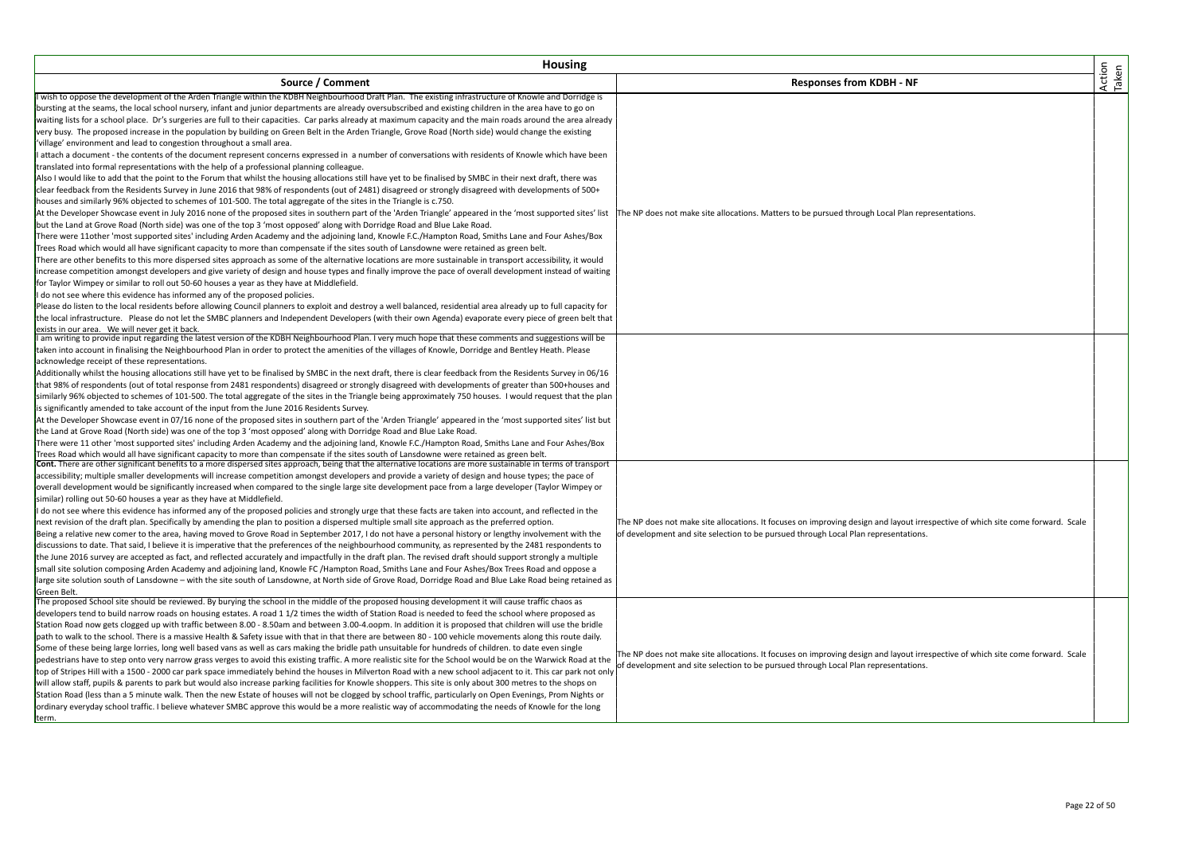| Action<br>Taken<br>Source / Comment<br><b>Responses from KDBH - NF</b><br>I wish to oppose the development of the Arden Triangle within the KDBH Neighbourhood Draft Plan. The existing infrastructure of Knowle and Dorridge is<br>bursting at the seams, the local school nursery, infant and junior departments are already oversubscribed and existing children in the area have to go on<br>waiting lists for a school place. Dr's surgeries are full to their capacities. Car parks already at maximum capacity and the main roads around the area already<br>very busy. The proposed increase in the population by building on Green Belt in the Arden Triangle, Grove Road (North side) would change the existing<br>'village' environment and lead to congestion throughout a small area.<br>I attach a document - the contents of the document represent concerns expressed in a number of conversations with residents of Knowle which have been<br>translated into formal representations with the help of a professional planning colleague.<br>Also I would like to add that the point to the Forum that whilst the housing allocations still have yet to be finalised by SMBC in their next draft, there was<br>clear feedback from the Residents Survey in June 2016 that 98% of respondents (out of 2481) disagreed or strongly disagreed with developments of 500+<br>houses and similarly 96% objected to schemes of 101-500. The total aggregate of the sites in the Triangle is c.750.<br>At the Developer Showcase event in July 2016 none of the proposed sites in southern part of the 'Arden Triangle' appeared in the 'most supported sites' list<br>The NP does not make site allocations. Matters to be pursued through Local Plan representations.<br>but the Land at Grove Road (North side) was one of the top 3 'most opposed' along with Dorridge Road and Blue Lake Road.<br>There were 11other 'most supported sites' including Arden Academy and the adjoining land, Knowle F.C./Hampton Road, Smiths Lane and Four Ashes/Box<br>Trees Road which would all have significant capacity to more than compensate if the sites south of Lansdowne were retained as green belt.<br>There are other benefits to this more dispersed sites approach as some of the alternative locations are more sustainable in transport accessibility, it would<br>increase competition amongst developers and give variety of design and house types and finally improve the pace of overall development instead of waiting<br>for Taylor Wimpey or similar to roll out 50-60 houses a year as they have at Middlefield.<br>do not see where this evidence has informed any of the proposed policies.<br>Please do listen to the local residents before allowing Council planners to exploit and destroy a well balanced, residential area already up to full capacity for<br>the local infrastructure. Please do not let the SMBC planners and Independent Developers (with their own Agenda) evaporate every piece of green belt that<br>exists in our area. We will never get it back.<br>I am writing to provide input regarding the latest version of the KDBH Neighbourhood Plan. I very much hope that these comments and suggestions will be<br>taken into account in finalising the Neighbourhood Plan in order to protect the amenities of the villages of Knowle, Dorridge and Bentley Heath. Please<br>acknowledge receipt of these representations.<br>Additionally whilst the housing allocations still have yet to be finalised by SMBC in the next draft, there is clear feedback from the Residents Survey in 06/16<br>that 98% of respondents (out of total response from 2481 respondents) disagreed or strongly disagreed with developments of greater than 500+houses and<br>similarly 96% objected to schemes of 101-500. The total aggregate of the sites in the Triangle being approximately 750 houses. I would request that the plan<br>is significantly amended to take account of the input from the June 2016 Residents Survey.<br>At the Developer Showcase event in 07/16 none of the proposed sites in southern part of the 'Arden Triangle' appeared in the 'most supported sites' list but<br>the Land at Grove Road (North side) was one of the top 3 'most opposed' along with Dorridge Road and Blue Lake Road.<br>There were 11 other 'most supported sites' including Arden Academy and the adjoining land, Knowle F.C./Hampton Road, Smiths Lane and Four Ashes/Box<br>Trees Road which would all have significant capacity to more than compensate if the sites south of Lansdowne were retained as green belt.<br>Cont. There are other significant benefits to a more dispersed sites approach, being that the alternative locations are more sustainable in terms of transport<br>accessibility; multiple smaller developments will increase competition amongst developers and provide a variety of design and house types; the pace of<br>overall development would be significantly increased when compared to the single large site development pace from a large developer (Taylor Wimpey or<br>similar) rolling out 50-60 houses a year as they have at Middlefield.<br>I do not see where this evidence has informed any of the proposed policies and strongly urge that these facts are taken into account, and reflected in the<br>next revision of the draft plan. Specifically by amending the plan to position a dispersed multiple small site approach as the preferred option.<br>The NP does not make site allocations. It focuses on improving design and layout irrespective of which site come forward. Scale<br>Being a relative new comer to the area, having moved to Grove Road in September 2017, I do not have a personal history or lengthy involvement with the<br>of development and site selection to be pursued through Local Plan representations.<br>discussions to date. That said, I believe it is imperative that the preferences of the neighbourhood community, as represented by the 2481 respondents to<br>the June 2016 survey are accepted as fact, and reflected accurately and impactfully in the draft plan. The revised draft should support strongly a multiple<br>small site solution composing Arden Academy and adjoining land, Knowle FC /Hampton Road, Smiths Lane and Four Ashes/Box Trees Road and oppose a<br>large site solution south of Lansdowne - with the site south of Lansdowne, at North side of Grove Road, Dorridge Road and Blue Lake Road being retained as<br>Green Belt.<br>The proposed School site should be reviewed. By burying the school in the middle of the proposed housing development it will cause traffic chaos as<br>developers tend to build narrow roads on housing estates. A road 1 1/2 times the width of Station Road is needed to feed the school where proposed as<br>Station Road now gets clogged up with traffic between 8.00 - 8.50am and between 3.00-4.oopm. In addition it is proposed that children will use the bridle<br>path to walk to the school. There is a massive Health & Safety issue with that in that there are between 80 - 100 vehicle movements along this route daily.<br>Some of these being large lorries, long well based vans as well as cars making the bridle path unsuitable for hundreds of children, to date even single<br>The NP does not make site allocations. It focuses on improving design and layout irrespective of which site come forward. Scale<br>pedestrians have to step onto very narrow grass verges to avoid this existing traffic. A more realistic site for the School would be on the Warwick Road at the<br>of development and site selection to be pursued through Local Plan representations.<br>top of Stripes Hill with a 1500 - 2000 car park space immediately behind the houses in Milverton Road with a new school adjacent to it. This car park not only<br>will allow staff, pupils & parents to park but would also increase parking facilities for Knowle shoppers. This site is only about 300 metres to the shops on<br>Station Road (less than a 5 minute walk. Then the new Estate of houses will not be clogged by school traffic, particularly on Open Evenings, Prom Nights or<br>ordinary everyday school traffic. I believe whatever SMBC approve this would be a more realistic way of accommodating the needs of Knowle for the long<br>term. | <b>Housing</b> |  |  |
|------------------------------------------------------------------------------------------------------------------------------------------------------------------------------------------------------------------------------------------------------------------------------------------------------------------------------------------------------------------------------------------------------------------------------------------------------------------------------------------------------------------------------------------------------------------------------------------------------------------------------------------------------------------------------------------------------------------------------------------------------------------------------------------------------------------------------------------------------------------------------------------------------------------------------------------------------------------------------------------------------------------------------------------------------------------------------------------------------------------------------------------------------------------------------------------------------------------------------------------------------------------------------------------------------------------------------------------------------------------------------------------------------------------------------------------------------------------------------------------------------------------------------------------------------------------------------------------------------------------------------------------------------------------------------------------------------------------------------------------------------------------------------------------------------------------------------------------------------------------------------------------------------------------------------------------------------------------------------------------------------------------------------------------------------------------------------------------------------------------------------------------------------------------------------------------------------------------------------------------------------------------------------------------------------------------------------------------------------------------------------------------------------------------------------------------------------------------------------------------------------------------------------------------------------------------------------------------------------------------------------------------------------------------------------------------------------------------------------------------------------------------------------------------------------------------------------------------------------------------------------------------------------------------------------------------------------------------------------------------------------------------------------------------------------------------------------------------------------------------------------------------------------------------------------------------------------------------------------------------------------------------------------------------------------------------------------------------------------------------------------------------------------------------------------------------------------------------------------------------------------------------------------------------------------------------------------------------------------------------------------------------------------------------------------------------------------------------------------------------------------------------------------------------------------------------------------------------------------------------------------------------------------------------------------------------------------------------------------------------------------------------------------------------------------------------------------------------------------------------------------------------------------------------------------------------------------------------------------------------------------------------------------------------------------------------------------------------------------------------------------------------------------------------------------------------------------------------------------------------------------------------------------------------------------------------------------------------------------------------------------------------------------------------------------------------------------------------------------------------------------------------------------------------------------------------------------------------------------------------------------------------------------------------------------------------------------------------------------------------------------------------------------------------------------------------------------------------------------------------------------------------------------------------------------------------------------------------------------------------------------------------------------------------------------------------------------------------------------------------------------------------------------------------------------------------------------------------------------------------------------------------------------------------------------------------------------------------------------------------------------------------------------------------------------------------------------------------------------------------------------------------------------------------------------------------------------------------------------------------------------------------------------------------------------------------------------------------------------------------------------------------------------------------------------------------------------------------------------------------------------------------------------------------------------------------------------------------------------------------------------------------------------------------------------------------------------------------------------------------------------------------------------------------------------------------------------------------------------------------------------------------------------------------------------------------------------------------------------------------------------------------------------------------------------------------------------------------------------------------------------------------------------------------------------------------------------------------------------------------------------------------------------------------------------------------------------------------------------------------------------------------------------------------------------------------------------------------------------------------------------------------------------------------------------------------------------------------------------------------------------------------------------------------------------------------------------------------------------------------------------------------------------------------------------------------------------------------------------------------------------------------------------------------------------------------------------------------------------------------------------------------------------------------------------------------------------------------------------------------------------------------------------------------------------------------------------------------------------------------------------------------------------------------------------------------------------------------------------------------------------------------------------------------------------------------------------------------------------------------------------------------------------------------------------------------------------------------------------------------------------------------------------------------------------------------------------------------------------------------------------------------------------------------------------------------------------------------------------------|----------------|--|--|
|                                                                                                                                                                                                                                                                                                                                                                                                                                                                                                                                                                                                                                                                                                                                                                                                                                                                                                                                                                                                                                                                                                                                                                                                                                                                                                                                                                                                                                                                                                                                                                                                                                                                                                                                                                                                                                                                                                                                                                                                                                                                                                                                                                                                                                                                                                                                                                                                                                                                                                                                                                                                                                                                                                                                                                                                                                                                                                                                                                                                                                                                                                                                                                                                                                                                                                                                                                                                                                                                                                                                                                                                                                                                                                                                                                                                                                                                                                                                                                                                                                                                                                                                                                                                                                                                                                                                                                                                                                                                                                                                                                                                                                                                                                                                                                                                                                                                                                                                                                                                                                                                                                                                                                                                                                                                                                                                                                                                                                                                                                                                                                                                                                                                                                                                                                                                                                                                                                                                                                                                                                                                                                                                                                                                                                                                                                                                                                                                                                                                                                                                                                                                                                                                                                                                                                                                                                                                                                                                                                                                                                                                                                                                                                                                                                                                                                                                                                                                                                                                                                                                                                                                                                                                                                                                                                                                                                                                                                                                                                                                                                                                                                                                                                                                                                                                                                                                                                                                                                                                                    |                |  |  |
|                                                                                                                                                                                                                                                                                                                                                                                                                                                                                                                                                                                                                                                                                                                                                                                                                                                                                                                                                                                                                                                                                                                                                                                                                                                                                                                                                                                                                                                                                                                                                                                                                                                                                                                                                                                                                                                                                                                                                                                                                                                                                                                                                                                                                                                                                                                                                                                                                                                                                                                                                                                                                                                                                                                                                                                                                                                                                                                                                                                                                                                                                                                                                                                                                                                                                                                                                                                                                                                                                                                                                                                                                                                                                                                                                                                                                                                                                                                                                                                                                                                                                                                                                                                                                                                                                                                                                                                                                                                                                                                                                                                                                                                                                                                                                                                                                                                                                                                                                                                                                                                                                                                                                                                                                                                                                                                                                                                                                                                                                                                                                                                                                                                                                                                                                                                                                                                                                                                                                                                                                                                                                                                                                                                                                                                                                                                                                                                                                                                                                                                                                                                                                                                                                                                                                                                                                                                                                                                                                                                                                                                                                                                                                                                                                                                                                                                                                                                                                                                                                                                                                                                                                                                                                                                                                                                                                                                                                                                                                                                                                                                                                                                                                                                                                                                                                                                                                                                                                                                                                    |                |  |  |
|                                                                                                                                                                                                                                                                                                                                                                                                                                                                                                                                                                                                                                                                                                                                                                                                                                                                                                                                                                                                                                                                                                                                                                                                                                                                                                                                                                                                                                                                                                                                                                                                                                                                                                                                                                                                                                                                                                                                                                                                                                                                                                                                                                                                                                                                                                                                                                                                                                                                                                                                                                                                                                                                                                                                                                                                                                                                                                                                                                                                                                                                                                                                                                                                                                                                                                                                                                                                                                                                                                                                                                                                                                                                                                                                                                                                                                                                                                                                                                                                                                                                                                                                                                                                                                                                                                                                                                                                                                                                                                                                                                                                                                                                                                                                                                                                                                                                                                                                                                                                                                                                                                                                                                                                                                                                                                                                                                                                                                                                                                                                                                                                                                                                                                                                                                                                                                                                                                                                                                                                                                                                                                                                                                                                                                                                                                                                                                                                                                                                                                                                                                                                                                                                                                                                                                                                                                                                                                                                                                                                                                                                                                                                                                                                                                                                                                                                                                                                                                                                                                                                                                                                                                                                                                                                                                                                                                                                                                                                                                                                                                                                                                                                                                                                                                                                                                                                                                                                                                                                                    |                |  |  |
|                                                                                                                                                                                                                                                                                                                                                                                                                                                                                                                                                                                                                                                                                                                                                                                                                                                                                                                                                                                                                                                                                                                                                                                                                                                                                                                                                                                                                                                                                                                                                                                                                                                                                                                                                                                                                                                                                                                                                                                                                                                                                                                                                                                                                                                                                                                                                                                                                                                                                                                                                                                                                                                                                                                                                                                                                                                                                                                                                                                                                                                                                                                                                                                                                                                                                                                                                                                                                                                                                                                                                                                                                                                                                                                                                                                                                                                                                                                                                                                                                                                                                                                                                                                                                                                                                                                                                                                                                                                                                                                                                                                                                                                                                                                                                                                                                                                                                                                                                                                                                                                                                                                                                                                                                                                                                                                                                                                                                                                                                                                                                                                                                                                                                                                                                                                                                                                                                                                                                                                                                                                                                                                                                                                                                                                                                                                                                                                                                                                                                                                                                                                                                                                                                                                                                                                                                                                                                                                                                                                                                                                                                                                                                                                                                                                                                                                                                                                                                                                                                                                                                                                                                                                                                                                                                                                                                                                                                                                                                                                                                                                                                                                                                                                                                                                                                                                                                                                                                                                                                    |                |  |  |
|                                                                                                                                                                                                                                                                                                                                                                                                                                                                                                                                                                                                                                                                                                                                                                                                                                                                                                                                                                                                                                                                                                                                                                                                                                                                                                                                                                                                                                                                                                                                                                                                                                                                                                                                                                                                                                                                                                                                                                                                                                                                                                                                                                                                                                                                                                                                                                                                                                                                                                                                                                                                                                                                                                                                                                                                                                                                                                                                                                                                                                                                                                                                                                                                                                                                                                                                                                                                                                                                                                                                                                                                                                                                                                                                                                                                                                                                                                                                                                                                                                                                                                                                                                                                                                                                                                                                                                                                                                                                                                                                                                                                                                                                                                                                                                                                                                                                                                                                                                                                                                                                                                                                                                                                                                                                                                                                                                                                                                                                                                                                                                                                                                                                                                                                                                                                                                                                                                                                                                                                                                                                                                                                                                                                                                                                                                                                                                                                                                                                                                                                                                                                                                                                                                                                                                                                                                                                                                                                                                                                                                                                                                                                                                                                                                                                                                                                                                                                                                                                                                                                                                                                                                                                                                                                                                                                                                                                                                                                                                                                                                                                                                                                                                                                                                                                                                                                                                                                                                                                                    |                |  |  |
|                                                                                                                                                                                                                                                                                                                                                                                                                                                                                                                                                                                                                                                                                                                                                                                                                                                                                                                                                                                                                                                                                                                                                                                                                                                                                                                                                                                                                                                                                                                                                                                                                                                                                                                                                                                                                                                                                                                                                                                                                                                                                                                                                                                                                                                                                                                                                                                                                                                                                                                                                                                                                                                                                                                                                                                                                                                                                                                                                                                                                                                                                                                                                                                                                                                                                                                                                                                                                                                                                                                                                                                                                                                                                                                                                                                                                                                                                                                                                                                                                                                                                                                                                                                                                                                                                                                                                                                                                                                                                                                                                                                                                                                                                                                                                                                                                                                                                                                                                                                                                                                                                                                                                                                                                                                                                                                                                                                                                                                                                                                                                                                                                                                                                                                                                                                                                                                                                                                                                                                                                                                                                                                                                                                                                                                                                                                                                                                                                                                                                                                                                                                                                                                                                                                                                                                                                                                                                                                                                                                                                                                                                                                                                                                                                                                                                                                                                                                                                                                                                                                                                                                                                                                                                                                                                                                                                                                                                                                                                                                                                                                                                                                                                                                                                                                                                                                                                                                                                                                                                    |                |  |  |
|                                                                                                                                                                                                                                                                                                                                                                                                                                                                                                                                                                                                                                                                                                                                                                                                                                                                                                                                                                                                                                                                                                                                                                                                                                                                                                                                                                                                                                                                                                                                                                                                                                                                                                                                                                                                                                                                                                                                                                                                                                                                                                                                                                                                                                                                                                                                                                                                                                                                                                                                                                                                                                                                                                                                                                                                                                                                                                                                                                                                                                                                                                                                                                                                                                                                                                                                                                                                                                                                                                                                                                                                                                                                                                                                                                                                                                                                                                                                                                                                                                                                                                                                                                                                                                                                                                                                                                                                                                                                                                                                                                                                                                                                                                                                                                                                                                                                                                                                                                                                                                                                                                                                                                                                                                                                                                                                                                                                                                                                                                                                                                                                                                                                                                                                                                                                                                                                                                                                                                                                                                                                                                                                                                                                                                                                                                                                                                                                                                                                                                                                                                                                                                                                                                                                                                                                                                                                                                                                                                                                                                                                                                                                                                                                                                                                                                                                                                                                                                                                                                                                                                                                                                                                                                                                                                                                                                                                                                                                                                                                                                                                                                                                                                                                                                                                                                                                                                                                                                                                                    |                |  |  |
|                                                                                                                                                                                                                                                                                                                                                                                                                                                                                                                                                                                                                                                                                                                                                                                                                                                                                                                                                                                                                                                                                                                                                                                                                                                                                                                                                                                                                                                                                                                                                                                                                                                                                                                                                                                                                                                                                                                                                                                                                                                                                                                                                                                                                                                                                                                                                                                                                                                                                                                                                                                                                                                                                                                                                                                                                                                                                                                                                                                                                                                                                                                                                                                                                                                                                                                                                                                                                                                                                                                                                                                                                                                                                                                                                                                                                                                                                                                                                                                                                                                                                                                                                                                                                                                                                                                                                                                                                                                                                                                                                                                                                                                                                                                                                                                                                                                                                                                                                                                                                                                                                                                                                                                                                                                                                                                                                                                                                                                                                                                                                                                                                                                                                                                                                                                                                                                                                                                                                                                                                                                                                                                                                                                                                                                                                                                                                                                                                                                                                                                                                                                                                                                                                                                                                                                                                                                                                                                                                                                                                                                                                                                                                                                                                                                                                                                                                                                                                                                                                                                                                                                                                                                                                                                                                                                                                                                                                                                                                                                                                                                                                                                                                                                                                                                                                                                                                                                                                                                                                    |                |  |  |
|                                                                                                                                                                                                                                                                                                                                                                                                                                                                                                                                                                                                                                                                                                                                                                                                                                                                                                                                                                                                                                                                                                                                                                                                                                                                                                                                                                                                                                                                                                                                                                                                                                                                                                                                                                                                                                                                                                                                                                                                                                                                                                                                                                                                                                                                                                                                                                                                                                                                                                                                                                                                                                                                                                                                                                                                                                                                                                                                                                                                                                                                                                                                                                                                                                                                                                                                                                                                                                                                                                                                                                                                                                                                                                                                                                                                                                                                                                                                                                                                                                                                                                                                                                                                                                                                                                                                                                                                                                                                                                                                                                                                                                                                                                                                                                                                                                                                                                                                                                                                                                                                                                                                                                                                                                                                                                                                                                                                                                                                                                                                                                                                                                                                                                                                                                                                                                                                                                                                                                                                                                                                                                                                                                                                                                                                                                                                                                                                                                                                                                                                                                                                                                                                                                                                                                                                                                                                                                                                                                                                                                                                                                                                                                                                                                                                                                                                                                                                                                                                                                                                                                                                                                                                                                                                                                                                                                                                                                                                                                                                                                                                                                                                                                                                                                                                                                                                                                                                                                                                                    |                |  |  |
|                                                                                                                                                                                                                                                                                                                                                                                                                                                                                                                                                                                                                                                                                                                                                                                                                                                                                                                                                                                                                                                                                                                                                                                                                                                                                                                                                                                                                                                                                                                                                                                                                                                                                                                                                                                                                                                                                                                                                                                                                                                                                                                                                                                                                                                                                                                                                                                                                                                                                                                                                                                                                                                                                                                                                                                                                                                                                                                                                                                                                                                                                                                                                                                                                                                                                                                                                                                                                                                                                                                                                                                                                                                                                                                                                                                                                                                                                                                                                                                                                                                                                                                                                                                                                                                                                                                                                                                                                                                                                                                                                                                                                                                                                                                                                                                                                                                                                                                                                                                                                                                                                                                                                                                                                                                                                                                                                                                                                                                                                                                                                                                                                                                                                                                                                                                                                                                                                                                                                                                                                                                                                                                                                                                                                                                                                                                                                                                                                                                                                                                                                                                                                                                                                                                                                                                                                                                                                                                                                                                                                                                                                                                                                                                                                                                                                                                                                                                                                                                                                                                                                                                                                                                                                                                                                                                                                                                                                                                                                                                                                                                                                                                                                                                                                                                                                                                                                                                                                                                                                    |                |  |  |
|                                                                                                                                                                                                                                                                                                                                                                                                                                                                                                                                                                                                                                                                                                                                                                                                                                                                                                                                                                                                                                                                                                                                                                                                                                                                                                                                                                                                                                                                                                                                                                                                                                                                                                                                                                                                                                                                                                                                                                                                                                                                                                                                                                                                                                                                                                                                                                                                                                                                                                                                                                                                                                                                                                                                                                                                                                                                                                                                                                                                                                                                                                                                                                                                                                                                                                                                                                                                                                                                                                                                                                                                                                                                                                                                                                                                                                                                                                                                                                                                                                                                                                                                                                                                                                                                                                                                                                                                                                                                                                                                                                                                                                                                                                                                                                                                                                                                                                                                                                                                                                                                                                                                                                                                                                                                                                                                                                                                                                                                                                                                                                                                                                                                                                                                                                                                                                                                                                                                                                                                                                                                                                                                                                                                                                                                                                                                                                                                                                                                                                                                                                                                                                                                                                                                                                                                                                                                                                                                                                                                                                                                                                                                                                                                                                                                                                                                                                                                                                                                                                                                                                                                                                                                                                                                                                                                                                                                                                                                                                                                                                                                                                                                                                                                                                                                                                                                                                                                                                                                                    |                |  |  |
|                                                                                                                                                                                                                                                                                                                                                                                                                                                                                                                                                                                                                                                                                                                                                                                                                                                                                                                                                                                                                                                                                                                                                                                                                                                                                                                                                                                                                                                                                                                                                                                                                                                                                                                                                                                                                                                                                                                                                                                                                                                                                                                                                                                                                                                                                                                                                                                                                                                                                                                                                                                                                                                                                                                                                                                                                                                                                                                                                                                                                                                                                                                                                                                                                                                                                                                                                                                                                                                                                                                                                                                                                                                                                                                                                                                                                                                                                                                                                                                                                                                                                                                                                                                                                                                                                                                                                                                                                                                                                                                                                                                                                                                                                                                                                                                                                                                                                                                                                                                                                                                                                                                                                                                                                                                                                                                                                                                                                                                                                                                                                                                                                                                                                                                                                                                                                                                                                                                                                                                                                                                                                                                                                                                                                                                                                                                                                                                                                                                                                                                                                                                                                                                                                                                                                                                                                                                                                                                                                                                                                                                                                                                                                                                                                                                                                                                                                                                                                                                                                                                                                                                                                                                                                                                                                                                                                                                                                                                                                                                                                                                                                                                                                                                                                                                                                                                                                                                                                                                                                    |                |  |  |
|                                                                                                                                                                                                                                                                                                                                                                                                                                                                                                                                                                                                                                                                                                                                                                                                                                                                                                                                                                                                                                                                                                                                                                                                                                                                                                                                                                                                                                                                                                                                                                                                                                                                                                                                                                                                                                                                                                                                                                                                                                                                                                                                                                                                                                                                                                                                                                                                                                                                                                                                                                                                                                                                                                                                                                                                                                                                                                                                                                                                                                                                                                                                                                                                                                                                                                                                                                                                                                                                                                                                                                                                                                                                                                                                                                                                                                                                                                                                                                                                                                                                                                                                                                                                                                                                                                                                                                                                                                                                                                                                                                                                                                                                                                                                                                                                                                                                                                                                                                                                                                                                                                                                                                                                                                                                                                                                                                                                                                                                                                                                                                                                                                                                                                                                                                                                                                                                                                                                                                                                                                                                                                                                                                                                                                                                                                                                                                                                                                                                                                                                                                                                                                                                                                                                                                                                                                                                                                                                                                                                                                                                                                                                                                                                                                                                                                                                                                                                                                                                                                                                                                                                                                                                                                                                                                                                                                                                                                                                                                                                                                                                                                                                                                                                                                                                                                                                                                                                                                                                                    |                |  |  |
|                                                                                                                                                                                                                                                                                                                                                                                                                                                                                                                                                                                                                                                                                                                                                                                                                                                                                                                                                                                                                                                                                                                                                                                                                                                                                                                                                                                                                                                                                                                                                                                                                                                                                                                                                                                                                                                                                                                                                                                                                                                                                                                                                                                                                                                                                                                                                                                                                                                                                                                                                                                                                                                                                                                                                                                                                                                                                                                                                                                                                                                                                                                                                                                                                                                                                                                                                                                                                                                                                                                                                                                                                                                                                                                                                                                                                                                                                                                                                                                                                                                                                                                                                                                                                                                                                                                                                                                                                                                                                                                                                                                                                                                                                                                                                                                                                                                                                                                                                                                                                                                                                                                                                                                                                                                                                                                                                                                                                                                                                                                                                                                                                                                                                                                                                                                                                                                                                                                                                                                                                                                                                                                                                                                                                                                                                                                                                                                                                                                                                                                                                                                                                                                                                                                                                                                                                                                                                                                                                                                                                                                                                                                                                                                                                                                                                                                                                                                                                                                                                                                                                                                                                                                                                                                                                                                                                                                                                                                                                                                                                                                                                                                                                                                                                                                                                                                                                                                                                                                                                    |                |  |  |
|                                                                                                                                                                                                                                                                                                                                                                                                                                                                                                                                                                                                                                                                                                                                                                                                                                                                                                                                                                                                                                                                                                                                                                                                                                                                                                                                                                                                                                                                                                                                                                                                                                                                                                                                                                                                                                                                                                                                                                                                                                                                                                                                                                                                                                                                                                                                                                                                                                                                                                                                                                                                                                                                                                                                                                                                                                                                                                                                                                                                                                                                                                                                                                                                                                                                                                                                                                                                                                                                                                                                                                                                                                                                                                                                                                                                                                                                                                                                                                                                                                                                                                                                                                                                                                                                                                                                                                                                                                                                                                                                                                                                                                                                                                                                                                                                                                                                                                                                                                                                                                                                                                                                                                                                                                                                                                                                                                                                                                                                                                                                                                                                                                                                                                                                                                                                                                                                                                                                                                                                                                                                                                                                                                                                                                                                                                                                                                                                                                                                                                                                                                                                                                                                                                                                                                                                                                                                                                                                                                                                                                                                                                                                                                                                                                                                                                                                                                                                                                                                                                                                                                                                                                                                                                                                                                                                                                                                                                                                                                                                                                                                                                                                                                                                                                                                                                                                                                                                                                                                                    |                |  |  |
|                                                                                                                                                                                                                                                                                                                                                                                                                                                                                                                                                                                                                                                                                                                                                                                                                                                                                                                                                                                                                                                                                                                                                                                                                                                                                                                                                                                                                                                                                                                                                                                                                                                                                                                                                                                                                                                                                                                                                                                                                                                                                                                                                                                                                                                                                                                                                                                                                                                                                                                                                                                                                                                                                                                                                                                                                                                                                                                                                                                                                                                                                                                                                                                                                                                                                                                                                                                                                                                                                                                                                                                                                                                                                                                                                                                                                                                                                                                                                                                                                                                                                                                                                                                                                                                                                                                                                                                                                                                                                                                                                                                                                                                                                                                                                                                                                                                                                                                                                                                                                                                                                                                                                                                                                                                                                                                                                                                                                                                                                                                                                                                                                                                                                                                                                                                                                                                                                                                                                                                                                                                                                                                                                                                                                                                                                                                                                                                                                                                                                                                                                                                                                                                                                                                                                                                                                                                                                                                                                                                                                                                                                                                                                                                                                                                                                                                                                                                                                                                                                                                                                                                                                                                                                                                                                                                                                                                                                                                                                                                                                                                                                                                                                                                                                                                                                                                                                                                                                                                                                    |                |  |  |
|                                                                                                                                                                                                                                                                                                                                                                                                                                                                                                                                                                                                                                                                                                                                                                                                                                                                                                                                                                                                                                                                                                                                                                                                                                                                                                                                                                                                                                                                                                                                                                                                                                                                                                                                                                                                                                                                                                                                                                                                                                                                                                                                                                                                                                                                                                                                                                                                                                                                                                                                                                                                                                                                                                                                                                                                                                                                                                                                                                                                                                                                                                                                                                                                                                                                                                                                                                                                                                                                                                                                                                                                                                                                                                                                                                                                                                                                                                                                                                                                                                                                                                                                                                                                                                                                                                                                                                                                                                                                                                                                                                                                                                                                                                                                                                                                                                                                                                                                                                                                                                                                                                                                                                                                                                                                                                                                                                                                                                                                                                                                                                                                                                                                                                                                                                                                                                                                                                                                                                                                                                                                                                                                                                                                                                                                                                                                                                                                                                                                                                                                                                                                                                                                                                                                                                                                                                                                                                                                                                                                                                                                                                                                                                                                                                                                                                                                                                                                                                                                                                                                                                                                                                                                                                                                                                                                                                                                                                                                                                                                                                                                                                                                                                                                                                                                                                                                                                                                                                                                                    |                |  |  |
|                                                                                                                                                                                                                                                                                                                                                                                                                                                                                                                                                                                                                                                                                                                                                                                                                                                                                                                                                                                                                                                                                                                                                                                                                                                                                                                                                                                                                                                                                                                                                                                                                                                                                                                                                                                                                                                                                                                                                                                                                                                                                                                                                                                                                                                                                                                                                                                                                                                                                                                                                                                                                                                                                                                                                                                                                                                                                                                                                                                                                                                                                                                                                                                                                                                                                                                                                                                                                                                                                                                                                                                                                                                                                                                                                                                                                                                                                                                                                                                                                                                                                                                                                                                                                                                                                                                                                                                                                                                                                                                                                                                                                                                                                                                                                                                                                                                                                                                                                                                                                                                                                                                                                                                                                                                                                                                                                                                                                                                                                                                                                                                                                                                                                                                                                                                                                                                                                                                                                                                                                                                                                                                                                                                                                                                                                                                                                                                                                                                                                                                                                                                                                                                                                                                                                                                                                                                                                                                                                                                                                                                                                                                                                                                                                                                                                                                                                                                                                                                                                                                                                                                                                                                                                                                                                                                                                                                                                                                                                                                                                                                                                                                                                                                                                                                                                                                                                                                                                                                                                    |                |  |  |
|                                                                                                                                                                                                                                                                                                                                                                                                                                                                                                                                                                                                                                                                                                                                                                                                                                                                                                                                                                                                                                                                                                                                                                                                                                                                                                                                                                                                                                                                                                                                                                                                                                                                                                                                                                                                                                                                                                                                                                                                                                                                                                                                                                                                                                                                                                                                                                                                                                                                                                                                                                                                                                                                                                                                                                                                                                                                                                                                                                                                                                                                                                                                                                                                                                                                                                                                                                                                                                                                                                                                                                                                                                                                                                                                                                                                                                                                                                                                                                                                                                                                                                                                                                                                                                                                                                                                                                                                                                                                                                                                                                                                                                                                                                                                                                                                                                                                                                                                                                                                                                                                                                                                                                                                                                                                                                                                                                                                                                                                                                                                                                                                                                                                                                                                                                                                                                                                                                                                                                                                                                                                                                                                                                                                                                                                                                                                                                                                                                                                                                                                                                                                                                                                                                                                                                                                                                                                                                                                                                                                                                                                                                                                                                                                                                                                                                                                                                                                                                                                                                                                                                                                                                                                                                                                                                                                                                                                                                                                                                                                                                                                                                                                                                                                                                                                                                                                                                                                                                                                                    |                |  |  |
|                                                                                                                                                                                                                                                                                                                                                                                                                                                                                                                                                                                                                                                                                                                                                                                                                                                                                                                                                                                                                                                                                                                                                                                                                                                                                                                                                                                                                                                                                                                                                                                                                                                                                                                                                                                                                                                                                                                                                                                                                                                                                                                                                                                                                                                                                                                                                                                                                                                                                                                                                                                                                                                                                                                                                                                                                                                                                                                                                                                                                                                                                                                                                                                                                                                                                                                                                                                                                                                                                                                                                                                                                                                                                                                                                                                                                                                                                                                                                                                                                                                                                                                                                                                                                                                                                                                                                                                                                                                                                                                                                                                                                                                                                                                                                                                                                                                                                                                                                                                                                                                                                                                                                                                                                                                                                                                                                                                                                                                                                                                                                                                                                                                                                                                                                                                                                                                                                                                                                                                                                                                                                                                                                                                                                                                                                                                                                                                                                                                                                                                                                                                                                                                                                                                                                                                                                                                                                                                                                                                                                                                                                                                                                                                                                                                                                                                                                                                                                                                                                                                                                                                                                                                                                                                                                                                                                                                                                                                                                                                                                                                                                                                                                                                                                                                                                                                                                                                                                                                                                    |                |  |  |
|                                                                                                                                                                                                                                                                                                                                                                                                                                                                                                                                                                                                                                                                                                                                                                                                                                                                                                                                                                                                                                                                                                                                                                                                                                                                                                                                                                                                                                                                                                                                                                                                                                                                                                                                                                                                                                                                                                                                                                                                                                                                                                                                                                                                                                                                                                                                                                                                                                                                                                                                                                                                                                                                                                                                                                                                                                                                                                                                                                                                                                                                                                                                                                                                                                                                                                                                                                                                                                                                                                                                                                                                                                                                                                                                                                                                                                                                                                                                                                                                                                                                                                                                                                                                                                                                                                                                                                                                                                                                                                                                                                                                                                                                                                                                                                                                                                                                                                                                                                                                                                                                                                                                                                                                                                                                                                                                                                                                                                                                                                                                                                                                                                                                                                                                                                                                                                                                                                                                                                                                                                                                                                                                                                                                                                                                                                                                                                                                                                                                                                                                                                                                                                                                                                                                                                                                                                                                                                                                                                                                                                                                                                                                                                                                                                                                                                                                                                                                                                                                                                                                                                                                                                                                                                                                                                                                                                                                                                                                                                                                                                                                                                                                                                                                                                                                                                                                                                                                                                                                                    |                |  |  |
|                                                                                                                                                                                                                                                                                                                                                                                                                                                                                                                                                                                                                                                                                                                                                                                                                                                                                                                                                                                                                                                                                                                                                                                                                                                                                                                                                                                                                                                                                                                                                                                                                                                                                                                                                                                                                                                                                                                                                                                                                                                                                                                                                                                                                                                                                                                                                                                                                                                                                                                                                                                                                                                                                                                                                                                                                                                                                                                                                                                                                                                                                                                                                                                                                                                                                                                                                                                                                                                                                                                                                                                                                                                                                                                                                                                                                                                                                                                                                                                                                                                                                                                                                                                                                                                                                                                                                                                                                                                                                                                                                                                                                                                                                                                                                                                                                                                                                                                                                                                                                                                                                                                                                                                                                                                                                                                                                                                                                                                                                                                                                                                                                                                                                                                                                                                                                                                                                                                                                                                                                                                                                                                                                                                                                                                                                                                                                                                                                                                                                                                                                                                                                                                                                                                                                                                                                                                                                                                                                                                                                                                                                                                                                                                                                                                                                                                                                                                                                                                                                                                                                                                                                                                                                                                                                                                                                                                                                                                                                                                                                                                                                                                                                                                                                                                                                                                                                                                                                                                                                    |                |  |  |
|                                                                                                                                                                                                                                                                                                                                                                                                                                                                                                                                                                                                                                                                                                                                                                                                                                                                                                                                                                                                                                                                                                                                                                                                                                                                                                                                                                                                                                                                                                                                                                                                                                                                                                                                                                                                                                                                                                                                                                                                                                                                                                                                                                                                                                                                                                                                                                                                                                                                                                                                                                                                                                                                                                                                                                                                                                                                                                                                                                                                                                                                                                                                                                                                                                                                                                                                                                                                                                                                                                                                                                                                                                                                                                                                                                                                                                                                                                                                                                                                                                                                                                                                                                                                                                                                                                                                                                                                                                                                                                                                                                                                                                                                                                                                                                                                                                                                                                                                                                                                                                                                                                                                                                                                                                                                                                                                                                                                                                                                                                                                                                                                                                                                                                                                                                                                                                                                                                                                                                                                                                                                                                                                                                                                                                                                                                                                                                                                                                                                                                                                                                                                                                                                                                                                                                                                                                                                                                                                                                                                                                                                                                                                                                                                                                                                                                                                                                                                                                                                                                                                                                                                                                                                                                                                                                                                                                                                                                                                                                                                                                                                                                                                                                                                                                                                                                                                                                                                                                                                                    |                |  |  |
|                                                                                                                                                                                                                                                                                                                                                                                                                                                                                                                                                                                                                                                                                                                                                                                                                                                                                                                                                                                                                                                                                                                                                                                                                                                                                                                                                                                                                                                                                                                                                                                                                                                                                                                                                                                                                                                                                                                                                                                                                                                                                                                                                                                                                                                                                                                                                                                                                                                                                                                                                                                                                                                                                                                                                                                                                                                                                                                                                                                                                                                                                                                                                                                                                                                                                                                                                                                                                                                                                                                                                                                                                                                                                                                                                                                                                                                                                                                                                                                                                                                                                                                                                                                                                                                                                                                                                                                                                                                                                                                                                                                                                                                                                                                                                                                                                                                                                                                                                                                                                                                                                                                                                                                                                                                                                                                                                                                                                                                                                                                                                                                                                                                                                                                                                                                                                                                                                                                                                                                                                                                                                                                                                                                                                                                                                                                                                                                                                                                                                                                                                                                                                                                                                                                                                                                                                                                                                                                                                                                                                                                                                                                                                                                                                                                                                                                                                                                                                                                                                                                                                                                                                                                                                                                                                                                                                                                                                                                                                                                                                                                                                                                                                                                                                                                                                                                                                                                                                                                                                    |                |  |  |
|                                                                                                                                                                                                                                                                                                                                                                                                                                                                                                                                                                                                                                                                                                                                                                                                                                                                                                                                                                                                                                                                                                                                                                                                                                                                                                                                                                                                                                                                                                                                                                                                                                                                                                                                                                                                                                                                                                                                                                                                                                                                                                                                                                                                                                                                                                                                                                                                                                                                                                                                                                                                                                                                                                                                                                                                                                                                                                                                                                                                                                                                                                                                                                                                                                                                                                                                                                                                                                                                                                                                                                                                                                                                                                                                                                                                                                                                                                                                                                                                                                                                                                                                                                                                                                                                                                                                                                                                                                                                                                                                                                                                                                                                                                                                                                                                                                                                                                                                                                                                                                                                                                                                                                                                                                                                                                                                                                                                                                                                                                                                                                                                                                                                                                                                                                                                                                                                                                                                                                                                                                                                                                                                                                                                                                                                                                                                                                                                                                                                                                                                                                                                                                                                                                                                                                                                                                                                                                                                                                                                                                                                                                                                                                                                                                                                                                                                                                                                                                                                                                                                                                                                                                                                                                                                                                                                                                                                                                                                                                                                                                                                                                                                                                                                                                                                                                                                                                                                                                                                                    |                |  |  |
|                                                                                                                                                                                                                                                                                                                                                                                                                                                                                                                                                                                                                                                                                                                                                                                                                                                                                                                                                                                                                                                                                                                                                                                                                                                                                                                                                                                                                                                                                                                                                                                                                                                                                                                                                                                                                                                                                                                                                                                                                                                                                                                                                                                                                                                                                                                                                                                                                                                                                                                                                                                                                                                                                                                                                                                                                                                                                                                                                                                                                                                                                                                                                                                                                                                                                                                                                                                                                                                                                                                                                                                                                                                                                                                                                                                                                                                                                                                                                                                                                                                                                                                                                                                                                                                                                                                                                                                                                                                                                                                                                                                                                                                                                                                                                                                                                                                                                                                                                                                                                                                                                                                                                                                                                                                                                                                                                                                                                                                                                                                                                                                                                                                                                                                                                                                                                                                                                                                                                                                                                                                                                                                                                                                                                                                                                                                                                                                                                                                                                                                                                                                                                                                                                                                                                                                                                                                                                                                                                                                                                                                                                                                                                                                                                                                                                                                                                                                                                                                                                                                                                                                                                                                                                                                                                                                                                                                                                                                                                                                                                                                                                                                                                                                                                                                                                                                                                                                                                                                                                    |                |  |  |
|                                                                                                                                                                                                                                                                                                                                                                                                                                                                                                                                                                                                                                                                                                                                                                                                                                                                                                                                                                                                                                                                                                                                                                                                                                                                                                                                                                                                                                                                                                                                                                                                                                                                                                                                                                                                                                                                                                                                                                                                                                                                                                                                                                                                                                                                                                                                                                                                                                                                                                                                                                                                                                                                                                                                                                                                                                                                                                                                                                                                                                                                                                                                                                                                                                                                                                                                                                                                                                                                                                                                                                                                                                                                                                                                                                                                                                                                                                                                                                                                                                                                                                                                                                                                                                                                                                                                                                                                                                                                                                                                                                                                                                                                                                                                                                                                                                                                                                                                                                                                                                                                                                                                                                                                                                                                                                                                                                                                                                                                                                                                                                                                                                                                                                                                                                                                                                                                                                                                                                                                                                                                                                                                                                                                                                                                                                                                                                                                                                                                                                                                                                                                                                                                                                                                                                                                                                                                                                                                                                                                                                                                                                                                                                                                                                                                                                                                                                                                                                                                                                                                                                                                                                                                                                                                                                                                                                                                                                                                                                                                                                                                                                                                                                                                                                                                                                                                                                                                                                                                                    |                |  |  |
|                                                                                                                                                                                                                                                                                                                                                                                                                                                                                                                                                                                                                                                                                                                                                                                                                                                                                                                                                                                                                                                                                                                                                                                                                                                                                                                                                                                                                                                                                                                                                                                                                                                                                                                                                                                                                                                                                                                                                                                                                                                                                                                                                                                                                                                                                                                                                                                                                                                                                                                                                                                                                                                                                                                                                                                                                                                                                                                                                                                                                                                                                                                                                                                                                                                                                                                                                                                                                                                                                                                                                                                                                                                                                                                                                                                                                                                                                                                                                                                                                                                                                                                                                                                                                                                                                                                                                                                                                                                                                                                                                                                                                                                                                                                                                                                                                                                                                                                                                                                                                                                                                                                                                                                                                                                                                                                                                                                                                                                                                                                                                                                                                                                                                                                                                                                                                                                                                                                                                                                                                                                                                                                                                                                                                                                                                                                                                                                                                                                                                                                                                                                                                                                                                                                                                                                                                                                                                                                                                                                                                                                                                                                                                                                                                                                                                                                                                                                                                                                                                                                                                                                                                                                                                                                                                                                                                                                                                                                                                                                                                                                                                                                                                                                                                                                                                                                                                                                                                                                                                    |                |  |  |
|                                                                                                                                                                                                                                                                                                                                                                                                                                                                                                                                                                                                                                                                                                                                                                                                                                                                                                                                                                                                                                                                                                                                                                                                                                                                                                                                                                                                                                                                                                                                                                                                                                                                                                                                                                                                                                                                                                                                                                                                                                                                                                                                                                                                                                                                                                                                                                                                                                                                                                                                                                                                                                                                                                                                                                                                                                                                                                                                                                                                                                                                                                                                                                                                                                                                                                                                                                                                                                                                                                                                                                                                                                                                                                                                                                                                                                                                                                                                                                                                                                                                                                                                                                                                                                                                                                                                                                                                                                                                                                                                                                                                                                                                                                                                                                                                                                                                                                                                                                                                                                                                                                                                                                                                                                                                                                                                                                                                                                                                                                                                                                                                                                                                                                                                                                                                                                                                                                                                                                                                                                                                                                                                                                                                                                                                                                                                                                                                                                                                                                                                                                                                                                                                                                                                                                                                                                                                                                                                                                                                                                                                                                                                                                                                                                                                                                                                                                                                                                                                                                                                                                                                                                                                                                                                                                                                                                                                                                                                                                                                                                                                                                                                                                                                                                                                                                                                                                                                                                                                                    |                |  |  |
|                                                                                                                                                                                                                                                                                                                                                                                                                                                                                                                                                                                                                                                                                                                                                                                                                                                                                                                                                                                                                                                                                                                                                                                                                                                                                                                                                                                                                                                                                                                                                                                                                                                                                                                                                                                                                                                                                                                                                                                                                                                                                                                                                                                                                                                                                                                                                                                                                                                                                                                                                                                                                                                                                                                                                                                                                                                                                                                                                                                                                                                                                                                                                                                                                                                                                                                                                                                                                                                                                                                                                                                                                                                                                                                                                                                                                                                                                                                                                                                                                                                                                                                                                                                                                                                                                                                                                                                                                                                                                                                                                                                                                                                                                                                                                                                                                                                                                                                                                                                                                                                                                                                                                                                                                                                                                                                                                                                                                                                                                                                                                                                                                                                                                                                                                                                                                                                                                                                                                                                                                                                                                                                                                                                                                                                                                                                                                                                                                                                                                                                                                                                                                                                                                                                                                                                                                                                                                                                                                                                                                                                                                                                                                                                                                                                                                                                                                                                                                                                                                                                                                                                                                                                                                                                                                                                                                                                                                                                                                                                                                                                                                                                                                                                                                                                                                                                                                                                                                                                                                    |                |  |  |
|                                                                                                                                                                                                                                                                                                                                                                                                                                                                                                                                                                                                                                                                                                                                                                                                                                                                                                                                                                                                                                                                                                                                                                                                                                                                                                                                                                                                                                                                                                                                                                                                                                                                                                                                                                                                                                                                                                                                                                                                                                                                                                                                                                                                                                                                                                                                                                                                                                                                                                                                                                                                                                                                                                                                                                                                                                                                                                                                                                                                                                                                                                                                                                                                                                                                                                                                                                                                                                                                                                                                                                                                                                                                                                                                                                                                                                                                                                                                                                                                                                                                                                                                                                                                                                                                                                                                                                                                                                                                                                                                                                                                                                                                                                                                                                                                                                                                                                                                                                                                                                                                                                                                                                                                                                                                                                                                                                                                                                                                                                                                                                                                                                                                                                                                                                                                                                                                                                                                                                                                                                                                                                                                                                                                                                                                                                                                                                                                                                                                                                                                                                                                                                                                                                                                                                                                                                                                                                                                                                                                                                                                                                                                                                                                                                                                                                                                                                                                                                                                                                                                                                                                                                                                                                                                                                                                                                                                                                                                                                                                                                                                                                                                                                                                                                                                                                                                                                                                                                                                                    |                |  |  |
|                                                                                                                                                                                                                                                                                                                                                                                                                                                                                                                                                                                                                                                                                                                                                                                                                                                                                                                                                                                                                                                                                                                                                                                                                                                                                                                                                                                                                                                                                                                                                                                                                                                                                                                                                                                                                                                                                                                                                                                                                                                                                                                                                                                                                                                                                                                                                                                                                                                                                                                                                                                                                                                                                                                                                                                                                                                                                                                                                                                                                                                                                                                                                                                                                                                                                                                                                                                                                                                                                                                                                                                                                                                                                                                                                                                                                                                                                                                                                                                                                                                                                                                                                                                                                                                                                                                                                                                                                                                                                                                                                                                                                                                                                                                                                                                                                                                                                                                                                                                                                                                                                                                                                                                                                                                                                                                                                                                                                                                                                                                                                                                                                                                                                                                                                                                                                                                                                                                                                                                                                                                                                                                                                                                                                                                                                                                                                                                                                                                                                                                                                                                                                                                                                                                                                                                                                                                                                                                                                                                                                                                                                                                                                                                                                                                                                                                                                                                                                                                                                                                                                                                                                                                                                                                                                                                                                                                                                                                                                                                                                                                                                                                                                                                                                                                                                                                                                                                                                                                                                    |                |  |  |
|                                                                                                                                                                                                                                                                                                                                                                                                                                                                                                                                                                                                                                                                                                                                                                                                                                                                                                                                                                                                                                                                                                                                                                                                                                                                                                                                                                                                                                                                                                                                                                                                                                                                                                                                                                                                                                                                                                                                                                                                                                                                                                                                                                                                                                                                                                                                                                                                                                                                                                                                                                                                                                                                                                                                                                                                                                                                                                                                                                                                                                                                                                                                                                                                                                                                                                                                                                                                                                                                                                                                                                                                                                                                                                                                                                                                                                                                                                                                                                                                                                                                                                                                                                                                                                                                                                                                                                                                                                                                                                                                                                                                                                                                                                                                                                                                                                                                                                                                                                                                                                                                                                                                                                                                                                                                                                                                                                                                                                                                                                                                                                                                                                                                                                                                                                                                                                                                                                                                                                                                                                                                                                                                                                                                                                                                                                                                                                                                                                                                                                                                                                                                                                                                                                                                                                                                                                                                                                                                                                                                                                                                                                                                                                                                                                                                                                                                                                                                                                                                                                                                                                                                                                                                                                                                                                                                                                                                                                                                                                                                                                                                                                                                                                                                                                                                                                                                                                                                                                                                                    |                |  |  |
|                                                                                                                                                                                                                                                                                                                                                                                                                                                                                                                                                                                                                                                                                                                                                                                                                                                                                                                                                                                                                                                                                                                                                                                                                                                                                                                                                                                                                                                                                                                                                                                                                                                                                                                                                                                                                                                                                                                                                                                                                                                                                                                                                                                                                                                                                                                                                                                                                                                                                                                                                                                                                                                                                                                                                                                                                                                                                                                                                                                                                                                                                                                                                                                                                                                                                                                                                                                                                                                                                                                                                                                                                                                                                                                                                                                                                                                                                                                                                                                                                                                                                                                                                                                                                                                                                                                                                                                                                                                                                                                                                                                                                                                                                                                                                                                                                                                                                                                                                                                                                                                                                                                                                                                                                                                                                                                                                                                                                                                                                                                                                                                                                                                                                                                                                                                                                                                                                                                                                                                                                                                                                                                                                                                                                                                                                                                                                                                                                                                                                                                                                                                                                                                                                                                                                                                                                                                                                                                                                                                                                                                                                                                                                                                                                                                                                                                                                                                                                                                                                                                                                                                                                                                                                                                                                                                                                                                                                                                                                                                                                                                                                                                                                                                                                                                                                                                                                                                                                                                                                    |                |  |  |
|                                                                                                                                                                                                                                                                                                                                                                                                                                                                                                                                                                                                                                                                                                                                                                                                                                                                                                                                                                                                                                                                                                                                                                                                                                                                                                                                                                                                                                                                                                                                                                                                                                                                                                                                                                                                                                                                                                                                                                                                                                                                                                                                                                                                                                                                                                                                                                                                                                                                                                                                                                                                                                                                                                                                                                                                                                                                                                                                                                                                                                                                                                                                                                                                                                                                                                                                                                                                                                                                                                                                                                                                                                                                                                                                                                                                                                                                                                                                                                                                                                                                                                                                                                                                                                                                                                                                                                                                                                                                                                                                                                                                                                                                                                                                                                                                                                                                                                                                                                                                                                                                                                                                                                                                                                                                                                                                                                                                                                                                                                                                                                                                                                                                                                                                                                                                                                                                                                                                                                                                                                                                                                                                                                                                                                                                                                                                                                                                                                                                                                                                                                                                                                                                                                                                                                                                                                                                                                                                                                                                                                                                                                                                                                                                                                                                                                                                                                                                                                                                                                                                                                                                                                                                                                                                                                                                                                                                                                                                                                                                                                                                                                                                                                                                                                                                                                                                                                                                                                                                                    |                |  |  |
|                                                                                                                                                                                                                                                                                                                                                                                                                                                                                                                                                                                                                                                                                                                                                                                                                                                                                                                                                                                                                                                                                                                                                                                                                                                                                                                                                                                                                                                                                                                                                                                                                                                                                                                                                                                                                                                                                                                                                                                                                                                                                                                                                                                                                                                                                                                                                                                                                                                                                                                                                                                                                                                                                                                                                                                                                                                                                                                                                                                                                                                                                                                                                                                                                                                                                                                                                                                                                                                                                                                                                                                                                                                                                                                                                                                                                                                                                                                                                                                                                                                                                                                                                                                                                                                                                                                                                                                                                                                                                                                                                                                                                                                                                                                                                                                                                                                                                                                                                                                                                                                                                                                                                                                                                                                                                                                                                                                                                                                                                                                                                                                                                                                                                                                                                                                                                                                                                                                                                                                                                                                                                                                                                                                                                                                                                                                                                                                                                                                                                                                                                                                                                                                                                                                                                                                                                                                                                                                                                                                                                                                                                                                                                                                                                                                                                                                                                                                                                                                                                                                                                                                                                                                                                                                                                                                                                                                                                                                                                                                                                                                                                                                                                                                                                                                                                                                                                                                                                                                                                    |                |  |  |
|                                                                                                                                                                                                                                                                                                                                                                                                                                                                                                                                                                                                                                                                                                                                                                                                                                                                                                                                                                                                                                                                                                                                                                                                                                                                                                                                                                                                                                                                                                                                                                                                                                                                                                                                                                                                                                                                                                                                                                                                                                                                                                                                                                                                                                                                                                                                                                                                                                                                                                                                                                                                                                                                                                                                                                                                                                                                                                                                                                                                                                                                                                                                                                                                                                                                                                                                                                                                                                                                                                                                                                                                                                                                                                                                                                                                                                                                                                                                                                                                                                                                                                                                                                                                                                                                                                                                                                                                                                                                                                                                                                                                                                                                                                                                                                                                                                                                                                                                                                                                                                                                                                                                                                                                                                                                                                                                                                                                                                                                                                                                                                                                                                                                                                                                                                                                                                                                                                                                                                                                                                                                                                                                                                                                                                                                                                                                                                                                                                                                                                                                                                                                                                                                                                                                                                                                                                                                                                                                                                                                                                                                                                                                                                                                                                                                                                                                                                                                                                                                                                                                                                                                                                                                                                                                                                                                                                                                                                                                                                                                                                                                                                                                                                                                                                                                                                                                                                                                                                                                                    |                |  |  |
|                                                                                                                                                                                                                                                                                                                                                                                                                                                                                                                                                                                                                                                                                                                                                                                                                                                                                                                                                                                                                                                                                                                                                                                                                                                                                                                                                                                                                                                                                                                                                                                                                                                                                                                                                                                                                                                                                                                                                                                                                                                                                                                                                                                                                                                                                                                                                                                                                                                                                                                                                                                                                                                                                                                                                                                                                                                                                                                                                                                                                                                                                                                                                                                                                                                                                                                                                                                                                                                                                                                                                                                                                                                                                                                                                                                                                                                                                                                                                                                                                                                                                                                                                                                                                                                                                                                                                                                                                                                                                                                                                                                                                                                                                                                                                                                                                                                                                                                                                                                                                                                                                                                                                                                                                                                                                                                                                                                                                                                                                                                                                                                                                                                                                                                                                                                                                                                                                                                                                                                                                                                                                                                                                                                                                                                                                                                                                                                                                                                                                                                                                                                                                                                                                                                                                                                                                                                                                                                                                                                                                                                                                                                                                                                                                                                                                                                                                                                                                                                                                                                                                                                                                                                                                                                                                                                                                                                                                                                                                                                                                                                                                                                                                                                                                                                                                                                                                                                                                                                                                    |                |  |  |
|                                                                                                                                                                                                                                                                                                                                                                                                                                                                                                                                                                                                                                                                                                                                                                                                                                                                                                                                                                                                                                                                                                                                                                                                                                                                                                                                                                                                                                                                                                                                                                                                                                                                                                                                                                                                                                                                                                                                                                                                                                                                                                                                                                                                                                                                                                                                                                                                                                                                                                                                                                                                                                                                                                                                                                                                                                                                                                                                                                                                                                                                                                                                                                                                                                                                                                                                                                                                                                                                                                                                                                                                                                                                                                                                                                                                                                                                                                                                                                                                                                                                                                                                                                                                                                                                                                                                                                                                                                                                                                                                                                                                                                                                                                                                                                                                                                                                                                                                                                                                                                                                                                                                                                                                                                                                                                                                                                                                                                                                                                                                                                                                                                                                                                                                                                                                                                                                                                                                                                                                                                                                                                                                                                                                                                                                                                                                                                                                                                                                                                                                                                                                                                                                                                                                                                                                                                                                                                                                                                                                                                                                                                                                                                                                                                                                                                                                                                                                                                                                                                                                                                                                                                                                                                                                                                                                                                                                                                                                                                                                                                                                                                                                                                                                                                                                                                                                                                                                                                                                                    |                |  |  |
|                                                                                                                                                                                                                                                                                                                                                                                                                                                                                                                                                                                                                                                                                                                                                                                                                                                                                                                                                                                                                                                                                                                                                                                                                                                                                                                                                                                                                                                                                                                                                                                                                                                                                                                                                                                                                                                                                                                                                                                                                                                                                                                                                                                                                                                                                                                                                                                                                                                                                                                                                                                                                                                                                                                                                                                                                                                                                                                                                                                                                                                                                                                                                                                                                                                                                                                                                                                                                                                                                                                                                                                                                                                                                                                                                                                                                                                                                                                                                                                                                                                                                                                                                                                                                                                                                                                                                                                                                                                                                                                                                                                                                                                                                                                                                                                                                                                                                                                                                                                                                                                                                                                                                                                                                                                                                                                                                                                                                                                                                                                                                                                                                                                                                                                                                                                                                                                                                                                                                                                                                                                                                                                                                                                                                                                                                                                                                                                                                                                                                                                                                                                                                                                                                                                                                                                                                                                                                                                                                                                                                                                                                                                                                                                                                                                                                                                                                                                                                                                                                                                                                                                                                                                                                                                                                                                                                                                                                                                                                                                                                                                                                                                                                                                                                                                                                                                                                                                                                                                                                    |                |  |  |
|                                                                                                                                                                                                                                                                                                                                                                                                                                                                                                                                                                                                                                                                                                                                                                                                                                                                                                                                                                                                                                                                                                                                                                                                                                                                                                                                                                                                                                                                                                                                                                                                                                                                                                                                                                                                                                                                                                                                                                                                                                                                                                                                                                                                                                                                                                                                                                                                                                                                                                                                                                                                                                                                                                                                                                                                                                                                                                                                                                                                                                                                                                                                                                                                                                                                                                                                                                                                                                                                                                                                                                                                                                                                                                                                                                                                                                                                                                                                                                                                                                                                                                                                                                                                                                                                                                                                                                                                                                                                                                                                                                                                                                                                                                                                                                                                                                                                                                                                                                                                                                                                                                                                                                                                                                                                                                                                                                                                                                                                                                                                                                                                                                                                                                                                                                                                                                                                                                                                                                                                                                                                                                                                                                                                                                                                                                                                                                                                                                                                                                                                                                                                                                                                                                                                                                                                                                                                                                                                                                                                                                                                                                                                                                                                                                                                                                                                                                                                                                                                                                                                                                                                                                                                                                                                                                                                                                                                                                                                                                                                                                                                                                                                                                                                                                                                                                                                                                                                                                                                                    |                |  |  |
|                                                                                                                                                                                                                                                                                                                                                                                                                                                                                                                                                                                                                                                                                                                                                                                                                                                                                                                                                                                                                                                                                                                                                                                                                                                                                                                                                                                                                                                                                                                                                                                                                                                                                                                                                                                                                                                                                                                                                                                                                                                                                                                                                                                                                                                                                                                                                                                                                                                                                                                                                                                                                                                                                                                                                                                                                                                                                                                                                                                                                                                                                                                                                                                                                                                                                                                                                                                                                                                                                                                                                                                                                                                                                                                                                                                                                                                                                                                                                                                                                                                                                                                                                                                                                                                                                                                                                                                                                                                                                                                                                                                                                                                                                                                                                                                                                                                                                                                                                                                                                                                                                                                                                                                                                                                                                                                                                                                                                                                                                                                                                                                                                                                                                                                                                                                                                                                                                                                                                                                                                                                                                                                                                                                                                                                                                                                                                                                                                                                                                                                                                                                                                                                                                                                                                                                                                                                                                                                                                                                                                                                                                                                                                                                                                                                                                                                                                                                                                                                                                                                                                                                                                                                                                                                                                                                                                                                                                                                                                                                                                                                                                                                                                                                                                                                                                                                                                                                                                                                                                    |                |  |  |
|                                                                                                                                                                                                                                                                                                                                                                                                                                                                                                                                                                                                                                                                                                                                                                                                                                                                                                                                                                                                                                                                                                                                                                                                                                                                                                                                                                                                                                                                                                                                                                                                                                                                                                                                                                                                                                                                                                                                                                                                                                                                                                                                                                                                                                                                                                                                                                                                                                                                                                                                                                                                                                                                                                                                                                                                                                                                                                                                                                                                                                                                                                                                                                                                                                                                                                                                                                                                                                                                                                                                                                                                                                                                                                                                                                                                                                                                                                                                                                                                                                                                                                                                                                                                                                                                                                                                                                                                                                                                                                                                                                                                                                                                                                                                                                                                                                                                                                                                                                                                                                                                                                                                                                                                                                                                                                                                                                                                                                                                                                                                                                                                                                                                                                                                                                                                                                                                                                                                                                                                                                                                                                                                                                                                                                                                                                                                                                                                                                                                                                                                                                                                                                                                                                                                                                                                                                                                                                                                                                                                                                                                                                                                                                                                                                                                                                                                                                                                                                                                                                                                                                                                                                                                                                                                                                                                                                                                                                                                                                                                                                                                                                                                                                                                                                                                                                                                                                                                                                                                                    |                |  |  |
|                                                                                                                                                                                                                                                                                                                                                                                                                                                                                                                                                                                                                                                                                                                                                                                                                                                                                                                                                                                                                                                                                                                                                                                                                                                                                                                                                                                                                                                                                                                                                                                                                                                                                                                                                                                                                                                                                                                                                                                                                                                                                                                                                                                                                                                                                                                                                                                                                                                                                                                                                                                                                                                                                                                                                                                                                                                                                                                                                                                                                                                                                                                                                                                                                                                                                                                                                                                                                                                                                                                                                                                                                                                                                                                                                                                                                                                                                                                                                                                                                                                                                                                                                                                                                                                                                                                                                                                                                                                                                                                                                                                                                                                                                                                                                                                                                                                                                                                                                                                                                                                                                                                                                                                                                                                                                                                                                                                                                                                                                                                                                                                                                                                                                                                                                                                                                                                                                                                                                                                                                                                                                                                                                                                                                                                                                                                                                                                                                                                                                                                                                                                                                                                                                                                                                                                                                                                                                                                                                                                                                                                                                                                                                                                                                                                                                                                                                                                                                                                                                                                                                                                                                                                                                                                                                                                                                                                                                                                                                                                                                                                                                                                                                                                                                                                                                                                                                                                                                                                                                    |                |  |  |
|                                                                                                                                                                                                                                                                                                                                                                                                                                                                                                                                                                                                                                                                                                                                                                                                                                                                                                                                                                                                                                                                                                                                                                                                                                                                                                                                                                                                                                                                                                                                                                                                                                                                                                                                                                                                                                                                                                                                                                                                                                                                                                                                                                                                                                                                                                                                                                                                                                                                                                                                                                                                                                                                                                                                                                                                                                                                                                                                                                                                                                                                                                                                                                                                                                                                                                                                                                                                                                                                                                                                                                                                                                                                                                                                                                                                                                                                                                                                                                                                                                                                                                                                                                                                                                                                                                                                                                                                                                                                                                                                                                                                                                                                                                                                                                                                                                                                                                                                                                                                                                                                                                                                                                                                                                                                                                                                                                                                                                                                                                                                                                                                                                                                                                                                                                                                                                                                                                                                                                                                                                                                                                                                                                                                                                                                                                                                                                                                                                                                                                                                                                                                                                                                                                                                                                                                                                                                                                                                                                                                                                                                                                                                                                                                                                                                                                                                                                                                                                                                                                                                                                                                                                                                                                                                                                                                                                                                                                                                                                                                                                                                                                                                                                                                                                                                                                                                                                                                                                                                                    |                |  |  |
|                                                                                                                                                                                                                                                                                                                                                                                                                                                                                                                                                                                                                                                                                                                                                                                                                                                                                                                                                                                                                                                                                                                                                                                                                                                                                                                                                                                                                                                                                                                                                                                                                                                                                                                                                                                                                                                                                                                                                                                                                                                                                                                                                                                                                                                                                                                                                                                                                                                                                                                                                                                                                                                                                                                                                                                                                                                                                                                                                                                                                                                                                                                                                                                                                                                                                                                                                                                                                                                                                                                                                                                                                                                                                                                                                                                                                                                                                                                                                                                                                                                                                                                                                                                                                                                                                                                                                                                                                                                                                                                                                                                                                                                                                                                                                                                                                                                                                                                                                                                                                                                                                                                                                                                                                                                                                                                                                                                                                                                                                                                                                                                                                                                                                                                                                                                                                                                                                                                                                                                                                                                                                                                                                                                                                                                                                                                                                                                                                                                                                                                                                                                                                                                                                                                                                                                                                                                                                                                                                                                                                                                                                                                                                                                                                                                                                                                                                                                                                                                                                                                                                                                                                                                                                                                                                                                                                                                                                                                                                                                                                                                                                                                                                                                                                                                                                                                                                                                                                                                                                    |                |  |  |
|                                                                                                                                                                                                                                                                                                                                                                                                                                                                                                                                                                                                                                                                                                                                                                                                                                                                                                                                                                                                                                                                                                                                                                                                                                                                                                                                                                                                                                                                                                                                                                                                                                                                                                                                                                                                                                                                                                                                                                                                                                                                                                                                                                                                                                                                                                                                                                                                                                                                                                                                                                                                                                                                                                                                                                                                                                                                                                                                                                                                                                                                                                                                                                                                                                                                                                                                                                                                                                                                                                                                                                                                                                                                                                                                                                                                                                                                                                                                                                                                                                                                                                                                                                                                                                                                                                                                                                                                                                                                                                                                                                                                                                                                                                                                                                                                                                                                                                                                                                                                                                                                                                                                                                                                                                                                                                                                                                                                                                                                                                                                                                                                                                                                                                                                                                                                                                                                                                                                                                                                                                                                                                                                                                                                                                                                                                                                                                                                                                                                                                                                                                                                                                                                                                                                                                                                                                                                                                                                                                                                                                                                                                                                                                                                                                                                                                                                                                                                                                                                                                                                                                                                                                                                                                                                                                                                                                                                                                                                                                                                                                                                                                                                                                                                                                                                                                                                                                                                                                                                                    |                |  |  |
|                                                                                                                                                                                                                                                                                                                                                                                                                                                                                                                                                                                                                                                                                                                                                                                                                                                                                                                                                                                                                                                                                                                                                                                                                                                                                                                                                                                                                                                                                                                                                                                                                                                                                                                                                                                                                                                                                                                                                                                                                                                                                                                                                                                                                                                                                                                                                                                                                                                                                                                                                                                                                                                                                                                                                                                                                                                                                                                                                                                                                                                                                                                                                                                                                                                                                                                                                                                                                                                                                                                                                                                                                                                                                                                                                                                                                                                                                                                                                                                                                                                                                                                                                                                                                                                                                                                                                                                                                                                                                                                                                                                                                                                                                                                                                                                                                                                                                                                                                                                                                                                                                                                                                                                                                                                                                                                                                                                                                                                                                                                                                                                                                                                                                                                                                                                                                                                                                                                                                                                                                                                                                                                                                                                                                                                                                                                                                                                                                                                                                                                                                                                                                                                                                                                                                                                                                                                                                                                                                                                                                                                                                                                                                                                                                                                                                                                                                                                                                                                                                                                                                                                                                                                                                                                                                                                                                                                                                                                                                                                                                                                                                                                                                                                                                                                                                                                                                                                                                                                                                    |                |  |  |
|                                                                                                                                                                                                                                                                                                                                                                                                                                                                                                                                                                                                                                                                                                                                                                                                                                                                                                                                                                                                                                                                                                                                                                                                                                                                                                                                                                                                                                                                                                                                                                                                                                                                                                                                                                                                                                                                                                                                                                                                                                                                                                                                                                                                                                                                                                                                                                                                                                                                                                                                                                                                                                                                                                                                                                                                                                                                                                                                                                                                                                                                                                                                                                                                                                                                                                                                                                                                                                                                                                                                                                                                                                                                                                                                                                                                                                                                                                                                                                                                                                                                                                                                                                                                                                                                                                                                                                                                                                                                                                                                                                                                                                                                                                                                                                                                                                                                                                                                                                                                                                                                                                                                                                                                                                                                                                                                                                                                                                                                                                                                                                                                                                                                                                                                                                                                                                                                                                                                                                                                                                                                                                                                                                                                                                                                                                                                                                                                                                                                                                                                                                                                                                                                                                                                                                                                                                                                                                                                                                                                                                                                                                                                                                                                                                                                                                                                                                                                                                                                                                                                                                                                                                                                                                                                                                                                                                                                                                                                                                                                                                                                                                                                                                                                                                                                                                                                                                                                                                                                                    |                |  |  |
|                                                                                                                                                                                                                                                                                                                                                                                                                                                                                                                                                                                                                                                                                                                                                                                                                                                                                                                                                                                                                                                                                                                                                                                                                                                                                                                                                                                                                                                                                                                                                                                                                                                                                                                                                                                                                                                                                                                                                                                                                                                                                                                                                                                                                                                                                                                                                                                                                                                                                                                                                                                                                                                                                                                                                                                                                                                                                                                                                                                                                                                                                                                                                                                                                                                                                                                                                                                                                                                                                                                                                                                                                                                                                                                                                                                                                                                                                                                                                                                                                                                                                                                                                                                                                                                                                                                                                                                                                                                                                                                                                                                                                                                                                                                                                                                                                                                                                                                                                                                                                                                                                                                                                                                                                                                                                                                                                                                                                                                                                                                                                                                                                                                                                                                                                                                                                                                                                                                                                                                                                                                                                                                                                                                                                                                                                                                                                                                                                                                                                                                                                                                                                                                                                                                                                                                                                                                                                                                                                                                                                                                                                                                                                                                                                                                                                                                                                                                                                                                                                                                                                                                                                                                                                                                                                                                                                                                                                                                                                                                                                                                                                                                                                                                                                                                                                                                                                                                                                                                                                    |                |  |  |
|                                                                                                                                                                                                                                                                                                                                                                                                                                                                                                                                                                                                                                                                                                                                                                                                                                                                                                                                                                                                                                                                                                                                                                                                                                                                                                                                                                                                                                                                                                                                                                                                                                                                                                                                                                                                                                                                                                                                                                                                                                                                                                                                                                                                                                                                                                                                                                                                                                                                                                                                                                                                                                                                                                                                                                                                                                                                                                                                                                                                                                                                                                                                                                                                                                                                                                                                                                                                                                                                                                                                                                                                                                                                                                                                                                                                                                                                                                                                                                                                                                                                                                                                                                                                                                                                                                                                                                                                                                                                                                                                                                                                                                                                                                                                                                                                                                                                                                                                                                                                                                                                                                                                                                                                                                                                                                                                                                                                                                                                                                                                                                                                                                                                                                                                                                                                                                                                                                                                                                                                                                                                                                                                                                                                                                                                                                                                                                                                                                                                                                                                                                                                                                                                                                                                                                                                                                                                                                                                                                                                                                                                                                                                                                                                                                                                                                                                                                                                                                                                                                                                                                                                                                                                                                                                                                                                                                                                                                                                                                                                                                                                                                                                                                                                                                                                                                                                                                                                                                                                                    |                |  |  |
|                                                                                                                                                                                                                                                                                                                                                                                                                                                                                                                                                                                                                                                                                                                                                                                                                                                                                                                                                                                                                                                                                                                                                                                                                                                                                                                                                                                                                                                                                                                                                                                                                                                                                                                                                                                                                                                                                                                                                                                                                                                                                                                                                                                                                                                                                                                                                                                                                                                                                                                                                                                                                                                                                                                                                                                                                                                                                                                                                                                                                                                                                                                                                                                                                                                                                                                                                                                                                                                                                                                                                                                                                                                                                                                                                                                                                                                                                                                                                                                                                                                                                                                                                                                                                                                                                                                                                                                                                                                                                                                                                                                                                                                                                                                                                                                                                                                                                                                                                                                                                                                                                                                                                                                                                                                                                                                                                                                                                                                                                                                                                                                                                                                                                                                                                                                                                                                                                                                                                                                                                                                                                                                                                                                                                                                                                                                                                                                                                                                                                                                                                                                                                                                                                                                                                                                                                                                                                                                                                                                                                                                                                                                                                                                                                                                                                                                                                                                                                                                                                                                                                                                                                                                                                                                                                                                                                                                                                                                                                                                                                                                                                                                                                                                                                                                                                                                                                                                                                                                                                    |                |  |  |
|                                                                                                                                                                                                                                                                                                                                                                                                                                                                                                                                                                                                                                                                                                                                                                                                                                                                                                                                                                                                                                                                                                                                                                                                                                                                                                                                                                                                                                                                                                                                                                                                                                                                                                                                                                                                                                                                                                                                                                                                                                                                                                                                                                                                                                                                                                                                                                                                                                                                                                                                                                                                                                                                                                                                                                                                                                                                                                                                                                                                                                                                                                                                                                                                                                                                                                                                                                                                                                                                                                                                                                                                                                                                                                                                                                                                                                                                                                                                                                                                                                                                                                                                                                                                                                                                                                                                                                                                                                                                                                                                                                                                                                                                                                                                                                                                                                                                                                                                                                                                                                                                                                                                                                                                                                                                                                                                                                                                                                                                                                                                                                                                                                                                                                                                                                                                                                                                                                                                                                                                                                                                                                                                                                                                                                                                                                                                                                                                                                                                                                                                                                                                                                                                                                                                                                                                                                                                                                                                                                                                                                                                                                                                                                                                                                                                                                                                                                                                                                                                                                                                                                                                                                                                                                                                                                                                                                                                                                                                                                                                                                                                                                                                                                                                                                                                                                                                                                                                                                                                                    |                |  |  |
|                                                                                                                                                                                                                                                                                                                                                                                                                                                                                                                                                                                                                                                                                                                                                                                                                                                                                                                                                                                                                                                                                                                                                                                                                                                                                                                                                                                                                                                                                                                                                                                                                                                                                                                                                                                                                                                                                                                                                                                                                                                                                                                                                                                                                                                                                                                                                                                                                                                                                                                                                                                                                                                                                                                                                                                                                                                                                                                                                                                                                                                                                                                                                                                                                                                                                                                                                                                                                                                                                                                                                                                                                                                                                                                                                                                                                                                                                                                                                                                                                                                                                                                                                                                                                                                                                                                                                                                                                                                                                                                                                                                                                                                                                                                                                                                                                                                                                                                                                                                                                                                                                                                                                                                                                                                                                                                                                                                                                                                                                                                                                                                                                                                                                                                                                                                                                                                                                                                                                                                                                                                                                                                                                                                                                                                                                                                                                                                                                                                                                                                                                                                                                                                                                                                                                                                                                                                                                                                                                                                                                                                                                                                                                                                                                                                                                                                                                                                                                                                                                                                                                                                                                                                                                                                                                                                                                                                                                                                                                                                                                                                                                                                                                                                                                                                                                                                                                                                                                                                                                    |                |  |  |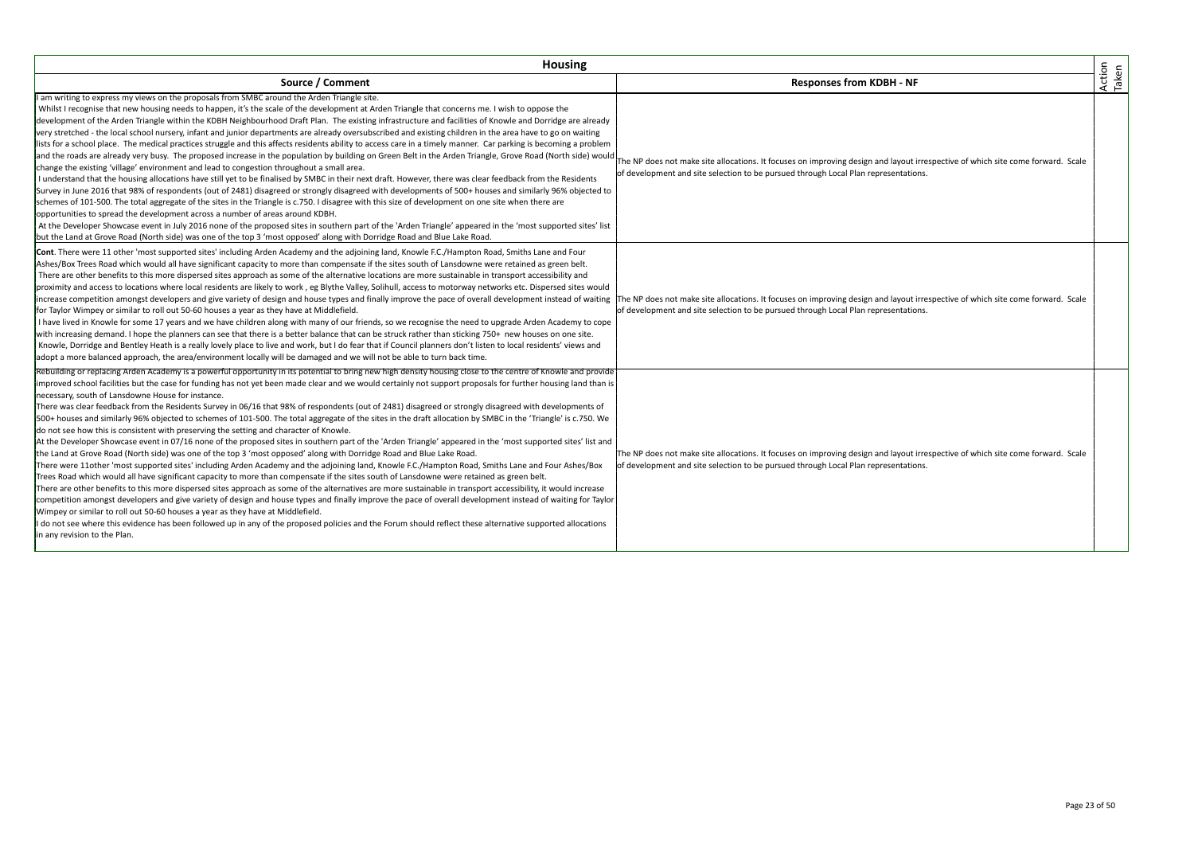| <b>Housing</b>                                                                                                                                                                                                                                                                                                                                                                                                                                                                                                                                                                                                                                                                                                                                                                                                                                                                                                                                                                                                                                                                                                                                                                                                                                                                                                                                                                                                                                                                                                                                                                                                                                                                                                                                                                                                                                                                                                                                                                                                     |                                                                                                                                                                                                                        |                 |
|--------------------------------------------------------------------------------------------------------------------------------------------------------------------------------------------------------------------------------------------------------------------------------------------------------------------------------------------------------------------------------------------------------------------------------------------------------------------------------------------------------------------------------------------------------------------------------------------------------------------------------------------------------------------------------------------------------------------------------------------------------------------------------------------------------------------------------------------------------------------------------------------------------------------------------------------------------------------------------------------------------------------------------------------------------------------------------------------------------------------------------------------------------------------------------------------------------------------------------------------------------------------------------------------------------------------------------------------------------------------------------------------------------------------------------------------------------------------------------------------------------------------------------------------------------------------------------------------------------------------------------------------------------------------------------------------------------------------------------------------------------------------------------------------------------------------------------------------------------------------------------------------------------------------------------------------------------------------------------------------------------------------|------------------------------------------------------------------------------------------------------------------------------------------------------------------------------------------------------------------------|-----------------|
| Source / Comment                                                                                                                                                                                                                                                                                                                                                                                                                                                                                                                                                                                                                                                                                                                                                                                                                                                                                                                                                                                                                                                                                                                                                                                                                                                                                                                                                                                                                                                                                                                                                                                                                                                                                                                                                                                                                                                                                                                                                                                                   | <b>Responses from KDBH - NF</b>                                                                                                                                                                                        | Action<br>Taken |
| I am writing to express my views on the proposals from SMBC around the Arden Triangle site.<br>Whilst I recognise that new housing needs to happen, it's the scale of the development at Arden Triangle that concerns me. I wish to oppose the<br>development of the Arden Triangle within the KDBH Neighbourhood Draft Plan. The existing infrastructure and facilities of Knowle and Dorridge are already<br>very stretched - the local school nursery, infant and junior departments are already oversubscribed and existing children in the area have to go on waiting<br>lists for a school place. The medical practices struggle and this affects residents ability to access care in a timely manner. Car parking is becoming a problem<br>and the roads are already very busy. The proposed increase in the population by building on Green Belt in the Arden Triangle, Grove Road (North side) would<br>change the existing 'village' environment and lead to congestion throughout a small area.<br>I understand that the housing allocations have still yet to be finalised by SMBC in their next draft. However, there was clear feedback from the Residents<br>Survey in June 2016 that 98% of respondents (out of 2481) disagreed or strongly disagreed with developments of 500+ houses and similarly 96% objected to<br>schemes of 101-500. The total aggregate of the sites in the Triangle is c.750. I disagree with this size of development on one site when there are<br>opportunities to spread the development across a number of areas around KDBH.<br>At the Developer Showcase event in July 2016 none of the proposed sites in southern part of the 'Arden Triangle' appeared in the 'most supported sites' list<br>but the Land at Grove Road (North side) was one of the top 3 'most opposed' along with Dorridge Road and Blue Lake Road.                                                                                                                                            | The NP does not make site allocations. It focuses on improving design and layout irrespective of which site come forward. Scale<br>of development and site selection to be pursued through Local Plan representations. |                 |
| Cont. There were 11 other 'most supported sites' including Arden Academy and the adjoining land, Knowle F.C./Hampton Road, Smiths Lane and Four<br>Ashes/Box Trees Road which would all have significant capacity to more than compensate if the sites south of Lansdowne were retained as green belt.<br>There are other benefits to this more dispersed sites approach as some of the alternative locations are more sustainable in transport accessibility and<br>proximity and access to locations where local residents are likely to work, eg Blythe Valley, Solihull, access to motorway networks etc. Dispersed sites would<br>increase competition amongst developers and give variety of design and house types and finally improve the pace of overall development instead of waiting<br>for Taylor Wimpey or similar to roll out 50-60 houses a year as they have at Middlefield.<br>I have lived in Knowle for some 17 years and we have children along with many of our friends, so we recognise the need to upgrade Arden Academy to cope<br>with increasing demand. I hope the planners can see that there is a better balance that can be struck rather than sticking 750+ new houses on one site.<br>Knowle, Dorridge and Bentley Heath is a really lovely place to live and work, but I do fear that if Council planners don't listen to local residents' views and<br>adopt a more balanced approach, the area/environment locally will be damaged and we will not be able to turn back time.                                                                                                                                                                                                                                                                                                                                                                                                                                                                                                  | The NP does not make site allocations. It focuses on improving design and layout irrespective of which site come forward. Scale<br>of development and site selection to be pursued through Local Plan representations. |                 |
| Rebuilding or replacing Arden Academy is a powerful opportunity in its potential to bring new high density housing close to the centre of Knowle and provide<br>improved school facilities but the case for funding has not yet been made clear and we would certainly not support proposals for further housing land than is<br>necessary, south of Lansdowne House for instance.<br>There was clear feedback from the Residents Survey in 06/16 that 98% of respondents (out of 2481) disagreed or strongly disagreed with developments of<br>500+ houses and similarly 96% objected to schemes of 101-500. The total aggregate of the sites in the draft allocation by SMBC in the 'Triangle' is c.750. We<br>do not see how this is consistent with preserving the setting and character of Knowle.<br>At the Developer Showcase event in 07/16 none of the proposed sites in southern part of the 'Arden Triangle' appeared in the 'most supported sites' list and<br>the Land at Grove Road (North side) was one of the top 3 'most opposed' along with Dorridge Road and Blue Lake Road.<br>There were 11other 'most supported sites' including Arden Academy and the adjoining land, Knowle F.C./Hampton Road, Smiths Lane and Four Ashes/Box<br>Trees Road which would all have significant capacity to more than compensate if the sites south of Lansdowne were retained as green belt.<br>There are other benefits to this more dispersed sites approach as some of the alternatives are more sustainable in transport accessibility, it would increase<br>competition amongst developers and give variety of design and house types and finally improve the pace of overall development instead of waiting for Taylor<br>Wimpey or similar to roll out 50-60 houses a year as they have at Middlefield.<br>I do not see where this evidence has been followed up in any of the proposed policies and the Forum should reflect these alternative supported allocations<br>in any revision to the Plan. | The NP does not make site allocations. It focuses on improving design and layout irrespective of which site come forward. Scale<br>of development and site selection to be pursued through Local Plan representations. |                 |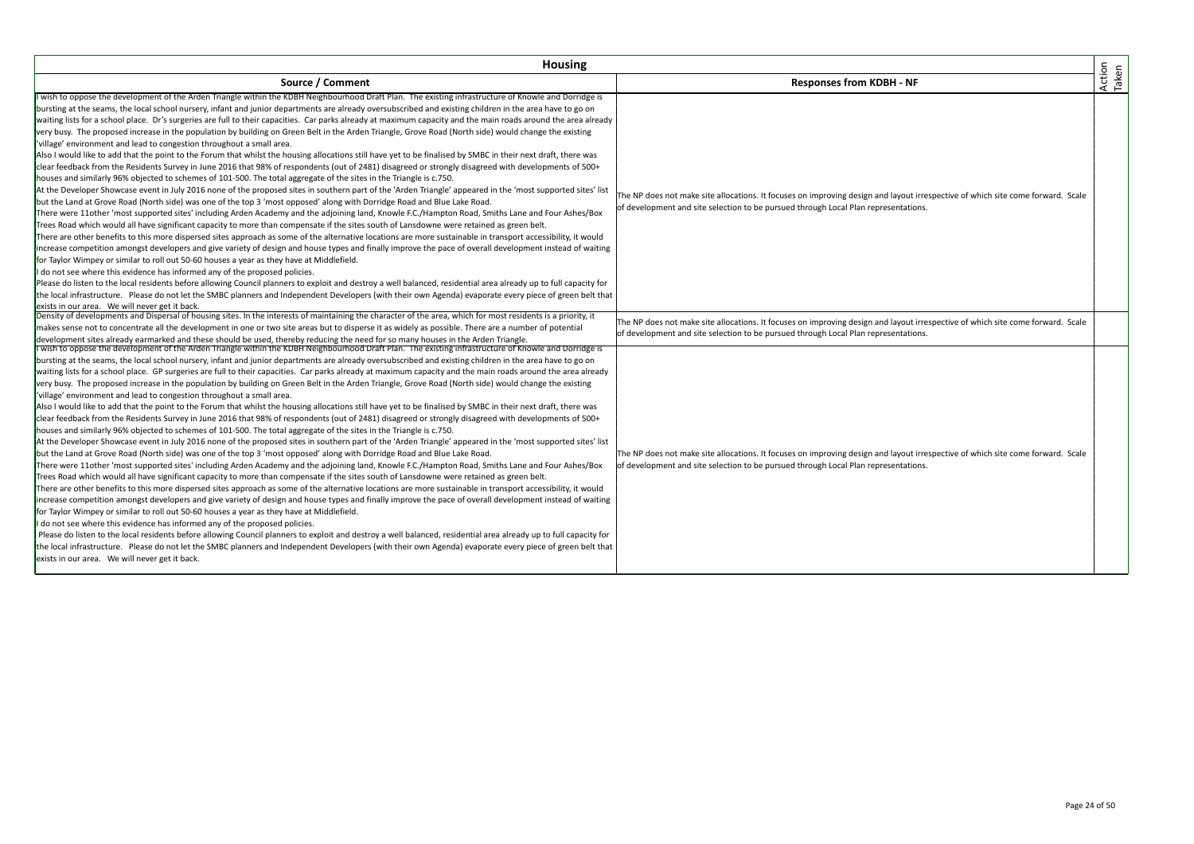| <b>Housing</b>                                                                                                                                                                                                                                                                                                                                                                                                                                                                                                                                                                                                                                                                                                                                                                                                                                                                                                                                                                                                                                                                                                                                                                                                                                                                                                                                                                                                                                                                                                                                                                                                                                                                                                                                                                                                                                                                                                                                                                                                                                                                                                                                                                                                                                                                                                                                                                                                                                                                                                                                                                                                                                                                                                                                                                                                                                                                                                                                                                                                                                                                                                                       |                                                                                                                                                                                                                                                                                                                                                                                                                                                  |                 |
|--------------------------------------------------------------------------------------------------------------------------------------------------------------------------------------------------------------------------------------------------------------------------------------------------------------------------------------------------------------------------------------------------------------------------------------------------------------------------------------------------------------------------------------------------------------------------------------------------------------------------------------------------------------------------------------------------------------------------------------------------------------------------------------------------------------------------------------------------------------------------------------------------------------------------------------------------------------------------------------------------------------------------------------------------------------------------------------------------------------------------------------------------------------------------------------------------------------------------------------------------------------------------------------------------------------------------------------------------------------------------------------------------------------------------------------------------------------------------------------------------------------------------------------------------------------------------------------------------------------------------------------------------------------------------------------------------------------------------------------------------------------------------------------------------------------------------------------------------------------------------------------------------------------------------------------------------------------------------------------------------------------------------------------------------------------------------------------------------------------------------------------------------------------------------------------------------------------------------------------------------------------------------------------------------------------------------------------------------------------------------------------------------------------------------------------------------------------------------------------------------------------------------------------------------------------------------------------------------------------------------------------------------------------------------------------------------------------------------------------------------------------------------------------------------------------------------------------------------------------------------------------------------------------------------------------------------------------------------------------------------------------------------------------------------------------------------------------------------------------------------------------|--------------------------------------------------------------------------------------------------------------------------------------------------------------------------------------------------------------------------------------------------------------------------------------------------------------------------------------------------------------------------------------------------------------------------------------------------|-----------------|
| Source / Comment                                                                                                                                                                                                                                                                                                                                                                                                                                                                                                                                                                                                                                                                                                                                                                                                                                                                                                                                                                                                                                                                                                                                                                                                                                                                                                                                                                                                                                                                                                                                                                                                                                                                                                                                                                                                                                                                                                                                                                                                                                                                                                                                                                                                                                                                                                                                                                                                                                                                                                                                                                                                                                                                                                                                                                                                                                                                                                                                                                                                                                                                                                                     | <b>Responses from KDBH - NF</b>                                                                                                                                                                                                                                                                                                                                                                                                                  | Action<br>Taken |
| I wish to oppose the development of the Arden Triangle within the KDBH Neighbourhood Draft Plan. The existing infrastructure of Knowle and Dorridge is<br>bursting at the seams, the local school nursery, infant and junior departments are already oversubscribed and existing children in the area have to go on<br>waiting lists for a school place. Dr's surgeries are full to their capacities. Car parks already at maximum capacity and the main roads around the area already<br>very busy. The proposed increase in the population by building on Green Belt in the Arden Triangle, Grove Road (North side) would change the existing<br>'village' environment and lead to congestion throughout a small area.<br>Also I would like to add that the point to the Forum that whilst the housing allocations still have yet to be finalised by SMBC in their next draft, there was<br>clear feedback from the Residents Survey in June 2016 that 98% of respondents (out of 2481) disagreed or strongly disagreed with developments of 500+<br>houses and similarly 96% objected to schemes of 101-500. The total aggregate of the sites in the Triangle is c.750.<br>At the Developer Showcase event in July 2016 none of the proposed sites in southern part of the 'Arden Triangle' appeared in the 'most supported sites' list<br>but the Land at Grove Road (North side) was one of the top 3 'most opposed' along with Dorridge Road and Blue Lake Road.<br>There were 11other 'most supported sites' including Arden Academy and the adjoining land, Knowle F.C./Hampton Road, Smiths Lane and Four Ashes/Box<br>Trees Road which would all have significant capacity to more than compensate if the sites south of Lansdowne were retained as green belt.<br>There are other benefits to this more dispersed sites approach as some of the alternative locations are more sustainable in transport accessibility, it would<br>increase competition amongst developers and give variety of design and house types and finally improve the pace of overall development instead of waiting<br>for Taylor Wimpey or similar to roll out 50-60 houses a year as they have at Middlefield.<br>I do not see where this evidence has informed any of the proposed policies.<br>Please do listen to the local residents before allowing Council planners to exploit and destroy a well balanced, residential area already up to full capacity for<br>the local infrastructure. Please do not let the SMBC planners and Independent Developers (with their own Agenda) evaporate every piece of green belt that<br>exists in our area. We will never get it back.                                                                                                                                                                                                                                                                                                                                                                                                                                                              | The NP does not make site allocations. It focuses on improving design and layout irrespective of which site come forward. Scale<br>of development and site selection to be pursued through Local Plan representations.                                                                                                                                                                                                                           |                 |
| Density of developments and Dispersal of housing sites. In the interests of maintaining the character of the area, which for most residents is a priority, it<br>makes sense not to concentrate all the development in one or two site areas but to disperse it as widely as possible. There are a number of potential<br>development sites already earmarked and these should be used, thereby reducing the need for so many houses in the Arden Triangle.<br>I wish to oppose the development of the Arden Triangle within the KDBH Neighbourhood Draft Plan. The existing infrastructure of Knowle and Dorridge is<br>bursting at the seams, the local school nursery, infant and junior departments are already oversubscribed and existing children in the area have to go on<br>waiting lists for a school place. GP surgeries are full to their capacities. Car parks already at maximum capacity and the main roads around the area already<br>very busy. The proposed increase in the population by building on Green Belt in the Arden Triangle, Grove Road (North side) would change the existing<br>'village' environment and lead to congestion throughout a small area.<br>Also I would like to add that the point to the Forum that whilst the housing allocations still have yet to be finalised by SMBC in their next draft, there was<br>clear feedback from the Residents Survey in June 2016 that 98% of respondents (out of 2481) disagreed or strongly disagreed with developments of 500+<br>houses and similarly 96% objected to schemes of 101-500. The total aggregate of the sites in the Triangle is c.750.<br>At the Developer Showcase event in July 2016 none of the proposed sites in southern part of the 'Arden Triangle' appeared in the 'most supported sites' list<br>but the Land at Grove Road (North side) was one of the top 3 'most opposed' along with Dorridge Road and Blue Lake Road.<br>There were 11other 'most supported sites' including Arden Academy and the adjoining land, Knowle F.C./Hampton Road, Smiths Lane and Four Ashes/Box<br>Trees Road which would all have significant capacity to more than compensate if the sites south of Lansdowne were retained as green belt.<br>There are other benefits to this more dispersed sites approach as some of the alternative locations are more sustainable in transport accessibility, it would<br>increase competition amongst developers and give variety of design and house types and finally improve the pace of overall development instead of waiting<br>for Taylor Wimpey or similar to roll out 50-60 houses a year as they have at Middlefield.<br>I do not see where this evidence has informed any of the proposed policies.<br>Please do listen to the local residents before allowing Council planners to exploit and destroy a well balanced, residential area already up to full capacity for<br>the local infrastructure. Please do not let the SMBC planners and Independent Developers (with their own Agenda) evaporate every piece of green belt that<br>exists in our area. We will never get it back. | The NP does not make site allocations. It focuses on improving design and layout irrespective of which site come forward. Scale<br>of development and site selection to be pursued through Local Plan representations.<br>The NP does not make site allocations. It focuses on improving design and layout irrespective of which site come forward. Scale<br>of development and site selection to be pursued through Local Plan representations. |                 |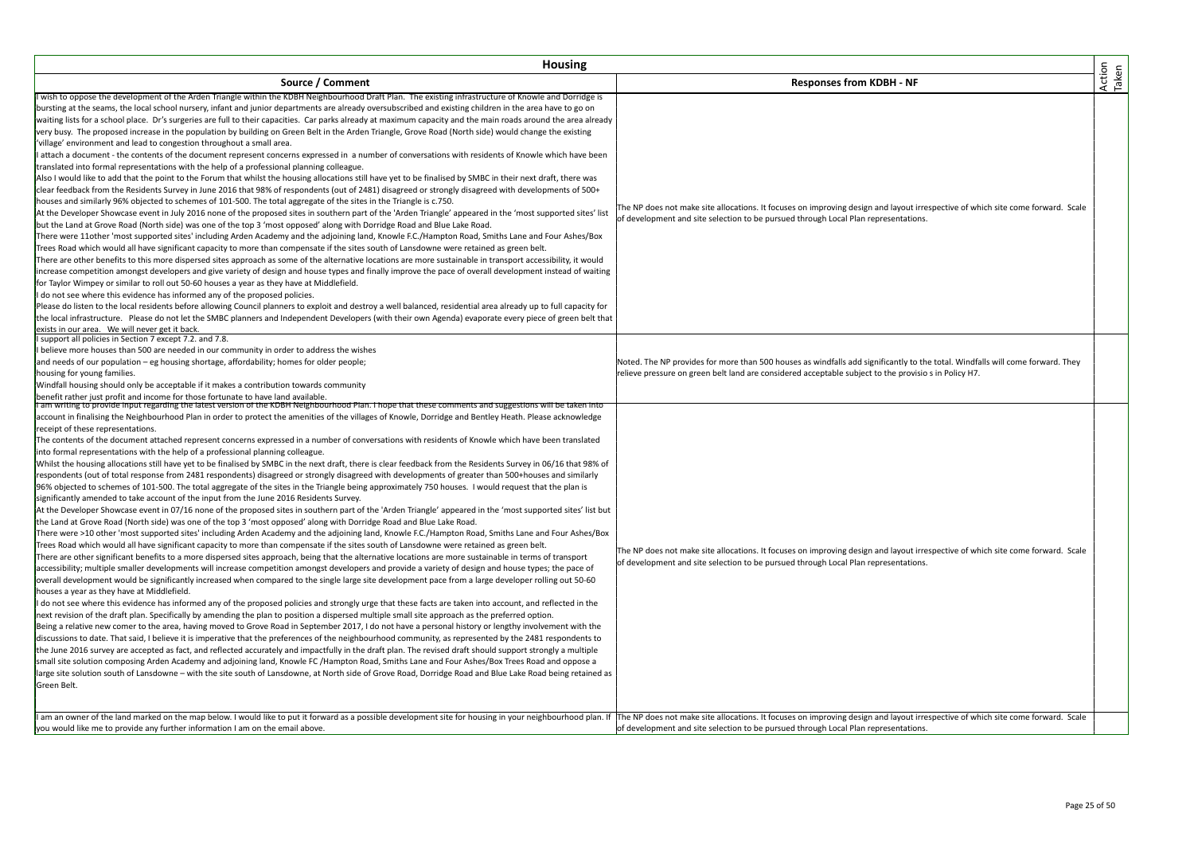| <b>Housing</b>                                                                                                                                                                                                                                                                                                                                                                                                                                                                                                                                                                                                                                                                                                                                                                                                                                                                                                                                                                                                                                                                                                                                                                                                                                                                                                                                                                                                                                                                                                                                                                                                                                                                                                                                                                                                                                                                                                                                                                                                                                                                                                                                                                                                                                                                                                                                                                                                                                                                                                                                                                                                                                                                                                                                                                                                                                                                                                                                                                                                                                                                                                                                                                                                                                                                                                                                                                                                                                       |                                                                                                                                                                                                                                         |                 |
|------------------------------------------------------------------------------------------------------------------------------------------------------------------------------------------------------------------------------------------------------------------------------------------------------------------------------------------------------------------------------------------------------------------------------------------------------------------------------------------------------------------------------------------------------------------------------------------------------------------------------------------------------------------------------------------------------------------------------------------------------------------------------------------------------------------------------------------------------------------------------------------------------------------------------------------------------------------------------------------------------------------------------------------------------------------------------------------------------------------------------------------------------------------------------------------------------------------------------------------------------------------------------------------------------------------------------------------------------------------------------------------------------------------------------------------------------------------------------------------------------------------------------------------------------------------------------------------------------------------------------------------------------------------------------------------------------------------------------------------------------------------------------------------------------------------------------------------------------------------------------------------------------------------------------------------------------------------------------------------------------------------------------------------------------------------------------------------------------------------------------------------------------------------------------------------------------------------------------------------------------------------------------------------------------------------------------------------------------------------------------------------------------------------------------------------------------------------------------------------------------------------------------------------------------------------------------------------------------------------------------------------------------------------------------------------------------------------------------------------------------------------------------------------------------------------------------------------------------------------------------------------------------------------------------------------------------------------------------------------------------------------------------------------------------------------------------------------------------------------------------------------------------------------------------------------------------------------------------------------------------------------------------------------------------------------------------------------------------------------------------------------------------------------------------------------------------|-----------------------------------------------------------------------------------------------------------------------------------------------------------------------------------------------------------------------------------------|-----------------|
| Source / Comment                                                                                                                                                                                                                                                                                                                                                                                                                                                                                                                                                                                                                                                                                                                                                                                                                                                                                                                                                                                                                                                                                                                                                                                                                                                                                                                                                                                                                                                                                                                                                                                                                                                                                                                                                                                                                                                                                                                                                                                                                                                                                                                                                                                                                                                                                                                                                                                                                                                                                                                                                                                                                                                                                                                                                                                                                                                                                                                                                                                                                                                                                                                                                                                                                                                                                                                                                                                                                                     | <b>Responses from KDBH - NF</b>                                                                                                                                                                                                         | Action<br>Taken |
| I wish to oppose the development of the Arden Triangle within the KDBH Neighbourhood Draft Plan. The existing infrastructure of Knowle and Dorridge is<br>bursting at the seams, the local school nursery, infant and junior departments are already oversubscribed and existing children in the area have to go on<br>waiting lists for a school place. Dr's surgeries are full to their capacities. Car parks already at maximum capacity and the main roads around the area already<br>very busy. The proposed increase in the population by building on Green Belt in the Arden Triangle, Grove Road (North side) would change the existing<br>'village' environment and lead to congestion throughout a small area.<br>attach a document - the contents of the document represent concerns expressed in a number of conversations with residents of Knowle which have been<br>translated into formal representations with the help of a professional planning colleague.<br>Also I would like to add that the point to the Forum that whilst the housing allocations still have yet to be finalised by SMBC in their next draft, there was<br>clear feedback from the Residents Survey in June 2016 that 98% of respondents (out of 2481) disagreed or strongly disagreed with developments of 500+<br>houses and similarly 96% objected to schemes of 101-500. The total aggregate of the sites in the Triangle is c.750.<br>At the Developer Showcase event in July 2016 none of the proposed sites in southern part of the 'Arden Triangle' appeared in the 'most supported sites' list<br>but the Land at Grove Road (North side) was one of the top 3 'most opposed' along with Dorridge Road and Blue Lake Road.<br>There were 11other 'most supported sites' including Arden Academy and the adjoining land, Knowle F.C./Hampton Road, Smiths Lane and Four Ashes/Box<br>Trees Road which would all have significant capacity to more than compensate if the sites south of Lansdowne were retained as green belt.<br>There are other benefits to this more dispersed sites approach as some of the alternative locations are more sustainable in transport accessibility, it would<br>increase competition amongst developers and give variety of design and house types and finally improve the pace of overall development instead of waiting<br>for Taylor Wimpey or similar to roll out 50-60 houses a year as they have at Middlefield.<br>do not see where this evidence has informed any of the proposed policies.<br>Please do listen to the local residents before allowing Council planners to exploit and destroy a well balanced, residential area already up to full capacity for<br>the local infrastructure. Please do not let the SMBC planners and Independent Developers (with their own Agenda) evaporate every piece of green belt that                                                                                                                                                                                                                                                                                                                                                                                                                                                                                                                                                                             | The NP does not make site allocations. It focuses on improving design and layout irrespective of which site come forward. Scale<br>of development and site selection to be pursued through Local Plan representations.                  |                 |
| exists in our area. We will never get it back.<br>support all policies in Section 7 except 7.2. and 7.8.<br>believe more houses than 500 are needed in our community in order to address the wishes<br>and needs of our population - eg housing shortage, affordability; homes for older people;<br>housing for young families.<br>Windfall housing should only be acceptable if it makes a contribution towards community<br>benefit rather just profit and income for those fortunate to have land available.                                                                                                                                                                                                                                                                                                                                                                                                                                                                                                                                                                                                                                                                                                                                                                                                                                                                                                                                                                                                                                                                                                                                                                                                                                                                                                                                                                                                                                                                                                                                                                                                                                                                                                                                                                                                                                                                                                                                                                                                                                                                                                                                                                                                                                                                                                                                                                                                                                                                                                                                                                                                                                                                                                                                                                                                                                                                                                                                      | Noted. The NP provides for more than 500 houses as windfalls add significantly to the total. Windfalls will come forward. They<br>relieve pressure on green belt land are considered acceptable subject to the provisio s in Policy H7. |                 |
| I am writing to provide input regarding the latest version of the KDBH Neighbourhood Plan. I hope that these comments and suggestions will be taken into<br>account in finalising the Neighbourhood Plan in order to protect the amenities of the villages of Knowle, Dorridge and Bentley Heath. Please acknowledge<br>receipt of these representations.<br>The contents of the document attached represent concerns expressed in a number of conversations with residents of Knowle which have been translated<br>into formal representations with the help of a professional planning colleague.<br>Whilst the housing allocations still have yet to be finalised by SMBC in the next draft, there is clear feedback from the Residents Survey in 06/16 that 98% of<br>respondents (out of total response from 2481 respondents) disagreed or strongly disagreed with developments of greater than 500+houses and similarly<br>96% objected to schemes of 101-500. The total aggregate of the sites in the Triangle being approximately 750 houses. I would request that the plan is<br>significantly amended to take account of the input from the June 2016 Residents Survey.<br>At the Developer Showcase event in 07/16 none of the proposed sites in southern part of the 'Arden Triangle' appeared in the 'most supported sites' list but<br>the Land at Grove Road (North side) was one of the top 3 'most opposed' along with Dorridge Road and Blue Lake Road.<br>There were >10 other 'most supported sites' including Arden Academy and the adjoining land, Knowle F.C./Hampton Road, Smiths Lane and Four Ashes/Box<br>Trees Road which would all have significant capacity to more than compensate if the sites south of Lansdowne were retained as green belt.<br>There are other significant benefits to a more dispersed sites approach, being that the alternative locations are more sustainable in terms of transport<br>accessibility; multiple smaller developments will increase competition amongst developers and provide a variety of design and house types; the pace of<br>overall development would be significantly increased when compared to the single large site development pace from a large developer rolling out 50-60<br>houses a year as they have at Middlefield.<br>I do not see where this evidence has informed any of the proposed policies and strongly urge that these facts are taken into account, and reflected in the<br>next revision of the draft plan. Specifically by amending the plan to position a dispersed multiple small site approach as the preferred option.<br>Being a relative new comer to the area, having moved to Grove Road in September 2017, I do not have a personal history or lengthy involvement with the<br>discussions to date. That said, I believe it is imperative that the preferences of the neighbourhood community, as represented by the 2481 respondents to<br>the June 2016 survey are accepted as fact, and reflected accurately and impactfully in the draft plan. The revised draft should support strongly a multiple<br>small site solution composing Arden Academy and adjoining land, Knowle FC /Hampton Road, Smiths Lane and Four Ashes/Box Trees Road and oppose a<br>large site solution south of Lansdowne - with the site south of Lansdowne, at North side of Grove Road, Dorridge Road and Blue Lake Road being retained as<br>Green Belt. | The NP does not make site allocations. It focuses on improving design and layout irrespective of which site come forward. Scale<br>of development and site selection to be pursued through Local Plan representations.                  |                 |
| I am an owner of the land marked on the map below. I would like to put it forward as a possible development site for housing in your neighbourhood plan. If  The NP does not make site allocations. It focuses on improving de<br>you would like me to provide any further information I am on the email above.                                                                                                                                                                                                                                                                                                                                                                                                                                                                                                                                                                                                                                                                                                                                                                                                                                                                                                                                                                                                                                                                                                                                                                                                                                                                                                                                                                                                                                                                                                                                                                                                                                                                                                                                                                                                                                                                                                                                                                                                                                                                                                                                                                                                                                                                                                                                                                                                                                                                                                                                                                                                                                                                                                                                                                                                                                                                                                                                                                                                                                                                                                                                      | of development and site selection to be pursued through Local Plan representations.                                                                                                                                                     |                 |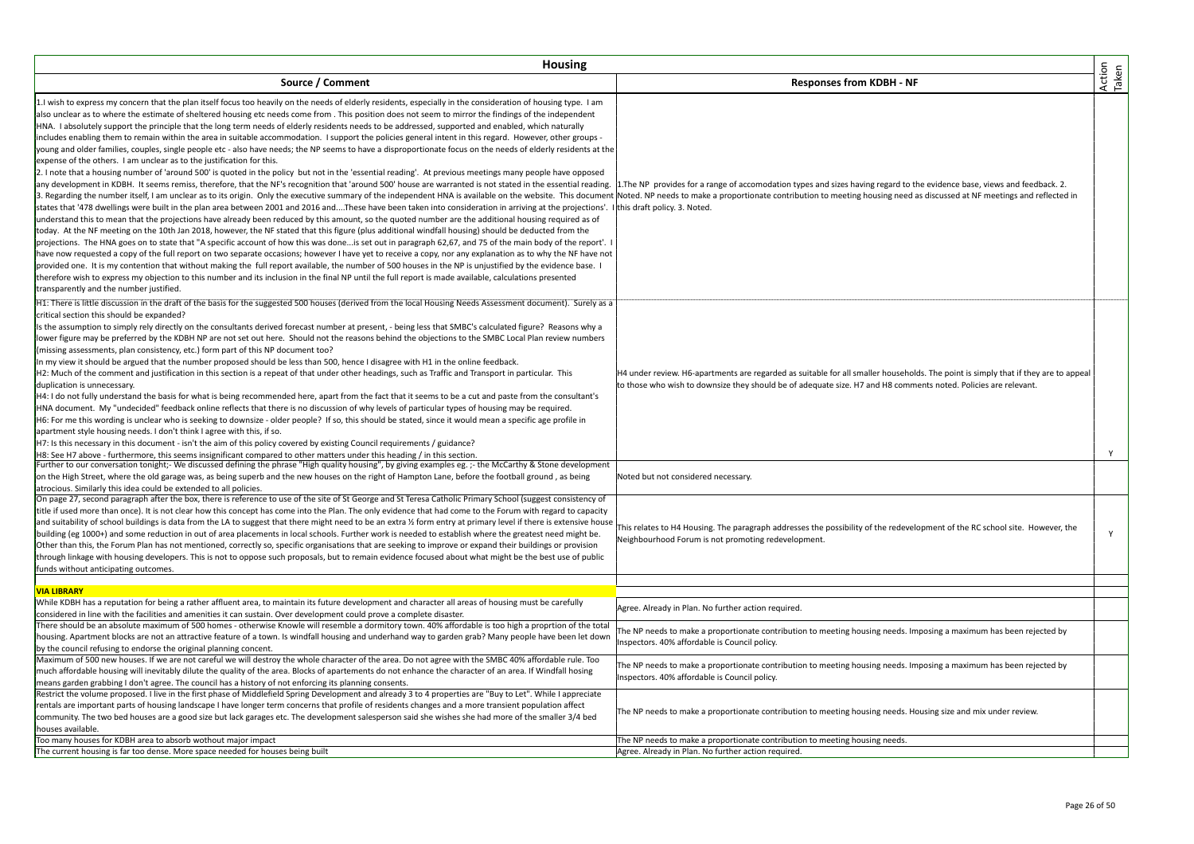| <b>Housing</b>                                                                                                                                                                                                                                                                                                                                                                                                                                                                                                                                                                                                                                                                                                                                                                                                                                                                                                                                                                                                                                                                                                                                                                                                                                                                                                                                                                                                                                                                                                                                                                                                                                                                                                                                                                                                                                                                                                                                                                                                                                                                                                                                                                                                                                                                                                                                                                                                                                                                                                                                                                                                                                                                                                                          |                                                                                                                                                                                                                                                       |                 |
|-----------------------------------------------------------------------------------------------------------------------------------------------------------------------------------------------------------------------------------------------------------------------------------------------------------------------------------------------------------------------------------------------------------------------------------------------------------------------------------------------------------------------------------------------------------------------------------------------------------------------------------------------------------------------------------------------------------------------------------------------------------------------------------------------------------------------------------------------------------------------------------------------------------------------------------------------------------------------------------------------------------------------------------------------------------------------------------------------------------------------------------------------------------------------------------------------------------------------------------------------------------------------------------------------------------------------------------------------------------------------------------------------------------------------------------------------------------------------------------------------------------------------------------------------------------------------------------------------------------------------------------------------------------------------------------------------------------------------------------------------------------------------------------------------------------------------------------------------------------------------------------------------------------------------------------------------------------------------------------------------------------------------------------------------------------------------------------------------------------------------------------------------------------------------------------------------------------------------------------------------------------------------------------------------------------------------------------------------------------------------------------------------------------------------------------------------------------------------------------------------------------------------------------------------------------------------------------------------------------------------------------------------------------------------------------------------------------------------------------------|-------------------------------------------------------------------------------------------------------------------------------------------------------------------------------------------------------------------------------------------------------|-----------------|
| Source / Comment                                                                                                                                                                                                                                                                                                                                                                                                                                                                                                                                                                                                                                                                                                                                                                                                                                                                                                                                                                                                                                                                                                                                                                                                                                                                                                                                                                                                                                                                                                                                                                                                                                                                                                                                                                                                                                                                                                                                                                                                                                                                                                                                                                                                                                                                                                                                                                                                                                                                                                                                                                                                                                                                                                                        | <b>Responses from KDBH - NF</b>                                                                                                                                                                                                                       | Action<br>Taken |
| 1.I wish to express my concern that the plan itself focus too heavily on the needs of elderly residents, especially in the consideration of housing type. I am<br>also unclear as to where the estimate of sheltered housing etc needs come from. This position does not seem to mirror the findings of the independent<br>HNA. I absolutely support the principle that the long term needs of elderly residents needs to be addressed, supported and enabled, which naturally<br>includes enabling them to remain within the area in suitable accommodation. I support the policies general intent in this regard. However, other groups -<br>young and older families, couples, single people etc - also have needs; the NP seems to have a disproportionate focus on the needs of elderly residents at the<br>expense of the others. I am unclear as to the justification for this.<br>2. I note that a housing number of 'around 500' is quoted in the policy but not in the 'essential reading'. At previous meetings many people have opposed<br>any development in KDBH. It seems remiss, therefore, that the NF's recognition that 'around 500' house are warranted is not stated in the essential reading.  1.The NP provides for a range of accomodation types and sizes ha<br>3. Regarding the number itself, I am unclear as to its origin. Only the executive summary of the independent HNA is available on the website. This document Noted. NP needs to make a proportionate contribution to meeting ho<br>states that '478 dwellings were built in the plan area between 2001 and 2016 andThese have been taken into consideration in arriving at the projections'. I this draft policy. 3. Noted.<br>understand this to mean that the projections have already been reduced by this amount, so the quoted number are the additional housing required as of<br>today. At the NF meeting on the 10th Jan 2018, however, the NF stated that this figure (plus additional windfall housing) should be deducted from the<br>projections. The HNA goes on to state that "A specific account of how this was doneis set out in paragraph 62,67, and 75 of the main body of the report'. I<br>have now requested a copy of the full report on two separate occasions; however I have yet to receive a copy, nor any explanation as to why the NF have not<br>provided one. It is my contention that without making the full report available, the number of 500 houses in the NP is unjustified by the evidence base. I<br>therefore wish to express my objection to this number and its inclusion in the final NP until the full report is made available, calculations presented<br>transparently and the number justified. |                                                                                                                                                                                                                                                       |                 |
| H1: There is little discussion in the draft of the basis for the suggested 500 houses (derived from the local Housing Needs Assessment document). Surely as a<br>critical section this should be expanded?<br>Is the assumption to simply rely directly on the consultants derived forecast number at present, - being less that SMBC's calculated figure? Reasons why a<br>lower figure may be preferred by the KDBH NP are not set out here. Should not the reasons behind the objections to the SMBC Local Plan review numbers<br>(missing assessments, plan consistency, etc.) form part of this NP document too?<br>In my view it should be argued that the number proposed should be less than 500, hence I disagree with H1 in the online feedback.<br>H2: Much of the comment and justification in this section is a repeat of that under other headings, such as Traffic and Transport in particular. This<br>duplication is unnecessary.<br>H4: I do not fully understand the basis for what is being recommended here, apart from the fact that it seems to be a cut and paste from the consultant's<br>HNA document. My "undecided" feedback online reflects that there is no discussion of why levels of particular types of housing may be required.<br>H6: For me this wording is unclear who is seeking to downsize - older people? If so, this should be stated, since it would mean a specific age profile in<br>apartment style housing needs. I don't think I agree with this, if so.<br>H7: Is this necessary in this document - isn't the aim of this policy covered by existing Council requirements / guidance?<br>H8: See H7 above - furthermore, this seems insignificant compared to other matters under this heading / in this section.                                                                                                                                                                                                                                                                                                                                                                                                                                                                                                                                                                                                                                                                                                                                                                                                                                                                                                                                                                     | H4 under review. H6-apartments are regarded as suitable for all smaller households. The point is simply that if they are to appeal<br>to those who wish to downsize they should be of adequate size. H7 and H8 comments noted. Policies are relevant. | Y               |
| Further to our conversation tonight;-We discussed defining the phrase "High quality housing", by giving examples eg. ;- the McCarthy & Stone development<br>on the High Street, where the old garage was, as being superb and the new houses on the right of Hampton Lane, before the football ground, as being<br>atrocious. Similarly this idea could be extended to all policies.                                                                                                                                                                                                                                                                                                                                                                                                                                                                                                                                                                                                                                                                                                                                                                                                                                                                                                                                                                                                                                                                                                                                                                                                                                                                                                                                                                                                                                                                                                                                                                                                                                                                                                                                                                                                                                                                                                                                                                                                                                                                                                                                                                                                                                                                                                                                                    | Noted but not considered necessary.                                                                                                                                                                                                                   |                 |
| On page 27, second paragraph after the box, there is reference to use of the site of St George and St Teresa Catholic Primary School (suggest consistency of<br>title if used more than once). It is not clear how this concept has come into the Plan. The only evidence that had come to the Forum with regard to capacity<br>and suitability of school buildings is data from the LA to suggest that there might need to be an extra 1/2 form entry at primary level if there is extensive house<br>building (eg 1000+) and some reduction in out of area placements in local schools. Further work is needed to establish where the greatest need might be.<br>Other than this, the Forum Plan has not mentioned, correctly so, specific organisations that are seeking to improve or expand their buildings or provision<br>through linkage with housing developers. This is not to oppose such proposals, but to remain evidence focused about what might be the best use of public<br>funds without anticipating outcomes.                                                                                                                                                                                                                                                                                                                                                                                                                                                                                                                                                                                                                                                                                                                                                                                                                                                                                                                                                                                                                                                                                                                                                                                                                                                                                                                                                                                                                                                                                                                                                                                                                                                                                                       | This relates to H4 Housing. The paragraph addresses the possibility of the redevelopment of the RC school site. However, the<br>Neighbourhood Forum is not promoting redevelopment.                                                                   | Y               |
| <b>VIA LIBRARY</b>                                                                                                                                                                                                                                                                                                                                                                                                                                                                                                                                                                                                                                                                                                                                                                                                                                                                                                                                                                                                                                                                                                                                                                                                                                                                                                                                                                                                                                                                                                                                                                                                                                                                                                                                                                                                                                                                                                                                                                                                                                                                                                                                                                                                                                                                                                                                                                                                                                                                                                                                                                                                                                                                                                                      |                                                                                                                                                                                                                                                       |                 |
| While KDBH has a reputation for being a rather affluent area, to maintain its future development and character all areas of housing must be carefully<br>considered in line with the facilities and amenities it can sustain. Over development could prove a complete disaster.                                                                                                                                                                                                                                                                                                                                                                                                                                                                                                                                                                                                                                                                                                                                                                                                                                                                                                                                                                                                                                                                                                                                                                                                                                                                                                                                                                                                                                                                                                                                                                                                                                                                                                                                                                                                                                                                                                                                                                                                                                                                                                                                                                                                                                                                                                                                                                                                                                                         | Agree. Already in Plan. No further action required.                                                                                                                                                                                                   |                 |
| There should be an absolute maximum of 500 homes - otherwise Knowle will resemble a dormitory town. 40% affordable is too high a proprtion of the total<br>housing. Apartment blocks are not an attractive feature of a town. Is windfall housing and underhand way to garden grab? Many people have been let down<br>by the council refusing to endorse the original planning concent.                                                                                                                                                                                                                                                                                                                                                                                                                                                                                                                                                                                                                                                                                                                                                                                                                                                                                                                                                                                                                                                                                                                                                                                                                                                                                                                                                                                                                                                                                                                                                                                                                                                                                                                                                                                                                                                                                                                                                                                                                                                                                                                                                                                                                                                                                                                                                 | The NP needs to make a proportionate contribution to meeting housing needs. Imposing a maximum has been rejected by<br>Inspectors. 40% affordable is Council policy.                                                                                  |                 |
| Maximum of 500 new houses. If we are not careful we will destroy the whole character of the area. Do not agree with the SMBC 40% affordable rule. Too<br>much affordable housing will inevitably dilute the quality of the area. Blocks of apartements do not enhance the character of an area. If Windfall hosing<br>means garden grabbing I don't agree. The council has a history of not enforcing its planning consents.                                                                                                                                                                                                                                                                                                                                                                                                                                                                                                                                                                                                                                                                                                                                                                                                                                                                                                                                                                                                                                                                                                                                                                                                                                                                                                                                                                                                                                                                                                                                                                                                                                                                                                                                                                                                                                                                                                                                                                                                                                                                                                                                                                                                                                                                                                            | The NP needs to make a proportionate contribution to meeting housing needs. Imposing a maximum has been rejected by<br>Inspectors. 40% affordable is Council policy.                                                                                  |                 |
| Restrict the volume proposed. I live in the first phase of Middlefield Spring Development and already 3 to 4 properties are "Buy to Let". While I appreciate<br>rentals are important parts of housing landscape I have longer term concerns that profile of residents changes and a more transient population affect<br>community. The two bed houses are a good size but lack garages etc. The development salesperson said she wishes she had more of the smaller 3/4 bed<br>houses available.                                                                                                                                                                                                                                                                                                                                                                                                                                                                                                                                                                                                                                                                                                                                                                                                                                                                                                                                                                                                                                                                                                                                                                                                                                                                                                                                                                                                                                                                                                                                                                                                                                                                                                                                                                                                                                                                                                                                                                                                                                                                                                                                                                                                                                       | The NP needs to make a proportionate contribution to meeting housing needs. Housing size and mix under review.                                                                                                                                        |                 |
| Too many houses for KDBH area to absorb wothout major impact<br>The current housing is far too dense. More space needed for houses being built                                                                                                                                                                                                                                                                                                                                                                                                                                                                                                                                                                                                                                                                                                                                                                                                                                                                                                                                                                                                                                                                                                                                                                                                                                                                                                                                                                                                                                                                                                                                                                                                                                                                                                                                                                                                                                                                                                                                                                                                                                                                                                                                                                                                                                                                                                                                                                                                                                                                                                                                                                                          | The NP needs to make a proportionate contribution to meeting housing needs.<br>Agree. Already in Plan. No further action required.                                                                                                                    |                 |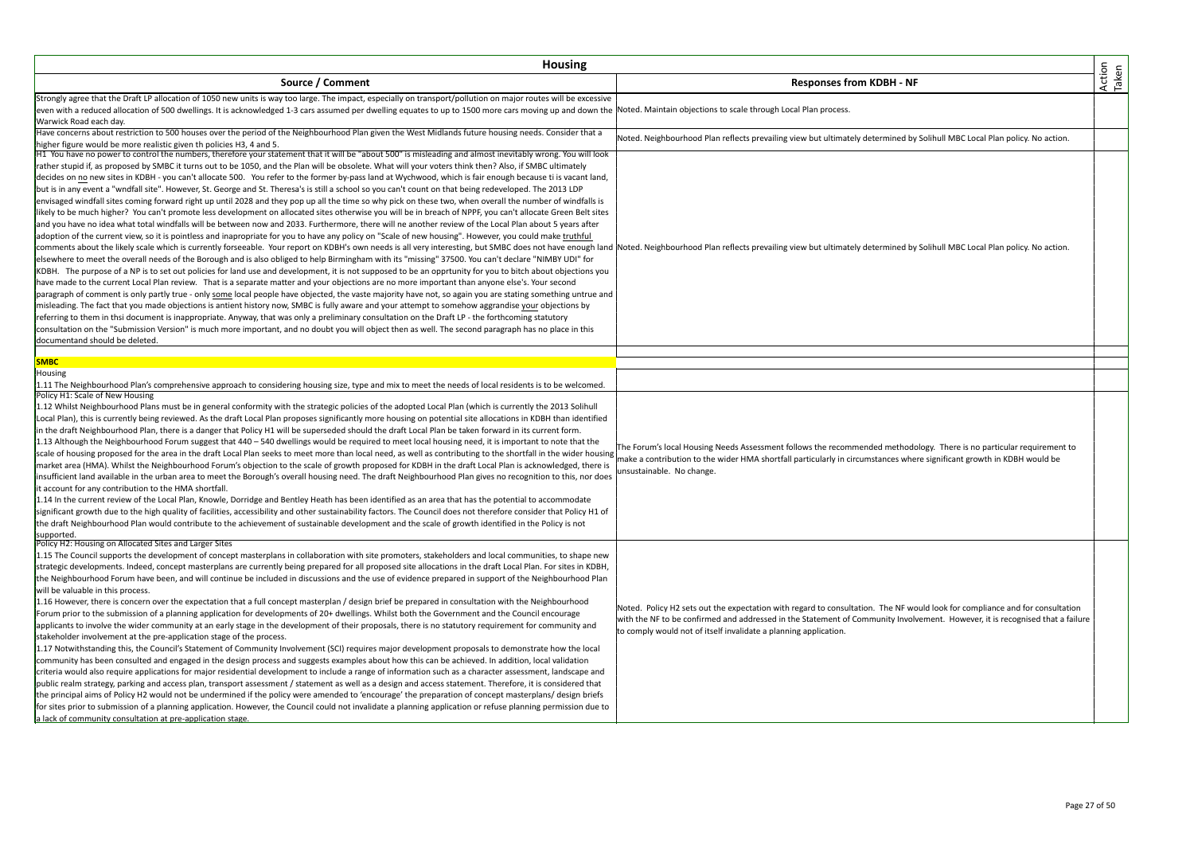| <b>Housing</b>                                                                                                                                                                                                                                                                                                                                                                                                                                                                                                                                                                                                                                                                                                                                                                                                                                                                                                                                                                                                                                                                                                                                                                                                                                                                                                                                                                                                                                                                                                                                                                                                                                                                                                                                                                                                                                                                                                                                                                                                                                                                                                                                                                                                                                                                                                                                                                                                    |                                                                                                                                                                                                                                                                                                                                   |                 |
|-------------------------------------------------------------------------------------------------------------------------------------------------------------------------------------------------------------------------------------------------------------------------------------------------------------------------------------------------------------------------------------------------------------------------------------------------------------------------------------------------------------------------------------------------------------------------------------------------------------------------------------------------------------------------------------------------------------------------------------------------------------------------------------------------------------------------------------------------------------------------------------------------------------------------------------------------------------------------------------------------------------------------------------------------------------------------------------------------------------------------------------------------------------------------------------------------------------------------------------------------------------------------------------------------------------------------------------------------------------------------------------------------------------------------------------------------------------------------------------------------------------------------------------------------------------------------------------------------------------------------------------------------------------------------------------------------------------------------------------------------------------------------------------------------------------------------------------------------------------------------------------------------------------------------------------------------------------------------------------------------------------------------------------------------------------------------------------------------------------------------------------------------------------------------------------------------------------------------------------------------------------------------------------------------------------------------------------------------------------------------------------------------------------------|-----------------------------------------------------------------------------------------------------------------------------------------------------------------------------------------------------------------------------------------------------------------------------------------------------------------------------------|-----------------|
| Source / Comment                                                                                                                                                                                                                                                                                                                                                                                                                                                                                                                                                                                                                                                                                                                                                                                                                                                                                                                                                                                                                                                                                                                                                                                                                                                                                                                                                                                                                                                                                                                                                                                                                                                                                                                                                                                                                                                                                                                                                                                                                                                                                                                                                                                                                                                                                                                                                                                                  | <b>Responses from KDBH - NF</b>                                                                                                                                                                                                                                                                                                   | Action<br>Taken |
| Strongly agree that the Draft LP allocation of 1050 new units is way too large. The impact, especially on transport/pollution on major routes will be excessive<br>even with a reduced allocation of 500 dwellings. It is acknowledged 1-3 cars assumed per dwelling equates to up to 1500 more cars moving up and down the Noted. Maintain objections to scale through Local Plan process.<br>Warwick Road each day.                                                                                                                                                                                                                                                                                                                                                                                                                                                                                                                                                                                                                                                                                                                                                                                                                                                                                                                                                                                                                                                                                                                                                                                                                                                                                                                                                                                                                                                                                                                                                                                                                                                                                                                                                                                                                                                                                                                                                                                             |                                                                                                                                                                                                                                                                                                                                   |                 |
| Have concerns about restriction to 500 houses over the period of the Neighbourhood Plan given the West Midlands future housing needs. Consider that a                                                                                                                                                                                                                                                                                                                                                                                                                                                                                                                                                                                                                                                                                                                                                                                                                                                                                                                                                                                                                                                                                                                                                                                                                                                                                                                                                                                                                                                                                                                                                                                                                                                                                                                                                                                                                                                                                                                                                                                                                                                                                                                                                                                                                                                             | Noted. Neighbourhood Plan reflects prevailing view but ultimately determined by Solihull MBC Local Plan policy. No action.                                                                                                                                                                                                        |                 |
| nigher figure would be more realistic given th policies H3, 4 and 5.<br>H1 You have no power to control the numbers, therefore your statement that it will be "about 500" is misleading and almost inevitably wrong. You will look<br>rather stupid if, as proposed by SMBC it turns out to be 1050, and the Plan will be obsolete. What will your voters think then? Also, if SMBC ultimately<br>decides on no new sites in KDBH - you can't allocate 500. You refer to the former by-pass land at Wychwood, which is fair enough because ti is vacant land,<br>but is in any event a "wndfall site". However, St. George and St. Theresa's is still a school so you can't count on that being redeveloped. The 2013 LDP<br>envisaged windfall sites coming forward right up until 2028 and they pop up all the time so why pick on these two, when overall the number of windfalls is<br>likely to be much higher? You can't promote less development on allocated sites otherwise you will be in breach of NPPF, you can't allocate Green Belt sites<br>and you have no idea what total windfalls will be between now and 2033. Furthermore, there will ne another review of the Local Plan about 5 years after<br>adoption of the current view, so it is pointless and inapropriate for you to have any policy on "Scale of new housing". However, you could make truthful<br>comments about the likely scale which is currently forseeable. Your report on KDBH's own needs is all very interesting, but SMBC does not have enough land Noted. Neighbourhood Plan reflects prevailing view but ultimately d<br>elsewhere to meet the overall needs of the Borough and is also obliged to help Birmingham with its "missing" 37500. You can't declare "NIMBY UDI" for<br>KDBH. The purpose of a NP is to set out policies for land use and development, it is not supposed to be an opprtunity for you to bitch about objections you<br>have made to the current Local Plan review. That is a separate matter and your objections are no more important than anyone else's. Your second<br>paragraph of comment is only partly true - only some local people have objected, the vaste majority have not, so again you are stating something untrue and<br>misleading. The fact that you made objections is antient history now, SMBC is fully aware and your attempt to somehow aggrandise your objections by |                                                                                                                                                                                                                                                                                                                                   |                 |
| referring to them in thsi document is inappropriate. Anyway, that was only a preliminary consultation on the Draft LP - the forthcoming statutory<br>consultation on the "Submission Version" is much more important, and no doubt you will object then as well. The second paragraph has no place in this<br>documentand should be deleted.                                                                                                                                                                                                                                                                                                                                                                                                                                                                                                                                                                                                                                                                                                                                                                                                                                                                                                                                                                                                                                                                                                                                                                                                                                                                                                                                                                                                                                                                                                                                                                                                                                                                                                                                                                                                                                                                                                                                                                                                                                                                      |                                                                                                                                                                                                                                                                                                                                   |                 |
| <b>SMBC</b>                                                                                                                                                                                                                                                                                                                                                                                                                                                                                                                                                                                                                                                                                                                                                                                                                                                                                                                                                                                                                                                                                                                                                                                                                                                                                                                                                                                                                                                                                                                                                                                                                                                                                                                                                                                                                                                                                                                                                                                                                                                                                                                                                                                                                                                                                                                                                                                                       |                                                                                                                                                                                                                                                                                                                                   |                 |
| Housing<br>1.11 The Neighbourhood Plan's comprehensive approach to considering housing size, type and mix to meet the needs of local residents is to be welcomed.                                                                                                                                                                                                                                                                                                                                                                                                                                                                                                                                                                                                                                                                                                                                                                                                                                                                                                                                                                                                                                                                                                                                                                                                                                                                                                                                                                                                                                                                                                                                                                                                                                                                                                                                                                                                                                                                                                                                                                                                                                                                                                                                                                                                                                                 |                                                                                                                                                                                                                                                                                                                                   |                 |
| Policy H1: Scale of New Housing<br>1.12 Whilst Neighbourhood Plans must be in general conformity with the strategic policies of the adopted Local Plan (which is currently the 2013 Solihull<br>Local Plan), this is currently being reviewed. As the draft Local Plan proposes significantly more housing on potential site allocations in KDBH than identified<br>in the draft Neighbourhood Plan, there is a danger that Policy H1 will be superseded should the draft Local Plan be taken forward in its current form.<br>1.13 Although the Neighbourhood Forum suggest that 440 - 540 dwellings would be required to meet local housing need, it is important to note that the<br>scale of housing proposed for the area in the draft Local Plan seeks to meet more than local need, as well as contributing to the shortfall in the wider housing<br>market area (HMA). Whilst the Neighbourhood Forum's objection to the scale of growth proposed for KDBH in the draft Local Plan is acknowledged, there is<br>insufficient land available in the urban area to meet the Borough's overall housing need. The draft Neighbourhood Plan gives no recognition to this, nor does<br>it account for any contribution to the HMA shortfall.<br>1.14 In the current review of the Local Plan, Knowle, Dorridge and Bentley Heath has been identified as an area that has the potential to accommodate<br>significant growth due to the high quality of facilities, accessibility and other sustainability factors. The Council does not therefore consider that Policy H1 of<br>the draft Neighbourhood Plan would contribute to the achievement of sustainable development and the scale of growth identified in the Policy is not<br>supported.                                                                                                                                                                                                                                                                                                                                                                                                                                                                                                                                                                                                                                                                | The Forum's local Housing Needs Assessment follows the recommended methodology. There is no particular requirement to<br>make a contribution to the wider HMA shortfall particularly in circumstances where significant growth in KDBH would be<br>unsustainable. No change.                                                      |                 |
| Policy H2: Housing on Allocated Sites and Larger Sites<br>1.15 The Council supports the development of concept masterplans in collaboration with site promoters, stakeholders and local communities, to shape new<br>strategic developments. Indeed, concept masterplans are currently being prepared for all proposed site allocations in the draft Local Plan. For sites in KDBH,<br>the Neighbourhood Forum have been, and will continue be included in discussions and the use of evidence prepared in support of the Neighbourhood Plan<br>will be valuable in this process.<br>1.16 However, there is concern over the expectation that a full concept masterplan / design brief be prepared in consultation with the Neighbourhood<br>Forum prior to the submission of a planning application for developments of 20+ dwellings. Whilst both the Government and the Council encourage<br>applicants to involve the wider community at an early stage in the development of their proposals, there is no statutory requirement for community and<br>stakeholder involvement at the pre-application stage of the process.<br>1.17 Notwithstanding this, the Council's Statement of Community Involvement (SCI) requires major development proposals to demonstrate how the local<br>community has been consulted and engaged in the design process and suggests examples about how this can be achieved. In addition, local validation<br>criteria would also require applications for major residential development to include a range of information such as a character assessment, landscape and<br>public realm strategy, parking and access plan, transport assessment / statement as well as a design and access statement. Therefore, it is considered that<br>the principal aims of Policy H2 would not be undermined if the policy were amended to 'encourage' the preparation of concept masterplans/ design briefs<br>for sites prior to submission of a planning application. However, the Council could not invalidate a planning application or refuse planning permission due to<br>a lack of community consultation at pre-application stage.                                                                                                                                                                                                                                               | Noted. Policy H2 sets out the expectation with regard to consultation. The NF would look for compliance and for consultation<br>with the NF to be confirmed and addressed in the Statement of Community Involvement. However, it is recognised that a failure<br>to comply would not of itself invalidate a planning application. |                 |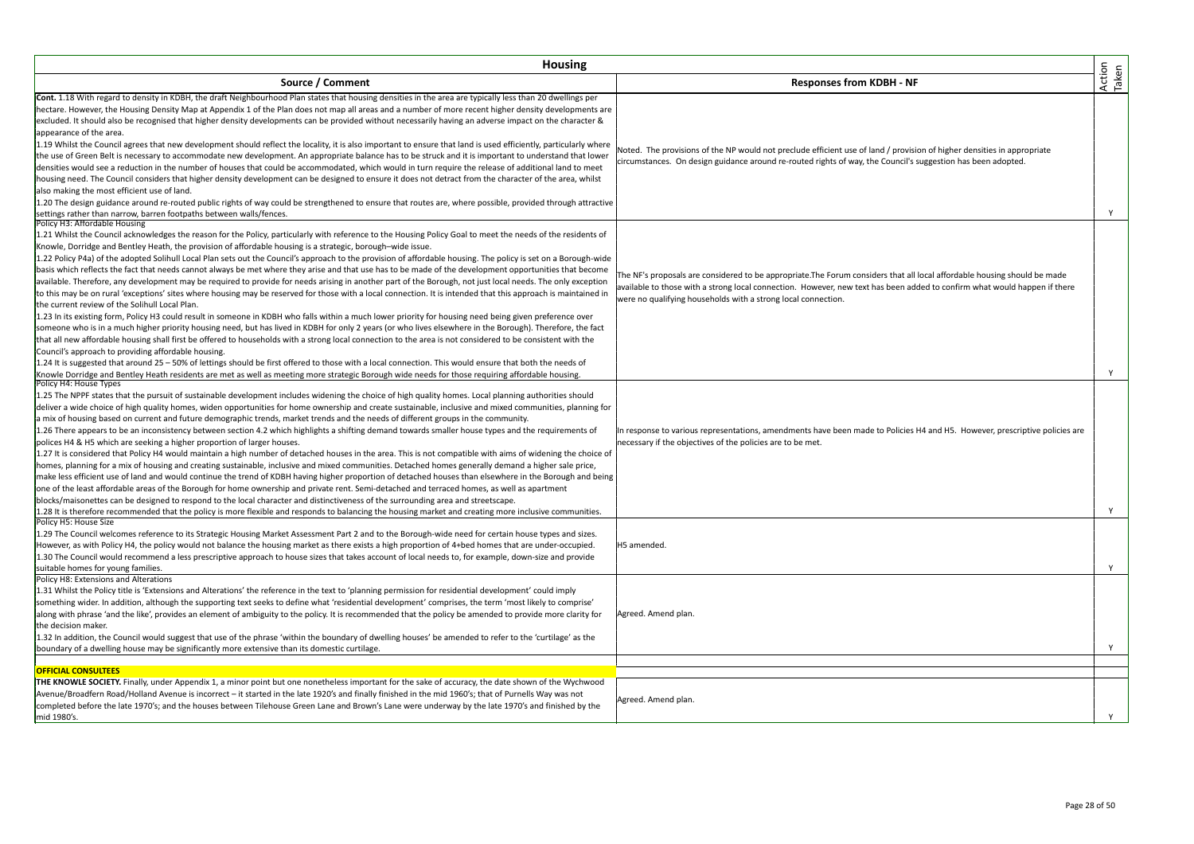| <b>Housing</b>                                                                                                                                                    |                                                                                                                             |                 |
|-------------------------------------------------------------------------------------------------------------------------------------------------------------------|-----------------------------------------------------------------------------------------------------------------------------|-----------------|
| Source / Comment                                                                                                                                                  | <b>Responses from KDBH - NF</b>                                                                                             | Action<br>Taken |
| Cont. 1.18 With regard to density in KDBH, the draft Neighbourhood Plan states that housing densities in the area are typically less than 20 dwellings per        |                                                                                                                             |                 |
| hectare. However, the Housing Density Map at Appendix 1 of the Plan does not map all areas and a number of more recent higher density developments are            |                                                                                                                             |                 |
| excluded. It should also be recognised that higher density developments can be provided without necessarily having an adverse impact on the character &           |                                                                                                                             |                 |
| appearance of the area.                                                                                                                                           |                                                                                                                             |                 |
| 1.19 Whilst the Council agrees that new development should reflect the locality, it is also important to ensure that land is used efficiently, particularly where | Noted. The provisions of the NP would not preclude efficient use of land / provision of higher densities in appropriate     |                 |
| the use of Green Belt is necessary to accommodate new development. An appropriate balance has to be struck and it is important to understand that lower           | circumstances. On design guidance around re-routed rights of way, the Council's suggestion has been adopted.                |                 |
| densities would see a reduction in the number of houses that could be accommodated, which would in turn require the release of additional land to meet            |                                                                                                                             |                 |
| housing need. The Council considers that higher density development can be designed to ensure it does not detract from the character of the area, whilst          |                                                                                                                             |                 |
| also making the most efficient use of land.                                                                                                                       |                                                                                                                             |                 |
| 1.20 The design guidance around re-routed public rights of way could be strengthened to ensure that routes are, where possible, provided through attractive       |                                                                                                                             |                 |
| settings rather than narrow, barren footpaths between walls/fences.<br>Policy H3: Affordable Housing                                                              |                                                                                                                             | Y               |
| 1.21 Whilst the Council acknowledges the reason for the Policy, particularly with reference to the Housing Policy Goal to meet the needs of the residents of      |                                                                                                                             |                 |
| Knowle, Dorridge and Bentley Heath, the provision of affordable housing is a strategic, borough-wide issue.                                                       |                                                                                                                             |                 |
| 1.22 Policy P4a) of the adopted Solihull Local Plan sets out the Council's approach to the provision of affordable housing. The policy is set on a Borough-wide   |                                                                                                                             |                 |
| basis which reflects the fact that needs cannot always be met where they arise and that use has to be made of the development opportunities that become           |                                                                                                                             |                 |
| available. Therefore, any development may be required to provide for needs arising in another part of the Borough, not just local needs. The only exception       | The NF's proposals are considered to be appropriate.The Forum considers that all local affordable housing should be made    |                 |
| to this may be on rural 'exceptions' sites where housing may be reserved for those with a local connection. It is intended that this approach is maintained in    | available to those with a strong local connection. However, new text has been added to confirm what would happen if there   |                 |
| the current review of the Solihull Local Plan.                                                                                                                    | were no qualifying households with a strong local connection.                                                               |                 |
| 1.23 In its existing form, Policy H3 could result in someone in KDBH who falls within a much lower priority for housing need being given preference over          |                                                                                                                             |                 |
| someone who is in a much higher priority housing need, but has lived in KDBH for only 2 years (or who lives elsewhere in the Borough). Therefore, the fact        |                                                                                                                             |                 |
| that all new affordable housing shall first be offered to households with a strong local connection to the area is not considered to be consistent with the       |                                                                                                                             |                 |
| Council's approach to providing affordable housing.                                                                                                               |                                                                                                                             |                 |
| 1.24 It is suggested that around 25 - 50% of lettings should be first offered to those with a local connection. This would ensure that both the needs of          |                                                                                                                             |                 |
| Knowle Dorridge and Bentley Heath residents are met as well as meeting more strategic Borough wide needs for those requiring affordable housing.                  |                                                                                                                             | Y               |
| Policy H4: House Types                                                                                                                                            |                                                                                                                             |                 |
| 1.25 The NPPF states that the pursuit of sustainable development includes widening the choice of high quality homes. Local planning authorities should            |                                                                                                                             |                 |
| deliver a wide choice of high quality homes, widen opportunities for home ownership and create sustainable, inclusive and mixed communities, planning for         |                                                                                                                             |                 |
| a mix of housing based on current and future demographic trends, market trends and the needs of different groups in the community.                                |                                                                                                                             |                 |
| 1.26 There appears to be an inconsistency between section 4.2 which highlights a shifting demand towards smaller house types and the requirements of              | In response to various representations, amendments have been made to Policies H4 and H5. However, prescriptive policies are |                 |
| polices H4 & H5 which are seeking a higher proportion of larger houses.                                                                                           | necessary if the objectives of the policies are to be met.                                                                  |                 |
| 1.27 It is considered that Policy H4 would maintain a high number of detached houses in the area. This is not compatible with aims of widening the choice of      |                                                                                                                             |                 |
| homes, planning for a mix of housing and creating sustainable, inclusive and mixed communities. Detached homes generally demand a higher sale price,              |                                                                                                                             |                 |
| make less efficient use of land and would continue the trend of KDBH having higher proportion of detached houses than elsewhere in the Borough and being          |                                                                                                                             |                 |
| one of the least affordable areas of the Borough for home ownership and private rent. Semi-detached and terraced homes, as well as apartment                      |                                                                                                                             |                 |
| blocks/maisonettes can be designed to respond to the local character and distinctiveness of the surrounding area and streetscape.                                 |                                                                                                                             |                 |
| 1.28 It is therefore recommended that the policy is more flexible and responds to balancing the housing market and creating more inclusive communities.           |                                                                                                                             | Y               |
| Policy H5: House Size                                                                                                                                             |                                                                                                                             |                 |
| 1.29 The Council welcomes reference to its Strategic Housing Market Assessment Part 2 and to the Borough-wide need for certain house types and sizes.             |                                                                                                                             |                 |
| However, as with Policy H4, the policy would not balance the housing market as there exists a high proportion of 4+bed homes that are under-occupied.             | H5 amended.                                                                                                                 |                 |
| 1.30 The Council would recommend a less prescriptive approach to house sizes that takes account of local needs to, for example, down-size and provide             |                                                                                                                             |                 |
| suitable homes for young families.<br>Policy H8: Extensions and Alterations                                                                                       |                                                                                                                             | Y               |
| 1.31 Whilst the Policy title is 'Extensions and Alterations' the reference in the text to 'planning permission for residential development' could imply           |                                                                                                                             |                 |
| something wider. In addition, although the supporting text seeks to define what 'residential development' comprises, the term 'most likely to comprise'           |                                                                                                                             |                 |
| along with phrase 'and the like', provides an element of ambiguity to the policy. It is recommended that the policy be amended to provide more clarity for        | Agreed. Amend plan.                                                                                                         |                 |
| the decision maker.                                                                                                                                               |                                                                                                                             |                 |
| 1.32 In addition, the Council would suggest that use of the phrase 'within the boundary of dwelling houses' be amended to refer to the 'curtilage' as the         |                                                                                                                             |                 |
| boundary of a dwelling house may be significantly more extensive than its domestic curtilage.                                                                     |                                                                                                                             | Y               |
|                                                                                                                                                                   |                                                                                                                             |                 |
| <b>OFFICIAL CONSULTEES</b>                                                                                                                                        |                                                                                                                             |                 |
| THE KNOWLE SOCIETY. Finally, under Appendix 1, a minor point but one nonetheless important for the sake of accuracy, the date shown of the Wychwood               |                                                                                                                             |                 |
| Avenue/Broadfern Road/Holland Avenue is incorrect – it started in the late 1920's and finally finished in the mid 1960's; that of Purnells Way was not            |                                                                                                                             |                 |
| completed before the late 1970's; and the houses between Tilehouse Green Lane and Brown's Lane were underway by the late 1970's and finished by the               | Agreed. Amend plan.                                                                                                         |                 |
| mid 1980's                                                                                                                                                        |                                                                                                                             | Y               |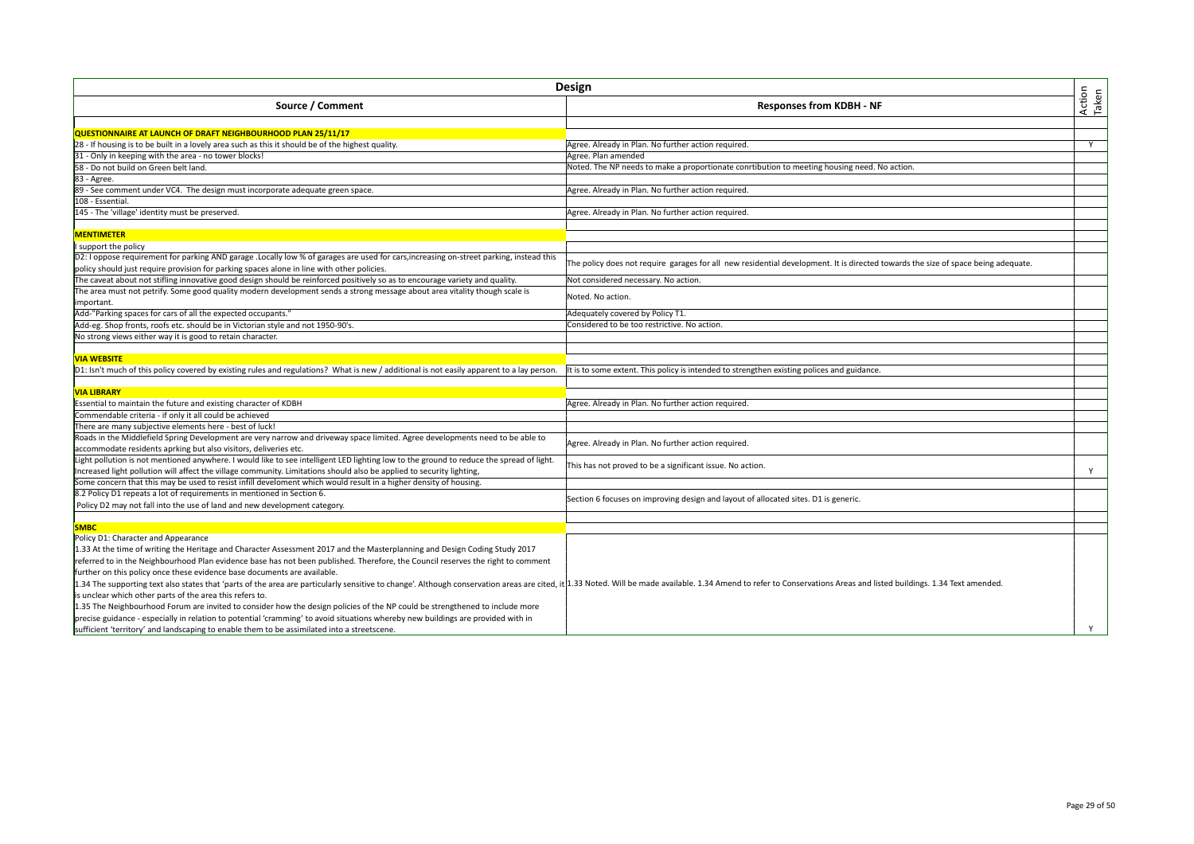| Design                                                                                                                                                                                                                         |                                                                                                                                   |                 |
|--------------------------------------------------------------------------------------------------------------------------------------------------------------------------------------------------------------------------------|-----------------------------------------------------------------------------------------------------------------------------------|-----------------|
| Source / Comment                                                                                                                                                                                                               | <b>Responses from KDBH - NF</b>                                                                                                   | Action<br>Taken |
|                                                                                                                                                                                                                                |                                                                                                                                   |                 |
| QUESTIONNAIRE AT LAUNCH OF DRAFT NEIGHBOURHOOD PLAN 25/11/17                                                                                                                                                                   |                                                                                                                                   |                 |
| 28 - If housing is to be built in a lovely area such as this it should be of the highest quality.                                                                                                                              | Agree. Already in Plan. No further action required.                                                                               | Y               |
| 31 - Only in keeping with the area - no tower blocks!                                                                                                                                                                          | Agree. Plan amended                                                                                                               |                 |
| 58 - Do not build on Green belt land.                                                                                                                                                                                          | Noted. The NP needs to make a proportionate conrtibution to meeting housing need. No action.                                      |                 |
| 83 - Agree.                                                                                                                                                                                                                    |                                                                                                                                   |                 |
| 89 - See comment under VC4. The design must incorporate adequate green space.                                                                                                                                                  | Agree. Already in Plan. No further action required.                                                                               |                 |
| 108 - Essential                                                                                                                                                                                                                |                                                                                                                                   |                 |
| 145 - The 'village' identity must be preserved.                                                                                                                                                                                | Agree. Already in Plan. No further action required.                                                                               |                 |
|                                                                                                                                                                                                                                |                                                                                                                                   |                 |
| <b>MENTIMETER</b>                                                                                                                                                                                                              |                                                                                                                                   |                 |
| I support the policy                                                                                                                                                                                                           |                                                                                                                                   |                 |
| D2: I oppose requirement for parking AND garage . Locally low % of garages are used for cars, increasing on-street parking, instead this                                                                                       | The policy does not require garages for all new residential development. It is directed towards the size of space being adequate. |                 |
| policy should just require provision for parking spaces alone in line with other policies.                                                                                                                                     |                                                                                                                                   |                 |
| The caveat about not stifling innovative good design should be reinforced positively so as to encourage variety and quality.                                                                                                   | Not considered necessary. No action.                                                                                              |                 |
| The area must not petrify. Some good quality modern development sends a strong message about area vitality though scale is                                                                                                     |                                                                                                                                   |                 |
| important.                                                                                                                                                                                                                     | Noted. No action.                                                                                                                 |                 |
| Add-"Parking spaces for cars of all the expected occupants."                                                                                                                                                                   | Adequately covered by Policy T1.                                                                                                  |                 |
| Add-eg. Shop fronts, roofs etc. should be in Victorian style and not 1950-90's.                                                                                                                                                | Considered to be too restrictive. No action                                                                                       |                 |
| No strong views either way it is good to retain character.                                                                                                                                                                     |                                                                                                                                   |                 |
|                                                                                                                                                                                                                                |                                                                                                                                   |                 |
| <b>VIA WEBSITE</b>                                                                                                                                                                                                             |                                                                                                                                   |                 |
| D1: Isn't much of this policy covered by existing rules and regulations? What is new / additional is not easily apparent to a lay person.                                                                                      | It is to some extent. This policy is intended to strengthen existing polices and guidance.                                        |                 |
|                                                                                                                                                                                                                                |                                                                                                                                   |                 |
| <b>VIA LIBRARY</b>                                                                                                                                                                                                             |                                                                                                                                   |                 |
| Essential to maintain the future and existing character of KDBH                                                                                                                                                                | Agree. Already in Plan. No further action required.                                                                               |                 |
| Commendable criteria - if only it all could be achieved                                                                                                                                                                        |                                                                                                                                   |                 |
| There are many subjective elements here - best of luck!                                                                                                                                                                        |                                                                                                                                   |                 |
|                                                                                                                                                                                                                                |                                                                                                                                   |                 |
| Roads in the Middlefield Spring Development are very narrow and driveway space limited. Agree developments need to be able to                                                                                                  | Agree. Already in Plan. No further action required.                                                                               |                 |
| accommodate residents aprking but also visitors, deliveries etc.                                                                                                                                                               |                                                                                                                                   |                 |
| Light pollution is not mentioned anywhere. I would like to see intelligent LED lighting low to the ground to reduce the spread of light.                                                                                       | This has not proved to be a significant issue. No action.                                                                         |                 |
| Increased light pollution will affect the village community. Limitations should also be applied to security lighting,                                                                                                          |                                                                                                                                   | Y               |
| Some concern that this may be used to resist infill develoment which would result in a higher density of housing.                                                                                                              |                                                                                                                                   |                 |
| 8.2 Policy D1 repeats a lot of requirements in mentioned in Section 6.                                                                                                                                                         | Section 6 focuses on improving design and layout of allocated sites. D1 is generic.                                               |                 |
| Policy D2 may not fall into the use of land and new development category.                                                                                                                                                      |                                                                                                                                   |                 |
|                                                                                                                                                                                                                                |                                                                                                                                   |                 |
| <b>SMBC</b>                                                                                                                                                                                                                    |                                                                                                                                   |                 |
| Policy D1: Character and Appearance                                                                                                                                                                                            |                                                                                                                                   |                 |
| 1.33 At the time of writing the Heritage and Character Assessment 2017 and the Masterplanning and Design Coding Study 2017                                                                                                     |                                                                                                                                   |                 |
| referred to in the Neighbourhood Plan evidence base has not been published. Therefore, the Council reserves the right to comment                                                                                               |                                                                                                                                   |                 |
| further on this policy once these evidence base documents are available.                                                                                                                                                       |                                                                                                                                   |                 |
| 1.34 The supporting text also states that 'parts of the area are particularly sensitive to change'. Although conservation areas are cited, it 1.33 Noted. Will be made available. 1.34 Amend to refer to Conservations Areas a |                                                                                                                                   |                 |
| is unclear which other parts of the area this refers to.                                                                                                                                                                       |                                                                                                                                   |                 |
| 1.35 The Neighbourhood Forum are invited to consider how the design policies of the NP could be strengthened to include more                                                                                                   |                                                                                                                                   |                 |
| precise guidance - especially in relation to potential 'cramming' to avoid situations whereby new buildings are provided with in                                                                                               |                                                                                                                                   |                 |
| sufficient 'territory' and landscaping to enable them to be assimilated into a streetscene.                                                                                                                                    |                                                                                                                                   | Y               |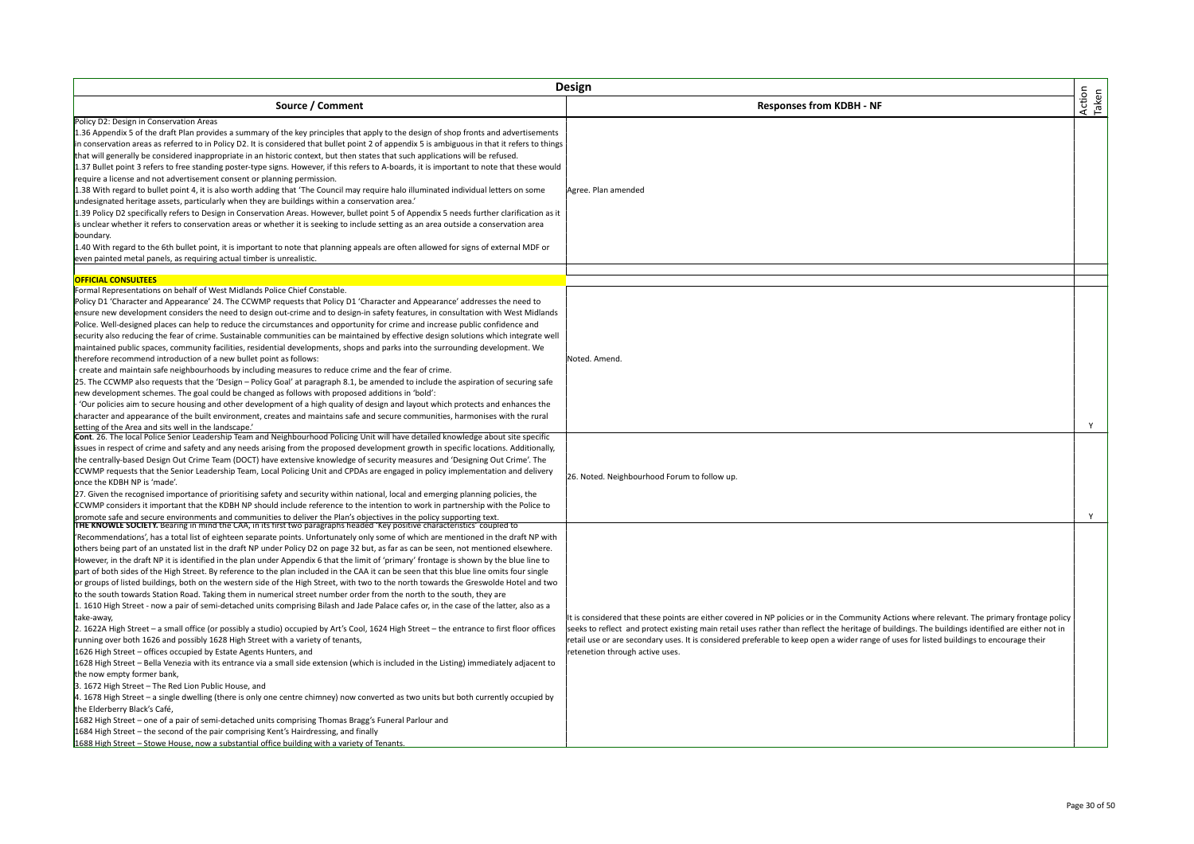|                                                                                                                                                                                                                                                                                                                                                                                                                                                                                                                                                                                                                                                                                                                                                                                                                                                                                                                                                                                                                                                                                                                                                                                                                                                                                                                                                                                                                                                                                                                                                                                                                                                                                                                                                                                                                                                                                                                                                                                                                                                                                                                                                                                                                                                           | Design                                                                                                                                                                                                                                                                                                                                                                                                                                                                          |                 |
|-----------------------------------------------------------------------------------------------------------------------------------------------------------------------------------------------------------------------------------------------------------------------------------------------------------------------------------------------------------------------------------------------------------------------------------------------------------------------------------------------------------------------------------------------------------------------------------------------------------------------------------------------------------------------------------------------------------------------------------------------------------------------------------------------------------------------------------------------------------------------------------------------------------------------------------------------------------------------------------------------------------------------------------------------------------------------------------------------------------------------------------------------------------------------------------------------------------------------------------------------------------------------------------------------------------------------------------------------------------------------------------------------------------------------------------------------------------------------------------------------------------------------------------------------------------------------------------------------------------------------------------------------------------------------------------------------------------------------------------------------------------------------------------------------------------------------------------------------------------------------------------------------------------------------------------------------------------------------------------------------------------------------------------------------------------------------------------------------------------------------------------------------------------------------------------------------------------------------------------------------------------|---------------------------------------------------------------------------------------------------------------------------------------------------------------------------------------------------------------------------------------------------------------------------------------------------------------------------------------------------------------------------------------------------------------------------------------------------------------------------------|-----------------|
| Source / Comment                                                                                                                                                                                                                                                                                                                                                                                                                                                                                                                                                                                                                                                                                                                                                                                                                                                                                                                                                                                                                                                                                                                                                                                                                                                                                                                                                                                                                                                                                                                                                                                                                                                                                                                                                                                                                                                                                                                                                                                                                                                                                                                                                                                                                                          | <b>Responses from KDBH - NF</b>                                                                                                                                                                                                                                                                                                                                                                                                                                                 | Action<br>Taken |
| Policy D2: Design in Conservation Areas<br>1.36 Appendix 5 of the draft Plan provides a summary of the key principles that apply to the design of shop fronts and advertisements<br>in conservation areas as referred to in Policy D2. It is considered that bullet point 2 of appendix 5 is ambiguous in that it refers to things<br>that will generally be considered inappropriate in an historic context, but then states that such applications will be refused.<br>1.37 Bullet point 3 refers to free standing poster-type signs. However, if this refers to A-boards, it is important to note that these would<br>require a license and not advertisement consent or planning permission.<br>1.38 With regard to bullet point 4, it is also worth adding that 'The Council may require halo illuminated individual letters on some<br>undesignated heritage assets, particularly when they are buildings within a conservation area.<br>1.39 Policy D2 specifically refers to Design in Conservation Areas. However, bullet point 5 of Appendix 5 needs further clarification as it<br>is unclear whether it refers to conservation areas or whether it is seeking to include setting as an area outside a conservation area<br>boundary.<br>1.40 With regard to the 6th bullet point, it is important to note that planning appeals are often allowed for signs of external MDF or<br>even painted metal panels, as requiring actual timber is unrealistic.                                                                                                                                                                                                                                                                                                                                                                                                                                                                                                                                                                                                                                                                                                                                                                                       | Agree. Plan amended                                                                                                                                                                                                                                                                                                                                                                                                                                                             |                 |
| <b>OFFICIAL CONSULTEES</b>                                                                                                                                                                                                                                                                                                                                                                                                                                                                                                                                                                                                                                                                                                                                                                                                                                                                                                                                                                                                                                                                                                                                                                                                                                                                                                                                                                                                                                                                                                                                                                                                                                                                                                                                                                                                                                                                                                                                                                                                                                                                                                                                                                                                                                |                                                                                                                                                                                                                                                                                                                                                                                                                                                                                 |                 |
| Formal Representations on behalf of West Midlands Police Chief Constable.<br>Policy D1 'Character and Appearance' 24. The CCWMP requests that Policy D1 'Character and Appearance' addresses the need to<br>ensure new development considers the need to design out-crime and to design-in safety features, in consultation with West Midlands<br>Police. Well-designed places can help to reduce the circumstances and opportunity for crime and increase public confidence and<br>security also reducing the fear of crime. Sustainable communities can be maintained by effective design solutions which integrate well<br>maintained public spaces, community facilities, residential developments, shops and parks into the surrounding development. We<br>therefore recommend introduction of a new bullet point as follows:<br>create and maintain safe neighbourhoods by including measures to reduce crime and the fear of crime.<br>25. The CCWMP also requests that the 'Design - Policy Goal' at paragraph 8.1, be amended to include the aspiration of securing safe<br>new development schemes. The goal could be changed as follows with proposed additions in 'bold':<br>'Our policies aim to secure housing and other development of a high quality of design and layout which protects and enhances the<br>character and appearance of the built environment, creates and maintains safe and secure communities, harmonises with the rural                                                                                                                                                                                                                                                                                                                                                                                                                                                                                                                                                                                                                                                                                                                                                                                              | Noted. Amend.                                                                                                                                                                                                                                                                                                                                                                                                                                                                   |                 |
| setting of the Area and sits well in the landscape.'                                                                                                                                                                                                                                                                                                                                                                                                                                                                                                                                                                                                                                                                                                                                                                                                                                                                                                                                                                                                                                                                                                                                                                                                                                                                                                                                                                                                                                                                                                                                                                                                                                                                                                                                                                                                                                                                                                                                                                                                                                                                                                                                                                                                      |                                                                                                                                                                                                                                                                                                                                                                                                                                                                                 | Y               |
| Cont. 26. The local Police Senior Leadership Team and Neighbourhood Policing Unit will have detailed knowledge about site specific<br>issues in respect of crime and safety and any needs arising from the proposed development growth in specific locations. Additionally,<br>the centrally-based Design Out Crime Team (DOCT) have extensive knowledge of security measures and 'Designing Out Crime'. The<br>CCWMP requests that the Senior Leadership Team, Local Policing Unit and CPDAs are engaged in policy implementation and delivery<br>once the KDBH NP is 'made'.<br>27. Given the recognised importance of prioritising safety and security within national, local and emerging planning policies, the<br>CCWMP considers it important that the KDBH NP should include reference to the intention to work in partnership with the Police to                                                                                                                                                                                                                                                                                                                                                                                                                                                                                                                                                                                                                                                                                                                                                                                                                                                                                                                                                                                                                                                                                                                                                                                                                                                                                                                                                                                                 | 26. Noted. Neighbourhood Forum to follow up.                                                                                                                                                                                                                                                                                                                                                                                                                                    | Y               |
| promote safe and secure environments and communities to deliver the Plan's objectives in the policy supporting text.<br>THE KNOWLE SOCIETY. Bearing in mind the CAA, in its first two paragraphs headed 'Key positive characteris<br>'Recommendations', has a total list of eighteen separate points. Unfortunately only some of which are mentioned in the draft NP with<br>others being part of an unstated list in the draft NP under Policy D2 on page 32 but, as far as can be seen, not mentioned elsewhere.<br>However, in the draft NP it is identified in the plan under Appendix 6 that the limit of 'primary' frontage is shown by the blue line to<br>part of both sides of the High Street. By reference to the plan included in the CAA it can be seen that this blue line omits four single<br>or groups of listed buildings, both on the western side of the High Street, with two to the north towards the Greswolde Hotel and two<br>to the south towards Station Road. Taking them in numerical street number order from the north to the south, they are<br>1. 1610 High Street - now a pair of semi-detached units comprising Bilash and Jade Palace cafes or, in the case of the latter, also as a<br>take-away,<br>2. 1622A High Street – a small office (or possibly a studio) occupied by Art's Cool, 1624 High Street – the entrance to first floor offices<br>running over both 1626 and possibly 1628 High Street with a variety of tenants,<br>1626 High Street - offices occupied by Estate Agents Hunters, and<br>1628 High Street - Bella Venezia with its entrance via a small side extension (which is included in the Listing) immediately adjacent to<br>the now empty former bank,<br>3. 1672 High Street - The Red Lion Public House, and<br>4. 1678 High Street - a single dwelling (there is only one centre chimney) now converted as two units but both currently occupied by<br>the Elderberry Black's Café,<br>1682 High Street - one of a pair of semi-detached units comprising Thomas Bragg's Funeral Parlour and<br>1684 High Street - the second of the pair comprising Kent's Hairdressing, and finally<br>1688 High Street - Stowe House, now a substantial office building with a variety of Tenants. | It is considered that these points are either covered in NP policies or in the Community Actions where relevant. The primary frontage policy<br>seeks to reflect and protect existing main retail uses rather than reflect the heritage of buildings. The buildings identified are either not in<br>retail use or are secondary uses. It is considered preferable to keep open a wider range of uses for listed buildings to encourage their<br>retenetion through active uses. |                 |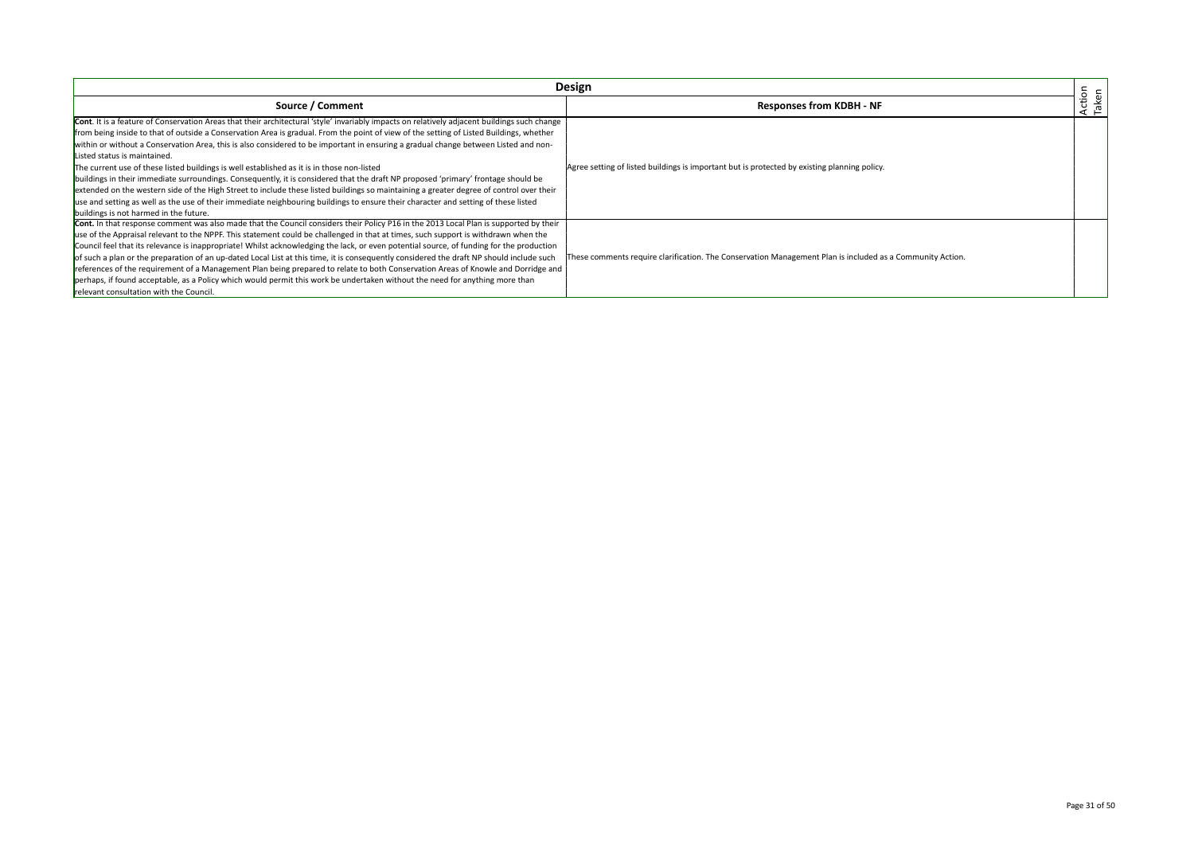|                                                                                                                                                                                                                                                                                                                                                                                                                                                                                                                                                                                                                                                                                                                                                                                                                                                                                                                                                                                                                              | Design                                                                                                    |                 |
|------------------------------------------------------------------------------------------------------------------------------------------------------------------------------------------------------------------------------------------------------------------------------------------------------------------------------------------------------------------------------------------------------------------------------------------------------------------------------------------------------------------------------------------------------------------------------------------------------------------------------------------------------------------------------------------------------------------------------------------------------------------------------------------------------------------------------------------------------------------------------------------------------------------------------------------------------------------------------------------------------------------------------|-----------------------------------------------------------------------------------------------------------|-----------------|
| Source / Comment                                                                                                                                                                                                                                                                                                                                                                                                                                                                                                                                                                                                                                                                                                                                                                                                                                                                                                                                                                                                             | <b>Responses from KDBH - NF</b>                                                                           | Action<br>Taken |
| Cont. It is a feature of Conservation Areas that their architectural 'style' invariably impacts on relatively adjacent buildings such change<br>from being inside to that of outside a Conservation Area is gradual. From the point of view of the setting of Listed Buildings, whether<br>within or without a Conservation Area, this is also considered to be important in ensuring a gradual change between Listed and non-<br>Listed status is maintained.<br>The current use of these listed buildings is well established as it is in those non-listed<br>buildings in their immediate surroundings. Consequently, it is considered that the draft NP proposed 'primary' frontage should be<br>extended on the western side of the High Street to include these listed buildings so maintaining a greater degree of control over their<br>use and setting as well as the use of their immediate neighbouring buildings to ensure their character and setting of these listed<br>buildings is not harmed in the future. | Agree setting of listed buildings is important but is protected by existing planning policy.              |                 |
| Cont. In that response comment was also made that the Council considers their Policy P16 in the 2013 Local Plan is supported by their<br>use of the Appraisal relevant to the NPPF. This statement could be challenged in that at times, such support is withdrawn when the<br>Council feel that its relevance is inappropriate! Whilst acknowledging the lack, or even potential source, of funding for the production<br>of such a plan or the preparation of an up-dated Local List at this time, it is consequently considered the draft NP should include such<br>references of the requirement of a Management Plan being prepared to relate to both Conservation Areas of Knowle and Dorridge and<br>perhaps, if found acceptable, as a Policy which would permit this work be undertaken without the need for anything more than<br>relevant consultation with the Council.                                                                                                                                          | These comments require clarification. The Conservation Management Plan is included as a Community Action. |                 |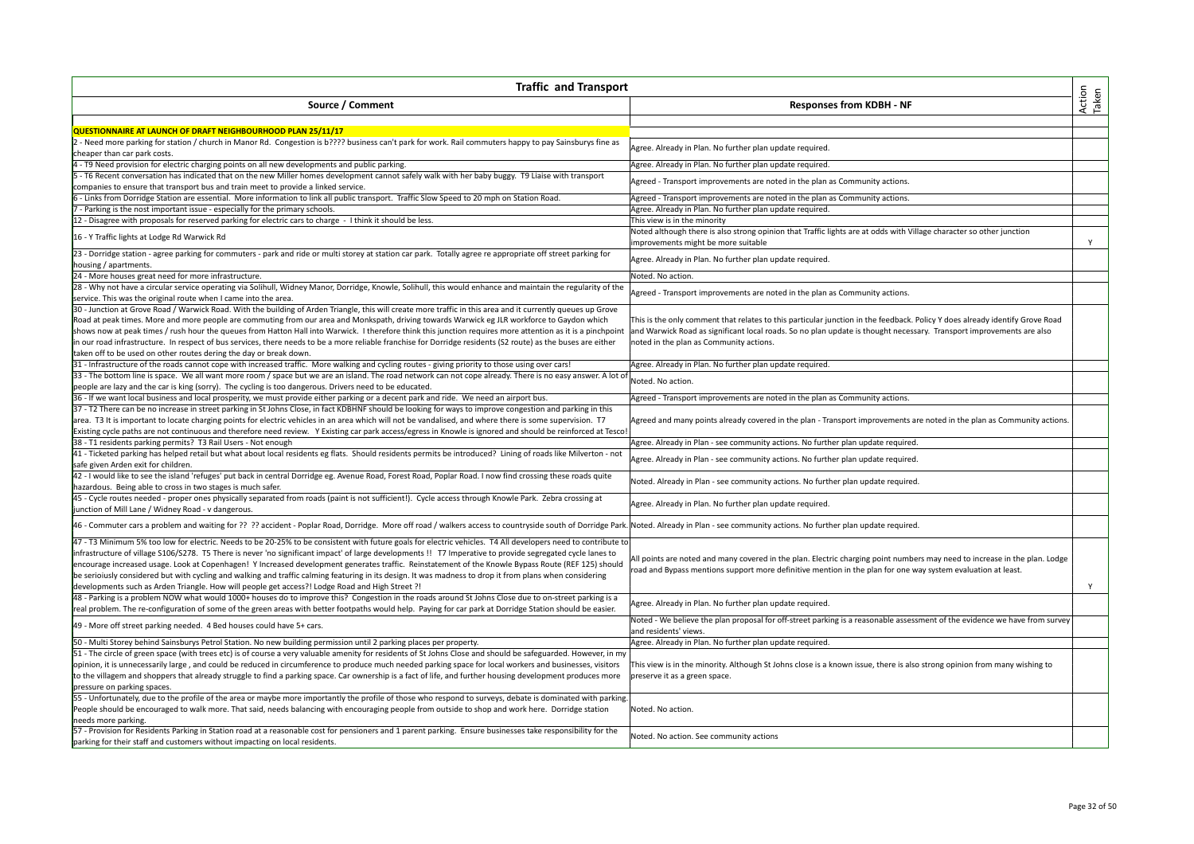| <b>Traffic and Transport</b>                                                                                                                                                                                                   |                                                                                                                                                             |                 |
|--------------------------------------------------------------------------------------------------------------------------------------------------------------------------------------------------------------------------------|-------------------------------------------------------------------------------------------------------------------------------------------------------------|-----------------|
| Source / Comment                                                                                                                                                                                                               | <b>Responses from KDBH - NF</b>                                                                                                                             | Action<br>Taken |
|                                                                                                                                                                                                                                |                                                                                                                                                             |                 |
| QUESTIONNAIRE AT LAUNCH OF DRAFT NEIGHBOURHOOD PLAN 25/11/17                                                                                                                                                                   |                                                                                                                                                             |                 |
| 2 - Need more parking for station / church in Manor Rd. Congestion is b???? business can't park for work. Rail commuters happy to pay Sainsburys fine as                                                                       | Agree. Already in Plan. No further plan update required.                                                                                                    |                 |
| cheaper than car park costs.                                                                                                                                                                                                   |                                                                                                                                                             |                 |
| 4 - T9 Need provision for electric charging points on all new developments and public parking.                                                                                                                                 | Agree. Already in Plan. No further plan update required.                                                                                                    |                 |
| - T6 Recent conversation has indicated that on the new Miller homes development cannot safely walk with her baby buggy. T9 Liaise with transport                                                                               | Agreed - Transport improvements are noted in the plan as Community actions.                                                                                 |                 |
| companies to ensure that transport bus and train meet to provide a linked service.                                                                                                                                             |                                                                                                                                                             |                 |
| - Links from Dorridge Station are essential. More information to link all public transport. Traffic Slow Speed to 20 mph on Station Road.                                                                                      | Agreed - Transport improvements are noted in the plan as Community actions.                                                                                 |                 |
| Parking is the nost important issue - especially for the primary schools.                                                                                                                                                      | Agree. Already in Plan. No further plan update required.                                                                                                    |                 |
| 12 - Disagree with proposals for reserved parking for electric cars to charge - I think it should be less.                                                                                                                     | This view is in the minority                                                                                                                                |                 |
| 16 - Y Traffic lights at Lodge Rd Warwick Rd                                                                                                                                                                                   | Noted although there is also strong opinion that Traffic lights are at odds with Village character so other junction<br>improvements might be more suitable | Y               |
| 23 - Dorridge station - agree parking for commuters - park and ride or multi storey at station car park. Totally agree re appropriate off street parking for                                                                   | Agree. Already in Plan. No further plan update required.                                                                                                    |                 |
| housing / apartments.                                                                                                                                                                                                          |                                                                                                                                                             |                 |
| 24 - More houses great need for more infrastructure.                                                                                                                                                                           | Noted. No action.                                                                                                                                           |                 |
| 28 - Why not have a circular service operating via Solihull, Widney Manor, Dorridge, Knowle, Solihull, this would enhance and maintain the regularity of the                                                                   | Agreed - Transport improvements are noted in the plan as Community actions.                                                                                 |                 |
| service. This was the original route when I came into the area.                                                                                                                                                                |                                                                                                                                                             |                 |
| 30 - Junction at Grove Road / Warwick Road. With the building of Arden Triangle, this will create more traffic in this area and it currently queues up Grove                                                                   |                                                                                                                                                             |                 |
| Road at peak times. More and more people are commuting from our area and Monkspath, driving towards Warwick eg JLR workforce to Gaydon which                                                                                   | This is the only comment that relates to this particular junction in the feedback. Policy Y does already identify Grove Road                                |                 |
| shows now at peak times / rush hour the queues from Hatton Hall into Warwick. I therefore think this junction requires more attention as it is a pinchpoint                                                                    | and Warwick Road as significant local roads. So no plan update is thought necessary. Transport improvements are also                                        |                 |
| in our road infrastructure. In respect of bus services, there needs to be a more reliable franchise for Dorridge residents (S2 route) as the buses are either                                                                  | noted in the plan as Community actions.                                                                                                                     |                 |
| taken off to be used on other routes dering the day or break down.                                                                                                                                                             |                                                                                                                                                             |                 |
| [31 - Infrastructure of the roads cannot cope with increased traffic. More walking and cycling routes - giving priority to those using over cars!                                                                              | Agree. Already in Plan. No further plan update required.                                                                                                    |                 |
| 33 - The bottom line is space. We all want more room / space but we are an island. The road network can not cope already. There is no easy answer. A lot of                                                                    |                                                                                                                                                             |                 |
| people are lazy and the car is king (sorry). The cycling is too dangerous. Drivers need to be educated.                                                                                                                        | Noted. No action.                                                                                                                                           |                 |
| 36 - If we want local business and local prosperity, we must provide either parking or a decent park and ride. We need an airport bus.                                                                                         | Agreed - Transport improvements are noted in the plan as Community actions.                                                                                 |                 |
| 37 - T2 There can be no increase in street parking in St Johns Close, in fact KDBHNF should be looking for ways to improve congestion and parking in this                                                                      |                                                                                                                                                             |                 |
| area. T3 It is important to locate charging points for electric vehicles in an area which will not be vandalised, and where there is some supervision. T7                                                                      | Agreed and many points already covered in the plan - Transport improvements are noted in the plan as Community actions.                                     |                 |
| Existing cycle paths are not continuous and therefore need review. Y Existing car park access/egress in Knowle is ignored and should be reinforced at Tesco!                                                                   |                                                                                                                                                             |                 |
| 38 - T1 residents parking permits? T3 Rail Users - Not enough                                                                                                                                                                  | Agree. Already in Plan - see community actions. No further plan update required.                                                                            |                 |
| 41 - Ticketed parking has helped retail but what about local residents eg flats. Should residents permits be introduced? Lining of roads like Milverton - not                                                                  |                                                                                                                                                             |                 |
| safe given Arden exit for children.                                                                                                                                                                                            | Agree. Already in Plan - see community actions. No further plan update required.                                                                            |                 |
| 42 - I would like to see the island 'refuges' put back in central Dorridge eg. Avenue Road, Forest Road, Poplar Road. I now find crossing these roads quite                                                                    |                                                                                                                                                             |                 |
| hazardous. Being able to cross in two stages is much safer.                                                                                                                                                                    | Noted. Already in Plan - see community actions. No further plan update required.                                                                            |                 |
| 45 - Cycle routes needed - proper ones physically separated from roads (paint is not sufficient!). Cycle access through Knowle Park. Zebra crossing at                                                                         |                                                                                                                                                             |                 |
| junction of Mill Lane / Widney Road - v dangerous.                                                                                                                                                                             | Agree. Already in Plan. No further plan update required.                                                                                                    |                 |
| 46 - Commuter cars a problem and waiting for ?? ?? accident - Poplar Road, Dorridge. More off road / walkers access to countryside south of Dorridge Park. Noted. Already in Plan - see community actions. No further plan upd |                                                                                                                                                             |                 |
|                                                                                                                                                                                                                                |                                                                                                                                                             |                 |
| 47 - T3 Minimum 5% too low for electric. Needs to be 20-25% to be consistent with future goals for electric vehicles. T4 All developers need to contribute to                                                                  |                                                                                                                                                             |                 |
| infrastructure of village S106/S278. T5 There is never 'no significant impact' of large developments !! T7 Imperative to provide segregated cycle lanes to                                                                     | All points are noted and many covered in the plan. Electric charging point numbers may need to increase in the plan. Lodge                                  |                 |
| encourage increased usage. Look at Copenhagen! Y Increased development generates traffic. Reinstatement of the Knowle Bypass Route (REF 125) should                                                                            | road and Bypass mentions support more definitive mention in the plan for one way system evaluation at least.                                                |                 |
| be serioiusly considered but with cycling and walking and traffic calming featuring in its design. It was madness to drop it from plans when considering                                                                       |                                                                                                                                                             |                 |
| ldevelopments such as Arden Triangle. How will people get access?! Lodge Road and High Street ?!                                                                                                                               |                                                                                                                                                             | Y               |
| 48 - Parking is a problem NOW what would 1000+ houses do to improve this? Congestion in the roads around St Johns Close due to on-street parking is a                                                                          | Agree. Already in Plan. No further plan update required.                                                                                                    |                 |
| real problem. The re-configuration of some of the green areas with better footpaths would help. Paying for car park at Dorridge Station should be easier.                                                                      |                                                                                                                                                             |                 |
| 49 - More off street parking needed. 4 Bed houses could have 5+ cars.                                                                                                                                                          | Noted - We believe the plan proposal for off-street parking is a reasonable assessment of the evidence we have from survey<br>and residents' views.         |                 |
| 50 - Multi Storey behind Sainsburys Petrol Station. No new building permission until 2 parking places per property.                                                                                                            | Agree. Already in Plan. No further plan update required.                                                                                                    |                 |
| 51 - The circle of green space (with trees etc) is of course a very valuable amenity for residents of St Johns Close and should be safeguarded. However, in my                                                                 |                                                                                                                                                             |                 |
| opinion, it is unnecessarily large, and could be reduced in circumference to produce much needed parking space for local workers and businesses, visitors                                                                      | This view is in the minority. Although St Johns close is a known issue, there is also strong opinion from many wishing to                                   |                 |
| to the villagem and shoppers that already struggle to find a parking space. Car ownership is a fact of life, and further housing development produces more                                                                     | preserve it as a green space.                                                                                                                               |                 |
| pressure on parking spaces.                                                                                                                                                                                                    |                                                                                                                                                             |                 |
| 55 - Unfortunately, due to the profile of the area or maybe more importantly the profile of those who respond to surveys, debate is dominated with parking.                                                                    |                                                                                                                                                             |                 |
| People should be encouraged to walk more. That said, needs balancing with encouraging people from outside to shop and work here. Dorridge station                                                                              | Noted. No action.                                                                                                                                           |                 |
| needs more parking.                                                                                                                                                                                                            |                                                                                                                                                             |                 |
| 57 - Provision for Residents Parking in Station road at a reasonable cost for pensioners and 1 parent parking. Ensure businesses take responsibility for the                                                                   |                                                                                                                                                             |                 |
| parking for their staff and customers without impacting on local residents.                                                                                                                                                    | Noted. No action. See community actions                                                                                                                     |                 |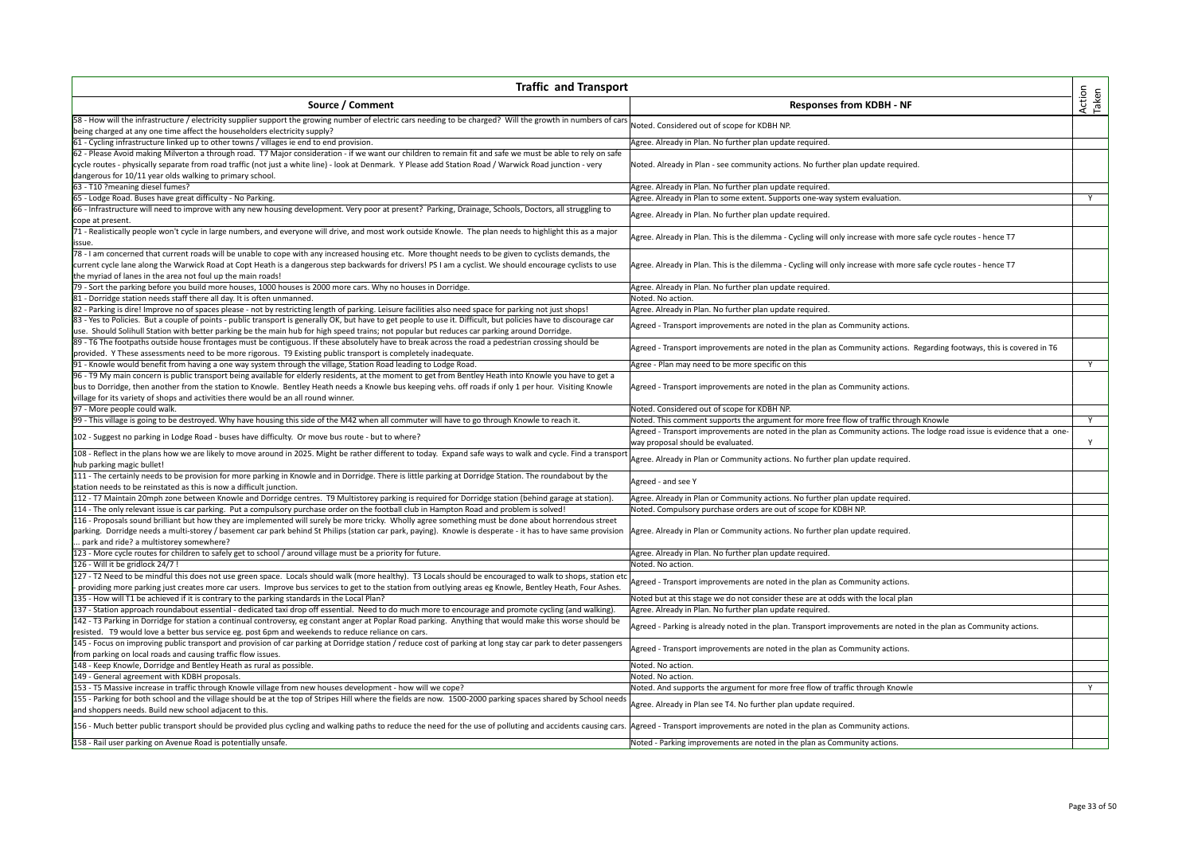| Action<br>Taken<br>Source / Comment<br><b>Responses from KDBH - NF</b><br>58 - How will the infrastructure / electricity supplier support the growing number of electric cars needing to be charged? Will the growth in numbers of cars<br>Noted. Considered out of scope for KDBH NP.<br>being charged at any one time affect the householders electricity supply?<br>Agree. Already in Plan. No further plan update required.<br>61 - Cycling infrastructure linked up to other towns / villages ie end to end provision.<br>62 - Please Avoid making Milverton a through road. T7 Major consideration - if we want our children to remain fit and safe we must be able to rely on safe<br>cycle routes - physically separate from road traffic (not just a white line) - look at Denmark. Y Please add Station Road / Warwick Road junction - very<br>Noted. Already in Plan - see community actions. No further plan update required.<br>dangerous for 10/11 year olds walking to primary school.<br>63 - T10 ?meaning diesel fumes?<br>Agree. Already in Plan. No further plan update required.<br>65 - Lodge Road. Buses have great difficulty - No Parking.<br>Agree. Already in Plan to some extent. Supports one-way system evaluation.<br>Y<br>66 - Infrastructure will need to improve with any new housing development. Very poor at present? Parking, Drainage, Schools, Doctors, all struggling to<br>Agree. Already in Plan. No further plan update required.<br>cope at present.<br>71 - Realistically people won't cycle in large numbers, and everyone will drive, and most work outside Knowle. The plan needs to highlight this as a major<br>Agree. Already in Plan. This is the dilemma - Cycling will only increase with more safe cycle routes - hence T7<br>issue.<br>78 - I am concerned that current roads will be unable to cope with any increased housing etc. More thought needs to be given to cyclists demands, the<br>current cycle lane along the Warwick Road at Copt Heath is a dangerous step backwards for drivers! PS I am a cyclist. We should encourage cyclists to use<br>Agree. Already in Plan. This is the dilemma - Cycling will only increase with more safe cycle routes - hence T7<br>the myriad of lanes in the area not foul up the main roads!<br>79 - Sort the parking before you build more houses, 1000 houses is 2000 more cars. Why no houses in Dorridge.<br>Agree. Already in Plan. No further plan update required.<br>Noted. No action.<br>81 - Dorridge station needs staff there all day. It is often unmanned.<br>82 - Parking is dire! Improve no of spaces please - not by restricting length of parking. Leisure facilities also need space for parking not just shops!<br>Agree. Already in Plan. No further plan update required.<br>83 - Yes to Policies. But a couple of points - public transport is generally OK, but have to get people to use it. Difficult, but policies have to discourage car<br>Agreed - Transport improvements are noted in the plan as Community actions.<br>use. Should Solihull Station with better parking be the main hub for high speed trains; not popular but reduces car parking around Dorridge.<br>89 - T6 The footpaths outside house frontages must be contiguous. If these absolutely have to break across the road a pedestrian crossing should be<br>Agreed - Transport improvements are noted in the plan as Community actions. Regarding footways, this is covered in T6<br>provided. Y These assessments need to be more rigorous. T9 Existing public transport is completely inadequate.<br>91 - Knowle would benefit from having a one way system through the village, Station Road leading to Lodge Road.<br>Agree - Plan may need to be more specific on this<br>Y<br>96 - T9 My main concern is public transport being available for elderly residents, at the moment to get from Bentley Heath into Knowle you have to get a<br>bus to Dorridge, then another from the station to Knowle. Bentley Heath needs a Knowle bus keeping vehs. off roads if only 1 per hour. Visiting Knowle<br>Agreed - Transport improvements are noted in the plan as Community actions.<br>village for its variety of shops and activities there would be an all round winner.<br>97 - More people could walk.<br>Noted. Considered out of scope for KDBH NP.<br>99 - This village is going to be destroyed. Why have housing this side of the M42 when all commuter will have to go through Knowle to reach it.<br>Noted. This comment supports the argument for more free flow of traffic through Knowle<br>Y<br>Agreed - Transport improvements are noted in the plan as Community actions. The lodge road issue is evidence that a one-<br>102 - Suggest no parking in Lodge Road - buses have difficulty. Or move bus route - but to where?<br>way proposal should be evaluated.<br>Y<br>108 - Reflect in the plans how we are likely to move around in 2025. Might be rather different to today. Expand safe ways to walk and cycle. Find a transport<br>Agree. Already in Plan or Community actions. No further plan update required.<br>hub parking magic bullet!<br>111 - The certainly needs to be provision for more parking in Knowle and in Dorridge. There is little parking at Dorridge Station. The roundabout by the<br>Agreed - and see Y<br>station needs to be reinstated as this is now a difficult junction.<br>[112 - T7 Maintain 20mph zone between Knowle and Dorridge centres. T9 Multistorey parking is required for Dorridge station (behind garage at station).<br>Agree. Already in Plan or Community actions. No further plan update required.<br>Noted. Compulsory purchase orders are out of scope for KDBH NP.<br>114 - The only relevant issue is car parking. Put a compulsory purchase order on the football club in Hampton Road and problem is solved!<br>116 - Proposals sound brilliant but how they are implemented will surely be more tricky. Wholly agree something must be done about horrendous street |
|---------------------------------------------------------------------------------------------------------------------------------------------------------------------------------------------------------------------------------------------------------------------------------------------------------------------------------------------------------------------------------------------------------------------------------------------------------------------------------------------------------------------------------------------------------------------------------------------------------------------------------------------------------------------------------------------------------------------------------------------------------------------------------------------------------------------------------------------------------------------------------------------------------------------------------------------------------------------------------------------------------------------------------------------------------------------------------------------------------------------------------------------------------------------------------------------------------------------------------------------------------------------------------------------------------------------------------------------------------------------------------------------------------------------------------------------------------------------------------------------------------------------------------------------------------------------------------------------------------------------------------------------------------------------------------------------------------------------------------------------------------------------------------------------------------------------------------------------------------------------------------------------------------------------------------------------------------------------------------------------------------------------------------------------------------------------------------------------------------------------------------------------------------------------------------------------------------------------------------------------------------------------------------------------------------------------------------------------------------------------------------------------------------------------------------------------------------------------------------------------------------------------------------------------------------------------------------------------------------------------------------------------------------------------------------------------------------------------------------------------------------------------------------------------------------------------------------------------------------------------------------------------------------------------------------------------------------------------------------------------------------------------------------------------------------------------------------------------------------------------------------------------------------------------------------------------------------------------------------------------------------------------------------------------------------------------------------------------------------------------------------------------------------------------------------------------------------------------------------------------------------------------------------------------------------------------------------------------------------------------------------------------------------------------------------------------------------------------------------------------------------------------------------------------------------------------------------------------------------------------------------------------------------------------------------------------------------------------------------------------------------------------------------------------------------------------------------------------------------------------------------------------------------------------------------------------------------------------------------------------------------------------------------------------------------------------------------------------------------------------------------------------------------------------------------------------------------------------------------------------------------------------------------------------------------------------------------------------------------------------------------------------------------------------------------------------------------------------------------------------------------------------------------------------------------------------------------------------------------------------------------------------------------------------------------------------------------------------------------------------------------------------------------------------------------------------------------------------------------------------------------------------------------------------------------------------------------------------------------------------------------------------------------------------------------------------------------------------------------------------------------------------------------------------------------------------------------------------------------------------------------------------------------------------------------------------------------------------------------------------------------------------------------------------------------------------------------------------------------------------------------------------------------------------------------------------------------------------------------------------------------------------------------------------------------------------------------------------------------------------------------------------------------------------------------------|
|                                                                                                                                                                                                                                                                                                                                                                                                                                                                                                                                                                                                                                                                                                                                                                                                                                                                                                                                                                                                                                                                                                                                                                                                                                                                                                                                                                                                                                                                                                                                                                                                                                                                                                                                                                                                                                                                                                                                                                                                                                                                                                                                                                                                                                                                                                                                                                                                                                                                                                                                                                                                                                                                                                                                                                                                                                                                                                                                                                                                                                                                                                                                                                                                                                                                                                                                                                                                                                                                                                                                                                                                                                                                                                                                                                                                                                                                                                                                                                                                                                                                                                                                                                                                                                                                                                                                                                                                                                                                                                                                                                                                                                                                                                                                                                                                                                                                                                                                                                                                                                                                                                                                                                                                                                                                                                                                                                                                                                                                                                                                                                                                                                                                                                                                                                                                                                                                                                                                                                                                                                                               |
|                                                                                                                                                                                                                                                                                                                                                                                                                                                                                                                                                                                                                                                                                                                                                                                                                                                                                                                                                                                                                                                                                                                                                                                                                                                                                                                                                                                                                                                                                                                                                                                                                                                                                                                                                                                                                                                                                                                                                                                                                                                                                                                                                                                                                                                                                                                                                                                                                                                                                                                                                                                                                                                                                                                                                                                                                                                                                                                                                                                                                                                                                                                                                                                                                                                                                                                                                                                                                                                                                                                                                                                                                                                                                                                                                                                                                                                                                                                                                                                                                                                                                                                                                                                                                                                                                                                                                                                                                                                                                                                                                                                                                                                                                                                                                                                                                                                                                                                                                                                                                                                                                                                                                                                                                                                                                                                                                                                                                                                                                                                                                                                                                                                                                                                                                                                                                                                                                                                                                                                                                                                               |
|                                                                                                                                                                                                                                                                                                                                                                                                                                                                                                                                                                                                                                                                                                                                                                                                                                                                                                                                                                                                                                                                                                                                                                                                                                                                                                                                                                                                                                                                                                                                                                                                                                                                                                                                                                                                                                                                                                                                                                                                                                                                                                                                                                                                                                                                                                                                                                                                                                                                                                                                                                                                                                                                                                                                                                                                                                                                                                                                                                                                                                                                                                                                                                                                                                                                                                                                                                                                                                                                                                                                                                                                                                                                                                                                                                                                                                                                                                                                                                                                                                                                                                                                                                                                                                                                                                                                                                                                                                                                                                                                                                                                                                                                                                                                                                                                                                                                                                                                                                                                                                                                                                                                                                                                                                                                                                                                                                                                                                                                                                                                                                                                                                                                                                                                                                                                                                                                                                                                                                                                                                                               |
|                                                                                                                                                                                                                                                                                                                                                                                                                                                                                                                                                                                                                                                                                                                                                                                                                                                                                                                                                                                                                                                                                                                                                                                                                                                                                                                                                                                                                                                                                                                                                                                                                                                                                                                                                                                                                                                                                                                                                                                                                                                                                                                                                                                                                                                                                                                                                                                                                                                                                                                                                                                                                                                                                                                                                                                                                                                                                                                                                                                                                                                                                                                                                                                                                                                                                                                                                                                                                                                                                                                                                                                                                                                                                                                                                                                                                                                                                                                                                                                                                                                                                                                                                                                                                                                                                                                                                                                                                                                                                                                                                                                                                                                                                                                                                                                                                                                                                                                                                                                                                                                                                                                                                                                                                                                                                                                                                                                                                                                                                                                                                                                                                                                                                                                                                                                                                                                                                                                                                                                                                                                               |
|                                                                                                                                                                                                                                                                                                                                                                                                                                                                                                                                                                                                                                                                                                                                                                                                                                                                                                                                                                                                                                                                                                                                                                                                                                                                                                                                                                                                                                                                                                                                                                                                                                                                                                                                                                                                                                                                                                                                                                                                                                                                                                                                                                                                                                                                                                                                                                                                                                                                                                                                                                                                                                                                                                                                                                                                                                                                                                                                                                                                                                                                                                                                                                                                                                                                                                                                                                                                                                                                                                                                                                                                                                                                                                                                                                                                                                                                                                                                                                                                                                                                                                                                                                                                                                                                                                                                                                                                                                                                                                                                                                                                                                                                                                                                                                                                                                                                                                                                                                                                                                                                                                                                                                                                                                                                                                                                                                                                                                                                                                                                                                                                                                                                                                                                                                                                                                                                                                                                                                                                                                                               |
|                                                                                                                                                                                                                                                                                                                                                                                                                                                                                                                                                                                                                                                                                                                                                                                                                                                                                                                                                                                                                                                                                                                                                                                                                                                                                                                                                                                                                                                                                                                                                                                                                                                                                                                                                                                                                                                                                                                                                                                                                                                                                                                                                                                                                                                                                                                                                                                                                                                                                                                                                                                                                                                                                                                                                                                                                                                                                                                                                                                                                                                                                                                                                                                                                                                                                                                                                                                                                                                                                                                                                                                                                                                                                                                                                                                                                                                                                                                                                                                                                                                                                                                                                                                                                                                                                                                                                                                                                                                                                                                                                                                                                                                                                                                                                                                                                                                                                                                                                                                                                                                                                                                                                                                                                                                                                                                                                                                                                                                                                                                                                                                                                                                                                                                                                                                                                                                                                                                                                                                                                                                               |
|                                                                                                                                                                                                                                                                                                                                                                                                                                                                                                                                                                                                                                                                                                                                                                                                                                                                                                                                                                                                                                                                                                                                                                                                                                                                                                                                                                                                                                                                                                                                                                                                                                                                                                                                                                                                                                                                                                                                                                                                                                                                                                                                                                                                                                                                                                                                                                                                                                                                                                                                                                                                                                                                                                                                                                                                                                                                                                                                                                                                                                                                                                                                                                                                                                                                                                                                                                                                                                                                                                                                                                                                                                                                                                                                                                                                                                                                                                                                                                                                                                                                                                                                                                                                                                                                                                                                                                                                                                                                                                                                                                                                                                                                                                                                                                                                                                                                                                                                                                                                                                                                                                                                                                                                                                                                                                                                                                                                                                                                                                                                                                                                                                                                                                                                                                                                                                                                                                                                                                                                                                                               |
|                                                                                                                                                                                                                                                                                                                                                                                                                                                                                                                                                                                                                                                                                                                                                                                                                                                                                                                                                                                                                                                                                                                                                                                                                                                                                                                                                                                                                                                                                                                                                                                                                                                                                                                                                                                                                                                                                                                                                                                                                                                                                                                                                                                                                                                                                                                                                                                                                                                                                                                                                                                                                                                                                                                                                                                                                                                                                                                                                                                                                                                                                                                                                                                                                                                                                                                                                                                                                                                                                                                                                                                                                                                                                                                                                                                                                                                                                                                                                                                                                                                                                                                                                                                                                                                                                                                                                                                                                                                                                                                                                                                                                                                                                                                                                                                                                                                                                                                                                                                                                                                                                                                                                                                                                                                                                                                                                                                                                                                                                                                                                                                                                                                                                                                                                                                                                                                                                                                                                                                                                                                               |
|                                                                                                                                                                                                                                                                                                                                                                                                                                                                                                                                                                                                                                                                                                                                                                                                                                                                                                                                                                                                                                                                                                                                                                                                                                                                                                                                                                                                                                                                                                                                                                                                                                                                                                                                                                                                                                                                                                                                                                                                                                                                                                                                                                                                                                                                                                                                                                                                                                                                                                                                                                                                                                                                                                                                                                                                                                                                                                                                                                                                                                                                                                                                                                                                                                                                                                                                                                                                                                                                                                                                                                                                                                                                                                                                                                                                                                                                                                                                                                                                                                                                                                                                                                                                                                                                                                                                                                                                                                                                                                                                                                                                                                                                                                                                                                                                                                                                                                                                                                                                                                                                                                                                                                                                                                                                                                                                                                                                                                                                                                                                                                                                                                                                                                                                                                                                                                                                                                                                                                                                                                                               |
|                                                                                                                                                                                                                                                                                                                                                                                                                                                                                                                                                                                                                                                                                                                                                                                                                                                                                                                                                                                                                                                                                                                                                                                                                                                                                                                                                                                                                                                                                                                                                                                                                                                                                                                                                                                                                                                                                                                                                                                                                                                                                                                                                                                                                                                                                                                                                                                                                                                                                                                                                                                                                                                                                                                                                                                                                                                                                                                                                                                                                                                                                                                                                                                                                                                                                                                                                                                                                                                                                                                                                                                                                                                                                                                                                                                                                                                                                                                                                                                                                                                                                                                                                                                                                                                                                                                                                                                                                                                                                                                                                                                                                                                                                                                                                                                                                                                                                                                                                                                                                                                                                                                                                                                                                                                                                                                                                                                                                                                                                                                                                                                                                                                                                                                                                                                                                                                                                                                                                                                                                                                               |
|                                                                                                                                                                                                                                                                                                                                                                                                                                                                                                                                                                                                                                                                                                                                                                                                                                                                                                                                                                                                                                                                                                                                                                                                                                                                                                                                                                                                                                                                                                                                                                                                                                                                                                                                                                                                                                                                                                                                                                                                                                                                                                                                                                                                                                                                                                                                                                                                                                                                                                                                                                                                                                                                                                                                                                                                                                                                                                                                                                                                                                                                                                                                                                                                                                                                                                                                                                                                                                                                                                                                                                                                                                                                                                                                                                                                                                                                                                                                                                                                                                                                                                                                                                                                                                                                                                                                                                                                                                                                                                                                                                                                                                                                                                                                                                                                                                                                                                                                                                                                                                                                                                                                                                                                                                                                                                                                                                                                                                                                                                                                                                                                                                                                                                                                                                                                                                                                                                                                                                                                                                                               |
|                                                                                                                                                                                                                                                                                                                                                                                                                                                                                                                                                                                                                                                                                                                                                                                                                                                                                                                                                                                                                                                                                                                                                                                                                                                                                                                                                                                                                                                                                                                                                                                                                                                                                                                                                                                                                                                                                                                                                                                                                                                                                                                                                                                                                                                                                                                                                                                                                                                                                                                                                                                                                                                                                                                                                                                                                                                                                                                                                                                                                                                                                                                                                                                                                                                                                                                                                                                                                                                                                                                                                                                                                                                                                                                                                                                                                                                                                                                                                                                                                                                                                                                                                                                                                                                                                                                                                                                                                                                                                                                                                                                                                                                                                                                                                                                                                                                                                                                                                                                                                                                                                                                                                                                                                                                                                                                                                                                                                                                                                                                                                                                                                                                                                                                                                                                                                                                                                                                                                                                                                                                               |
|                                                                                                                                                                                                                                                                                                                                                                                                                                                                                                                                                                                                                                                                                                                                                                                                                                                                                                                                                                                                                                                                                                                                                                                                                                                                                                                                                                                                                                                                                                                                                                                                                                                                                                                                                                                                                                                                                                                                                                                                                                                                                                                                                                                                                                                                                                                                                                                                                                                                                                                                                                                                                                                                                                                                                                                                                                                                                                                                                                                                                                                                                                                                                                                                                                                                                                                                                                                                                                                                                                                                                                                                                                                                                                                                                                                                                                                                                                                                                                                                                                                                                                                                                                                                                                                                                                                                                                                                                                                                                                                                                                                                                                                                                                                                                                                                                                                                                                                                                                                                                                                                                                                                                                                                                                                                                                                                                                                                                                                                                                                                                                                                                                                                                                                                                                                                                                                                                                                                                                                                                                                               |
|                                                                                                                                                                                                                                                                                                                                                                                                                                                                                                                                                                                                                                                                                                                                                                                                                                                                                                                                                                                                                                                                                                                                                                                                                                                                                                                                                                                                                                                                                                                                                                                                                                                                                                                                                                                                                                                                                                                                                                                                                                                                                                                                                                                                                                                                                                                                                                                                                                                                                                                                                                                                                                                                                                                                                                                                                                                                                                                                                                                                                                                                                                                                                                                                                                                                                                                                                                                                                                                                                                                                                                                                                                                                                                                                                                                                                                                                                                                                                                                                                                                                                                                                                                                                                                                                                                                                                                                                                                                                                                                                                                                                                                                                                                                                                                                                                                                                                                                                                                                                                                                                                                                                                                                                                                                                                                                                                                                                                                                                                                                                                                                                                                                                                                                                                                                                                                                                                                                                                                                                                                                               |
|                                                                                                                                                                                                                                                                                                                                                                                                                                                                                                                                                                                                                                                                                                                                                                                                                                                                                                                                                                                                                                                                                                                                                                                                                                                                                                                                                                                                                                                                                                                                                                                                                                                                                                                                                                                                                                                                                                                                                                                                                                                                                                                                                                                                                                                                                                                                                                                                                                                                                                                                                                                                                                                                                                                                                                                                                                                                                                                                                                                                                                                                                                                                                                                                                                                                                                                                                                                                                                                                                                                                                                                                                                                                                                                                                                                                                                                                                                                                                                                                                                                                                                                                                                                                                                                                                                                                                                                                                                                                                                                                                                                                                                                                                                                                                                                                                                                                                                                                                                                                                                                                                                                                                                                                                                                                                                                                                                                                                                                                                                                                                                                                                                                                                                                                                                                                                                                                                                                                                                                                                                                               |
|                                                                                                                                                                                                                                                                                                                                                                                                                                                                                                                                                                                                                                                                                                                                                                                                                                                                                                                                                                                                                                                                                                                                                                                                                                                                                                                                                                                                                                                                                                                                                                                                                                                                                                                                                                                                                                                                                                                                                                                                                                                                                                                                                                                                                                                                                                                                                                                                                                                                                                                                                                                                                                                                                                                                                                                                                                                                                                                                                                                                                                                                                                                                                                                                                                                                                                                                                                                                                                                                                                                                                                                                                                                                                                                                                                                                                                                                                                                                                                                                                                                                                                                                                                                                                                                                                                                                                                                                                                                                                                                                                                                                                                                                                                                                                                                                                                                                                                                                                                                                                                                                                                                                                                                                                                                                                                                                                                                                                                                                                                                                                                                                                                                                                                                                                                                                                                                                                                                                                                                                                                                               |
|                                                                                                                                                                                                                                                                                                                                                                                                                                                                                                                                                                                                                                                                                                                                                                                                                                                                                                                                                                                                                                                                                                                                                                                                                                                                                                                                                                                                                                                                                                                                                                                                                                                                                                                                                                                                                                                                                                                                                                                                                                                                                                                                                                                                                                                                                                                                                                                                                                                                                                                                                                                                                                                                                                                                                                                                                                                                                                                                                                                                                                                                                                                                                                                                                                                                                                                                                                                                                                                                                                                                                                                                                                                                                                                                                                                                                                                                                                                                                                                                                                                                                                                                                                                                                                                                                                                                                                                                                                                                                                                                                                                                                                                                                                                                                                                                                                                                                                                                                                                                                                                                                                                                                                                                                                                                                                                                                                                                                                                                                                                                                                                                                                                                                                                                                                                                                                                                                                                                                                                                                                                               |
|                                                                                                                                                                                                                                                                                                                                                                                                                                                                                                                                                                                                                                                                                                                                                                                                                                                                                                                                                                                                                                                                                                                                                                                                                                                                                                                                                                                                                                                                                                                                                                                                                                                                                                                                                                                                                                                                                                                                                                                                                                                                                                                                                                                                                                                                                                                                                                                                                                                                                                                                                                                                                                                                                                                                                                                                                                                                                                                                                                                                                                                                                                                                                                                                                                                                                                                                                                                                                                                                                                                                                                                                                                                                                                                                                                                                                                                                                                                                                                                                                                                                                                                                                                                                                                                                                                                                                                                                                                                                                                                                                                                                                                                                                                                                                                                                                                                                                                                                                                                                                                                                                                                                                                                                                                                                                                                                                                                                                                                                                                                                                                                                                                                                                                                                                                                                                                                                                                                                                                                                                                                               |
|                                                                                                                                                                                                                                                                                                                                                                                                                                                                                                                                                                                                                                                                                                                                                                                                                                                                                                                                                                                                                                                                                                                                                                                                                                                                                                                                                                                                                                                                                                                                                                                                                                                                                                                                                                                                                                                                                                                                                                                                                                                                                                                                                                                                                                                                                                                                                                                                                                                                                                                                                                                                                                                                                                                                                                                                                                                                                                                                                                                                                                                                                                                                                                                                                                                                                                                                                                                                                                                                                                                                                                                                                                                                                                                                                                                                                                                                                                                                                                                                                                                                                                                                                                                                                                                                                                                                                                                                                                                                                                                                                                                                                                                                                                                                                                                                                                                                                                                                                                                                                                                                                                                                                                                                                                                                                                                                                                                                                                                                                                                                                                                                                                                                                                                                                                                                                                                                                                                                                                                                                                                               |
|                                                                                                                                                                                                                                                                                                                                                                                                                                                                                                                                                                                                                                                                                                                                                                                                                                                                                                                                                                                                                                                                                                                                                                                                                                                                                                                                                                                                                                                                                                                                                                                                                                                                                                                                                                                                                                                                                                                                                                                                                                                                                                                                                                                                                                                                                                                                                                                                                                                                                                                                                                                                                                                                                                                                                                                                                                                                                                                                                                                                                                                                                                                                                                                                                                                                                                                                                                                                                                                                                                                                                                                                                                                                                                                                                                                                                                                                                                                                                                                                                                                                                                                                                                                                                                                                                                                                                                                                                                                                                                                                                                                                                                                                                                                                                                                                                                                                                                                                                                                                                                                                                                                                                                                                                                                                                                                                                                                                                                                                                                                                                                                                                                                                                                                                                                                                                                                                                                                                                                                                                                                               |
|                                                                                                                                                                                                                                                                                                                                                                                                                                                                                                                                                                                                                                                                                                                                                                                                                                                                                                                                                                                                                                                                                                                                                                                                                                                                                                                                                                                                                                                                                                                                                                                                                                                                                                                                                                                                                                                                                                                                                                                                                                                                                                                                                                                                                                                                                                                                                                                                                                                                                                                                                                                                                                                                                                                                                                                                                                                                                                                                                                                                                                                                                                                                                                                                                                                                                                                                                                                                                                                                                                                                                                                                                                                                                                                                                                                                                                                                                                                                                                                                                                                                                                                                                                                                                                                                                                                                                                                                                                                                                                                                                                                                                                                                                                                                                                                                                                                                                                                                                                                                                                                                                                                                                                                                                                                                                                                                                                                                                                                                                                                                                                                                                                                                                                                                                                                                                                                                                                                                                                                                                                                               |
|                                                                                                                                                                                                                                                                                                                                                                                                                                                                                                                                                                                                                                                                                                                                                                                                                                                                                                                                                                                                                                                                                                                                                                                                                                                                                                                                                                                                                                                                                                                                                                                                                                                                                                                                                                                                                                                                                                                                                                                                                                                                                                                                                                                                                                                                                                                                                                                                                                                                                                                                                                                                                                                                                                                                                                                                                                                                                                                                                                                                                                                                                                                                                                                                                                                                                                                                                                                                                                                                                                                                                                                                                                                                                                                                                                                                                                                                                                                                                                                                                                                                                                                                                                                                                                                                                                                                                                                                                                                                                                                                                                                                                                                                                                                                                                                                                                                                                                                                                                                                                                                                                                                                                                                                                                                                                                                                                                                                                                                                                                                                                                                                                                                                                                                                                                                                                                                                                                                                                                                                                                                               |
|                                                                                                                                                                                                                                                                                                                                                                                                                                                                                                                                                                                                                                                                                                                                                                                                                                                                                                                                                                                                                                                                                                                                                                                                                                                                                                                                                                                                                                                                                                                                                                                                                                                                                                                                                                                                                                                                                                                                                                                                                                                                                                                                                                                                                                                                                                                                                                                                                                                                                                                                                                                                                                                                                                                                                                                                                                                                                                                                                                                                                                                                                                                                                                                                                                                                                                                                                                                                                                                                                                                                                                                                                                                                                                                                                                                                                                                                                                                                                                                                                                                                                                                                                                                                                                                                                                                                                                                                                                                                                                                                                                                                                                                                                                                                                                                                                                                                                                                                                                                                                                                                                                                                                                                                                                                                                                                                                                                                                                                                                                                                                                                                                                                                                                                                                                                                                                                                                                                                                                                                                                                               |
|                                                                                                                                                                                                                                                                                                                                                                                                                                                                                                                                                                                                                                                                                                                                                                                                                                                                                                                                                                                                                                                                                                                                                                                                                                                                                                                                                                                                                                                                                                                                                                                                                                                                                                                                                                                                                                                                                                                                                                                                                                                                                                                                                                                                                                                                                                                                                                                                                                                                                                                                                                                                                                                                                                                                                                                                                                                                                                                                                                                                                                                                                                                                                                                                                                                                                                                                                                                                                                                                                                                                                                                                                                                                                                                                                                                                                                                                                                                                                                                                                                                                                                                                                                                                                                                                                                                                                                                                                                                                                                                                                                                                                                                                                                                                                                                                                                                                                                                                                                                                                                                                                                                                                                                                                                                                                                                                                                                                                                                                                                                                                                                                                                                                                                                                                                                                                                                                                                                                                                                                                                                               |
|                                                                                                                                                                                                                                                                                                                                                                                                                                                                                                                                                                                                                                                                                                                                                                                                                                                                                                                                                                                                                                                                                                                                                                                                                                                                                                                                                                                                                                                                                                                                                                                                                                                                                                                                                                                                                                                                                                                                                                                                                                                                                                                                                                                                                                                                                                                                                                                                                                                                                                                                                                                                                                                                                                                                                                                                                                                                                                                                                                                                                                                                                                                                                                                                                                                                                                                                                                                                                                                                                                                                                                                                                                                                                                                                                                                                                                                                                                                                                                                                                                                                                                                                                                                                                                                                                                                                                                                                                                                                                                                                                                                                                                                                                                                                                                                                                                                                                                                                                                                                                                                                                                                                                                                                                                                                                                                                                                                                                                                                                                                                                                                                                                                                                                                                                                                                                                                                                                                                                                                                                                                               |
|                                                                                                                                                                                                                                                                                                                                                                                                                                                                                                                                                                                                                                                                                                                                                                                                                                                                                                                                                                                                                                                                                                                                                                                                                                                                                                                                                                                                                                                                                                                                                                                                                                                                                                                                                                                                                                                                                                                                                                                                                                                                                                                                                                                                                                                                                                                                                                                                                                                                                                                                                                                                                                                                                                                                                                                                                                                                                                                                                                                                                                                                                                                                                                                                                                                                                                                                                                                                                                                                                                                                                                                                                                                                                                                                                                                                                                                                                                                                                                                                                                                                                                                                                                                                                                                                                                                                                                                                                                                                                                                                                                                                                                                                                                                                                                                                                                                                                                                                                                                                                                                                                                                                                                                                                                                                                                                                                                                                                                                                                                                                                                                                                                                                                                                                                                                                                                                                                                                                                                                                                                                               |
|                                                                                                                                                                                                                                                                                                                                                                                                                                                                                                                                                                                                                                                                                                                                                                                                                                                                                                                                                                                                                                                                                                                                                                                                                                                                                                                                                                                                                                                                                                                                                                                                                                                                                                                                                                                                                                                                                                                                                                                                                                                                                                                                                                                                                                                                                                                                                                                                                                                                                                                                                                                                                                                                                                                                                                                                                                                                                                                                                                                                                                                                                                                                                                                                                                                                                                                                                                                                                                                                                                                                                                                                                                                                                                                                                                                                                                                                                                                                                                                                                                                                                                                                                                                                                                                                                                                                                                                                                                                                                                                                                                                                                                                                                                                                                                                                                                                                                                                                                                                                                                                                                                                                                                                                                                                                                                                                                                                                                                                                                                                                                                                                                                                                                                                                                                                                                                                                                                                                                                                                                                                               |
|                                                                                                                                                                                                                                                                                                                                                                                                                                                                                                                                                                                                                                                                                                                                                                                                                                                                                                                                                                                                                                                                                                                                                                                                                                                                                                                                                                                                                                                                                                                                                                                                                                                                                                                                                                                                                                                                                                                                                                                                                                                                                                                                                                                                                                                                                                                                                                                                                                                                                                                                                                                                                                                                                                                                                                                                                                                                                                                                                                                                                                                                                                                                                                                                                                                                                                                                                                                                                                                                                                                                                                                                                                                                                                                                                                                                                                                                                                                                                                                                                                                                                                                                                                                                                                                                                                                                                                                                                                                                                                                                                                                                                                                                                                                                                                                                                                                                                                                                                                                                                                                                                                                                                                                                                                                                                                                                                                                                                                                                                                                                                                                                                                                                                                                                                                                                                                                                                                                                                                                                                                                               |
|                                                                                                                                                                                                                                                                                                                                                                                                                                                                                                                                                                                                                                                                                                                                                                                                                                                                                                                                                                                                                                                                                                                                                                                                                                                                                                                                                                                                                                                                                                                                                                                                                                                                                                                                                                                                                                                                                                                                                                                                                                                                                                                                                                                                                                                                                                                                                                                                                                                                                                                                                                                                                                                                                                                                                                                                                                                                                                                                                                                                                                                                                                                                                                                                                                                                                                                                                                                                                                                                                                                                                                                                                                                                                                                                                                                                                                                                                                                                                                                                                                                                                                                                                                                                                                                                                                                                                                                                                                                                                                                                                                                                                                                                                                                                                                                                                                                                                                                                                                                                                                                                                                                                                                                                                                                                                                                                                                                                                                                                                                                                                                                                                                                                                                                                                                                                                                                                                                                                                                                                                                                               |
|                                                                                                                                                                                                                                                                                                                                                                                                                                                                                                                                                                                                                                                                                                                                                                                                                                                                                                                                                                                                                                                                                                                                                                                                                                                                                                                                                                                                                                                                                                                                                                                                                                                                                                                                                                                                                                                                                                                                                                                                                                                                                                                                                                                                                                                                                                                                                                                                                                                                                                                                                                                                                                                                                                                                                                                                                                                                                                                                                                                                                                                                                                                                                                                                                                                                                                                                                                                                                                                                                                                                                                                                                                                                                                                                                                                                                                                                                                                                                                                                                                                                                                                                                                                                                                                                                                                                                                                                                                                                                                                                                                                                                                                                                                                                                                                                                                                                                                                                                                                                                                                                                                                                                                                                                                                                                                                                                                                                                                                                                                                                                                                                                                                                                                                                                                                                                                                                                                                                                                                                                                                               |
|                                                                                                                                                                                                                                                                                                                                                                                                                                                                                                                                                                                                                                                                                                                                                                                                                                                                                                                                                                                                                                                                                                                                                                                                                                                                                                                                                                                                                                                                                                                                                                                                                                                                                                                                                                                                                                                                                                                                                                                                                                                                                                                                                                                                                                                                                                                                                                                                                                                                                                                                                                                                                                                                                                                                                                                                                                                                                                                                                                                                                                                                                                                                                                                                                                                                                                                                                                                                                                                                                                                                                                                                                                                                                                                                                                                                                                                                                                                                                                                                                                                                                                                                                                                                                                                                                                                                                                                                                                                                                                                                                                                                                                                                                                                                                                                                                                                                                                                                                                                                                                                                                                                                                                                                                                                                                                                                                                                                                                                                                                                                                                                                                                                                                                                                                                                                                                                                                                                                                                                                                                                               |
|                                                                                                                                                                                                                                                                                                                                                                                                                                                                                                                                                                                                                                                                                                                                                                                                                                                                                                                                                                                                                                                                                                                                                                                                                                                                                                                                                                                                                                                                                                                                                                                                                                                                                                                                                                                                                                                                                                                                                                                                                                                                                                                                                                                                                                                                                                                                                                                                                                                                                                                                                                                                                                                                                                                                                                                                                                                                                                                                                                                                                                                                                                                                                                                                                                                                                                                                                                                                                                                                                                                                                                                                                                                                                                                                                                                                                                                                                                                                                                                                                                                                                                                                                                                                                                                                                                                                                                                                                                                                                                                                                                                                                                                                                                                                                                                                                                                                                                                                                                                                                                                                                                                                                                                                                                                                                                                                                                                                                                                                                                                                                                                                                                                                                                                                                                                                                                                                                                                                                                                                                                                               |
|                                                                                                                                                                                                                                                                                                                                                                                                                                                                                                                                                                                                                                                                                                                                                                                                                                                                                                                                                                                                                                                                                                                                                                                                                                                                                                                                                                                                                                                                                                                                                                                                                                                                                                                                                                                                                                                                                                                                                                                                                                                                                                                                                                                                                                                                                                                                                                                                                                                                                                                                                                                                                                                                                                                                                                                                                                                                                                                                                                                                                                                                                                                                                                                                                                                                                                                                                                                                                                                                                                                                                                                                                                                                                                                                                                                                                                                                                                                                                                                                                                                                                                                                                                                                                                                                                                                                                                                                                                                                                                                                                                                                                                                                                                                                                                                                                                                                                                                                                                                                                                                                                                                                                                                                                                                                                                                                                                                                                                                                                                                                                                                                                                                                                                                                                                                                                                                                                                                                                                                                                                                               |
|                                                                                                                                                                                                                                                                                                                                                                                                                                                                                                                                                                                                                                                                                                                                                                                                                                                                                                                                                                                                                                                                                                                                                                                                                                                                                                                                                                                                                                                                                                                                                                                                                                                                                                                                                                                                                                                                                                                                                                                                                                                                                                                                                                                                                                                                                                                                                                                                                                                                                                                                                                                                                                                                                                                                                                                                                                                                                                                                                                                                                                                                                                                                                                                                                                                                                                                                                                                                                                                                                                                                                                                                                                                                                                                                                                                                                                                                                                                                                                                                                                                                                                                                                                                                                                                                                                                                                                                                                                                                                                                                                                                                                                                                                                                                                                                                                                                                                                                                                                                                                                                                                                                                                                                                                                                                                                                                                                                                                                                                                                                                                                                                                                                                                                                                                                                                                                                                                                                                                                                                                                                               |
|                                                                                                                                                                                                                                                                                                                                                                                                                                                                                                                                                                                                                                                                                                                                                                                                                                                                                                                                                                                                                                                                                                                                                                                                                                                                                                                                                                                                                                                                                                                                                                                                                                                                                                                                                                                                                                                                                                                                                                                                                                                                                                                                                                                                                                                                                                                                                                                                                                                                                                                                                                                                                                                                                                                                                                                                                                                                                                                                                                                                                                                                                                                                                                                                                                                                                                                                                                                                                                                                                                                                                                                                                                                                                                                                                                                                                                                                                                                                                                                                                                                                                                                                                                                                                                                                                                                                                                                                                                                                                                                                                                                                                                                                                                                                                                                                                                                                                                                                                                                                                                                                                                                                                                                                                                                                                                                                                                                                                                                                                                                                                                                                                                                                                                                                                                                                                                                                                                                                                                                                                                                               |
|                                                                                                                                                                                                                                                                                                                                                                                                                                                                                                                                                                                                                                                                                                                                                                                                                                                                                                                                                                                                                                                                                                                                                                                                                                                                                                                                                                                                                                                                                                                                                                                                                                                                                                                                                                                                                                                                                                                                                                                                                                                                                                                                                                                                                                                                                                                                                                                                                                                                                                                                                                                                                                                                                                                                                                                                                                                                                                                                                                                                                                                                                                                                                                                                                                                                                                                                                                                                                                                                                                                                                                                                                                                                                                                                                                                                                                                                                                                                                                                                                                                                                                                                                                                                                                                                                                                                                                                                                                                                                                                                                                                                                                                                                                                                                                                                                                                                                                                                                                                                                                                                                                                                                                                                                                                                                                                                                                                                                                                                                                                                                                                                                                                                                                                                                                                                                                                                                                                                                                                                                                                               |
|                                                                                                                                                                                                                                                                                                                                                                                                                                                                                                                                                                                                                                                                                                                                                                                                                                                                                                                                                                                                                                                                                                                                                                                                                                                                                                                                                                                                                                                                                                                                                                                                                                                                                                                                                                                                                                                                                                                                                                                                                                                                                                                                                                                                                                                                                                                                                                                                                                                                                                                                                                                                                                                                                                                                                                                                                                                                                                                                                                                                                                                                                                                                                                                                                                                                                                                                                                                                                                                                                                                                                                                                                                                                                                                                                                                                                                                                                                                                                                                                                                                                                                                                                                                                                                                                                                                                                                                                                                                                                                                                                                                                                                                                                                                                                                                                                                                                                                                                                                                                                                                                                                                                                                                                                                                                                                                                                                                                                                                                                                                                                                                                                                                                                                                                                                                                                                                                                                                                                                                                                                                               |
| parking. Dorridge needs a multi-storey / basement car park behind St Philips (station car park, paying). Knowle is desperate - it has to have same provision<br>Agree. Already in Plan or Community actions. No further plan update required.                                                                                                                                                                                                                                                                                                                                                                                                                                                                                                                                                                                                                                                                                                                                                                                                                                                                                                                                                                                                                                                                                                                                                                                                                                                                                                                                                                                                                                                                                                                                                                                                                                                                                                                                                                                                                                                                                                                                                                                                                                                                                                                                                                                                                                                                                                                                                                                                                                                                                                                                                                                                                                                                                                                                                                                                                                                                                                                                                                                                                                                                                                                                                                                                                                                                                                                                                                                                                                                                                                                                                                                                                                                                                                                                                                                                                                                                                                                                                                                                                                                                                                                                                                                                                                                                                                                                                                                                                                                                                                                                                                                                                                                                                                                                                                                                                                                                                                                                                                                                                                                                                                                                                                                                                                                                                                                                                                                                                                                                                                                                                                                                                                                                                                                                                                                                                 |
| park and ride? a multistorey somewhere?                                                                                                                                                                                                                                                                                                                                                                                                                                                                                                                                                                                                                                                                                                                                                                                                                                                                                                                                                                                                                                                                                                                                                                                                                                                                                                                                                                                                                                                                                                                                                                                                                                                                                                                                                                                                                                                                                                                                                                                                                                                                                                                                                                                                                                                                                                                                                                                                                                                                                                                                                                                                                                                                                                                                                                                                                                                                                                                                                                                                                                                                                                                                                                                                                                                                                                                                                                                                                                                                                                                                                                                                                                                                                                                                                                                                                                                                                                                                                                                                                                                                                                                                                                                                                                                                                                                                                                                                                                                                                                                                                                                                                                                                                                                                                                                                                                                                                                                                                                                                                                                                                                                                                                                                                                                                                                                                                                                                                                                                                                                                                                                                                                                                                                                                                                                                                                                                                                                                                                                                                       |
| 123 - More cycle routes for children to safely get to school / around village must be a priority for future.<br>Agree. Already in Plan. No further plan update required.                                                                                                                                                                                                                                                                                                                                                                                                                                                                                                                                                                                                                                                                                                                                                                                                                                                                                                                                                                                                                                                                                                                                                                                                                                                                                                                                                                                                                                                                                                                                                                                                                                                                                                                                                                                                                                                                                                                                                                                                                                                                                                                                                                                                                                                                                                                                                                                                                                                                                                                                                                                                                                                                                                                                                                                                                                                                                                                                                                                                                                                                                                                                                                                                                                                                                                                                                                                                                                                                                                                                                                                                                                                                                                                                                                                                                                                                                                                                                                                                                                                                                                                                                                                                                                                                                                                                                                                                                                                                                                                                                                                                                                                                                                                                                                                                                                                                                                                                                                                                                                                                                                                                                                                                                                                                                                                                                                                                                                                                                                                                                                                                                                                                                                                                                                                                                                                                                      |
| 126 - Will it be gridlock 24/7 !<br>Noted. No action.                                                                                                                                                                                                                                                                                                                                                                                                                                                                                                                                                                                                                                                                                                                                                                                                                                                                                                                                                                                                                                                                                                                                                                                                                                                                                                                                                                                                                                                                                                                                                                                                                                                                                                                                                                                                                                                                                                                                                                                                                                                                                                                                                                                                                                                                                                                                                                                                                                                                                                                                                                                                                                                                                                                                                                                                                                                                                                                                                                                                                                                                                                                                                                                                                                                                                                                                                                                                                                                                                                                                                                                                                                                                                                                                                                                                                                                                                                                                                                                                                                                                                                                                                                                                                                                                                                                                                                                                                                                                                                                                                                                                                                                                                                                                                                                                                                                                                                                                                                                                                                                                                                                                                                                                                                                                                                                                                                                                                                                                                                                                                                                                                                                                                                                                                                                                                                                                                                                                                                                                         |
| 127 - T2 Need to be mindful this does not use green space. Locals should walk (more healthy). T3 Locals should be encouraged to walk to shops, station etc                                                                                                                                                                                                                                                                                                                                                                                                                                                                                                                                                                                                                                                                                                                                                                                                                                                                                                                                                                                                                                                                                                                                                                                                                                                                                                                                                                                                                                                                                                                                                                                                                                                                                                                                                                                                                                                                                                                                                                                                                                                                                                                                                                                                                                                                                                                                                                                                                                                                                                                                                                                                                                                                                                                                                                                                                                                                                                                                                                                                                                                                                                                                                                                                                                                                                                                                                                                                                                                                                                                                                                                                                                                                                                                                                                                                                                                                                                                                                                                                                                                                                                                                                                                                                                                                                                                                                                                                                                                                                                                                                                                                                                                                                                                                                                                                                                                                                                                                                                                                                                                                                                                                                                                                                                                                                                                                                                                                                                                                                                                                                                                                                                                                                                                                                                                                                                                                                                    |
| Agreed - Transport improvements are noted in the plan as Community actions.                                                                                                                                                                                                                                                                                                                                                                                                                                                                                                                                                                                                                                                                                                                                                                                                                                                                                                                                                                                                                                                                                                                                                                                                                                                                                                                                                                                                                                                                                                                                                                                                                                                                                                                                                                                                                                                                                                                                                                                                                                                                                                                                                                                                                                                                                                                                                                                                                                                                                                                                                                                                                                                                                                                                                                                                                                                                                                                                                                                                                                                                                                                                                                                                                                                                                                                                                                                                                                                                                                                                                                                                                                                                                                                                                                                                                                                                                                                                                                                                                                                                                                                                                                                                                                                                                                                                                                                                                                                                                                                                                                                                                                                                                                                                                                                                                                                                                                                                                                                                                                                                                                                                                                                                                                                                                                                                                                                                                                                                                                                                                                                                                                                                                                                                                                                                                                                                                                                                                                                   |
| - providing more parking just creates more car users. Improve bus services to get to the station from outlying areas eg Knowle, Bentley Heath, Four Ashes.                                                                                                                                                                                                                                                                                                                                                                                                                                                                                                                                                                                                                                                                                                                                                                                                                                                                                                                                                                                                                                                                                                                                                                                                                                                                                                                                                                                                                                                                                                                                                                                                                                                                                                                                                                                                                                                                                                                                                                                                                                                                                                                                                                                                                                                                                                                                                                                                                                                                                                                                                                                                                                                                                                                                                                                                                                                                                                                                                                                                                                                                                                                                                                                                                                                                                                                                                                                                                                                                                                                                                                                                                                                                                                                                                                                                                                                                                                                                                                                                                                                                                                                                                                                                                                                                                                                                                                                                                                                                                                                                                                                                                                                                                                                                                                                                                                                                                                                                                                                                                                                                                                                                                                                                                                                                                                                                                                                                                                                                                                                                                                                                                                                                                                                                                                                                                                                                                                    |
| 135 - How will T1 be achieved if it is contrary to the parking standards in the Local Plan?<br>Noted but at this stage we do not consider these are at odds with the local plan                                                                                                                                                                                                                                                                                                                                                                                                                                                                                                                                                                                                                                                                                                                                                                                                                                                                                                                                                                                                                                                                                                                                                                                                                                                                                                                                                                                                                                                                                                                                                                                                                                                                                                                                                                                                                                                                                                                                                                                                                                                                                                                                                                                                                                                                                                                                                                                                                                                                                                                                                                                                                                                                                                                                                                                                                                                                                                                                                                                                                                                                                                                                                                                                                                                                                                                                                                                                                                                                                                                                                                                                                                                                                                                                                                                                                                                                                                                                                                                                                                                                                                                                                                                                                                                                                                                                                                                                                                                                                                                                                                                                                                                                                                                                                                                                                                                                                                                                                                                                                                                                                                                                                                                                                                                                                                                                                                                                                                                                                                                                                                                                                                                                                                                                                                                                                                                                               |
| 137 - Station approach roundabout essential - dedicated taxi drop off essential. Need to do much more to encourage and promote cycling (and walking).<br>Agree. Already in Plan. No further plan update required.                                                                                                                                                                                                                                                                                                                                                                                                                                                                                                                                                                                                                                                                                                                                                                                                                                                                                                                                                                                                                                                                                                                                                                                                                                                                                                                                                                                                                                                                                                                                                                                                                                                                                                                                                                                                                                                                                                                                                                                                                                                                                                                                                                                                                                                                                                                                                                                                                                                                                                                                                                                                                                                                                                                                                                                                                                                                                                                                                                                                                                                                                                                                                                                                                                                                                                                                                                                                                                                                                                                                                                                                                                                                                                                                                                                                                                                                                                                                                                                                                                                                                                                                                                                                                                                                                                                                                                                                                                                                                                                                                                                                                                                                                                                                                                                                                                                                                                                                                                                                                                                                                                                                                                                                                                                                                                                                                                                                                                                                                                                                                                                                                                                                                                                                                                                                                                             |
| 142 - T3 Parking in Dorridge for station a continual controversy, eg constant anger at Poplar Road parking. Anything that would make this worse should be<br>Agreed - Parking is already noted in the plan. Transport improvements are noted in the plan as Community actions.                                                                                                                                                                                                                                                                                                                                                                                                                                                                                                                                                                                                                                                                                                                                                                                                                                                                                                                                                                                                                                                                                                                                                                                                                                                                                                                                                                                                                                                                                                                                                                                                                                                                                                                                                                                                                                                                                                                                                                                                                                                                                                                                                                                                                                                                                                                                                                                                                                                                                                                                                                                                                                                                                                                                                                                                                                                                                                                                                                                                                                                                                                                                                                                                                                                                                                                                                                                                                                                                                                                                                                                                                                                                                                                                                                                                                                                                                                                                                                                                                                                                                                                                                                                                                                                                                                                                                                                                                                                                                                                                                                                                                                                                                                                                                                                                                                                                                                                                                                                                                                                                                                                                                                                                                                                                                                                                                                                                                                                                                                                                                                                                                                                                                                                                                                                |
| resisted. T9 would love a better bus service eg. post 6pm and weekends to reduce reliance on cars.                                                                                                                                                                                                                                                                                                                                                                                                                                                                                                                                                                                                                                                                                                                                                                                                                                                                                                                                                                                                                                                                                                                                                                                                                                                                                                                                                                                                                                                                                                                                                                                                                                                                                                                                                                                                                                                                                                                                                                                                                                                                                                                                                                                                                                                                                                                                                                                                                                                                                                                                                                                                                                                                                                                                                                                                                                                                                                                                                                                                                                                                                                                                                                                                                                                                                                                                                                                                                                                                                                                                                                                                                                                                                                                                                                                                                                                                                                                                                                                                                                                                                                                                                                                                                                                                                                                                                                                                                                                                                                                                                                                                                                                                                                                                                                                                                                                                                                                                                                                                                                                                                                                                                                                                                                                                                                                                                                                                                                                                                                                                                                                                                                                                                                                                                                                                                                                                                                                                                            |
| 145 - Focus on improving public transport and provision of car parking at Dorridge station / reduce cost of parking at long stay car park to deter passengers<br>Agreed - Transport improvements are noted in the plan as Community actions.                                                                                                                                                                                                                                                                                                                                                                                                                                                                                                                                                                                                                                                                                                                                                                                                                                                                                                                                                                                                                                                                                                                                                                                                                                                                                                                                                                                                                                                                                                                                                                                                                                                                                                                                                                                                                                                                                                                                                                                                                                                                                                                                                                                                                                                                                                                                                                                                                                                                                                                                                                                                                                                                                                                                                                                                                                                                                                                                                                                                                                                                                                                                                                                                                                                                                                                                                                                                                                                                                                                                                                                                                                                                                                                                                                                                                                                                                                                                                                                                                                                                                                                                                                                                                                                                                                                                                                                                                                                                                                                                                                                                                                                                                                                                                                                                                                                                                                                                                                                                                                                                                                                                                                                                                                                                                                                                                                                                                                                                                                                                                                                                                                                                                                                                                                                                                  |
| from parking on local roads and causing traffic flow issues.                                                                                                                                                                                                                                                                                                                                                                                                                                                                                                                                                                                                                                                                                                                                                                                                                                                                                                                                                                                                                                                                                                                                                                                                                                                                                                                                                                                                                                                                                                                                                                                                                                                                                                                                                                                                                                                                                                                                                                                                                                                                                                                                                                                                                                                                                                                                                                                                                                                                                                                                                                                                                                                                                                                                                                                                                                                                                                                                                                                                                                                                                                                                                                                                                                                                                                                                                                                                                                                                                                                                                                                                                                                                                                                                                                                                                                                                                                                                                                                                                                                                                                                                                                                                                                                                                                                                                                                                                                                                                                                                                                                                                                                                                                                                                                                                                                                                                                                                                                                                                                                                                                                                                                                                                                                                                                                                                                                                                                                                                                                                                                                                                                                                                                                                                                                                                                                                                                                                                                                                  |
| 148 - Keep Knowle, Dorridge and Bentley Heath as rural as possible.<br>Noted. No action.                                                                                                                                                                                                                                                                                                                                                                                                                                                                                                                                                                                                                                                                                                                                                                                                                                                                                                                                                                                                                                                                                                                                                                                                                                                                                                                                                                                                                                                                                                                                                                                                                                                                                                                                                                                                                                                                                                                                                                                                                                                                                                                                                                                                                                                                                                                                                                                                                                                                                                                                                                                                                                                                                                                                                                                                                                                                                                                                                                                                                                                                                                                                                                                                                                                                                                                                                                                                                                                                                                                                                                                                                                                                                                                                                                                                                                                                                                                                                                                                                                                                                                                                                                                                                                                                                                                                                                                                                                                                                                                                                                                                                                                                                                                                                                                                                                                                                                                                                                                                                                                                                                                                                                                                                                                                                                                                                                                                                                                                                                                                                                                                                                                                                                                                                                                                                                                                                                                                                                      |
| 149 - General agreement with KDBH proposals.<br>Noted. No action.                                                                                                                                                                                                                                                                                                                                                                                                                                                                                                                                                                                                                                                                                                                                                                                                                                                                                                                                                                                                                                                                                                                                                                                                                                                                                                                                                                                                                                                                                                                                                                                                                                                                                                                                                                                                                                                                                                                                                                                                                                                                                                                                                                                                                                                                                                                                                                                                                                                                                                                                                                                                                                                                                                                                                                                                                                                                                                                                                                                                                                                                                                                                                                                                                                                                                                                                                                                                                                                                                                                                                                                                                                                                                                                                                                                                                                                                                                                                                                                                                                                                                                                                                                                                                                                                                                                                                                                                                                                                                                                                                                                                                                                                                                                                                                                                                                                                                                                                                                                                                                                                                                                                                                                                                                                                                                                                                                                                                                                                                                                                                                                                                                                                                                                                                                                                                                                                                                                                                                                             |
| Y<br>153 - T5 Massive increase in traffic through Knowle village from new houses development - how will we cope?<br>Noted. And supports the argument for more free flow of traffic through Knowle                                                                                                                                                                                                                                                                                                                                                                                                                                                                                                                                                                                                                                                                                                                                                                                                                                                                                                                                                                                                                                                                                                                                                                                                                                                                                                                                                                                                                                                                                                                                                                                                                                                                                                                                                                                                                                                                                                                                                                                                                                                                                                                                                                                                                                                                                                                                                                                                                                                                                                                                                                                                                                                                                                                                                                                                                                                                                                                                                                                                                                                                                                                                                                                                                                                                                                                                                                                                                                                                                                                                                                                                                                                                                                                                                                                                                                                                                                                                                                                                                                                                                                                                                                                                                                                                                                                                                                                                                                                                                                                                                                                                                                                                                                                                                                                                                                                                                                                                                                                                                                                                                                                                                                                                                                                                                                                                                                                                                                                                                                                                                                                                                                                                                                                                                                                                                                                             |
| 155 - Parking for both school and the village should be at the top of Stripes Hill where the fields are now. 1500-2000 parking spaces shared by School needs<br>Agree. Already in Plan see T4. No further plan update required.<br>and shoppers needs. Build new school adjacent to this.                                                                                                                                                                                                                                                                                                                                                                                                                                                                                                                                                                                                                                                                                                                                                                                                                                                                                                                                                                                                                                                                                                                                                                                                                                                                                                                                                                                                                                                                                                                                                                                                                                                                                                                                                                                                                                                                                                                                                                                                                                                                                                                                                                                                                                                                                                                                                                                                                                                                                                                                                                                                                                                                                                                                                                                                                                                                                                                                                                                                                                                                                                                                                                                                                                                                                                                                                                                                                                                                                                                                                                                                                                                                                                                                                                                                                                                                                                                                                                                                                                                                                                                                                                                                                                                                                                                                                                                                                                                                                                                                                                                                                                                                                                                                                                                                                                                                                                                                                                                                                                                                                                                                                                                                                                                                                                                                                                                                                                                                                                                                                                                                                                                                                                                                                                     |
| 156 - Much better public transport should be provided plus cycling and walking paths to reduce the need for the use of polluting and accidents causing cars.<br>Agreed - Transport improvements are noted in the plan as Community actions.                                                                                                                                                                                                                                                                                                                                                                                                                                                                                                                                                                                                                                                                                                                                                                                                                                                                                                                                                                                                                                                                                                                                                                                                                                                                                                                                                                                                                                                                                                                                                                                                                                                                                                                                                                                                                                                                                                                                                                                                                                                                                                                                                                                                                                                                                                                                                                                                                                                                                                                                                                                                                                                                                                                                                                                                                                                                                                                                                                                                                                                                                                                                                                                                                                                                                                                                                                                                                                                                                                                                                                                                                                                                                                                                                                                                                                                                                                                                                                                                                                                                                                                                                                                                                                                                                                                                                                                                                                                                                                                                                                                                                                                                                                                                                                                                                                                                                                                                                                                                                                                                                                                                                                                                                                                                                                                                                                                                                                                                                                                                                                                                                                                                                                                                                                                                                   |
| 158 - Rail user parking on Avenue Road is potentially unsafe.<br>Noted - Parking improvements are noted in the plan as Community actions.                                                                                                                                                                                                                                                                                                                                                                                                                                                                                                                                                                                                                                                                                                                                                                                                                                                                                                                                                                                                                                                                                                                                                                                                                                                                                                                                                                                                                                                                                                                                                                                                                                                                                                                                                                                                                                                                                                                                                                                                                                                                                                                                                                                                                                                                                                                                                                                                                                                                                                                                                                                                                                                                                                                                                                                                                                                                                                                                                                                                                                                                                                                                                                                                                                                                                                                                                                                                                                                                                                                                                                                                                                                                                                                                                                                                                                                                                                                                                                                                                                                                                                                                                                                                                                                                                                                                                                                                                                                                                                                                                                                                                                                                                                                                                                                                                                                                                                                                                                                                                                                                                                                                                                                                                                                                                                                                                                                                                                                                                                                                                                                                                                                                                                                                                                                                                                                                                                                     |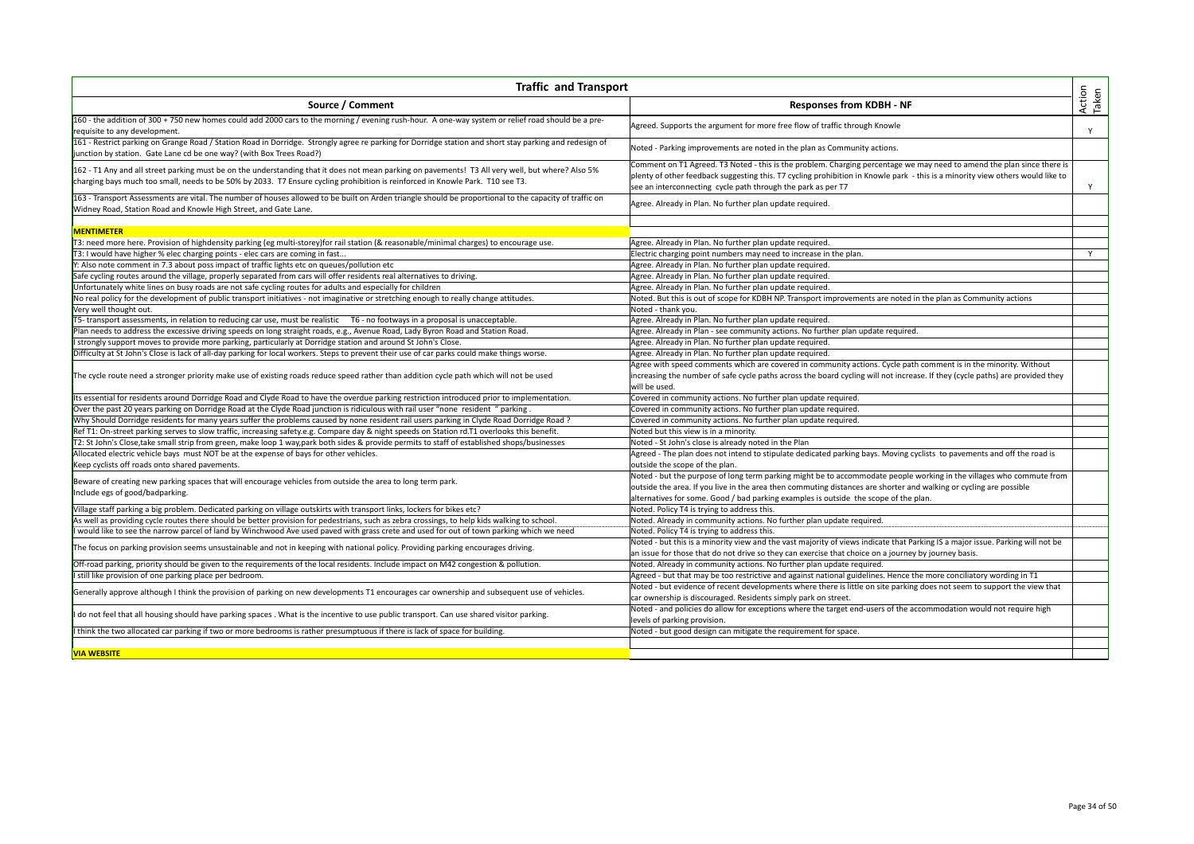| <b>Traffic and Transport</b>                                                                                                                                                                                                    |                                                                                                                                                                                                |                 |
|---------------------------------------------------------------------------------------------------------------------------------------------------------------------------------------------------------------------------------|------------------------------------------------------------------------------------------------------------------------------------------------------------------------------------------------|-----------------|
| Source / Comment                                                                                                                                                                                                                | <b>Responses from KDBH - NF</b>                                                                                                                                                                | Action<br>Taken |
| 160 - the addition of 300 + 750 new homes could add 2000 cars to the morning / evening rush-hour. A one-way system or relief road should be a pre-<br>requisite to any development.                                             | Agreed. Supports the argument for more free flow of traffic through Knowle                                                                                                                     | Y               |
| 161 - Restrict parking on Grange Road / Station Road in Dorridge. Strongly agree re parking for Dorridge station and short stay parking and redesign of<br>junction by station. Gate Lane cd be one way? (with Box Trees Road?) | Noted - Parking improvements are noted in the plan as Community actions.                                                                                                                       |                 |
| 162 - T1 Any and all street parking must be on the understanding that it does not mean parking on pavements! T3 All very well, but where? Also 5%                                                                               | Comment on T1 Agreed. T3 Noted - this is the problem. Charging percentage we may need to amend the plan since there is                                                                         |                 |
| charging bays much too small, needs to be 50% by 2033. T7 Ensure cycling prohibition is reinforced in Knowle Park. T10 see T3.                                                                                                  | plenty of other feedback suggesting this. T7 cycling prohibition in Knowle park - this is a minority view others would like to<br>see an interconnecting cycle path through the park as per T7 | Y               |
| 163 - Transport Assessments are vital. The number of houses allowed to be built on Arden triangle should be proportional to the capacity of traffic on<br>Widney Road, Station Road and Knowle High Street, and Gate Lane.      | Agree. Already in Plan. No further plan update required.                                                                                                                                       |                 |
| <b>MENTIMETER</b>                                                                                                                                                                                                               |                                                                                                                                                                                                |                 |
| [T3: need more here. Provision of highdensity parking (eg multi-storey)for rail station (& reasonable/minimal charges) to encourage use.                                                                                        | Agree. Already in Plan. No further plan update required.                                                                                                                                       |                 |
| T3: I would have higher % elec charging points - elec cars are coming in fast                                                                                                                                                   | Electric charging point numbers may need to increase in the plan.                                                                                                                              | Y               |
| Y: Also note comment in 7.3 about poss impact of traffic lights etc on queues/pollution etc                                                                                                                                     | Agree. Already in Plan. No further plan update required.                                                                                                                                       |                 |
| Safe cycling routes around the village, properly separated from cars will offer residents real alternatives to driving.                                                                                                         | Agree. Already in Plan. No further plan update required.                                                                                                                                       |                 |
| Unfortunately white lines on busy roads are not safe cycling routes for adults and especially for children                                                                                                                      | Agree. Already in Plan. No further plan update required.                                                                                                                                       |                 |
|                                                                                                                                                                                                                                 |                                                                                                                                                                                                |                 |
| No real policy for the development of public transport initiatives - not imaginative or stretching enough to really change attitudes.                                                                                           | Noted. But this is out of scope for KDBH NP. Transport improvements are noted in the plan as Community actions                                                                                 |                 |
| Very well thought out.                                                                                                                                                                                                          | Noted - thank you.                                                                                                                                                                             |                 |
| T5- transport assessments, in relation to reducing car use, must be realistic T6 - no footways in a proposal is unacceptable.                                                                                                   | Agree. Already in Plan. No further plan update required.                                                                                                                                       |                 |
| Plan needs to address the excessive driving speeds on long straight roads, e.g., Avenue Road, Lady Byron Road and Station Road.                                                                                                 | Agree. Already in Plan - see community actions. No further plan update required.                                                                                                               |                 |
| I strongly support moves to provide more parking, particularly at Dorridge station and around St John's Close.                                                                                                                  | Agree. Already in Plan. No further plan update required.                                                                                                                                       |                 |
| Difficulty at St John's Close is lack of all-day parking for local workers. Steps to prevent their use of car parks could make things worse.                                                                                    | Agree. Already in Plan. No further plan update required.                                                                                                                                       |                 |
|                                                                                                                                                                                                                                 | Agree with speed comments which are covered in community actions. Cycle path comment is in the minority. Without                                                                               |                 |
| The cycle route need a stronger priority make use of existing roads reduce speed rather than addition cycle path which will not be used                                                                                         | increasing the number of safe cycle paths across the board cycling will not increase. If they (cycle paths) are provided they<br>will be used.                                                 |                 |
| Its essential for residents around Dorridge Road and Clyde Road to have the overdue parking restriction introduced prior to implementation.                                                                                     | Covered in community actions. No further plan update required.                                                                                                                                 |                 |
| Over the past 20 years parking on Dorridge Road at the Clyde Road junction is ridiculous with rail user "none resident " parking                                                                                                | Covered in community actions. No further plan update required.                                                                                                                                 |                 |
| Why Should Dorridge residents for many years suffer the problems caused by none resident rail users parking in Clyde Road Dorridge Road?                                                                                        | Covered in community actions. No further plan update required.                                                                                                                                 |                 |
| Ref T1: On-street parking serves to slow traffic, increasing safety.e.g. Compare day & night speeds on Station rd.T1 overlooks this benefit.                                                                                    | Noted but this view is in a minority.                                                                                                                                                          |                 |
| T2: St John's Close, take small strip from green, make loop 1 way, park both sides & provide permits to staff of established shops/businesses                                                                                   | Noted - St John's close is already noted in the Plan                                                                                                                                           |                 |
| Allocated electric vehicle bays must NOT be at the expense of bays for other vehicles.                                                                                                                                          | Agreed - The plan does not intend to stipulate dedicated parking bays. Moving cyclists to pavements and off the road is                                                                        |                 |
| Keep cyclists off roads onto shared pavements.                                                                                                                                                                                  | outside the scope of the plan.                                                                                                                                                                 |                 |
| Beware of creating new parking spaces that will encourage vehicles from outside the area to long term park.                                                                                                                     | Noted - but the purpose of long term parking might be to accommodate people working in the villages who commute from                                                                           |                 |
| Include egs of good/badparking.                                                                                                                                                                                                 | outside the area. If you live in the area then commuting distances are shorter and walking or cycling are possible                                                                             |                 |
|                                                                                                                                                                                                                                 | alternatives for some. Good / bad parking examples is outside the scope of the plan.                                                                                                           |                 |
| Village staff parking a big problem. Dedicated parking on village outskirts with transport links, lockers for bikes etc?                                                                                                        | Noted. Policy T4 is trying to address this.                                                                                                                                                    |                 |
| As well as providing cycle routes there should be better provision for pedestrians, such as zebra crossings, to help kids walking to school.                                                                                    | Noted. Already in community actions. No further plan update required.                                                                                                                          |                 |
| would like to see the narrow parcel of land by Winchwood Ave used paved with grass crete and used for out of town parking which we need                                                                                         | Noted. Policy T4 is trying to address this.                                                                                                                                                    |                 |
|                                                                                                                                                                                                                                 | Noted - but this is a minority view and the vast majority of views indicate that Parking IS a major issue. Parking will not be                                                                 |                 |
| The focus on parking provision seems unsustainable and not in keeping with national policy. Providing parking encourages driving.                                                                                               | an issue for those that do not drive so they can exercise that choice on a journey by journey basis.                                                                                           |                 |
| Off-road parking, priority should be given to the requirements of the local residents. Include impact on M42 congestion & pollution.                                                                                            | Noted. Already in community actions. No further plan update required.                                                                                                                          |                 |
| I still like provision of one parking place per bedroom.                                                                                                                                                                        | Agreed - but that may be too restrictive and against national guidelines. Hence the more conciliatory wording in T1                                                                            |                 |
|                                                                                                                                                                                                                                 | Noted - but evidence of recent developments where there is little on site parking does not seem to support the view that                                                                       |                 |
| Generally approve although I think the provision of parking on new developments T1 encourages car ownership and subsequent use of vehicles.                                                                                     | car ownership is discouraged. Residents simply park on street.                                                                                                                                 |                 |
|                                                                                                                                                                                                                                 | Noted - and policies do allow for exceptions where the target end-users of the accommodation would not require high                                                                            |                 |
| do not feel that all housing should have parking spaces. What is the incentive to use public transport. Can use shared visitor parking.                                                                                         | evels of parking provision.                                                                                                                                                                    |                 |
| think the two allocated car parking if two or more bedrooms is rather presumptuous if there is lack of space for building.                                                                                                      | Noted - but good design can mitigate the requirement for space.                                                                                                                                |                 |
|                                                                                                                                                                                                                                 |                                                                                                                                                                                                |                 |
| <b>VIA WEBSITE</b>                                                                                                                                                                                                              |                                                                                                                                                                                                |                 |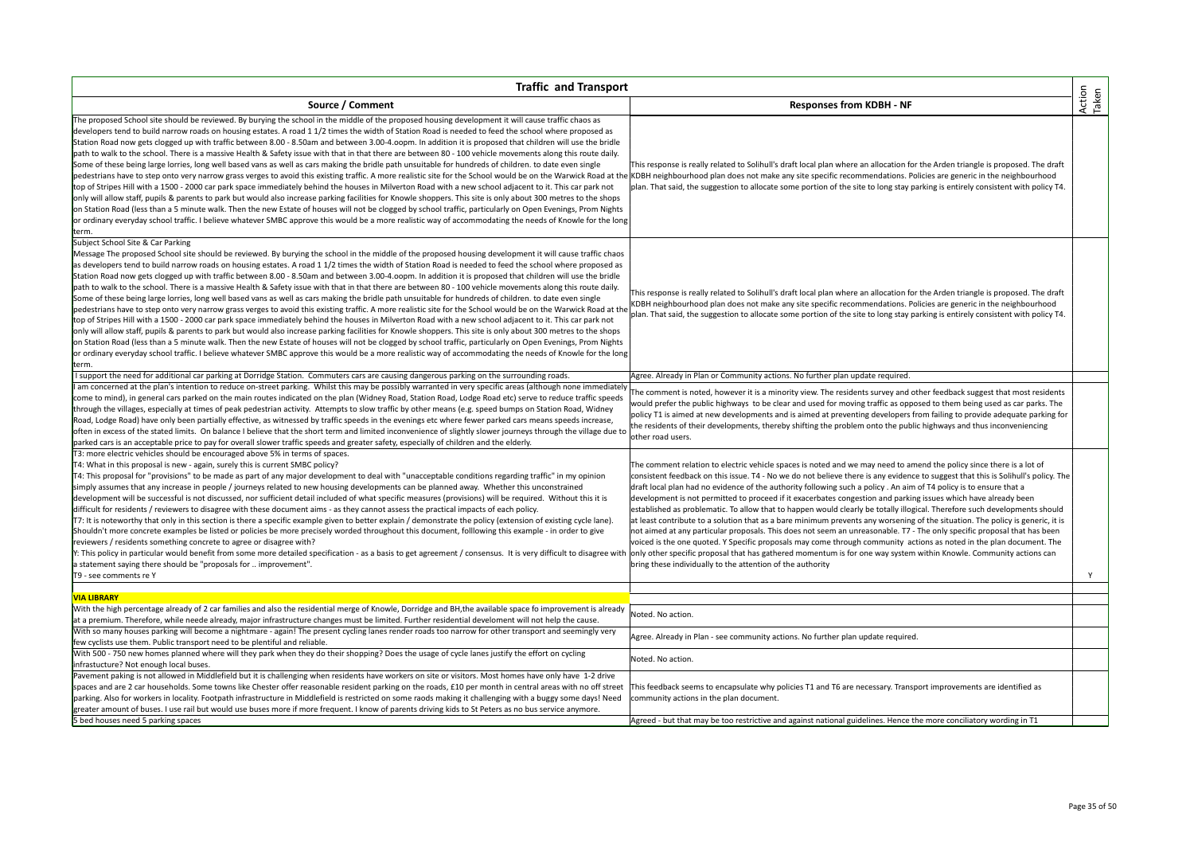| <b>Traffic and Transport</b>                                                                                                                                                                                                                                                                                                                                                                                                                                                                                                                                                                                                                                                                                                                                                                                                                                                                                                                                                                                                                                                                                                                                                                                                                                                                                                                                                                                                                                                                                                                                                                                                                                                                              |                                                                                                                                                                                                                                                                                                                                                                                                                                                                                                                                                                                                                                                                                                                                                                                                                                                                                                                                                                                                                                                                                                                                                                                                             |                 |
|-----------------------------------------------------------------------------------------------------------------------------------------------------------------------------------------------------------------------------------------------------------------------------------------------------------------------------------------------------------------------------------------------------------------------------------------------------------------------------------------------------------------------------------------------------------------------------------------------------------------------------------------------------------------------------------------------------------------------------------------------------------------------------------------------------------------------------------------------------------------------------------------------------------------------------------------------------------------------------------------------------------------------------------------------------------------------------------------------------------------------------------------------------------------------------------------------------------------------------------------------------------------------------------------------------------------------------------------------------------------------------------------------------------------------------------------------------------------------------------------------------------------------------------------------------------------------------------------------------------------------------------------------------------------------------------------------------------|-------------------------------------------------------------------------------------------------------------------------------------------------------------------------------------------------------------------------------------------------------------------------------------------------------------------------------------------------------------------------------------------------------------------------------------------------------------------------------------------------------------------------------------------------------------------------------------------------------------------------------------------------------------------------------------------------------------------------------------------------------------------------------------------------------------------------------------------------------------------------------------------------------------------------------------------------------------------------------------------------------------------------------------------------------------------------------------------------------------------------------------------------------------------------------------------------------------|-----------------|
| Source / Comment                                                                                                                                                                                                                                                                                                                                                                                                                                                                                                                                                                                                                                                                                                                                                                                                                                                                                                                                                                                                                                                                                                                                                                                                                                                                                                                                                                                                                                                                                                                                                                                                                                                                                          | <b>Responses from KDBH - NF</b>                                                                                                                                                                                                                                                                                                                                                                                                                                                                                                                                                                                                                                                                                                                                                                                                                                                                                                                                                                                                                                                                                                                                                                             | Action<br>Taken |
| The proposed School site should be reviewed. By burying the school in the middle of the proposed housing development it will cause traffic chaos as<br>developers tend to build narrow roads on housing estates. A road 11/2 times the width of Station Road is needed to feed the school where proposed as<br>Station Road now gets clogged up with traffic between 8.00 - 8.50am and between 3.00-4.oopm. In addition it is proposed that children will use the bridle<br>path to walk to the school. There is a massive Health & Safety issue with that in that there are between 80 - 100 vehicle movements along this route daily.<br>Some of these being large lorries, long well based vans as well as cars making the bridle path unsuitable for hundreds of children. to date even single<br>pedestrians have to step onto very narrow grass verges to avoid this existing traffic. A more realistic site for the School would be on the Warwick Road at the KDBH neighbourhood plan does not make any site specific recomm<br>top of Stripes Hill with a 1500 - 2000 car park space immediately behind the houses in Milverton Road with a new school adjacent to it. This car park not<br>only will allow staff, pupils & parents to park but would also increase parking facilities for Knowle shoppers. This site is only about 300 metres to the shops<br>on Station Road (less than a 5 minute walk. Then the new Estate of houses will not be clogged by school traffic, particularly on Open Evenings, Prom Nights<br>or ordinary everyday school traffic. I believe whatever SMBC approve this would be a more realistic way of accommodating the needs of Knowle for the long<br>term. | This response is really related to Solihull's draft local plan where an allocation for the Arden triangle is proposed. The draft<br>plan. That said, the suggestion to allocate some portion of the site to long stay parking is entirely consistent with policy T4.                                                                                                                                                                                                                                                                                                                                                                                                                                                                                                                                                                                                                                                                                                                                                                                                                                                                                                                                        |                 |
| Subject School Site & Car Parking<br>Message The proposed School site should be reviewed. By burying the school in the middle of the proposed housing development it will cause traffic chaos<br>as developers tend to build narrow roads on housing estates. A road 11/2 times the width of Station Road is needed to feed the school where proposed as<br>Station Road now gets clogged up with traffic between 8.00 - 8.50am and between 3.00-4.oopm. In addition it is proposed that children will use the bridle<br>path to walk to the school. There is a massive Health & Safety issue with that in that there are between 80 - 100 vehicle movements along this route daily.<br>Some of these being large lorries, long well based vans as well as cars making the bridle path unsuitable for hundreds of children. to date even single<br>pedestrians have to step onto very narrow grass verges to avoid this existing traffic. A more realistic site for the School would be on the Warwick Road at the<br>top of Stripes Hill with a 1500 - 2000 car park space immediately behind the houses in Milverton Road with a new school adjacent to it. This car park not<br>only will allow staff, pupils & parents to park but would also increase parking facilities for Knowle shoppers. This site is only about 300 metres to the shops<br>on Station Road (less than a 5 minute walk. Then the new Estate of houses will not be clogged by school traffic, particularly on Open Evenings, Prom Nights<br>or ordinary everyday school traffic. I believe whatever SMBC approve this would be a more realistic way of accommodating the needs of Knowle for the long<br>term.                   | This response is really related to Solihull's draft local plan where an allocation for the Arden triangle is proposed. The draft<br>KDBH neighbourhood plan does not make any site specific recommendations. Policies are generic in the neighbourhood<br>plan. That said, the suggestion to allocate some portion of the site to long stay parking is entirely consistent with policy T4.                                                                                                                                                                                                                                                                                                                                                                                                                                                                                                                                                                                                                                                                                                                                                                                                                  |                 |
| I support the need for additional car parking at Dorridge Station. Commuters cars are causing dangerous parking on the surrounding roads.                                                                                                                                                                                                                                                                                                                                                                                                                                                                                                                                                                                                                                                                                                                                                                                                                                                                                                                                                                                                                                                                                                                                                                                                                                                                                                                                                                                                                                                                                                                                                                 | Agree. Already in Plan or Community actions. No further plan update required.                                                                                                                                                                                                                                                                                                                                                                                                                                                                                                                                                                                                                                                                                                                                                                                                                                                                                                                                                                                                                                                                                                                               |                 |
| am concerned at the plan's intention to reduce on-street parking. Whilst this may be possibly warranted in very specific areas (although none immediately<br>come to mind), in general cars parked on the main routes indicated on the plan (Widney Road, Station Road, Lodge Road etc) serve to reduce traffic speeds<br>through the villages, especially at times of peak pedestrian activity. Attempts to slow traffic by other means (e.g. speed bumps on Station Road, Widney<br>Road, Lodge Road) have only been partially effective, as witnessed by traffic speeds in the evenings etc where fewer parked cars means speeds increase,<br>often in excess of the stated limits. On balance I believe that the short term and limited inconvenience of slightly slower journeys through the village due to<br>parked cars is an acceptable price to pay for overall slower traffic speeds and greater safety, especially of children and the elderly.                                                                                                                                                                                                                                                                                                                                                                                                                                                                                                                                                                                                                                                                                                                                               | The comment is noted, however it is a minority view. The residents survey and other feedback suggest that most residents<br>would prefer the public highways to be clear and used for moving traffic as opposed to them being used as car parks. The<br>policy T1 is aimed at new developments and is aimed at preventing developers from failing to provide adequate parking for<br>the residents of their developments, thereby shifting the problem onto the public highways and thus inconveniencing<br>other road users.                                                                                                                                                                                                                                                                                                                                                                                                                                                                                                                                                                                                                                                                               |                 |
| T3: more electric vehicles should be encouraged above 5% in terms of spaces.<br>T4: What in this proposal is new - again, surely this is current SMBC policy?<br>T4: This proposal for "provisions" to be made as part of any major development to deal with "unacceptable conditions regarding traffic" in my opinion<br>simply assumes that any increase in people / journeys related to new housing developments can be planned away. Whether this unconstrained<br>development will be successful is not discussed, nor sufficient detail included of what specific measures (provisions) will be required. Without this it is<br>difficult for residents / reviewers to disagree with these document aims - as they cannot assess the practical impacts of each policy.<br>T7: It is noteworthy that only in this section is there a specific example given to better explain / demonstrate the policy (extension of existing cycle lane).<br>Shouldn't more concrete examples be listed or policies be more precisely worded throughout this document, folllowing this example - in order to give<br>reviewers / residents something concrete to agree or disagree with?<br>Y: This policy in particular would benefit from some more detailed specification - as a basis to get agreement / consensus. It is very difficult to disagree with<br>a statement saying there should be "proposals for  improvement".<br>T9 - see comments re Y                                                                                                                                                                                                                                                         | The comment relation to electric vehicle spaces is noted and we may need to amend the policy since there is a lot of<br>consistent feedback on this issue. T4 - No we do not believe there is any evidence to suggest that this is Solihull's policy. The<br>draft local plan had no evidence of the authority following such a policy . An aim of T4 policy is to ensure that a<br>development is not permitted to proceed if it exacerbates congestion and parking issues which have already been<br>established as problematic. To allow that to happen would clearly be totally illogical. Therefore such developments should<br>at least contribute to a solution that as a bare minimum prevents any worsening of the situation. The policy is generic, it is<br>not aimed at any particular proposals. This does not seem an unreasonable. T7 - The only specific proposal that has been<br>voiced is the one quoted. Y Specific proposals may come through community actions as noted in the plan document. The<br>only other specific proposal that has gathered momentum is for one way system within Knowle. Community actions can<br>bring these individually to the attention of the authority | Y               |
|                                                                                                                                                                                                                                                                                                                                                                                                                                                                                                                                                                                                                                                                                                                                                                                                                                                                                                                                                                                                                                                                                                                                                                                                                                                                                                                                                                                                                                                                                                                                                                                                                                                                                                           |                                                                                                                                                                                                                                                                                                                                                                                                                                                                                                                                                                                                                                                                                                                                                                                                                                                                                                                                                                                                                                                                                                                                                                                                             |                 |
| <b>VIA LIBRARY</b><br>With the high percentage already of 2 car families and also the residential merge of Knowle, Dorridge and BH, the available space fo improvement is already<br>at a premium. Therefore, while neede already, major infrastructure changes must be limited. Further residential develoment will not help the cause.                                                                                                                                                                                                                                                                                                                                                                                                                                                                                                                                                                                                                                                                                                                                                                                                                                                                                                                                                                                                                                                                                                                                                                                                                                                                                                                                                                  | Noted. No action.                                                                                                                                                                                                                                                                                                                                                                                                                                                                                                                                                                                                                                                                                                                                                                                                                                                                                                                                                                                                                                                                                                                                                                                           |                 |
| With so many houses parking will become a nightmare - again! The present cycling lanes render roads too narrow for other transport and seemingly very<br>few cyclists use them. Public transport need to be plentiful and reliable.                                                                                                                                                                                                                                                                                                                                                                                                                                                                                                                                                                                                                                                                                                                                                                                                                                                                                                                                                                                                                                                                                                                                                                                                                                                                                                                                                                                                                                                                       | Agree. Already in Plan - see community actions. No further plan update required.                                                                                                                                                                                                                                                                                                                                                                                                                                                                                                                                                                                                                                                                                                                                                                                                                                                                                                                                                                                                                                                                                                                            |                 |
| With 500 - 750 new homes planned where will they park when they do their shopping? Does the usage of cycle lanes justify the effort on cycling<br>infrastucture? Not enough local buses.                                                                                                                                                                                                                                                                                                                                                                                                                                                                                                                                                                                                                                                                                                                                                                                                                                                                                                                                                                                                                                                                                                                                                                                                                                                                                                                                                                                                                                                                                                                  | Noted. No action.                                                                                                                                                                                                                                                                                                                                                                                                                                                                                                                                                                                                                                                                                                                                                                                                                                                                                                                                                                                                                                                                                                                                                                                           |                 |
| Pavement paking is not allowed in Middlefield but it is challenging when residents have workers on site or visitors. Most homes have only have 1-2 drive<br>spaces and are 2 car households. Some towns like Chester offer reasonable resident parking on the roads, £10 per month in central areas with no off street<br>parking. Also for workers in locality. Footpath infrastructure in Middlefield is restricted on some raods making it challenging with a buggy some days! Need<br>greater amount of buses. I use rail but would use buses more if more frequent. I know of parents driving kids to St Peters as no bus service anymore.                                                                                                                                                                                                                                                                                                                                                                                                                                                                                                                                                                                                                                                                                                                                                                                                                                                                                                                                                                                                                                                           | This feedback seems to encapsulate why policies T1 and T6 are necessary. Transport improvements are identified as<br>community actions in the plan document.                                                                                                                                                                                                                                                                                                                                                                                                                                                                                                                                                                                                                                                                                                                                                                                                                                                                                                                                                                                                                                                |                 |
| 5 bed houses need 5 parking spaces                                                                                                                                                                                                                                                                                                                                                                                                                                                                                                                                                                                                                                                                                                                                                                                                                                                                                                                                                                                                                                                                                                                                                                                                                                                                                                                                                                                                                                                                                                                                                                                                                                                                        | Agreed - but that may be too restrictive and against national guidelines. Hence the more conciliatory wording in T1                                                                                                                                                                                                                                                                                                                                                                                                                                                                                                                                                                                                                                                                                                                                                                                                                                                                                                                                                                                                                                                                                         |                 |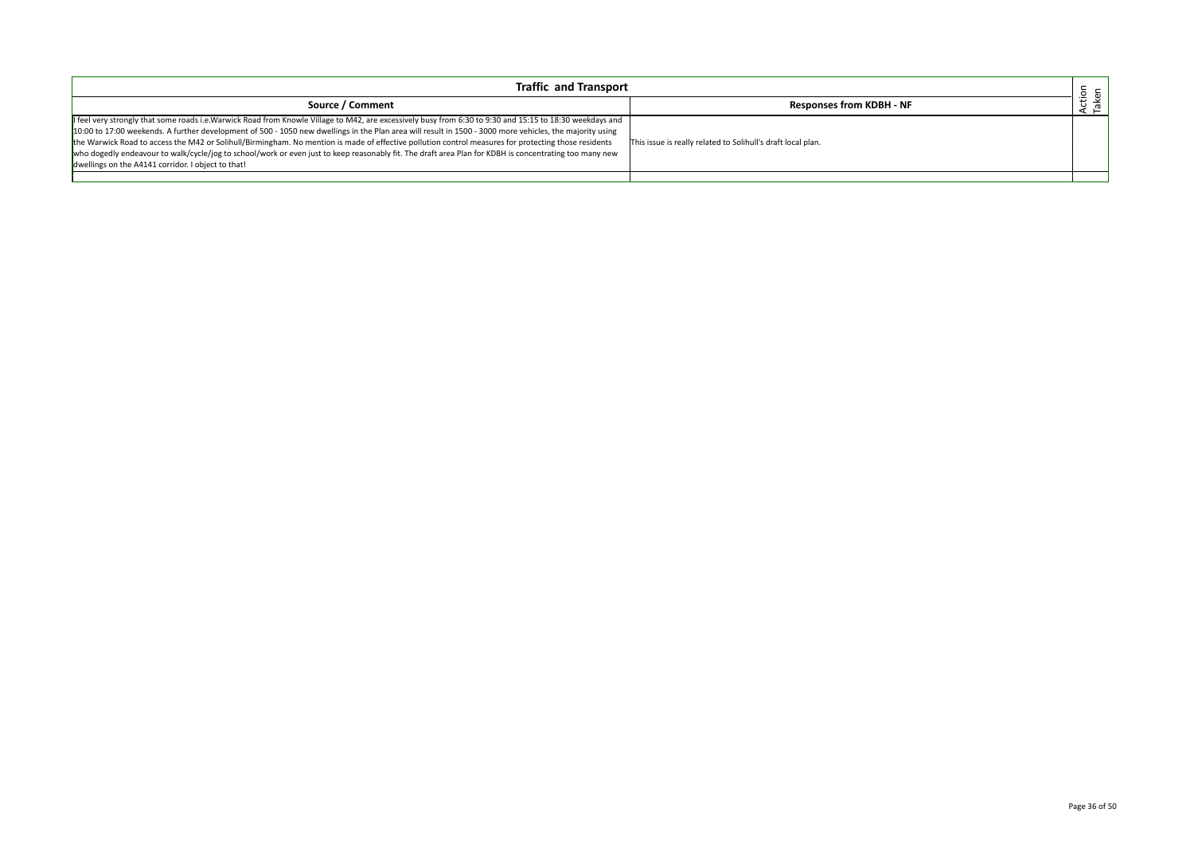| <b>Traffic and Transport</b>                                                                                                                                                                                                                                                                                                                                                                                                                                                                                                                                                                                                                                                                  |                                                              |             |
|-----------------------------------------------------------------------------------------------------------------------------------------------------------------------------------------------------------------------------------------------------------------------------------------------------------------------------------------------------------------------------------------------------------------------------------------------------------------------------------------------------------------------------------------------------------------------------------------------------------------------------------------------------------------------------------------------|--------------------------------------------------------------|-------------|
| Source / Comment                                                                                                                                                                                                                                                                                                                                                                                                                                                                                                                                                                                                                                                                              | <b>Responses from KDBH - NF</b>                              | tior<br>ken |
| II feel very strongly that some roads i.e.Warwick Road from Knowle Village to M42, are excessively busy from 6:30 to 9:30 and 15:15 to 18:30 weekdays and<br>10:00 to 17:00 weekends. A further development of 500 - 1050 new dwellings in the Plan area will result in 1500 - 3000 more vehicles, the majority using<br>the Warwick Road to access the M42 or Solihull/Birmingham. No mention is made of effective pollution control measures for protecting those residents<br>who dogedly endeavour to walk/cycle/jog to school/work or even just to keep reasonably fit. The draft area Plan for KDBH is concentrating too many new<br>dwellings on the A4141 corridor. I object to that! | This issue is really related to Solihull's draft local plan. |             |
|                                                                                                                                                                                                                                                                                                                                                                                                                                                                                                                                                                                                                                                                                               |                                                              |             |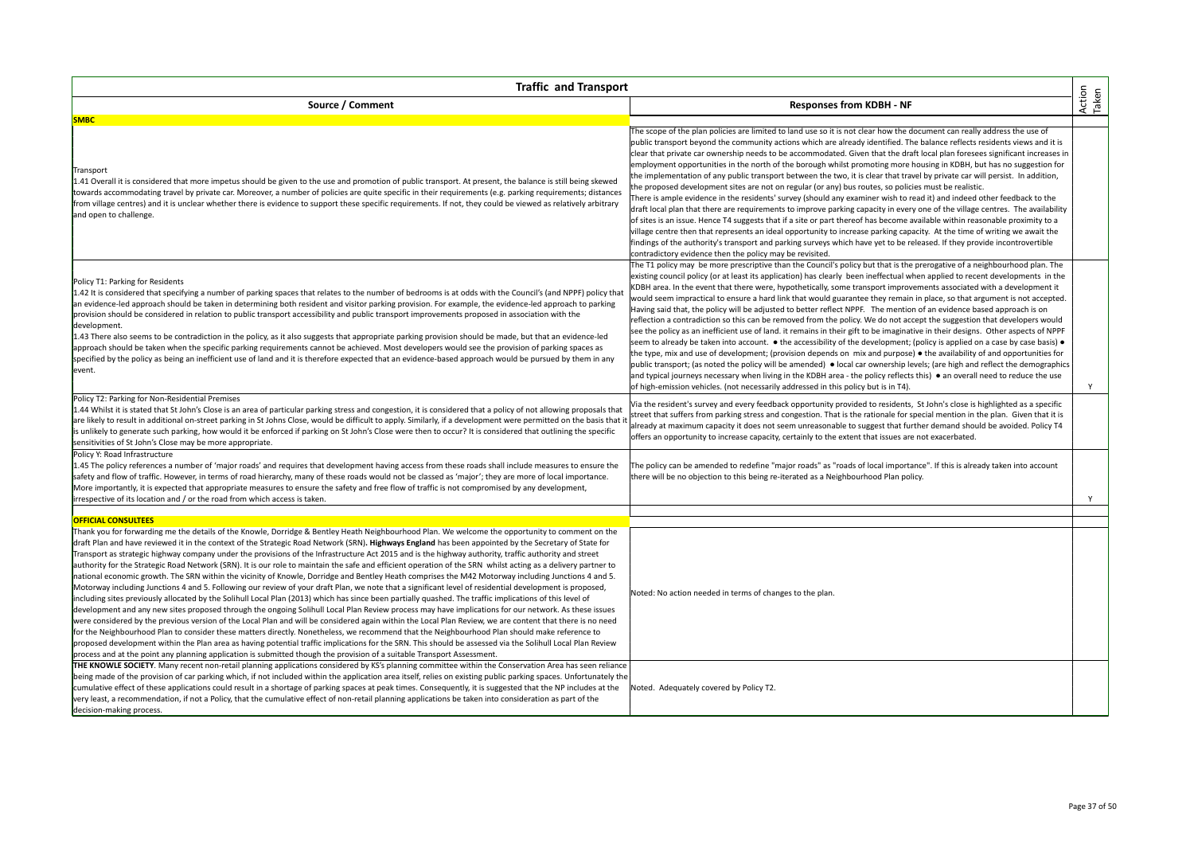| <b>Traffic and Transport</b>                                                                                                                                                                                                                                                                                                                                                                                                                                                                                                                                                                                                                                                                                                                                                                                                                                                                                                                                                                                                                                                                                                                                                                                                                                                                                                                                                                                                                                                                                                                                                                                                                                                                                                                                                                                                                                                     |                                                                                                                                                                                                                                                                                                                                                                                                                                                                                                                                                                                                                                                                                                                                                                                                                                                                                                                                                                                                                                                                                                                                                                                                                                                                                                                                                                                                                                                                                                                                             |                 |
|----------------------------------------------------------------------------------------------------------------------------------------------------------------------------------------------------------------------------------------------------------------------------------------------------------------------------------------------------------------------------------------------------------------------------------------------------------------------------------------------------------------------------------------------------------------------------------------------------------------------------------------------------------------------------------------------------------------------------------------------------------------------------------------------------------------------------------------------------------------------------------------------------------------------------------------------------------------------------------------------------------------------------------------------------------------------------------------------------------------------------------------------------------------------------------------------------------------------------------------------------------------------------------------------------------------------------------------------------------------------------------------------------------------------------------------------------------------------------------------------------------------------------------------------------------------------------------------------------------------------------------------------------------------------------------------------------------------------------------------------------------------------------------------------------------------------------------------------------------------------------------|---------------------------------------------------------------------------------------------------------------------------------------------------------------------------------------------------------------------------------------------------------------------------------------------------------------------------------------------------------------------------------------------------------------------------------------------------------------------------------------------------------------------------------------------------------------------------------------------------------------------------------------------------------------------------------------------------------------------------------------------------------------------------------------------------------------------------------------------------------------------------------------------------------------------------------------------------------------------------------------------------------------------------------------------------------------------------------------------------------------------------------------------------------------------------------------------------------------------------------------------------------------------------------------------------------------------------------------------------------------------------------------------------------------------------------------------------------------------------------------------------------------------------------------------|-----------------|
| Source / Comment                                                                                                                                                                                                                                                                                                                                                                                                                                                                                                                                                                                                                                                                                                                                                                                                                                                                                                                                                                                                                                                                                                                                                                                                                                                                                                                                                                                                                                                                                                                                                                                                                                                                                                                                                                                                                                                                 | <b>Responses from KDBH - NF</b>                                                                                                                                                                                                                                                                                                                                                                                                                                                                                                                                                                                                                                                                                                                                                                                                                                                                                                                                                                                                                                                                                                                                                                                                                                                                                                                                                                                                                                                                                                             | Action<br>Taken |
| <b>SMBC</b>                                                                                                                                                                                                                                                                                                                                                                                                                                                                                                                                                                                                                                                                                                                                                                                                                                                                                                                                                                                                                                                                                                                                                                                                                                                                                                                                                                                                                                                                                                                                                                                                                                                                                                                                                                                                                                                                      |                                                                                                                                                                                                                                                                                                                                                                                                                                                                                                                                                                                                                                                                                                                                                                                                                                                                                                                                                                                                                                                                                                                                                                                                                                                                                                                                                                                                                                                                                                                                             |                 |
| Transport<br>1.41 Overall it is considered that more impetus should be given to the use and promotion of public transport. At present, the balance is still being skewed<br>towards accommodating travel by private car. Moreover, a number of policies are quite specific in their requirements (e.g. parking requirements; distances<br>from village centres) and it is unclear whether there is evidence to support these specific requirements. If not, they could be viewed as relatively arbitrary<br>and open to challenge.                                                                                                                                                                                                                                                                                                                                                                                                                                                                                                                                                                                                                                                                                                                                                                                                                                                                                                                                                                                                                                                                                                                                                                                                                                                                                                                                               | The scope of the plan policies are limited to land use so it is not clear how the document can really address the use of<br>public transport beyond the community actions which are already identified. The balance reflects residents views and it is<br>clear that private car ownership needs to be accommodated. Given that the draft local plan foresees significant increases in<br>employment opportunities in the north of the borough whilst promoting more housing in KDBH, but has no suggestion for<br>the implementation of any public transport between the two, it is clear that travel by private car will persist. In addition,<br>he proposed development sites are not on regular (or any) bus routes, so policies must be realistic.<br>There is ample evidence in the residents' survey (should any examiner wish to read it) and indeed other feedback to the<br>draft local plan that there are requirements to improve parking capacity in every one of the village centres. The availability<br>of sites is an issue. Hence T4 suggests that if a site or part thereof has become available within reasonable proximity to a<br>village centre then that represents an ideal opportunity to increase parking capacity. At the time of writing we await the<br>findings of the authority's transport and parking surveys which have yet to be released. If they provide incontrovertible<br>contradictory evidence then the policy may be revisited.                                                                |                 |
| Policy T1: Parking for Residents<br>1.42 It is considered that specifying a number of parking spaces that relates to the number of bedrooms is at odds with the Council's (and NPPF) policy that<br>an evidence-led approach should be taken in determining both resident and visitor parking provision. For example, the evidence-led approach to parking<br>provision should be considered in relation to public transport accessibility and public transport improvements proposed in association with the<br>development.<br>1.43 There also seems to be contradiction in the policy, as it also suggests that appropriate parking provision should be made, but that an evidence-led<br>approach should be taken when the specific parking requirements cannot be achieved. Most developers would see the provision of parking spaces as<br>specified by the policy as being an inefficient use of land and it is therefore expected that an evidence-based approach would be pursued by them in any<br>event.                                                                                                                                                                                                                                                                                                                                                                                                                                                                                                                                                                                                                                                                                                                                                                                                                                                              | The T1 policy may be more prescriptive than the Council's policy but that is the prerogative of a neighbourhood plan. The<br>existing council policy (or at least its application) has clearly been ineffectual when applied to recent developments in the<br>KDBH area. In the event that there were, hypothetically, some transport improvements associated with a development it<br>would seem impractical to ensure a hard link that would guarantee they remain in place, so that argument is not accepted.<br>Having said that, the policy will be adjusted to better reflect NPPF. The mention of an evidence based approach is on<br>reflection a contradiction so this can be removed from the policy. We do not accept the suggestion that developers would<br>see the policy as an inefficient use of land. it remains in their gift to be imaginative in their designs. Other aspects of NPPF<br>seem to already be taken into account. $\bullet$ the accessibility of the development; (policy is applied on a case by case basis) $\bullet$<br>the type, mix and use of development; (provision depends on mix and purpose) • the availability of and opportunities for<br>public transport; (as noted the policy will be amended) • local car ownership levels; (are high and reflect the demographics<br>and typical journeys necessary when living in the KDBH area - the policy reflects this) • an overall need to reduce the use<br>of high-emission vehicles. (not necessarily addressed in this policy but is in T4). | Y               |
| Policy T2: Parking for Non-Residential Premises<br>1.44 Whilst it is stated that St John's Close is an area of particular parking stress and congestion, it is considered that a policy of not allowing proposals that<br>are likely to result in additional on-street parking in St Johns Close, would be difficult to apply. Similarly, if a development were permitted on the basis that it<br>is unlikely to generate such parking, how would it be enforced if parking on St John's Close were then to occur? It is considered that outlining the specific<br>sensitivities of St John's Close may be more appropriate.                                                                                                                                                                                                                                                                                                                                                                                                                                                                                                                                                                                                                                                                                                                                                                                                                                                                                                                                                                                                                                                                                                                                                                                                                                                     | Via the resident's survey and every feedback opportunity provided to residents, St John's close is highlighted as a specific<br>street that suffers from parking stress and congestion. That is the rationale for special mention in the plan. Given that it is<br>already at maximum capacity it does not seem unreasonable to suggest that further demand should be avoided. Policy T4<br>offers an opportunity to increase capacity, certainly to the extent that issues are not exacerbated.                                                                                                                                                                                                                                                                                                                                                                                                                                                                                                                                                                                                                                                                                                                                                                                                                                                                                                                                                                                                                                            |                 |
| Policy Y: Road Infrastructure<br>1.45 The policy references a number of 'major roads' and requires that development having access from these roads shall include measures to ensure the<br>safety and flow of traffic. However, in terms of road hierarchy, many of these roads would not be classed as 'major'; they are more of local importance.<br>More importantly, it is expected that appropriate measures to ensure the safety and free flow of traffic is not compromised by any development,<br>irrespective of its location and / or the road from which access is taken.                                                                                                                                                                                                                                                                                                                                                                                                                                                                                                                                                                                                                                                                                                                                                                                                                                                                                                                                                                                                                                                                                                                                                                                                                                                                                             | The policy can be amended to redefine "major roads" as "roads of local importance". If this is already taken into account<br>there will be no objection to this being re-iterated as a Neighbourhood Plan policy.                                                                                                                                                                                                                                                                                                                                                                                                                                                                                                                                                                                                                                                                                                                                                                                                                                                                                                                                                                                                                                                                                                                                                                                                                                                                                                                           | Y               |
| <b>OFFICIAL CONSULTEES</b>                                                                                                                                                                                                                                                                                                                                                                                                                                                                                                                                                                                                                                                                                                                                                                                                                                                                                                                                                                                                                                                                                                                                                                                                                                                                                                                                                                                                                                                                                                                                                                                                                                                                                                                                                                                                                                                       |                                                                                                                                                                                                                                                                                                                                                                                                                                                                                                                                                                                                                                                                                                                                                                                                                                                                                                                                                                                                                                                                                                                                                                                                                                                                                                                                                                                                                                                                                                                                             |                 |
| Thank you for forwarding me the details of the Knowle, Dorridge & Bentley Heath Neighbourhood Plan. We welcome the opportunity to comment on the<br>draft Plan and have reviewed it in the context of the Strategic Road Network (SRN). Highways England has been appointed by the Secretary of State for<br>Transport as strategic highway company under the provisions of the Infrastructure Act 2015 and is the highway authority, traffic authority and street<br>authority for the Strategic Road Network (SRN). It is our role to maintain the safe and efficient operation of the SRN whilst acting as a delivery partner to<br>national economic growth. The SRN within the vicinity of Knowle, Dorridge and Bentley Heath comprises the M42 Motorway including Junctions 4 and 5.<br>Motorway including Junctions 4 and 5. Following our review of your draft Plan, we note that a significant level of residential development is proposed,<br>including sites previously allocated by the Solihull Local Plan (2013) which has since been partially quashed. The traffic implications of this level of<br>development and any new sites proposed through the ongoing Solihull Local Plan Review process may have implications for our network. As these issues<br>were considered by the previous version of the Local Plan and will be considered again within the Local Plan Review, we are content that there is no need<br>for the Neighbourhood Plan to consider these matters directly. Nonetheless, we recommend that the Neighbourhood Plan should make reference to<br>proposed development within the Plan area as having potential traffic implications for the SRN. This should be assessed via the Solihull Local Plan Review<br>process and at the point any planning application is submitted though the provision of a suitable Transport Assessment. | Noted: No action needed in terms of changes to the plan.                                                                                                                                                                                                                                                                                                                                                                                                                                                                                                                                                                                                                                                                                                                                                                                                                                                                                                                                                                                                                                                                                                                                                                                                                                                                                                                                                                                                                                                                                    |                 |
| THE KNOWLE SOCIETY. Many recent non-retail planning applications considered by KS's planning committee within the Conservation Area has seen reliance<br>being made of the provision of car parking which, if not included within the application area itself, relies on existing public parking spaces. Unfortunately the<br>cumulative effect of these applications could result in a shortage of parking spaces at peak times. Consequently, it is suggested that the NP includes at the<br>very least, a recommendation, if not a Policy, that the cumulative effect of non-retail planning applications be taken into consideration as part of the<br>decision-making process.                                                                                                                                                                                                                                                                                                                                                                                                                                                                                                                                                                                                                                                                                                                                                                                                                                                                                                                                                                                                                                                                                                                                                                                              | Noted. Adequately covered by Policy T2.                                                                                                                                                                                                                                                                                                                                                                                                                                                                                                                                                                                                                                                                                                                                                                                                                                                                                                                                                                                                                                                                                                                                                                                                                                                                                                                                                                                                                                                                                                     |                 |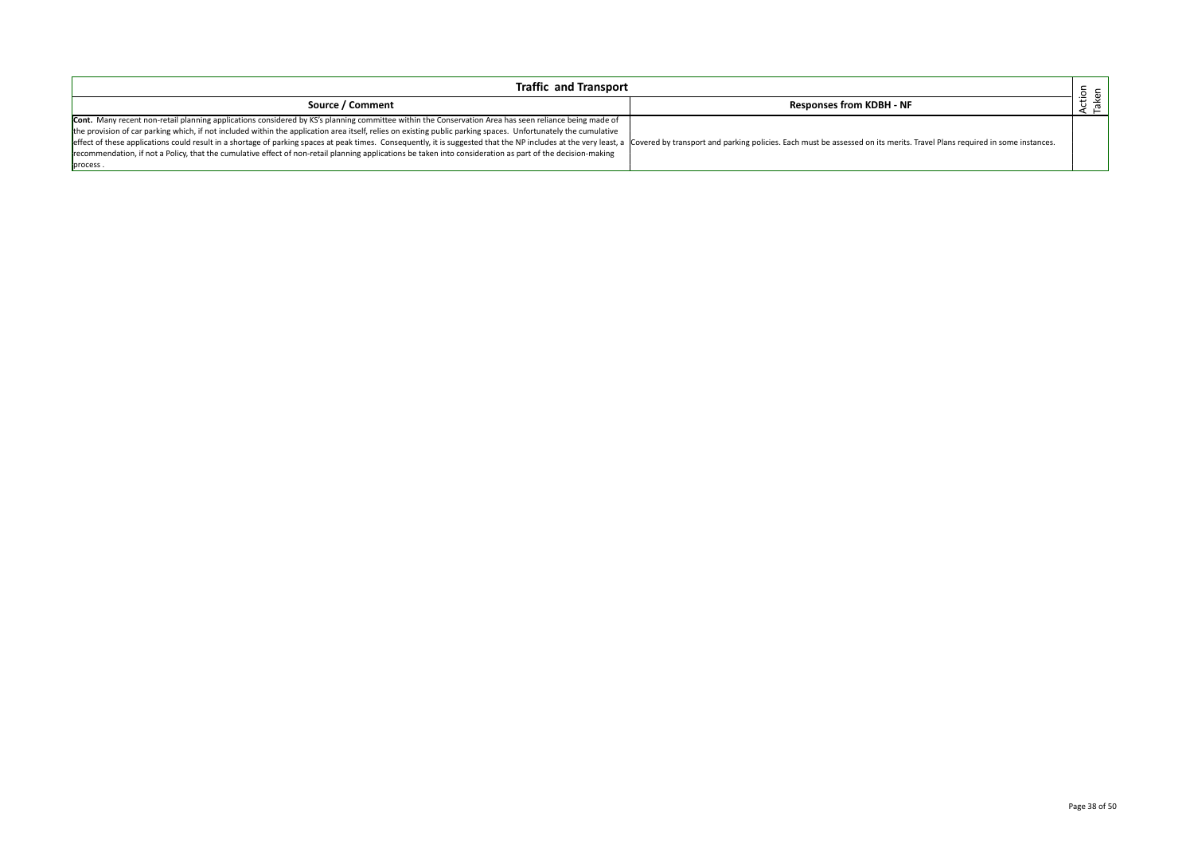| <b>Traffic and Transport</b>                                                                                                                                                                                                   |                                 |                 |
|--------------------------------------------------------------------------------------------------------------------------------------------------------------------------------------------------------------------------------|---------------------------------|-----------------|
| Source / Comment                                                                                                                                                                                                               | <b>Responses from KDBH - NF</b> | Action<br>Taken |
| Cont. Many recent non-retail planning applications considered by KS's planning committee within the Conservation Area has seen reliance being made of                                                                          |                                 |                 |
| the provision of car parking which, if not included within the application area itself, relies on existing public parking spaces. Unfortunately the cumulative                                                                 |                                 |                 |
| effect of these applications could result in a shortage of parking spaces at peak times. Consequently, it is suggested that the NP includes at the very least, a Covered by transport and parking policies. Each must be asses |                                 |                 |
| recommendation, if not a Policy, that the cumulative effect of non-retail planning applications be taken into consideration as part of the decision-making                                                                     |                                 |                 |
| process.                                                                                                                                                                                                                       |                                 |                 |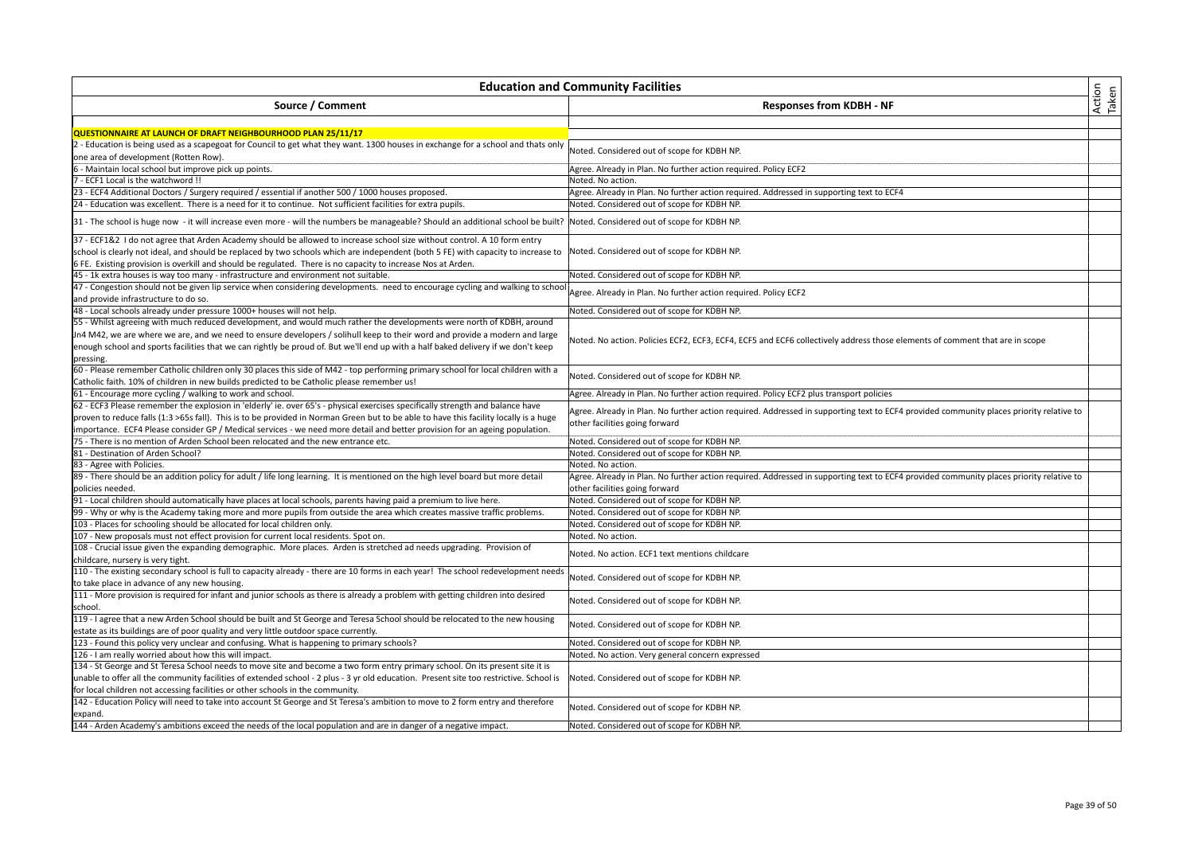| Action<br>Taken<br>Source / Comment<br><b>Responses from KDBH - NF</b><br>QUESTIONNAIRE AT LAUNCH OF DRAFT NEIGHBOURHOOD PLAN 25/11/17<br>2 - Education is being used as a scapegoat for Council to get what they want. 1300 houses in exchange for a school and thats only<br>Noted. Considered out of scope for KDBH NP.<br>one area of development (Rotten Row).<br>Agree. Already in Plan. No further action required. Policy ECF2<br>6 - Maintain local school but improve pick up points.<br>- ECF1 Local is the watchword !!<br>Noted. No action.<br>23 - ECF4 Additional Doctors / Surgery required / essential if another 500 / 1000 houses proposed.<br>Agree. Already in Plan. No further action required. Addressed in supporting text to ECF4<br>24 - Education was excellent. There is a need for it to continue. Not sufficient facilities for extra pupils.<br>Noted. Considered out of scope for KDBH NP.<br>31 - The school is huge now - it will increase even more - will the numbers be manageable? Should an additional school be built?  Noted. Considered out of scope for KDBH NP.<br>37 - ECF1&2 I do not agree that Arden Academy should be allowed to increase school size without control. A 10 form entry<br>school is clearly not ideal, and should be replaced by two schools which are independent (both 5 FE) with capacity to increase to<br>Noted. Considered out of scope for KDBH NP.<br>6 FE. Existing provision is overkill and should be regulated. There is no capacity to increase Nos at Arden.<br>45 - 1k extra houses is way too many - infrastructure and environment not suitable.<br>Noted. Considered out of scope for KDBH NP.<br>47 - Congestion should not be given lip service when considering developments. need to encourage cycling and walking to school<br>Agree. Already in Plan. No further action required. Policy ECF2<br>and provide infrastructure to do so.<br>48 - Local schools already under pressure 1000+ houses will not help.<br>Noted. Considered out of scope for KDBH NP.<br>Jn4 M42, we are where we are, and we need to ensure developers / solihull keep to their word and provide a modern and large<br>Noted. No action. Policies ECF2, ECF3, ECF4, ECF5 and ECF6 collectively address those elements of comment that are in scope<br>enough school and sports facilities that we can rightly be proud of. But we'll end up with a half baked delivery if we don't keep<br>pressing.<br>60 - Please remember Catholic children only 30 places this side of M42 - top performing primary school for local children with a<br>Noted. Considered out of scope for KDBH NP.<br>Catholic faith. 10% of children in new builds predicted to be Catholic please remember us!<br>Agree. Already in Plan. No further action required. Policy ECF2 plus transport policies<br>Agree. Already in Plan. No further action required. Addressed in supporting text to ECF4 provided community places priority relative to<br>proven to reduce falls (1:3 >65s fall). This is to be provided in Norman Green but to be able to have this facility locally is a huge<br>other facilities going forward<br>importance. ECF4 Please consider GP / Medical services - we need more detail and better provision for an ageing population.<br>75 - There is no mention of Arden School been relocated and the new entrance etc.<br>Noted. Considered out of scope for KDBH NP.<br>Noted. Considered out of scope for KDBH NP.<br>Noted. No action.<br>Agree. Already in Plan. No further action required. Addressed in supporting text to ECF4 provided community places priority relative to<br>other facilities going forward<br>91 - Local children should automatically have places at local schools, parents having paid a premium to live here.<br>Noted. Considered out of scope for KDBH NP.<br>Noted. Considered out of scope for KDBH NP.<br>103 - Places for schooling should be allocated for local children only.<br>Noted. Considered out of scope for KDBH NP.<br>107 - New proposals must not effect provision for current local residents. Spot on.<br>Noted. No action.<br>108 - Crucial issue given the expanding demographic. More places. Arden is stretched ad needs upgrading. Provision of<br>Noted. No action. ECF1 text mentions childcare<br>childcare, nursery is very tight.<br>110 - The existing secondary school is full to capacity already - there are 10 forms in each year! The school redevelopment needs<br>Noted. Considered out of scope for KDBH NP.<br>to take place in advance of any new housing.<br>111 - More provision is required for infant and junior schools as there is already a problem with getting children into desired<br>Noted. Considered out of scope for KDBH NP.<br>school.<br>119 - I agree that a new Arden School should be built and St George and Teresa School should be relocated to the new housing<br>Noted. Considered out of scope for KDBH NP.<br>estate as its buildings are of poor quality and very little outdoor space currently.<br>123 - Found this policy very unclear and confusing. What is happening to primary schools?<br>Noted. Considered out of scope for KDBH NP.<br>126 - I am really worried about how this will impact.<br>Noted. No action. Very general concern expressed<br>134 - St George and St Teresa School needs to move site and become a two form entry primary school. On its present site it is<br>unable to offer all the community facilities of extended school - 2 plus - 3 yr old education. Present site too restrictive. School is<br>Noted. Considered out of scope for KDBH NP.<br>for local children not accessing facilities or other schools in the community.<br>142 - Education Policy will need to take into account St George and St Teresa's ambition to move to 2 form entry and therefore<br>Noted. Considered out of scope for KDBH NP.<br>expand. | <b>Education and Community Facilities</b>                                                                                       |                                             |  |
|-------------------------------------------------------------------------------------------------------------------------------------------------------------------------------------------------------------------------------------------------------------------------------------------------------------------------------------------------------------------------------------------------------------------------------------------------------------------------------------------------------------------------------------------------------------------------------------------------------------------------------------------------------------------------------------------------------------------------------------------------------------------------------------------------------------------------------------------------------------------------------------------------------------------------------------------------------------------------------------------------------------------------------------------------------------------------------------------------------------------------------------------------------------------------------------------------------------------------------------------------------------------------------------------------------------------------------------------------------------------------------------------------------------------------------------------------------------------------------------------------------------------------------------------------------------------------------------------------------------------------------------------------------------------------------------------------------------------------------------------------------------------------------------------------------------------------------------------------------------------------------------------------------------------------------------------------------------------------------------------------------------------------------------------------------------------------------------------------------------------------------------------------------------------------------------------------------------------------------------------------------------------------------------------------------------------------------------------------------------------------------------------------------------------------------------------------------------------------------------------------------------------------------------------------------------------------------------------------------------------------------------------------------------------------------------------------------------------------------------------------------------------------------------------------------------------------------------------------------------------------------------------------------------------------------------------------------------------------------------------------------------------------------------------------------------------------------------------------------------------------------------------------------------------------------------------------------------------------------------------------------------------------------------------------------------------------------------------------------------------------------------------------------------------------------------------------------------------------------------------------------------------------------------------------------------------------------------------------------------------------------------------------------------------------------------------------------------------------------------------------------------------------------------------------------------------------------------------------------------------------------------------------------------------------------------------------------------------------------------------------------------------------------------------------------------------------------------------------------------------------------------------------------------------------------------------------------------------------------------------------------------------------------------------------------------------------------------------------------------------------------------------------------------------------------------------------------------------------------------------------------------------------------------------------------------------------------------------------------------------------------------------------------------------------------------------------------------------------------------------------------------------------------------------------------------------------------------------------------------------------------------------------------------------------------------------------------------------------------------------------------------------------------------------------------------------------------------------------------------------------------------------------------------------------------------------------------------------------------------------------------------------------------------------------------------------------------------------------------------------------------------------------------------------------------------------------------------------------------------------------------------------------------------------------------------------------------------------------------------------------------------------------------------------------------------------------------------------------------------------------------------------------------------------------------------------------------------------------------------------------------------------------------------------------------------------------|---------------------------------------------------------------------------------------------------------------------------------|---------------------------------------------|--|
|                                                                                                                                                                                                                                                                                                                                                                                                                                                                                                                                                                                                                                                                                                                                                                                                                                                                                                                                                                                                                                                                                                                                                                                                                                                                                                                                                                                                                                                                                                                                                                                                                                                                                                                                                                                                                                                                                                                                                                                                                                                                                                                                                                                                                                                                                                                                                                                                                                                                                                                                                                                                                                                                                                                                                                                                                                                                                                                                                                                                                                                                                                                                                                                                                                                                                                                                                                                                                                                                                                                                                                                                                                                                                                                                                                                                                                                                                                                                                                                                                                                                                                                                                                                                                                                                                                                                                                                                                                                                                                                                                                                                                                                                                                                                                                                                                                                                                                                                                                                                                                                                                                                                                                                                                                                                                                                                                                                                                                                                                                                                                                                                                                                                                                                                                                                                                                                                                                                                                 |                                                                                                                                 |                                             |  |
|                                                                                                                                                                                                                                                                                                                                                                                                                                                                                                                                                                                                                                                                                                                                                                                                                                                                                                                                                                                                                                                                                                                                                                                                                                                                                                                                                                                                                                                                                                                                                                                                                                                                                                                                                                                                                                                                                                                                                                                                                                                                                                                                                                                                                                                                                                                                                                                                                                                                                                                                                                                                                                                                                                                                                                                                                                                                                                                                                                                                                                                                                                                                                                                                                                                                                                                                                                                                                                                                                                                                                                                                                                                                                                                                                                                                                                                                                                                                                                                                                                                                                                                                                                                                                                                                                                                                                                                                                                                                                                                                                                                                                                                                                                                                                                                                                                                                                                                                                                                                                                                                                                                                                                                                                                                                                                                                                                                                                                                                                                                                                                                                                                                                                                                                                                                                                                                                                                                                                 |                                                                                                                                 |                                             |  |
|                                                                                                                                                                                                                                                                                                                                                                                                                                                                                                                                                                                                                                                                                                                                                                                                                                                                                                                                                                                                                                                                                                                                                                                                                                                                                                                                                                                                                                                                                                                                                                                                                                                                                                                                                                                                                                                                                                                                                                                                                                                                                                                                                                                                                                                                                                                                                                                                                                                                                                                                                                                                                                                                                                                                                                                                                                                                                                                                                                                                                                                                                                                                                                                                                                                                                                                                                                                                                                                                                                                                                                                                                                                                                                                                                                                                                                                                                                                                                                                                                                                                                                                                                                                                                                                                                                                                                                                                                                                                                                                                                                                                                                                                                                                                                                                                                                                                                                                                                                                                                                                                                                                                                                                                                                                                                                                                                                                                                                                                                                                                                                                                                                                                                                                                                                                                                                                                                                                                                 |                                                                                                                                 |                                             |  |
|                                                                                                                                                                                                                                                                                                                                                                                                                                                                                                                                                                                                                                                                                                                                                                                                                                                                                                                                                                                                                                                                                                                                                                                                                                                                                                                                                                                                                                                                                                                                                                                                                                                                                                                                                                                                                                                                                                                                                                                                                                                                                                                                                                                                                                                                                                                                                                                                                                                                                                                                                                                                                                                                                                                                                                                                                                                                                                                                                                                                                                                                                                                                                                                                                                                                                                                                                                                                                                                                                                                                                                                                                                                                                                                                                                                                                                                                                                                                                                                                                                                                                                                                                                                                                                                                                                                                                                                                                                                                                                                                                                                                                                                                                                                                                                                                                                                                                                                                                                                                                                                                                                                                                                                                                                                                                                                                                                                                                                                                                                                                                                                                                                                                                                                                                                                                                                                                                                                                                 |                                                                                                                                 |                                             |  |
|                                                                                                                                                                                                                                                                                                                                                                                                                                                                                                                                                                                                                                                                                                                                                                                                                                                                                                                                                                                                                                                                                                                                                                                                                                                                                                                                                                                                                                                                                                                                                                                                                                                                                                                                                                                                                                                                                                                                                                                                                                                                                                                                                                                                                                                                                                                                                                                                                                                                                                                                                                                                                                                                                                                                                                                                                                                                                                                                                                                                                                                                                                                                                                                                                                                                                                                                                                                                                                                                                                                                                                                                                                                                                                                                                                                                                                                                                                                                                                                                                                                                                                                                                                                                                                                                                                                                                                                                                                                                                                                                                                                                                                                                                                                                                                                                                                                                                                                                                                                                                                                                                                                                                                                                                                                                                                                                                                                                                                                                                                                                                                                                                                                                                                                                                                                                                                                                                                                                                 |                                                                                                                                 |                                             |  |
|                                                                                                                                                                                                                                                                                                                                                                                                                                                                                                                                                                                                                                                                                                                                                                                                                                                                                                                                                                                                                                                                                                                                                                                                                                                                                                                                                                                                                                                                                                                                                                                                                                                                                                                                                                                                                                                                                                                                                                                                                                                                                                                                                                                                                                                                                                                                                                                                                                                                                                                                                                                                                                                                                                                                                                                                                                                                                                                                                                                                                                                                                                                                                                                                                                                                                                                                                                                                                                                                                                                                                                                                                                                                                                                                                                                                                                                                                                                                                                                                                                                                                                                                                                                                                                                                                                                                                                                                                                                                                                                                                                                                                                                                                                                                                                                                                                                                                                                                                                                                                                                                                                                                                                                                                                                                                                                                                                                                                                                                                                                                                                                                                                                                                                                                                                                                                                                                                                                                                 |                                                                                                                                 |                                             |  |
|                                                                                                                                                                                                                                                                                                                                                                                                                                                                                                                                                                                                                                                                                                                                                                                                                                                                                                                                                                                                                                                                                                                                                                                                                                                                                                                                                                                                                                                                                                                                                                                                                                                                                                                                                                                                                                                                                                                                                                                                                                                                                                                                                                                                                                                                                                                                                                                                                                                                                                                                                                                                                                                                                                                                                                                                                                                                                                                                                                                                                                                                                                                                                                                                                                                                                                                                                                                                                                                                                                                                                                                                                                                                                                                                                                                                                                                                                                                                                                                                                                                                                                                                                                                                                                                                                                                                                                                                                                                                                                                                                                                                                                                                                                                                                                                                                                                                                                                                                                                                                                                                                                                                                                                                                                                                                                                                                                                                                                                                                                                                                                                                                                                                                                                                                                                                                                                                                                                                                 |                                                                                                                                 |                                             |  |
|                                                                                                                                                                                                                                                                                                                                                                                                                                                                                                                                                                                                                                                                                                                                                                                                                                                                                                                                                                                                                                                                                                                                                                                                                                                                                                                                                                                                                                                                                                                                                                                                                                                                                                                                                                                                                                                                                                                                                                                                                                                                                                                                                                                                                                                                                                                                                                                                                                                                                                                                                                                                                                                                                                                                                                                                                                                                                                                                                                                                                                                                                                                                                                                                                                                                                                                                                                                                                                                                                                                                                                                                                                                                                                                                                                                                                                                                                                                                                                                                                                                                                                                                                                                                                                                                                                                                                                                                                                                                                                                                                                                                                                                                                                                                                                                                                                                                                                                                                                                                                                                                                                                                                                                                                                                                                                                                                                                                                                                                                                                                                                                                                                                                                                                                                                                                                                                                                                                                                 |                                                                                                                                 |                                             |  |
|                                                                                                                                                                                                                                                                                                                                                                                                                                                                                                                                                                                                                                                                                                                                                                                                                                                                                                                                                                                                                                                                                                                                                                                                                                                                                                                                                                                                                                                                                                                                                                                                                                                                                                                                                                                                                                                                                                                                                                                                                                                                                                                                                                                                                                                                                                                                                                                                                                                                                                                                                                                                                                                                                                                                                                                                                                                                                                                                                                                                                                                                                                                                                                                                                                                                                                                                                                                                                                                                                                                                                                                                                                                                                                                                                                                                                                                                                                                                                                                                                                                                                                                                                                                                                                                                                                                                                                                                                                                                                                                                                                                                                                                                                                                                                                                                                                                                                                                                                                                                                                                                                                                                                                                                                                                                                                                                                                                                                                                                                                                                                                                                                                                                                                                                                                                                                                                                                                                                                 |                                                                                                                                 |                                             |  |
|                                                                                                                                                                                                                                                                                                                                                                                                                                                                                                                                                                                                                                                                                                                                                                                                                                                                                                                                                                                                                                                                                                                                                                                                                                                                                                                                                                                                                                                                                                                                                                                                                                                                                                                                                                                                                                                                                                                                                                                                                                                                                                                                                                                                                                                                                                                                                                                                                                                                                                                                                                                                                                                                                                                                                                                                                                                                                                                                                                                                                                                                                                                                                                                                                                                                                                                                                                                                                                                                                                                                                                                                                                                                                                                                                                                                                                                                                                                                                                                                                                                                                                                                                                                                                                                                                                                                                                                                                                                                                                                                                                                                                                                                                                                                                                                                                                                                                                                                                                                                                                                                                                                                                                                                                                                                                                                                                                                                                                                                                                                                                                                                                                                                                                                                                                                                                                                                                                                                                 |                                                                                                                                 |                                             |  |
|                                                                                                                                                                                                                                                                                                                                                                                                                                                                                                                                                                                                                                                                                                                                                                                                                                                                                                                                                                                                                                                                                                                                                                                                                                                                                                                                                                                                                                                                                                                                                                                                                                                                                                                                                                                                                                                                                                                                                                                                                                                                                                                                                                                                                                                                                                                                                                                                                                                                                                                                                                                                                                                                                                                                                                                                                                                                                                                                                                                                                                                                                                                                                                                                                                                                                                                                                                                                                                                                                                                                                                                                                                                                                                                                                                                                                                                                                                                                                                                                                                                                                                                                                                                                                                                                                                                                                                                                                                                                                                                                                                                                                                                                                                                                                                                                                                                                                                                                                                                                                                                                                                                                                                                                                                                                                                                                                                                                                                                                                                                                                                                                                                                                                                                                                                                                                                                                                                                                                 |                                                                                                                                 |                                             |  |
|                                                                                                                                                                                                                                                                                                                                                                                                                                                                                                                                                                                                                                                                                                                                                                                                                                                                                                                                                                                                                                                                                                                                                                                                                                                                                                                                                                                                                                                                                                                                                                                                                                                                                                                                                                                                                                                                                                                                                                                                                                                                                                                                                                                                                                                                                                                                                                                                                                                                                                                                                                                                                                                                                                                                                                                                                                                                                                                                                                                                                                                                                                                                                                                                                                                                                                                                                                                                                                                                                                                                                                                                                                                                                                                                                                                                                                                                                                                                                                                                                                                                                                                                                                                                                                                                                                                                                                                                                                                                                                                                                                                                                                                                                                                                                                                                                                                                                                                                                                                                                                                                                                                                                                                                                                                                                                                                                                                                                                                                                                                                                                                                                                                                                                                                                                                                                                                                                                                                                 |                                                                                                                                 |                                             |  |
|                                                                                                                                                                                                                                                                                                                                                                                                                                                                                                                                                                                                                                                                                                                                                                                                                                                                                                                                                                                                                                                                                                                                                                                                                                                                                                                                                                                                                                                                                                                                                                                                                                                                                                                                                                                                                                                                                                                                                                                                                                                                                                                                                                                                                                                                                                                                                                                                                                                                                                                                                                                                                                                                                                                                                                                                                                                                                                                                                                                                                                                                                                                                                                                                                                                                                                                                                                                                                                                                                                                                                                                                                                                                                                                                                                                                                                                                                                                                                                                                                                                                                                                                                                                                                                                                                                                                                                                                                                                                                                                                                                                                                                                                                                                                                                                                                                                                                                                                                                                                                                                                                                                                                                                                                                                                                                                                                                                                                                                                                                                                                                                                                                                                                                                                                                                                                                                                                                                                                 |                                                                                                                                 |                                             |  |
|                                                                                                                                                                                                                                                                                                                                                                                                                                                                                                                                                                                                                                                                                                                                                                                                                                                                                                                                                                                                                                                                                                                                                                                                                                                                                                                                                                                                                                                                                                                                                                                                                                                                                                                                                                                                                                                                                                                                                                                                                                                                                                                                                                                                                                                                                                                                                                                                                                                                                                                                                                                                                                                                                                                                                                                                                                                                                                                                                                                                                                                                                                                                                                                                                                                                                                                                                                                                                                                                                                                                                                                                                                                                                                                                                                                                                                                                                                                                                                                                                                                                                                                                                                                                                                                                                                                                                                                                                                                                                                                                                                                                                                                                                                                                                                                                                                                                                                                                                                                                                                                                                                                                                                                                                                                                                                                                                                                                                                                                                                                                                                                                                                                                                                                                                                                                                                                                                                                                                 |                                                                                                                                 |                                             |  |
|                                                                                                                                                                                                                                                                                                                                                                                                                                                                                                                                                                                                                                                                                                                                                                                                                                                                                                                                                                                                                                                                                                                                                                                                                                                                                                                                                                                                                                                                                                                                                                                                                                                                                                                                                                                                                                                                                                                                                                                                                                                                                                                                                                                                                                                                                                                                                                                                                                                                                                                                                                                                                                                                                                                                                                                                                                                                                                                                                                                                                                                                                                                                                                                                                                                                                                                                                                                                                                                                                                                                                                                                                                                                                                                                                                                                                                                                                                                                                                                                                                                                                                                                                                                                                                                                                                                                                                                                                                                                                                                                                                                                                                                                                                                                                                                                                                                                                                                                                                                                                                                                                                                                                                                                                                                                                                                                                                                                                                                                                                                                                                                                                                                                                                                                                                                                                                                                                                                                                 |                                                                                                                                 |                                             |  |
|                                                                                                                                                                                                                                                                                                                                                                                                                                                                                                                                                                                                                                                                                                                                                                                                                                                                                                                                                                                                                                                                                                                                                                                                                                                                                                                                                                                                                                                                                                                                                                                                                                                                                                                                                                                                                                                                                                                                                                                                                                                                                                                                                                                                                                                                                                                                                                                                                                                                                                                                                                                                                                                                                                                                                                                                                                                                                                                                                                                                                                                                                                                                                                                                                                                                                                                                                                                                                                                                                                                                                                                                                                                                                                                                                                                                                                                                                                                                                                                                                                                                                                                                                                                                                                                                                                                                                                                                                                                                                                                                                                                                                                                                                                                                                                                                                                                                                                                                                                                                                                                                                                                                                                                                                                                                                                                                                                                                                                                                                                                                                                                                                                                                                                                                                                                                                                                                                                                                                 |                                                                                                                                 |                                             |  |
|                                                                                                                                                                                                                                                                                                                                                                                                                                                                                                                                                                                                                                                                                                                                                                                                                                                                                                                                                                                                                                                                                                                                                                                                                                                                                                                                                                                                                                                                                                                                                                                                                                                                                                                                                                                                                                                                                                                                                                                                                                                                                                                                                                                                                                                                                                                                                                                                                                                                                                                                                                                                                                                                                                                                                                                                                                                                                                                                                                                                                                                                                                                                                                                                                                                                                                                                                                                                                                                                                                                                                                                                                                                                                                                                                                                                                                                                                                                                                                                                                                                                                                                                                                                                                                                                                                                                                                                                                                                                                                                                                                                                                                                                                                                                                                                                                                                                                                                                                                                                                                                                                                                                                                                                                                                                                                                                                                                                                                                                                                                                                                                                                                                                                                                                                                                                                                                                                                                                                 |                                                                                                                                 |                                             |  |
|                                                                                                                                                                                                                                                                                                                                                                                                                                                                                                                                                                                                                                                                                                                                                                                                                                                                                                                                                                                                                                                                                                                                                                                                                                                                                                                                                                                                                                                                                                                                                                                                                                                                                                                                                                                                                                                                                                                                                                                                                                                                                                                                                                                                                                                                                                                                                                                                                                                                                                                                                                                                                                                                                                                                                                                                                                                                                                                                                                                                                                                                                                                                                                                                                                                                                                                                                                                                                                                                                                                                                                                                                                                                                                                                                                                                                                                                                                                                                                                                                                                                                                                                                                                                                                                                                                                                                                                                                                                                                                                                                                                                                                                                                                                                                                                                                                                                                                                                                                                                                                                                                                                                                                                                                                                                                                                                                                                                                                                                                                                                                                                                                                                                                                                                                                                                                                                                                                                                                 | 55 - Whilst agreeing with much reduced development, and would much rather the developments were north of KDBH, around           |                                             |  |
|                                                                                                                                                                                                                                                                                                                                                                                                                                                                                                                                                                                                                                                                                                                                                                                                                                                                                                                                                                                                                                                                                                                                                                                                                                                                                                                                                                                                                                                                                                                                                                                                                                                                                                                                                                                                                                                                                                                                                                                                                                                                                                                                                                                                                                                                                                                                                                                                                                                                                                                                                                                                                                                                                                                                                                                                                                                                                                                                                                                                                                                                                                                                                                                                                                                                                                                                                                                                                                                                                                                                                                                                                                                                                                                                                                                                                                                                                                                                                                                                                                                                                                                                                                                                                                                                                                                                                                                                                                                                                                                                                                                                                                                                                                                                                                                                                                                                                                                                                                                                                                                                                                                                                                                                                                                                                                                                                                                                                                                                                                                                                                                                                                                                                                                                                                                                                                                                                                                                                 |                                                                                                                                 |                                             |  |
|                                                                                                                                                                                                                                                                                                                                                                                                                                                                                                                                                                                                                                                                                                                                                                                                                                                                                                                                                                                                                                                                                                                                                                                                                                                                                                                                                                                                                                                                                                                                                                                                                                                                                                                                                                                                                                                                                                                                                                                                                                                                                                                                                                                                                                                                                                                                                                                                                                                                                                                                                                                                                                                                                                                                                                                                                                                                                                                                                                                                                                                                                                                                                                                                                                                                                                                                                                                                                                                                                                                                                                                                                                                                                                                                                                                                                                                                                                                                                                                                                                                                                                                                                                                                                                                                                                                                                                                                                                                                                                                                                                                                                                                                                                                                                                                                                                                                                                                                                                                                                                                                                                                                                                                                                                                                                                                                                                                                                                                                                                                                                                                                                                                                                                                                                                                                                                                                                                                                                 |                                                                                                                                 |                                             |  |
|                                                                                                                                                                                                                                                                                                                                                                                                                                                                                                                                                                                                                                                                                                                                                                                                                                                                                                                                                                                                                                                                                                                                                                                                                                                                                                                                                                                                                                                                                                                                                                                                                                                                                                                                                                                                                                                                                                                                                                                                                                                                                                                                                                                                                                                                                                                                                                                                                                                                                                                                                                                                                                                                                                                                                                                                                                                                                                                                                                                                                                                                                                                                                                                                                                                                                                                                                                                                                                                                                                                                                                                                                                                                                                                                                                                                                                                                                                                                                                                                                                                                                                                                                                                                                                                                                                                                                                                                                                                                                                                                                                                                                                                                                                                                                                                                                                                                                                                                                                                                                                                                                                                                                                                                                                                                                                                                                                                                                                                                                                                                                                                                                                                                                                                                                                                                                                                                                                                                                 |                                                                                                                                 |                                             |  |
|                                                                                                                                                                                                                                                                                                                                                                                                                                                                                                                                                                                                                                                                                                                                                                                                                                                                                                                                                                                                                                                                                                                                                                                                                                                                                                                                                                                                                                                                                                                                                                                                                                                                                                                                                                                                                                                                                                                                                                                                                                                                                                                                                                                                                                                                                                                                                                                                                                                                                                                                                                                                                                                                                                                                                                                                                                                                                                                                                                                                                                                                                                                                                                                                                                                                                                                                                                                                                                                                                                                                                                                                                                                                                                                                                                                                                                                                                                                                                                                                                                                                                                                                                                                                                                                                                                                                                                                                                                                                                                                                                                                                                                                                                                                                                                                                                                                                                                                                                                                                                                                                                                                                                                                                                                                                                                                                                                                                                                                                                                                                                                                                                                                                                                                                                                                                                                                                                                                                                 |                                                                                                                                 |                                             |  |
|                                                                                                                                                                                                                                                                                                                                                                                                                                                                                                                                                                                                                                                                                                                                                                                                                                                                                                                                                                                                                                                                                                                                                                                                                                                                                                                                                                                                                                                                                                                                                                                                                                                                                                                                                                                                                                                                                                                                                                                                                                                                                                                                                                                                                                                                                                                                                                                                                                                                                                                                                                                                                                                                                                                                                                                                                                                                                                                                                                                                                                                                                                                                                                                                                                                                                                                                                                                                                                                                                                                                                                                                                                                                                                                                                                                                                                                                                                                                                                                                                                                                                                                                                                                                                                                                                                                                                                                                                                                                                                                                                                                                                                                                                                                                                                                                                                                                                                                                                                                                                                                                                                                                                                                                                                                                                                                                                                                                                                                                                                                                                                                                                                                                                                                                                                                                                                                                                                                                                 |                                                                                                                                 |                                             |  |
|                                                                                                                                                                                                                                                                                                                                                                                                                                                                                                                                                                                                                                                                                                                                                                                                                                                                                                                                                                                                                                                                                                                                                                                                                                                                                                                                                                                                                                                                                                                                                                                                                                                                                                                                                                                                                                                                                                                                                                                                                                                                                                                                                                                                                                                                                                                                                                                                                                                                                                                                                                                                                                                                                                                                                                                                                                                                                                                                                                                                                                                                                                                                                                                                                                                                                                                                                                                                                                                                                                                                                                                                                                                                                                                                                                                                                                                                                                                                                                                                                                                                                                                                                                                                                                                                                                                                                                                                                                                                                                                                                                                                                                                                                                                                                                                                                                                                                                                                                                                                                                                                                                                                                                                                                                                                                                                                                                                                                                                                                                                                                                                                                                                                                                                                                                                                                                                                                                                                                 | 61 - Encourage more cycling / walking to work and school.                                                                       |                                             |  |
|                                                                                                                                                                                                                                                                                                                                                                                                                                                                                                                                                                                                                                                                                                                                                                                                                                                                                                                                                                                                                                                                                                                                                                                                                                                                                                                                                                                                                                                                                                                                                                                                                                                                                                                                                                                                                                                                                                                                                                                                                                                                                                                                                                                                                                                                                                                                                                                                                                                                                                                                                                                                                                                                                                                                                                                                                                                                                                                                                                                                                                                                                                                                                                                                                                                                                                                                                                                                                                                                                                                                                                                                                                                                                                                                                                                                                                                                                                                                                                                                                                                                                                                                                                                                                                                                                                                                                                                                                                                                                                                                                                                                                                                                                                                                                                                                                                                                                                                                                                                                                                                                                                                                                                                                                                                                                                                                                                                                                                                                                                                                                                                                                                                                                                                                                                                                                                                                                                                                                 | 62 - ECF3 Please remember the explosion in 'elderly' ie. over 65's - physical exercises specifically strength and balance have  |                                             |  |
|                                                                                                                                                                                                                                                                                                                                                                                                                                                                                                                                                                                                                                                                                                                                                                                                                                                                                                                                                                                                                                                                                                                                                                                                                                                                                                                                                                                                                                                                                                                                                                                                                                                                                                                                                                                                                                                                                                                                                                                                                                                                                                                                                                                                                                                                                                                                                                                                                                                                                                                                                                                                                                                                                                                                                                                                                                                                                                                                                                                                                                                                                                                                                                                                                                                                                                                                                                                                                                                                                                                                                                                                                                                                                                                                                                                                                                                                                                                                                                                                                                                                                                                                                                                                                                                                                                                                                                                                                                                                                                                                                                                                                                                                                                                                                                                                                                                                                                                                                                                                                                                                                                                                                                                                                                                                                                                                                                                                                                                                                                                                                                                                                                                                                                                                                                                                                                                                                                                                                 |                                                                                                                                 |                                             |  |
|                                                                                                                                                                                                                                                                                                                                                                                                                                                                                                                                                                                                                                                                                                                                                                                                                                                                                                                                                                                                                                                                                                                                                                                                                                                                                                                                                                                                                                                                                                                                                                                                                                                                                                                                                                                                                                                                                                                                                                                                                                                                                                                                                                                                                                                                                                                                                                                                                                                                                                                                                                                                                                                                                                                                                                                                                                                                                                                                                                                                                                                                                                                                                                                                                                                                                                                                                                                                                                                                                                                                                                                                                                                                                                                                                                                                                                                                                                                                                                                                                                                                                                                                                                                                                                                                                                                                                                                                                                                                                                                                                                                                                                                                                                                                                                                                                                                                                                                                                                                                                                                                                                                                                                                                                                                                                                                                                                                                                                                                                                                                                                                                                                                                                                                                                                                                                                                                                                                                                 |                                                                                                                                 |                                             |  |
|                                                                                                                                                                                                                                                                                                                                                                                                                                                                                                                                                                                                                                                                                                                                                                                                                                                                                                                                                                                                                                                                                                                                                                                                                                                                                                                                                                                                                                                                                                                                                                                                                                                                                                                                                                                                                                                                                                                                                                                                                                                                                                                                                                                                                                                                                                                                                                                                                                                                                                                                                                                                                                                                                                                                                                                                                                                                                                                                                                                                                                                                                                                                                                                                                                                                                                                                                                                                                                                                                                                                                                                                                                                                                                                                                                                                                                                                                                                                                                                                                                                                                                                                                                                                                                                                                                                                                                                                                                                                                                                                                                                                                                                                                                                                                                                                                                                                                                                                                                                                                                                                                                                                                                                                                                                                                                                                                                                                                                                                                                                                                                                                                                                                                                                                                                                                                                                                                                                                                 |                                                                                                                                 |                                             |  |
|                                                                                                                                                                                                                                                                                                                                                                                                                                                                                                                                                                                                                                                                                                                                                                                                                                                                                                                                                                                                                                                                                                                                                                                                                                                                                                                                                                                                                                                                                                                                                                                                                                                                                                                                                                                                                                                                                                                                                                                                                                                                                                                                                                                                                                                                                                                                                                                                                                                                                                                                                                                                                                                                                                                                                                                                                                                                                                                                                                                                                                                                                                                                                                                                                                                                                                                                                                                                                                                                                                                                                                                                                                                                                                                                                                                                                                                                                                                                                                                                                                                                                                                                                                                                                                                                                                                                                                                                                                                                                                                                                                                                                                                                                                                                                                                                                                                                                                                                                                                                                                                                                                                                                                                                                                                                                                                                                                                                                                                                                                                                                                                                                                                                                                                                                                                                                                                                                                                                                 | 81 - Destination of Arden School?                                                                                               |                                             |  |
|                                                                                                                                                                                                                                                                                                                                                                                                                                                                                                                                                                                                                                                                                                                                                                                                                                                                                                                                                                                                                                                                                                                                                                                                                                                                                                                                                                                                                                                                                                                                                                                                                                                                                                                                                                                                                                                                                                                                                                                                                                                                                                                                                                                                                                                                                                                                                                                                                                                                                                                                                                                                                                                                                                                                                                                                                                                                                                                                                                                                                                                                                                                                                                                                                                                                                                                                                                                                                                                                                                                                                                                                                                                                                                                                                                                                                                                                                                                                                                                                                                                                                                                                                                                                                                                                                                                                                                                                                                                                                                                                                                                                                                                                                                                                                                                                                                                                                                                                                                                                                                                                                                                                                                                                                                                                                                                                                                                                                                                                                                                                                                                                                                                                                                                                                                                                                                                                                                                                                 | 83 - Agree with Policies.                                                                                                       |                                             |  |
|                                                                                                                                                                                                                                                                                                                                                                                                                                                                                                                                                                                                                                                                                                                                                                                                                                                                                                                                                                                                                                                                                                                                                                                                                                                                                                                                                                                                                                                                                                                                                                                                                                                                                                                                                                                                                                                                                                                                                                                                                                                                                                                                                                                                                                                                                                                                                                                                                                                                                                                                                                                                                                                                                                                                                                                                                                                                                                                                                                                                                                                                                                                                                                                                                                                                                                                                                                                                                                                                                                                                                                                                                                                                                                                                                                                                                                                                                                                                                                                                                                                                                                                                                                                                                                                                                                                                                                                                                                                                                                                                                                                                                                                                                                                                                                                                                                                                                                                                                                                                                                                                                                                                                                                                                                                                                                                                                                                                                                                                                                                                                                                                                                                                                                                                                                                                                                                                                                                                                 | 89 - There should be an addition policy for adult / life long learning. It is mentioned on the high level board but more detail |                                             |  |
|                                                                                                                                                                                                                                                                                                                                                                                                                                                                                                                                                                                                                                                                                                                                                                                                                                                                                                                                                                                                                                                                                                                                                                                                                                                                                                                                                                                                                                                                                                                                                                                                                                                                                                                                                                                                                                                                                                                                                                                                                                                                                                                                                                                                                                                                                                                                                                                                                                                                                                                                                                                                                                                                                                                                                                                                                                                                                                                                                                                                                                                                                                                                                                                                                                                                                                                                                                                                                                                                                                                                                                                                                                                                                                                                                                                                                                                                                                                                                                                                                                                                                                                                                                                                                                                                                                                                                                                                                                                                                                                                                                                                                                                                                                                                                                                                                                                                                                                                                                                                                                                                                                                                                                                                                                                                                                                                                                                                                                                                                                                                                                                                                                                                                                                                                                                                                                                                                                                                                 | policies needed.                                                                                                                |                                             |  |
|                                                                                                                                                                                                                                                                                                                                                                                                                                                                                                                                                                                                                                                                                                                                                                                                                                                                                                                                                                                                                                                                                                                                                                                                                                                                                                                                                                                                                                                                                                                                                                                                                                                                                                                                                                                                                                                                                                                                                                                                                                                                                                                                                                                                                                                                                                                                                                                                                                                                                                                                                                                                                                                                                                                                                                                                                                                                                                                                                                                                                                                                                                                                                                                                                                                                                                                                                                                                                                                                                                                                                                                                                                                                                                                                                                                                                                                                                                                                                                                                                                                                                                                                                                                                                                                                                                                                                                                                                                                                                                                                                                                                                                                                                                                                                                                                                                                                                                                                                                                                                                                                                                                                                                                                                                                                                                                                                                                                                                                                                                                                                                                                                                                                                                                                                                                                                                                                                                                                                 |                                                                                                                                 |                                             |  |
|                                                                                                                                                                                                                                                                                                                                                                                                                                                                                                                                                                                                                                                                                                                                                                                                                                                                                                                                                                                                                                                                                                                                                                                                                                                                                                                                                                                                                                                                                                                                                                                                                                                                                                                                                                                                                                                                                                                                                                                                                                                                                                                                                                                                                                                                                                                                                                                                                                                                                                                                                                                                                                                                                                                                                                                                                                                                                                                                                                                                                                                                                                                                                                                                                                                                                                                                                                                                                                                                                                                                                                                                                                                                                                                                                                                                                                                                                                                                                                                                                                                                                                                                                                                                                                                                                                                                                                                                                                                                                                                                                                                                                                                                                                                                                                                                                                                                                                                                                                                                                                                                                                                                                                                                                                                                                                                                                                                                                                                                                                                                                                                                                                                                                                                                                                                                                                                                                                                                                 | 99 - Why or why is the Academy taking more and more pupils from outside the area which creates massive traffic problems.        |                                             |  |
|                                                                                                                                                                                                                                                                                                                                                                                                                                                                                                                                                                                                                                                                                                                                                                                                                                                                                                                                                                                                                                                                                                                                                                                                                                                                                                                                                                                                                                                                                                                                                                                                                                                                                                                                                                                                                                                                                                                                                                                                                                                                                                                                                                                                                                                                                                                                                                                                                                                                                                                                                                                                                                                                                                                                                                                                                                                                                                                                                                                                                                                                                                                                                                                                                                                                                                                                                                                                                                                                                                                                                                                                                                                                                                                                                                                                                                                                                                                                                                                                                                                                                                                                                                                                                                                                                                                                                                                                                                                                                                                                                                                                                                                                                                                                                                                                                                                                                                                                                                                                                                                                                                                                                                                                                                                                                                                                                                                                                                                                                                                                                                                                                                                                                                                                                                                                                                                                                                                                                 |                                                                                                                                 |                                             |  |
|                                                                                                                                                                                                                                                                                                                                                                                                                                                                                                                                                                                                                                                                                                                                                                                                                                                                                                                                                                                                                                                                                                                                                                                                                                                                                                                                                                                                                                                                                                                                                                                                                                                                                                                                                                                                                                                                                                                                                                                                                                                                                                                                                                                                                                                                                                                                                                                                                                                                                                                                                                                                                                                                                                                                                                                                                                                                                                                                                                                                                                                                                                                                                                                                                                                                                                                                                                                                                                                                                                                                                                                                                                                                                                                                                                                                                                                                                                                                                                                                                                                                                                                                                                                                                                                                                                                                                                                                                                                                                                                                                                                                                                                                                                                                                                                                                                                                                                                                                                                                                                                                                                                                                                                                                                                                                                                                                                                                                                                                                                                                                                                                                                                                                                                                                                                                                                                                                                                                                 |                                                                                                                                 |                                             |  |
|                                                                                                                                                                                                                                                                                                                                                                                                                                                                                                                                                                                                                                                                                                                                                                                                                                                                                                                                                                                                                                                                                                                                                                                                                                                                                                                                                                                                                                                                                                                                                                                                                                                                                                                                                                                                                                                                                                                                                                                                                                                                                                                                                                                                                                                                                                                                                                                                                                                                                                                                                                                                                                                                                                                                                                                                                                                                                                                                                                                                                                                                                                                                                                                                                                                                                                                                                                                                                                                                                                                                                                                                                                                                                                                                                                                                                                                                                                                                                                                                                                                                                                                                                                                                                                                                                                                                                                                                                                                                                                                                                                                                                                                                                                                                                                                                                                                                                                                                                                                                                                                                                                                                                                                                                                                                                                                                                                                                                                                                                                                                                                                                                                                                                                                                                                                                                                                                                                                                                 |                                                                                                                                 |                                             |  |
|                                                                                                                                                                                                                                                                                                                                                                                                                                                                                                                                                                                                                                                                                                                                                                                                                                                                                                                                                                                                                                                                                                                                                                                                                                                                                                                                                                                                                                                                                                                                                                                                                                                                                                                                                                                                                                                                                                                                                                                                                                                                                                                                                                                                                                                                                                                                                                                                                                                                                                                                                                                                                                                                                                                                                                                                                                                                                                                                                                                                                                                                                                                                                                                                                                                                                                                                                                                                                                                                                                                                                                                                                                                                                                                                                                                                                                                                                                                                                                                                                                                                                                                                                                                                                                                                                                                                                                                                                                                                                                                                                                                                                                                                                                                                                                                                                                                                                                                                                                                                                                                                                                                                                                                                                                                                                                                                                                                                                                                                                                                                                                                                                                                                                                                                                                                                                                                                                                                                                 |                                                                                                                                 |                                             |  |
|                                                                                                                                                                                                                                                                                                                                                                                                                                                                                                                                                                                                                                                                                                                                                                                                                                                                                                                                                                                                                                                                                                                                                                                                                                                                                                                                                                                                                                                                                                                                                                                                                                                                                                                                                                                                                                                                                                                                                                                                                                                                                                                                                                                                                                                                                                                                                                                                                                                                                                                                                                                                                                                                                                                                                                                                                                                                                                                                                                                                                                                                                                                                                                                                                                                                                                                                                                                                                                                                                                                                                                                                                                                                                                                                                                                                                                                                                                                                                                                                                                                                                                                                                                                                                                                                                                                                                                                                                                                                                                                                                                                                                                                                                                                                                                                                                                                                                                                                                                                                                                                                                                                                                                                                                                                                                                                                                                                                                                                                                                                                                                                                                                                                                                                                                                                                                                                                                                                                                 |                                                                                                                                 |                                             |  |
|                                                                                                                                                                                                                                                                                                                                                                                                                                                                                                                                                                                                                                                                                                                                                                                                                                                                                                                                                                                                                                                                                                                                                                                                                                                                                                                                                                                                                                                                                                                                                                                                                                                                                                                                                                                                                                                                                                                                                                                                                                                                                                                                                                                                                                                                                                                                                                                                                                                                                                                                                                                                                                                                                                                                                                                                                                                                                                                                                                                                                                                                                                                                                                                                                                                                                                                                                                                                                                                                                                                                                                                                                                                                                                                                                                                                                                                                                                                                                                                                                                                                                                                                                                                                                                                                                                                                                                                                                                                                                                                                                                                                                                                                                                                                                                                                                                                                                                                                                                                                                                                                                                                                                                                                                                                                                                                                                                                                                                                                                                                                                                                                                                                                                                                                                                                                                                                                                                                                                 |                                                                                                                                 |                                             |  |
|                                                                                                                                                                                                                                                                                                                                                                                                                                                                                                                                                                                                                                                                                                                                                                                                                                                                                                                                                                                                                                                                                                                                                                                                                                                                                                                                                                                                                                                                                                                                                                                                                                                                                                                                                                                                                                                                                                                                                                                                                                                                                                                                                                                                                                                                                                                                                                                                                                                                                                                                                                                                                                                                                                                                                                                                                                                                                                                                                                                                                                                                                                                                                                                                                                                                                                                                                                                                                                                                                                                                                                                                                                                                                                                                                                                                                                                                                                                                                                                                                                                                                                                                                                                                                                                                                                                                                                                                                                                                                                                                                                                                                                                                                                                                                                                                                                                                                                                                                                                                                                                                                                                                                                                                                                                                                                                                                                                                                                                                                                                                                                                                                                                                                                                                                                                                                                                                                                                                                 |                                                                                                                                 |                                             |  |
|                                                                                                                                                                                                                                                                                                                                                                                                                                                                                                                                                                                                                                                                                                                                                                                                                                                                                                                                                                                                                                                                                                                                                                                                                                                                                                                                                                                                                                                                                                                                                                                                                                                                                                                                                                                                                                                                                                                                                                                                                                                                                                                                                                                                                                                                                                                                                                                                                                                                                                                                                                                                                                                                                                                                                                                                                                                                                                                                                                                                                                                                                                                                                                                                                                                                                                                                                                                                                                                                                                                                                                                                                                                                                                                                                                                                                                                                                                                                                                                                                                                                                                                                                                                                                                                                                                                                                                                                                                                                                                                                                                                                                                                                                                                                                                                                                                                                                                                                                                                                                                                                                                                                                                                                                                                                                                                                                                                                                                                                                                                                                                                                                                                                                                                                                                                                                                                                                                                                                 |                                                                                                                                 |                                             |  |
|                                                                                                                                                                                                                                                                                                                                                                                                                                                                                                                                                                                                                                                                                                                                                                                                                                                                                                                                                                                                                                                                                                                                                                                                                                                                                                                                                                                                                                                                                                                                                                                                                                                                                                                                                                                                                                                                                                                                                                                                                                                                                                                                                                                                                                                                                                                                                                                                                                                                                                                                                                                                                                                                                                                                                                                                                                                                                                                                                                                                                                                                                                                                                                                                                                                                                                                                                                                                                                                                                                                                                                                                                                                                                                                                                                                                                                                                                                                                                                                                                                                                                                                                                                                                                                                                                                                                                                                                                                                                                                                                                                                                                                                                                                                                                                                                                                                                                                                                                                                                                                                                                                                                                                                                                                                                                                                                                                                                                                                                                                                                                                                                                                                                                                                                                                                                                                                                                                                                                 |                                                                                                                                 |                                             |  |
|                                                                                                                                                                                                                                                                                                                                                                                                                                                                                                                                                                                                                                                                                                                                                                                                                                                                                                                                                                                                                                                                                                                                                                                                                                                                                                                                                                                                                                                                                                                                                                                                                                                                                                                                                                                                                                                                                                                                                                                                                                                                                                                                                                                                                                                                                                                                                                                                                                                                                                                                                                                                                                                                                                                                                                                                                                                                                                                                                                                                                                                                                                                                                                                                                                                                                                                                                                                                                                                                                                                                                                                                                                                                                                                                                                                                                                                                                                                                                                                                                                                                                                                                                                                                                                                                                                                                                                                                                                                                                                                                                                                                                                                                                                                                                                                                                                                                                                                                                                                                                                                                                                                                                                                                                                                                                                                                                                                                                                                                                                                                                                                                                                                                                                                                                                                                                                                                                                                                                 |                                                                                                                                 |                                             |  |
|                                                                                                                                                                                                                                                                                                                                                                                                                                                                                                                                                                                                                                                                                                                                                                                                                                                                                                                                                                                                                                                                                                                                                                                                                                                                                                                                                                                                                                                                                                                                                                                                                                                                                                                                                                                                                                                                                                                                                                                                                                                                                                                                                                                                                                                                                                                                                                                                                                                                                                                                                                                                                                                                                                                                                                                                                                                                                                                                                                                                                                                                                                                                                                                                                                                                                                                                                                                                                                                                                                                                                                                                                                                                                                                                                                                                                                                                                                                                                                                                                                                                                                                                                                                                                                                                                                                                                                                                                                                                                                                                                                                                                                                                                                                                                                                                                                                                                                                                                                                                                                                                                                                                                                                                                                                                                                                                                                                                                                                                                                                                                                                                                                                                                                                                                                                                                                                                                                                                                 |                                                                                                                                 |                                             |  |
|                                                                                                                                                                                                                                                                                                                                                                                                                                                                                                                                                                                                                                                                                                                                                                                                                                                                                                                                                                                                                                                                                                                                                                                                                                                                                                                                                                                                                                                                                                                                                                                                                                                                                                                                                                                                                                                                                                                                                                                                                                                                                                                                                                                                                                                                                                                                                                                                                                                                                                                                                                                                                                                                                                                                                                                                                                                                                                                                                                                                                                                                                                                                                                                                                                                                                                                                                                                                                                                                                                                                                                                                                                                                                                                                                                                                                                                                                                                                                                                                                                                                                                                                                                                                                                                                                                                                                                                                                                                                                                                                                                                                                                                                                                                                                                                                                                                                                                                                                                                                                                                                                                                                                                                                                                                                                                                                                                                                                                                                                                                                                                                                                                                                                                                                                                                                                                                                                                                                                 |                                                                                                                                 |                                             |  |
|                                                                                                                                                                                                                                                                                                                                                                                                                                                                                                                                                                                                                                                                                                                                                                                                                                                                                                                                                                                                                                                                                                                                                                                                                                                                                                                                                                                                                                                                                                                                                                                                                                                                                                                                                                                                                                                                                                                                                                                                                                                                                                                                                                                                                                                                                                                                                                                                                                                                                                                                                                                                                                                                                                                                                                                                                                                                                                                                                                                                                                                                                                                                                                                                                                                                                                                                                                                                                                                                                                                                                                                                                                                                                                                                                                                                                                                                                                                                                                                                                                                                                                                                                                                                                                                                                                                                                                                                                                                                                                                                                                                                                                                                                                                                                                                                                                                                                                                                                                                                                                                                                                                                                                                                                                                                                                                                                                                                                                                                                                                                                                                                                                                                                                                                                                                                                                                                                                                                                 |                                                                                                                                 |                                             |  |
|                                                                                                                                                                                                                                                                                                                                                                                                                                                                                                                                                                                                                                                                                                                                                                                                                                                                                                                                                                                                                                                                                                                                                                                                                                                                                                                                                                                                                                                                                                                                                                                                                                                                                                                                                                                                                                                                                                                                                                                                                                                                                                                                                                                                                                                                                                                                                                                                                                                                                                                                                                                                                                                                                                                                                                                                                                                                                                                                                                                                                                                                                                                                                                                                                                                                                                                                                                                                                                                                                                                                                                                                                                                                                                                                                                                                                                                                                                                                                                                                                                                                                                                                                                                                                                                                                                                                                                                                                                                                                                                                                                                                                                                                                                                                                                                                                                                                                                                                                                                                                                                                                                                                                                                                                                                                                                                                                                                                                                                                                                                                                                                                                                                                                                                                                                                                                                                                                                                                                 |                                                                                                                                 |                                             |  |
|                                                                                                                                                                                                                                                                                                                                                                                                                                                                                                                                                                                                                                                                                                                                                                                                                                                                                                                                                                                                                                                                                                                                                                                                                                                                                                                                                                                                                                                                                                                                                                                                                                                                                                                                                                                                                                                                                                                                                                                                                                                                                                                                                                                                                                                                                                                                                                                                                                                                                                                                                                                                                                                                                                                                                                                                                                                                                                                                                                                                                                                                                                                                                                                                                                                                                                                                                                                                                                                                                                                                                                                                                                                                                                                                                                                                                                                                                                                                                                                                                                                                                                                                                                                                                                                                                                                                                                                                                                                                                                                                                                                                                                                                                                                                                                                                                                                                                                                                                                                                                                                                                                                                                                                                                                                                                                                                                                                                                                                                                                                                                                                                                                                                                                                                                                                                                                                                                                                                                 |                                                                                                                                 |                                             |  |
|                                                                                                                                                                                                                                                                                                                                                                                                                                                                                                                                                                                                                                                                                                                                                                                                                                                                                                                                                                                                                                                                                                                                                                                                                                                                                                                                                                                                                                                                                                                                                                                                                                                                                                                                                                                                                                                                                                                                                                                                                                                                                                                                                                                                                                                                                                                                                                                                                                                                                                                                                                                                                                                                                                                                                                                                                                                                                                                                                                                                                                                                                                                                                                                                                                                                                                                                                                                                                                                                                                                                                                                                                                                                                                                                                                                                                                                                                                                                                                                                                                                                                                                                                                                                                                                                                                                                                                                                                                                                                                                                                                                                                                                                                                                                                                                                                                                                                                                                                                                                                                                                                                                                                                                                                                                                                                                                                                                                                                                                                                                                                                                                                                                                                                                                                                                                                                                                                                                                                 |                                                                                                                                 |                                             |  |
|                                                                                                                                                                                                                                                                                                                                                                                                                                                                                                                                                                                                                                                                                                                                                                                                                                                                                                                                                                                                                                                                                                                                                                                                                                                                                                                                                                                                                                                                                                                                                                                                                                                                                                                                                                                                                                                                                                                                                                                                                                                                                                                                                                                                                                                                                                                                                                                                                                                                                                                                                                                                                                                                                                                                                                                                                                                                                                                                                                                                                                                                                                                                                                                                                                                                                                                                                                                                                                                                                                                                                                                                                                                                                                                                                                                                                                                                                                                                                                                                                                                                                                                                                                                                                                                                                                                                                                                                                                                                                                                                                                                                                                                                                                                                                                                                                                                                                                                                                                                                                                                                                                                                                                                                                                                                                                                                                                                                                                                                                                                                                                                                                                                                                                                                                                                                                                                                                                                                                 | 144 - Arden Academy's ambitions exceed the needs of the local population and are in danger of a negative impact.                | Noted. Considered out of scope for KDBH NP. |  |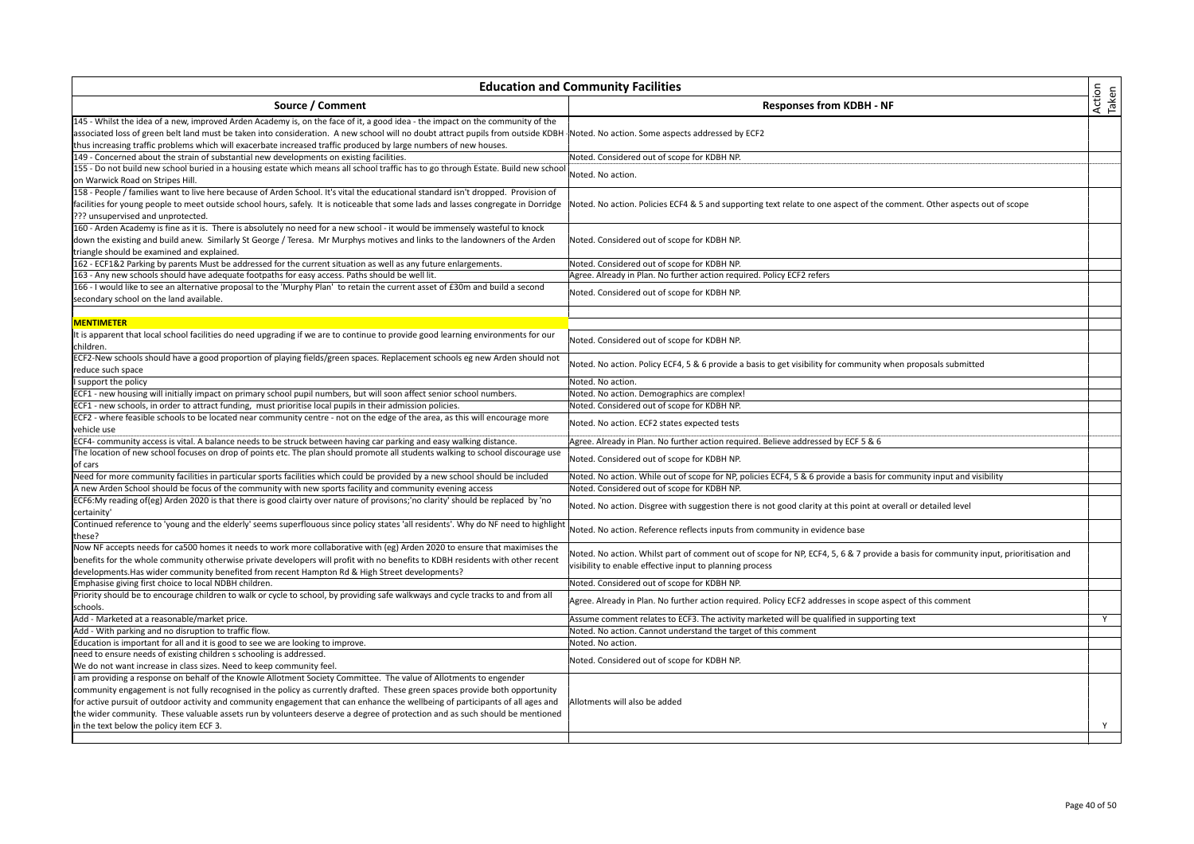| <b>Education and Community Facilities</b>                                                                                                                                                                                                                                                                                                                                                                                                                                                                                                                       |                                                                                                                                                                                                  | Action<br>Taken |
|-----------------------------------------------------------------------------------------------------------------------------------------------------------------------------------------------------------------------------------------------------------------------------------------------------------------------------------------------------------------------------------------------------------------------------------------------------------------------------------------------------------------------------------------------------------------|--------------------------------------------------------------------------------------------------------------------------------------------------------------------------------------------------|-----------------|
| Source / Comment                                                                                                                                                                                                                                                                                                                                                                                                                                                                                                                                                | <b>Responses from KDBH - NF</b>                                                                                                                                                                  |                 |
| 145 - Whilst the idea of a new, improved Arden Academy is, on the face of it, a good idea - the impact on the community of the<br>associated loss of green belt land must be taken into consideration. A new school will no doubt attract pupils from outside KDBH Noted. No action. Some aspects addressed by ECF2<br>thus increasing traffic problems which will exacerbate increased traffic produced by large numbers of new houses.                                                                                                                        |                                                                                                                                                                                                  |                 |
| 149 - Concerned about the strain of substantial new developments on existing facilities.                                                                                                                                                                                                                                                                                                                                                                                                                                                                        | Noted. Considered out of scope for KDBH NP.                                                                                                                                                      |                 |
| 155 - Do not build new school buried in a housing estate which means all school traffic has to go through Estate. Build new school<br>on Warwick Road on Stripes Hill.                                                                                                                                                                                                                                                                                                                                                                                          | Noted. No action.                                                                                                                                                                                |                 |
| 158 - People / families want to live here because of Arden School. It's vital the educational standard isn't dropped. Provision of<br>facilities for young people to meet outside school hours, safely. It is noticeable that some lads and lasses congregate in Dorridge<br>??? unsupervised and unprotected.                                                                                                                                                                                                                                                  | Noted. No action. Policies ECF4 & 5 and supporting text relate to one aspect of the comment. Other aspects out of scope                                                                          |                 |
| 160 - Arden Academy is fine as it is. There is absolutely no need for a new school - it would be immensely wasteful to knock<br>down the existing and build anew. Similarly St George / Teresa. Mr Murphys motives and links to the landowners of the Arden<br>triangle should be examined and explained.                                                                                                                                                                                                                                                       | Noted. Considered out of scope for KDBH NP.                                                                                                                                                      |                 |
| 162 - ECF1&2 Parking by parents Must be addressed for the current situation as well as any future enlargements.                                                                                                                                                                                                                                                                                                                                                                                                                                                 | Noted. Considered out of scope for KDBH NP.                                                                                                                                                      |                 |
| 163 - Any new schools should have adequate footpaths for easy access. Paths should be well lit.                                                                                                                                                                                                                                                                                                                                                                                                                                                                 | Agree. Already in Plan. No further action required. Policy ECF2 refers                                                                                                                           |                 |
| 166 - I would like to see an alternative proposal to the 'Murphy Plan' to retain the current asset of £30m and build a second<br>secondary school on the land available.                                                                                                                                                                                                                                                                                                                                                                                        | Noted. Considered out of scope for KDBH NP.                                                                                                                                                      |                 |
|                                                                                                                                                                                                                                                                                                                                                                                                                                                                                                                                                                 |                                                                                                                                                                                                  |                 |
| <b>MENTIMETER</b>                                                                                                                                                                                                                                                                                                                                                                                                                                                                                                                                               |                                                                                                                                                                                                  |                 |
| It is apparent that local school facilities do need upgrading if we are to continue to provide good learning environments for our<br>children.                                                                                                                                                                                                                                                                                                                                                                                                                  | Noted. Considered out of scope for KDBH NP.                                                                                                                                                      |                 |
| ECF2-New schools should have a good proportion of playing fields/green spaces. Replacement schools eg new Arden should not<br>reduce such space                                                                                                                                                                                                                                                                                                                                                                                                                 | Noted. No action. Policy ECF4, 5 & 6 provide a basis to get visibility for community when proposals submitted                                                                                    |                 |
| support the policy                                                                                                                                                                                                                                                                                                                                                                                                                                                                                                                                              | Noted. No action.                                                                                                                                                                                |                 |
| ECF1 - new housing will initially impact on primary school pupil numbers, but will soon affect senior school numbers.                                                                                                                                                                                                                                                                                                                                                                                                                                           | Noted. No action. Demographics are complex!                                                                                                                                                      |                 |
| ECF1 - new schools, in order to attract funding, must prioritise local pupils in their admission policies.                                                                                                                                                                                                                                                                                                                                                                                                                                                      | Noted. Considered out of scope for KDBH NP.                                                                                                                                                      |                 |
| ECF2 - where feasible schools to be located near community centre - not on the edge of the area, as this will encourage more<br>vehicle use                                                                                                                                                                                                                                                                                                                                                                                                                     | Noted. No action. ECF2 states expected tests                                                                                                                                                     |                 |
| ECF4- community access is vital. A balance needs to be struck between having car parking and easy walking distance.                                                                                                                                                                                                                                                                                                                                                                                                                                             | Agree. Already in Plan. No further action required. Believe addressed by ECF 5 & 6                                                                                                               |                 |
| The location of new school focuses on drop of points etc. The plan should promote all students walking to school discourage use<br>of cars                                                                                                                                                                                                                                                                                                                                                                                                                      | Noted. Considered out of scope for KDBH NP.                                                                                                                                                      |                 |
| Need for more community facilities in particular sports facilities which could be provided by a new school should be included                                                                                                                                                                                                                                                                                                                                                                                                                                   | Noted. No action. While out of scope for NP, policies ECF4, 5 & 6 provide a basis for community input and visibility                                                                             |                 |
|                                                                                                                                                                                                                                                                                                                                                                                                                                                                                                                                                                 |                                                                                                                                                                                                  |                 |
| A new Arden School should be focus of the community with new sports facility and community evening access<br>ECF6:My reading of(eg) Arden 2020 is that there is good clairty over nature of provisons;'no clarity' should be replaced by 'no<br>certainity'                                                                                                                                                                                                                                                                                                     | Noted. Considered out of scope for KDBH NP.<br>Noted. No action. Disgree with suggestion there is not good clarity at this point at overall or detailed level                                    |                 |
| Continued reference to 'young and the elderly' seems superflouous since policy states 'all residents'. Why do NF need to highlight<br>these?                                                                                                                                                                                                                                                                                                                                                                                                                    | Noted. No action. Reference reflects inputs from community in evidence base                                                                                                                      |                 |
| Now NF accepts needs for ca500 homes it needs to work more collaborative with (eg) Arden 2020 to ensure that maximises the<br>benefits for the whole community otherwise private developers will profit with no benefits to KDBH residents with other recent<br>developments. Has wider community benefited from recent Hampton Rd & High Street developments?                                                                                                                                                                                                  | Voted. No action. Whilst part of comment out of scope for NP, ECF4, 5, 6 & 7 provide a basis for community input, prioritisation and<br>visibility to enable effective input to planning process |                 |
| Emphasise giving first choice to local NDBH children.                                                                                                                                                                                                                                                                                                                                                                                                                                                                                                           | Noted. Considered out of scope for KDBH NP.                                                                                                                                                      |                 |
| Priority should be to encourage children to walk or cycle to school, by providing safe walkways and cycle tracks to and from all<br>schools.                                                                                                                                                                                                                                                                                                                                                                                                                    | Agree. Already in Plan. No further action required. Policy ECF2 addresses in scope aspect of this comment                                                                                        |                 |
| Add - Marketed at a reasonable/market price.                                                                                                                                                                                                                                                                                                                                                                                                                                                                                                                    | Assume comment relates to ECF3. The activity marketed will be qualified in supporting text                                                                                                       | Y               |
| Add - With parking and no disruption to traffic flow.                                                                                                                                                                                                                                                                                                                                                                                                                                                                                                           | Noted. No action. Cannot understand the target of this comment                                                                                                                                   |                 |
| Education is important for all and it is good to see we are looking to improve.                                                                                                                                                                                                                                                                                                                                                                                                                                                                                 | Noted. No action.                                                                                                                                                                                |                 |
|                                                                                                                                                                                                                                                                                                                                                                                                                                                                                                                                                                 |                                                                                                                                                                                                  |                 |
| need to ensure needs of existing children s schooling is addressed.                                                                                                                                                                                                                                                                                                                                                                                                                                                                                             | Noted. Considered out of scope for KDBH NP.                                                                                                                                                      |                 |
| We do not want increase in class sizes. Need to keep community feel.                                                                                                                                                                                                                                                                                                                                                                                                                                                                                            |                                                                                                                                                                                                  |                 |
| I am providing a response on behalf of the Knowle Allotment Society Committee. The value of Allotments to engender<br>community engagement is not fully recognised in the policy as currently drafted. These green spaces provide both opportunity<br>for active pursuit of outdoor activity and community engagement that can enhance the wellbeing of participants of all ages and<br>the wider community. These valuable assets run by volunteers deserve a degree of protection and as such should be mentioned<br>in the text below the policy item ECF 3. | Allotments will also be added                                                                                                                                                                    | Y               |
|                                                                                                                                                                                                                                                                                                                                                                                                                                                                                                                                                                 |                                                                                                                                                                                                  |                 |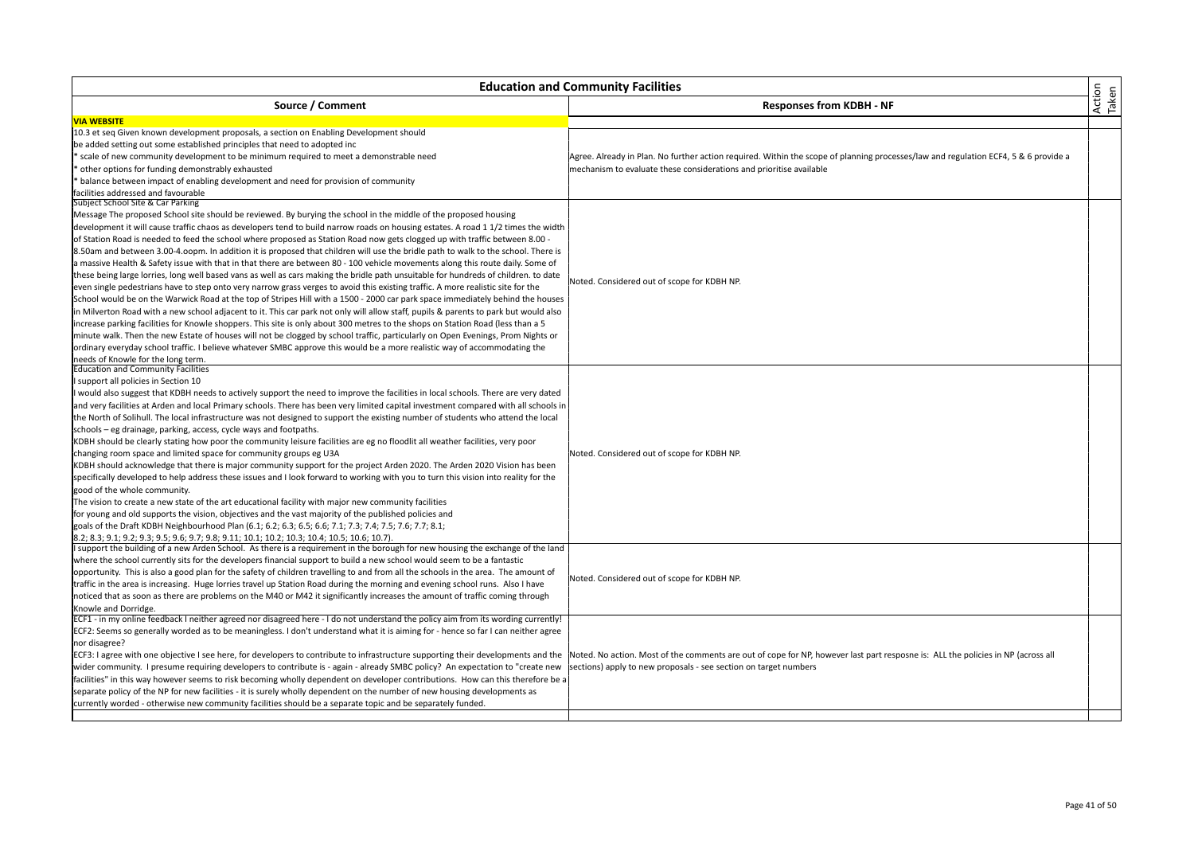| <b>Education and Community Facilities</b>                                                                                            |                                                                                                                                     |                 |
|--------------------------------------------------------------------------------------------------------------------------------------|-------------------------------------------------------------------------------------------------------------------------------------|-----------------|
| Source / Comment                                                                                                                     | <b>Responses from KDBH - NF</b>                                                                                                     | Action<br>Taken |
| <b>VIA WEBSITE</b>                                                                                                                   |                                                                                                                                     |                 |
| 10.3 et seg Given known development proposals, a section on Enabling Development should                                              |                                                                                                                                     |                 |
| be added setting out some established principles that need to adopted inc                                                            |                                                                                                                                     |                 |
| scale of new community development to be minimum required to meet a demonstrable need                                                | Agree. Already in Plan. No further action required. Within the scope of planning processes/law and regulation ECF4, 5 & 6 provide a |                 |
| other options for funding demonstrably exhausted                                                                                     | mechanism to evaluate these considerations and prioritise available                                                                 |                 |
| balance between impact of enabling development and need for provision of community                                                   |                                                                                                                                     |                 |
| facilities addressed and favourable                                                                                                  |                                                                                                                                     |                 |
| Subject School Site & Car Parking                                                                                                    |                                                                                                                                     |                 |
| Message The proposed School site should be reviewed. By burying the school in the middle of the proposed housing                     |                                                                                                                                     |                 |
| development it will cause traffic chaos as developers tend to build narrow roads on housing estates. A road 1 1/2 times the width    |                                                                                                                                     |                 |
| of Station Road is needed to feed the school where proposed as Station Road now gets clogged up with traffic between 8.00 -          |                                                                                                                                     |                 |
| 8.50am and between 3.00-4.oopm. In addition it is proposed that children will use the bridle path to walk to the school. There is    |                                                                                                                                     |                 |
| a massive Health & Safety issue with that in that there are between 80 - 100 vehicle movements along this route daily. Some of       |                                                                                                                                     |                 |
| these being large lorries, long well based vans as well as cars making the bridle path unsuitable for hundreds of children, to date  |                                                                                                                                     |                 |
| even single pedestrians have to step onto very narrow grass verges to avoid this existing traffic. A more realistic site for the     | Noted. Considered out of scope for KDBH NP.                                                                                         |                 |
| School would be on the Warwick Road at the top of Stripes Hill with a 1500 - 2000 car park space immediately behind the houses       |                                                                                                                                     |                 |
| in Milverton Road with a new school adjacent to it. This car park not only will allow staff, pupils & parents to park but would also |                                                                                                                                     |                 |
| increase parking facilities for Knowle shoppers. This site is only about 300 metres to the shops on Station Road (less than a 5      |                                                                                                                                     |                 |
| minute walk. Then the new Estate of houses will not be clogged by school traffic, particularly on Open Evenings, Prom Nights or      |                                                                                                                                     |                 |
| ordinary everyday school traffic. I believe whatever SMBC approve this would be a more realistic way of accommodating the            |                                                                                                                                     |                 |
| needs of Knowle for the long term.                                                                                                   |                                                                                                                                     |                 |
| <b>Education and Community Facilities</b>                                                                                            |                                                                                                                                     |                 |
| support all policies in Section 10                                                                                                   |                                                                                                                                     |                 |
| would also suggest that KDBH needs to actively support the need to improve the facilities in local schools. There are very dated     |                                                                                                                                     |                 |
| and very facilities at Arden and local Primary schools. There has been very limited capital investment compared with all schools in  |                                                                                                                                     |                 |
| the North of Solihull. The local infrastructure was not designed to support the existing number of students who attend the local     |                                                                                                                                     |                 |
| schools – eg drainage, parking, access, cycle ways and footpaths.                                                                    |                                                                                                                                     |                 |
| KDBH should be clearly stating how poor the community leisure facilities are eg no floodlit all weather facilities, very poor        |                                                                                                                                     |                 |
| changing room space and limited space for community groups eg U3A                                                                    | Noted. Considered out of scope for KDBH NP.                                                                                         |                 |
| KDBH should acknowledge that there is major community support for the project Arden 2020. The Arden 2020 Vision has been             |                                                                                                                                     |                 |
| specifically developed to help address these issues and I look forward to working with you to turn this vision into reality for the  |                                                                                                                                     |                 |
| good of the whole community.                                                                                                         |                                                                                                                                     |                 |
| The vision to create a new state of the art educational facility with major new community facilities                                 |                                                                                                                                     |                 |
| for young and old supports the vision, objectives and the vast majority of the published policies and                                |                                                                                                                                     |                 |
| goals of the Draft KDBH Neighbourhood Plan (6.1; 6.2; 6.3; 6.5; 6.6; 7.1; 7.3; 7.4; 7.5; 7.6; 7.7; 8.1;                              |                                                                                                                                     |                 |
| 8.2; 8.3; 9.1; 9.2; 9.3; 9.5; 9.6; 9.7; 9.8; 9.11; 10.1; 10.2; 10.3; 10.4; 10.5; 10.6; 10.7).                                        |                                                                                                                                     |                 |
| support the building of a new Arden School. As there is a requirement in the borough for new housing the exchange of the land        |                                                                                                                                     |                 |
| where the school currently sits for the developers financial support to build a new school would seem to be a fantastic              |                                                                                                                                     |                 |
| opportunity. This is also a good plan for the safety of children travelling to and from all the schools in the area. The amount of   |                                                                                                                                     |                 |
| traffic in the area is increasing. Huge lorries travel up Station Road during the morning and evening school runs. Also I have       | Noted. Considered out of scope for KDBH NP.                                                                                         |                 |
| noticed that as soon as there are problems on the M40 or M42 it significantly increases the amount of traffic coming through         |                                                                                                                                     |                 |
| Knowle and Dorridge.                                                                                                                 |                                                                                                                                     |                 |
| ECF1 - in my online feedback I neither agreed nor disagreed here - I do not understand the policy aim from its wording currently!    |                                                                                                                                     |                 |
| ECF2: Seems so generally worded as to be meaningless. I don't understand what it is aiming for - hence so far I can neither agree    |                                                                                                                                     |                 |
| nor disagree?                                                                                                                        |                                                                                                                                     |                 |
| ECF3: I agree with one objective I see here, for developers to contribute to infrastructure supporting their developments and the    | Noted. No action. Most of the comments are out of cope for NP, however last part resposne is: ALL the policies in NP (across all    |                 |
| wider community. I presume requiring developers to contribute is - again - already SMBC policy? An expectation to "create new        | sections) apply to new proposals - see section on target numbers                                                                    |                 |
| facilities" in this way however seems to risk becoming wholly dependent on developer contributions. How can this therefore be a      |                                                                                                                                     |                 |
| separate policy of the NP for new facilities - it is surely wholly dependent on the number of new housing developments as            |                                                                                                                                     |                 |
| currently worded - otherwise new community facilities should be a separate topic and be separately funded.                           |                                                                                                                                     |                 |
|                                                                                                                                      |                                                                                                                                     |                 |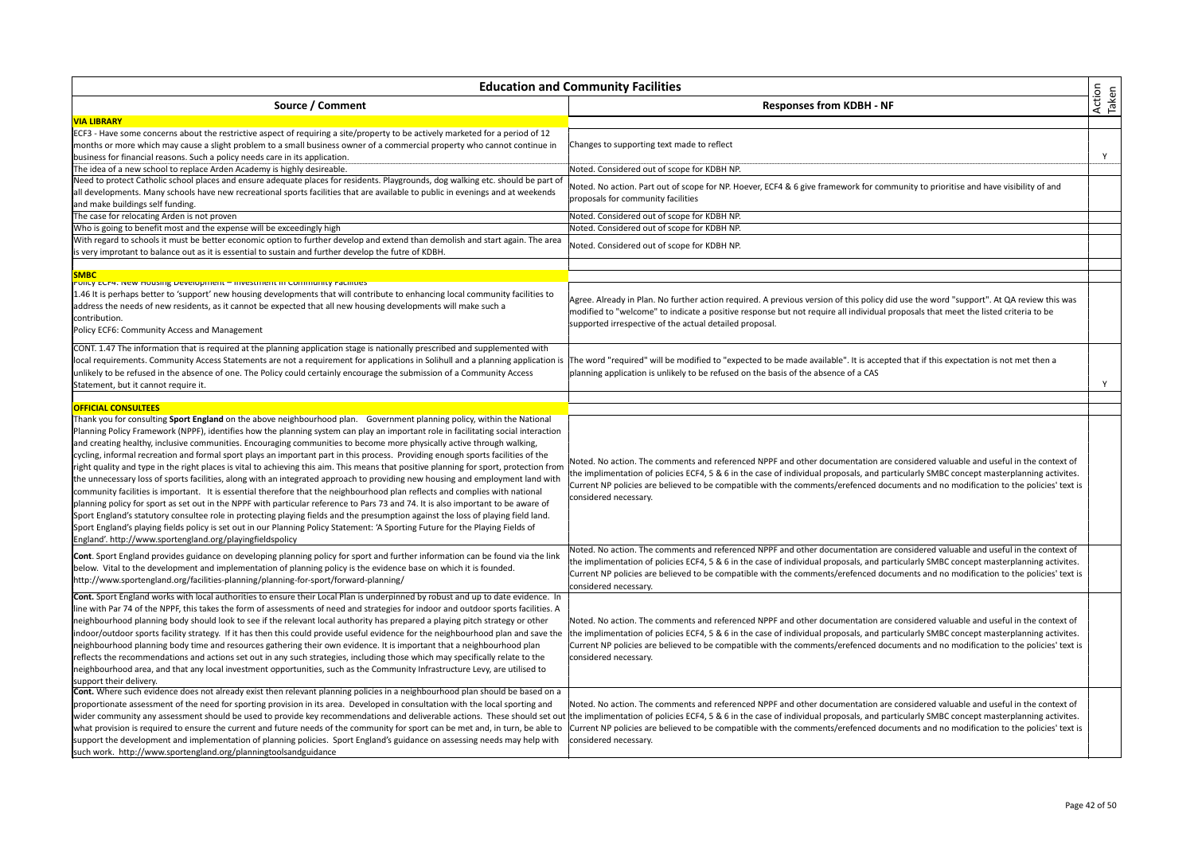| <b>Education and Community Facilities</b>                                                                                               |                                                                                                                                         | Action<br>Taken |
|-----------------------------------------------------------------------------------------------------------------------------------------|-----------------------------------------------------------------------------------------------------------------------------------------|-----------------|
| Source / Comment                                                                                                                        | <b>Responses from KDBH - NF</b>                                                                                                         |                 |
| <b>VIA LIBRARY</b>                                                                                                                      |                                                                                                                                         |                 |
| ECF3 - Have some concerns about the restrictive aspect of requiring a site/property to be actively marketed for a period of 12          |                                                                                                                                         |                 |
| months or more which may cause a slight problem to a small business owner of a commercial property who cannot continue in               | Changes to supporting text made to reflect                                                                                              |                 |
| business for financial reasons. Such a policy needs care in its application.                                                            |                                                                                                                                         | Y               |
| The idea of a new school to replace Arden Academy is highly desireable.                                                                 | Noted. Considered out of scope for KDBH NP.                                                                                             |                 |
| Need to protect Catholic school places and ensure adequate places for residents. Playgrounds, dog walking etc. should be part of        | Noted. No action. Part out of scope for NP. Hoever, ECF4 & 6 give framework for community to prioritise and have visibility of and      |                 |
| all developments. Many schools have new recreational sports facilities that are available to public in evenings and at weekends         | proposals for community facilities                                                                                                      |                 |
| and make buildings self funding.                                                                                                        |                                                                                                                                         |                 |
| The case for relocating Arden is not proven                                                                                             | Noted. Considered out of scope for KDBH NP.                                                                                             |                 |
| Who is going to benefit most and the expense will be exceedingly high                                                                   | Noted. Considered out of scope for KDBH NP.                                                                                             |                 |
| With regard to schools it must be better economic option to further develop and extend than demolish and start again. The area          |                                                                                                                                         |                 |
| is very improtant to balance out as it is essential to sustain and further develop the futre of KDBH.                                   | Noted. Considered out of scope for KDBH NP.                                                                                             |                 |
|                                                                                                                                         |                                                                                                                                         |                 |
| <b>SMBC</b>                                                                                                                             |                                                                                                                                         |                 |
| POIICY ECF4. New HOUSING Development - investment in Community Facilities                                                               |                                                                                                                                         |                 |
| 1.46 It is perhaps better to 'support' new housing developments that will contribute to enhancing local community facilities to         | Agree. Already in Plan. No further action required. A previous version of this policy did use the word "support". At QA review this was |                 |
| address the needs of new residents, as it cannot be expected that all new housing developments will make such a                         | modified to "welcome" to indicate a positive response but not require all individual proposals that meet the listed criteria to be      |                 |
| contribution.                                                                                                                           | supported irrespective of the actual detailed proposal.                                                                                 |                 |
| Policy ECF6: Community Access and Management                                                                                            |                                                                                                                                         |                 |
| CONT. 1.47 The information that is required at the planning application stage is nationally prescribed and supplemented with            |                                                                                                                                         |                 |
| local requirements. Community Access Statements are not a requirement for applications in Solihull and a planning application is        | The word "required" will be modified to "expected to be made available". It is accepted that if this expectation is not met then a      |                 |
| unlikely to be refused in the absence of one. The Policy could certainly encourage the submission of a Community Access                 | planning application is unlikely to be refused on the basis of the absence of a CAS                                                     |                 |
| Statement, but it cannot require it.                                                                                                    |                                                                                                                                         | Y               |
|                                                                                                                                         |                                                                                                                                         |                 |
| <b>OFFICIAL CONSULTEES</b>                                                                                                              |                                                                                                                                         |                 |
| Thank you for consulting Sport England on the above neighbourhood plan. Government planning policy, within the National                 |                                                                                                                                         |                 |
| Planning Policy Framework (NPPF), identifies how the planning system can play an important role in facilitating social interaction      |                                                                                                                                         |                 |
| and creating healthy, inclusive communities. Encouraging communities to become more physically active through walking,                  |                                                                                                                                         |                 |
| cycling, informal recreation and formal sport plays an important part in this process. Providing enough sports facilities of the        |                                                                                                                                         |                 |
| right quality and type in the right places is vital to achieving this aim. This means that positive planning for sport, protection from | Noted. No action. The comments and referenced NPPF and other documentation are considered valuable and useful in the context of         |                 |
| the unnecessary loss of sports facilities, along with an integrated approach to providing new housing and employment land with          | he implimentation of policies ECF4, 5 & 6 in the case of individual proposals, and particularly SMBC concept masterplanning activites.  |                 |
| community facilities is important. It is essential therefore that the neighbourhood plan reflects and complies with national            | Current NP policies are believed to be compatible with the comments/erefenced documents and no modification to the policies' text is    |                 |
| planning policy for sport as set out in the NPPF with particular reference to Pars 73 and 74. It is also important to be aware of       | considered necessary.                                                                                                                   |                 |
| Sport England's statutory consultee role in protecting playing fields and the presumption against the loss of playing field land.       |                                                                                                                                         |                 |
| Sport England's playing fields policy is set out in our Planning Policy Statement: 'A Sporting Future for the Playing Fields of         |                                                                                                                                         |                 |
| England'. http://www.sportengland.org/playingfieldspolicy                                                                               |                                                                                                                                         |                 |
|                                                                                                                                         | Noted. No action. The comments and referenced NPPF and other documentation are considered valuable and useful in the context of         |                 |
| Cont. Sport England provides guidance on developing planning policy for sport and further information can be found via the link         | the implimentation of policies ECF4, 5 & 6 in the case of individual proposals, and particularly SMBC concept masterplanning activites. |                 |
| below. Vital to the development and implementation of planning policy is the evidence base on which it is founded.                      | Current NP policies are believed to be compatible with the comments/erefenced documents and no modification to the policies' text is    |                 |
| http://www.sportengland.org/facilities-planning/planning-for-sport/forward-planning/                                                    | considered necessary.                                                                                                                   |                 |
| Cont. Sport England works with local authorities to ensure their Local Plan is underpinned by robust and up to date evidence. In        |                                                                                                                                         |                 |
| line with Par 74 of the NPPF, this takes the form of assessments of need and strategies for indoor and outdoor sports facilities. A     |                                                                                                                                         |                 |
| neighbourhood planning body should look to see if the relevant local authority has prepared a playing pitch strategy or other           | Noted. No action. The comments and referenced NPPF and other documentation are considered valuable and useful in the context of         |                 |
| indoor/outdoor sports facility strategy. If it has then this could provide useful evidence for the neighbourhood plan and save the      | the implimentation of policies ECF4, 5 & 6 in the case of individual proposals, and particularly SMBC concept masterplanning activites. |                 |
| neighbourhood planning body time and resources gathering their own evidence. It is important that a neighbourhood plan                  | Current NP policies are believed to be compatible with the comments/erefenced documents and no modification to the policies' text is    |                 |
| reflects the recommendations and actions set out in any such strategies, including those which may specifically relate to the           | considered necessary.                                                                                                                   |                 |
| neighbourhood area, and that any local investment opportunities, such as the Community Infrastructure Levy, are utilised to             |                                                                                                                                         |                 |
| support their delivery.                                                                                                                 |                                                                                                                                         |                 |
| Cont. Where such evidence does not already exist then relevant planning policies in a neighbourhood plan should be based on a           |                                                                                                                                         |                 |
| proportionate assessment of the need for sporting provision in its area. Developed in consultation with the local sporting and          | Noted. No action. The comments and referenced NPPF and other documentation are considered valuable and useful in the context of         |                 |
| wider community any assessment should be used to provide key recommendations and deliverable actions. These should set out              | the implimentation of policies ECF4, 5 & 6 in the case of individual proposals, and particularly SMBC concept masterplanning activites. |                 |
| what provision is required to ensure the current and future needs of the community for sport can be met and, in turn, be able to        | Current NP policies are believed to be compatible with the comments/erefenced documents and no modification to the policies' text is    |                 |
| support the development and implementation of planning policies. Sport England's guidance on assessing needs may help with              | considered necessary.                                                                                                                   |                 |
| such work. http://www.sportengland.org/planningtoolsandguidance                                                                         |                                                                                                                                         |                 |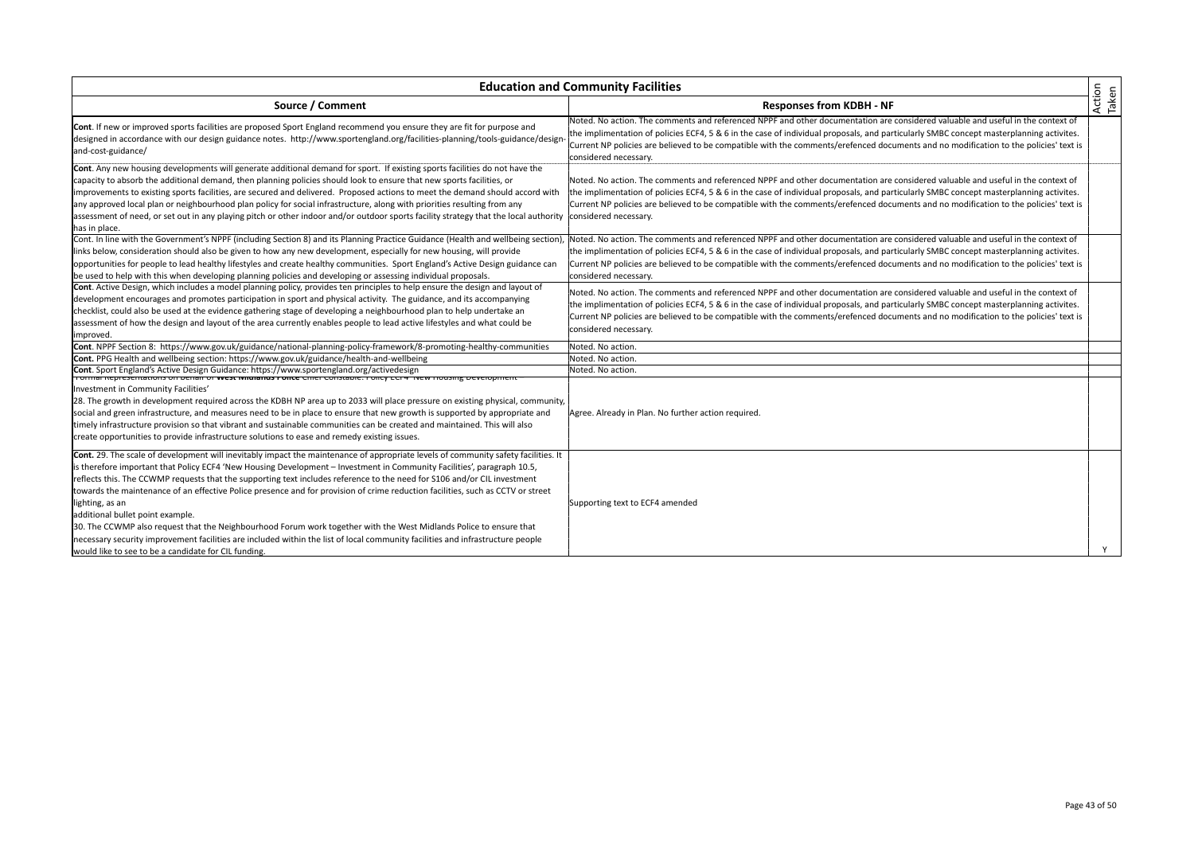| <b>Education and Community Facilities</b>                                                                                                                                                                                                                                                                                                                                                                                                                                                                                                                                                                                                                                                                                                                                                                                                                                                           |                                                                                                                                                                                                                                                                                                                                                                                                                                             |                 |
|-----------------------------------------------------------------------------------------------------------------------------------------------------------------------------------------------------------------------------------------------------------------------------------------------------------------------------------------------------------------------------------------------------------------------------------------------------------------------------------------------------------------------------------------------------------------------------------------------------------------------------------------------------------------------------------------------------------------------------------------------------------------------------------------------------------------------------------------------------------------------------------------------------|---------------------------------------------------------------------------------------------------------------------------------------------------------------------------------------------------------------------------------------------------------------------------------------------------------------------------------------------------------------------------------------------------------------------------------------------|-----------------|
| Source / Comment                                                                                                                                                                                                                                                                                                                                                                                                                                                                                                                                                                                                                                                                                                                                                                                                                                                                                    | <b>Responses from KDBH - NF</b>                                                                                                                                                                                                                                                                                                                                                                                                             | Action<br>Taken |
| Cont. If new or improved sports facilities are proposed Sport England recommend you ensure they are fit for purpose and<br>designed in accordance with our design guidance notes. http://www.sportengland.org/facilities-planning/tools-guidance/design-<br>and-cost-guidance/                                                                                                                                                                                                                                                                                                                                                                                                                                                                                                                                                                                                                      | Noted. No action. The comments and referenced NPPF and other documentation are considered valuable and useful in the context of<br>the implimentation of policies ECF4, 5 & 6 in the case of individual proposals, and particularly SMBC concept masterplanning activites.<br>Current NP policies are believed to be compatible with the comments/erefenced documents and no modification to the policies' text is<br>considered necessary. |                 |
| Cont. Any new housing developments will generate additional demand for sport. If existing sports facilities do not have the<br>capacity to absorb the additional demand, then planning policies should look to ensure that new sports facilities, or<br>improvements to existing sports facilities, are secured and delivered. Proposed actions to meet the demand should accord with<br>any approved local plan or neighbourhood plan policy for social infrastructure, along with priorities resulting from any<br>assessment of need, or set out in any playing pitch or other indoor and/or outdoor sports facility strategy that the local authority<br>has in place.                                                                                                                                                                                                                          | Noted. No action. The comments and referenced NPPF and other documentation are considered valuable and useful in the context of<br>the implimentation of policies ECF4, 5 & 6 in the case of individual proposals, and particularly SMBC concept masterplanning activites.<br>Current NP policies are believed to be compatible with the comments/erefenced documents and no modification to the policies' text is<br>considered necessary. |                 |
| Cont. In line with the Government's NPPF (including Section 8) and its Planning Practice Guidance (Health and wellbeing section),<br>links below, consideration should also be given to how any new development, especially for new housing, will provide<br>opportunities for people to lead healthy lifestyles and create healthy communities. Sport England's Active Design guidance can<br>be used to help with this when developing planning policies and developing or assessing individual proposals.                                                                                                                                                                                                                                                                                                                                                                                        | Noted. No action. The comments and referenced NPPF and other documentation are considered valuable and useful in the context of<br>the implimentation of policies ECF4, 5 & 6 in the case of individual proposals, and particularly SMBC concept masterplanning activites.<br>Current NP policies are believed to be compatible with the comments/erefenced documents and no modification to the policies' text is<br>considered necessary. |                 |
| Cont. Active Design, which includes a model planning policy, provides ten principles to help ensure the design and layout of<br>development encourages and promotes participation in sport and physical activity. The guidance, and its accompanying<br>checklist, could also be used at the evidence gathering stage of developing a neighbourhood plan to help undertake an<br>assessment of how the design and layout of the area currently enables people to lead active lifestyles and what could be<br>improved.                                                                                                                                                                                                                                                                                                                                                                              | Noted. No action. The comments and referenced NPPF and other documentation are considered valuable and useful in the context of<br>the implimentation of policies ECF4, 5 & 6 in the case of individual proposals, and particularly SMBC concept masterplanning activites.<br>Current NP policies are believed to be compatible with the comments/erefenced documents and no modification to the policies' text is<br>considered necessary. |                 |
| Cont. NPPF Section 8: https://www.gov.uk/guidance/national-planning-policy-framework/8-promoting-healthy-communities                                                                                                                                                                                                                                                                                                                                                                                                                                                                                                                                                                                                                                                                                                                                                                                | Noted. No action.                                                                                                                                                                                                                                                                                                                                                                                                                           |                 |
| Cont. PPG Health and wellbeing section: https://www.gov.uk/guidance/health-and-wellbeing                                                                                                                                                                                                                                                                                                                                                                                                                                                                                                                                                                                                                                                                                                                                                                                                            | Noted. No action.                                                                                                                                                                                                                                                                                                                                                                                                                           |                 |
| Cont. Sport England's Active Design Guidance: https://www.sportengland.org/activedesign<br>Troman Representations on behan or west wildramds Folice Chief Constable. Folicy CCF4 Trew Housing Development                                                                                                                                                                                                                                                                                                                                                                                                                                                                                                                                                                                                                                                                                           | Noted. No action.                                                                                                                                                                                                                                                                                                                                                                                                                           |                 |
| Investment in Community Facilities'<br>28. The growth in development required across the KDBH NP area up to 2033 will place pressure on existing physical, community,<br>social and green infrastructure, and measures need to be in place to ensure that new growth is supported by appropriate and<br>timely infrastructure provision so that vibrant and sustainable communities can be created and maintained. This will also<br>create opportunities to provide infrastructure solutions to ease and remedy existing issues.                                                                                                                                                                                                                                                                                                                                                                   | Agree. Already in Plan. No further action required.                                                                                                                                                                                                                                                                                                                                                                                         |                 |
| Cont. 29. The scale of development will inevitably impact the maintenance of appropriate levels of community safety facilities. It<br>is therefore important that Policy ECF4 'New Housing Development - Investment in Community Facilities', paragraph 10.5,<br>reflects this. The CCWMP requests that the supporting text includes reference to the need for S106 and/or CIL investment<br>towards the maintenance of an effective Police presence and for provision of crime reduction facilities, such as CCTV or street<br>lighting, as an<br>additional bullet point example.<br>30. The CCWMP also request that the Neighbourhood Forum work together with the West Midlands Police to ensure that<br>necessary security improvement facilities are included within the list of local community facilities and infrastructure people<br>would like to see to be a candidate for CIL funding. | Supporting text to ECF4 amended                                                                                                                                                                                                                                                                                                                                                                                                             | Υ               |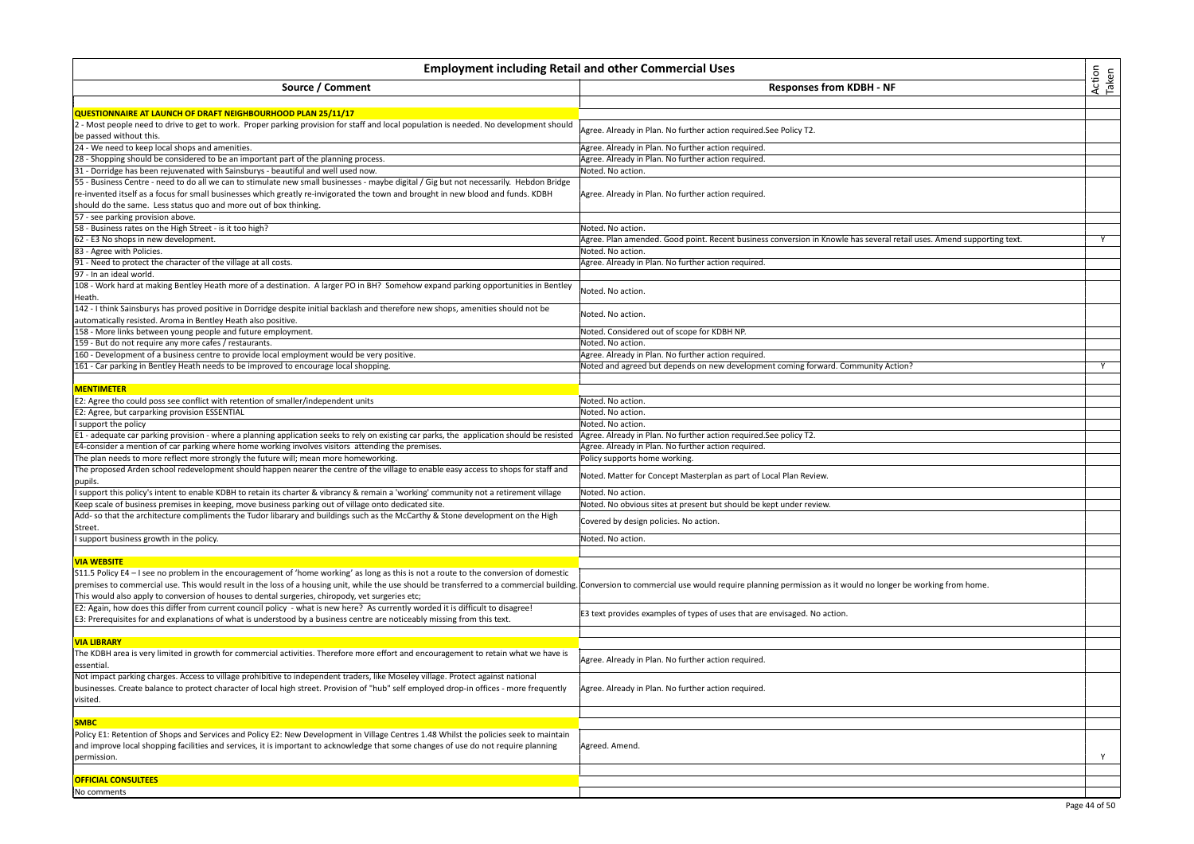| Action<br>Taken<br><b>Employment including Retail and other Commercial Uses</b>                                                                                                                                                                                                                                                                                                                                                                                              |                                                                                                                       |   |
|------------------------------------------------------------------------------------------------------------------------------------------------------------------------------------------------------------------------------------------------------------------------------------------------------------------------------------------------------------------------------------------------------------------------------------------------------------------------------|-----------------------------------------------------------------------------------------------------------------------|---|
| Source / Comment                                                                                                                                                                                                                                                                                                                                                                                                                                                             | <b>Responses from KDBH - NF</b>                                                                                       |   |
| QUESTIONNAIRE AT LAUNCH OF DRAFT NEIGHBOURHOOD PLAN 25/11/17                                                                                                                                                                                                                                                                                                                                                                                                                 |                                                                                                                       |   |
| - Most people need to drive to get to work. Proper parking provision for staff and local population is needed. No development should                                                                                                                                                                                                                                                                                                                                         | Agree. Already in Plan. No further action required.See Policy T2.                                                     |   |
| be passed without this.                                                                                                                                                                                                                                                                                                                                                                                                                                                      |                                                                                                                       |   |
| 24 - We need to keep local shops and amenities.                                                                                                                                                                                                                                                                                                                                                                                                                              | Agree. Already in Plan. No further action required.                                                                   |   |
| 28 - Shopping should be considered to be an important part of the planning process.                                                                                                                                                                                                                                                                                                                                                                                          | Agree. Already in Plan. No further action required.                                                                   |   |
| 31 - Dorridge has been rejuvenated with Sainsburys - beautiful and well used now.                                                                                                                                                                                                                                                                                                                                                                                            | Noted. No action.                                                                                                     |   |
| 55 - Business Centre - need to do all we can to stimulate new small businesses - maybe digital / Gig but not necessarily. Hebdon Bridge<br>re-invented itself as a focus for small businesses which greatly re-invigorated the town and brought in new blood and funds. KDBH                                                                                                                                                                                                 | Agree. Already in Plan. No further action required.                                                                   |   |
| should do the same. Less status quo and more out of box thinking.                                                                                                                                                                                                                                                                                                                                                                                                            |                                                                                                                       |   |
| 57 - see parking provision above.                                                                                                                                                                                                                                                                                                                                                                                                                                            |                                                                                                                       |   |
| 58 - Business rates on the High Street - is it too high?                                                                                                                                                                                                                                                                                                                                                                                                                     | Noted. No action.                                                                                                     |   |
| 62 - E3 No shops in new development.                                                                                                                                                                                                                                                                                                                                                                                                                                         | Agree. Plan amended. Good point. Recent business conversion in Knowle has several retail uses. Amend supporting text. | Y |
| 83 - Agree with Policies.                                                                                                                                                                                                                                                                                                                                                                                                                                                    | Noted. No action.                                                                                                     |   |
| 91 - Need to protect the character of the village at all costs.<br>97 - In an ideal world.                                                                                                                                                                                                                                                                                                                                                                                   | Agree. Already in Plan. No further action required.                                                                   |   |
| 108 - Work hard at making Bentley Heath more of a destination. A larger PO in BH? Somehow expand parking opportunities in Bentley                                                                                                                                                                                                                                                                                                                                            | Noted. No action.                                                                                                     |   |
| Heath.                                                                                                                                                                                                                                                                                                                                                                                                                                                                       |                                                                                                                       |   |
| 142 - I think Sainsburys has proved positive in Dorridge despite initial backlash and therefore new shops, amenities should not be                                                                                                                                                                                                                                                                                                                                           | Noted. No action.                                                                                                     |   |
| automatically resisted. Aroma in Bentley Heath also positive.                                                                                                                                                                                                                                                                                                                                                                                                                |                                                                                                                       |   |
| 158 - More links between young people and future employment.                                                                                                                                                                                                                                                                                                                                                                                                                 | Noted. Considered out of scope for KDBH NP.                                                                           |   |
| 159 - But do not require any more cafes / restaurants.                                                                                                                                                                                                                                                                                                                                                                                                                       | Noted. No action.                                                                                                     |   |
| 160 - Development of a business centre to provide local employment would be very positive.                                                                                                                                                                                                                                                                                                                                                                                   | Agree. Already in Plan. No further action required.                                                                   |   |
| 161 - Car parking in Bentley Heath needs to be improved to encourage local shopping.                                                                                                                                                                                                                                                                                                                                                                                         | Noted and agreed but depends on new development coming forward. Community Action?                                     | Y |
|                                                                                                                                                                                                                                                                                                                                                                                                                                                                              |                                                                                                                       |   |
| <b>MENTIMETER</b>                                                                                                                                                                                                                                                                                                                                                                                                                                                            |                                                                                                                       |   |
| E2: Agree tho could poss see conflict with retention of smaller/independent units                                                                                                                                                                                                                                                                                                                                                                                            | Noted. No action.                                                                                                     |   |
| E2: Agree, but carparking provision ESSENTIAL                                                                                                                                                                                                                                                                                                                                                                                                                                | Noted. No action.                                                                                                     |   |
| support the policy                                                                                                                                                                                                                                                                                                                                                                                                                                                           | Noted. No action.                                                                                                     |   |
| E1 - adequate car parking provision - where a planning application seeks to rely on existing car parks, the application should be resisted                                                                                                                                                                                                                                                                                                                                   | Agree. Already in Plan. No further action required.See policy T2.                                                     |   |
| E4-consider a mention of car parking where home working involves visitors attending the premises.                                                                                                                                                                                                                                                                                                                                                                            | Agree. Already in Plan. No further action required.                                                                   |   |
| The plan needs to more reflect more strongly the future will; mean more homeworking.                                                                                                                                                                                                                                                                                                                                                                                         | Policy supports home working.                                                                                         |   |
| The proposed Arden school redevelopment should happen nearer the centre of the village to enable easy access to shops for staff and<br>pupils.                                                                                                                                                                                                                                                                                                                               | Noted. Matter for Concept Masterplan as part of Local Plan Review.                                                    |   |
| support this policy's intent to enable KDBH to retain its charter & vibrancy & remain a 'working' community not a retirement village                                                                                                                                                                                                                                                                                                                                         | Noted. No action.                                                                                                     |   |
| Keep scale of business premises in keeping, move business parking out of village onto dedicated site                                                                                                                                                                                                                                                                                                                                                                         | Noted. No obvious sites at present but should be kept under review.                                                   |   |
| Add- so that the architecture compliments the Tudor libarary and buildings such as the McCarthy & Stone development on the High<br>Street.                                                                                                                                                                                                                                                                                                                                   | Covered by design policies. No action.                                                                                |   |
| support business growth in the policy.                                                                                                                                                                                                                                                                                                                                                                                                                                       | Noted. No action.                                                                                                     |   |
|                                                                                                                                                                                                                                                                                                                                                                                                                                                                              |                                                                                                                       |   |
| <b>VIA WEBSITE</b>                                                                                                                                                                                                                                                                                                                                                                                                                                                           |                                                                                                                       |   |
| S11.5 Policy E4 – I see no problem in the encouragement of 'home working' as long as this is not a route to the conversion of domestic<br>premises to commercial use. This would result in the loss of a housing unit, while the use should be transferred to a commercial building. Conversion to commercial use would require planning permission as it would no longe<br>This would also apply to conversion of houses to dental surgeries, chiropody, vet surgeries etc; |                                                                                                                       |   |
| E2: Again, how does this differ from current council policy - what is new here? As currently worded it is difficult to disagree!<br>E3: Prerequisites for and explanations of what is understood by a business centre are noticeably missing from this text.                                                                                                                                                                                                                 | E3 text provides examples of types of uses that are envisaged. No action.                                             |   |
|                                                                                                                                                                                                                                                                                                                                                                                                                                                                              |                                                                                                                       |   |
| <b>VIA LIBRARY</b>                                                                                                                                                                                                                                                                                                                                                                                                                                                           |                                                                                                                       |   |
| The KDBH area is very limited in growth for commercial activities. Therefore more effort and encouragement to retain what we have is<br>essential                                                                                                                                                                                                                                                                                                                            | Agree. Already in Plan. No further action required.                                                                   |   |
| Not impact parking charges. Access to village prohibitive to independent traders, like Moseley village. Protect against national<br>businesses. Create balance to protect character of local high street. Provision of "hub" self employed drop-in offices - more frequently<br>visited.                                                                                                                                                                                     | Agree. Already in Plan. No further action required.                                                                   |   |
|                                                                                                                                                                                                                                                                                                                                                                                                                                                                              |                                                                                                                       |   |
| <b>SMBC</b>                                                                                                                                                                                                                                                                                                                                                                                                                                                                  |                                                                                                                       |   |
| Policy E1: Retention of Shops and Services and Policy E2: New Development in Village Centres 1.48 Whilst the policies seek to maintain<br>and improve local shopping facilities and services, it is important to acknowledge that some changes of use do not require planning<br>permission.                                                                                                                                                                                 | Agreed. Amend.                                                                                                        | Y |
|                                                                                                                                                                                                                                                                                                                                                                                                                                                                              |                                                                                                                       |   |
| <b>OFFICIAL CONSULTEES</b>                                                                                                                                                                                                                                                                                                                                                                                                                                                   |                                                                                                                       |   |
| No comments                                                                                                                                                                                                                                                                                                                                                                                                                                                                  |                                                                                                                       |   |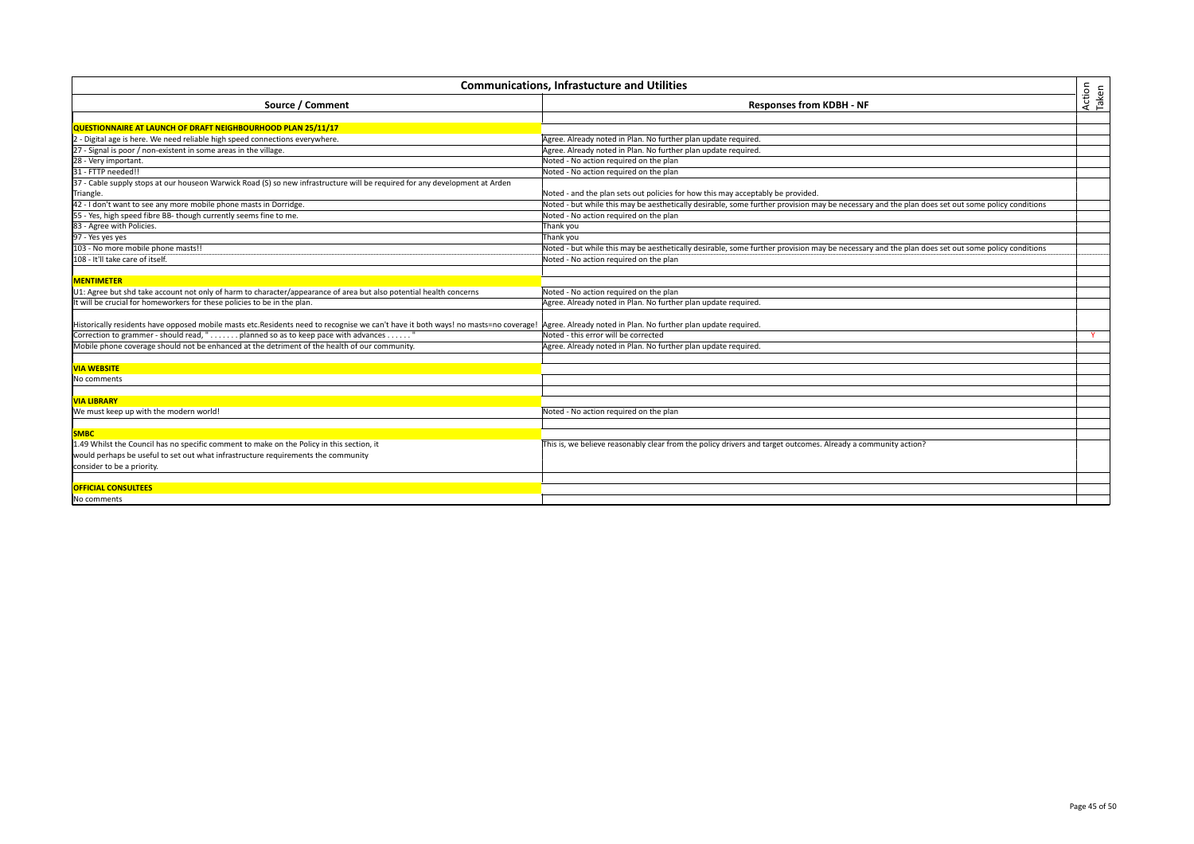| <b>Communications, Infrastucture and Utilities</b>                                                                                                                                                 |                                                                                                                                                 |                 |
|----------------------------------------------------------------------------------------------------------------------------------------------------------------------------------------------------|-------------------------------------------------------------------------------------------------------------------------------------------------|-----------------|
| Source / Comment                                                                                                                                                                                   | <b>Responses from KDBH - NF</b>                                                                                                                 | Action<br>Taken |
|                                                                                                                                                                                                    |                                                                                                                                                 |                 |
| QUESTIONNAIRE AT LAUNCH OF DRAFT NEIGHBOURHOOD PLAN 25/11/17                                                                                                                                       |                                                                                                                                                 |                 |
| 2 - Digital age is here. We need reliable high speed connections everywhere.                                                                                                                       | Agree. Already noted in Plan. No further plan update required.                                                                                  |                 |
| 27 - Signal is poor / non-existent in some areas in the village.                                                                                                                                   | Agree. Already noted in Plan. No further plan update required.                                                                                  |                 |
| 28 - Very important.                                                                                                                                                                               | Noted - No action required on the plan                                                                                                          |                 |
| 31 - FTTP needed!!                                                                                                                                                                                 | Noted - No action required on the plan                                                                                                          |                 |
| 37 - Cable supply stops at our houseon Warwick Road (S) so new infrastructure will be required for any development at Arden                                                                        |                                                                                                                                                 |                 |
| Triangle.                                                                                                                                                                                          | Noted - and the plan sets out policies for how this may acceptably be provided.                                                                 |                 |
| 42 - I don't want to see any more mobile phone masts in Dorridge.                                                                                                                                  | Noted - but while this may be aesthetically desirable, some further provision may be necessary and the plan does set out some policy conditions |                 |
| 55 - Yes, high speed fibre BB- though currently seems fine to me.                                                                                                                                  | Noted - No action required on the plan                                                                                                          |                 |
| 83 - Agree with Policies.                                                                                                                                                                          | Thank you                                                                                                                                       |                 |
| 97 - Yes yes yes                                                                                                                                                                                   | Thank you                                                                                                                                       |                 |
| 103 - No more mobile phone masts!!                                                                                                                                                                 | Noted - but while this may be aesthetically desirable, some further provision may be necessary and the plan does set out some policy conditions |                 |
| 108 - It'll take care of itself.                                                                                                                                                                   | Noted - No action required on the plan                                                                                                          |                 |
|                                                                                                                                                                                                    |                                                                                                                                                 |                 |
| <b>MENTIMETER</b>                                                                                                                                                                                  |                                                                                                                                                 |                 |
| U1: Agree but shd take account not only of harm to character/appearance of area but also potential health concerns                                                                                 | Noted - No action required on the plan                                                                                                          |                 |
| It will be crucial for homeworkers for these policies to be in the plan.                                                                                                                           | Agree. Already noted in Plan. No further plan update required.                                                                                  |                 |
| Historically residents have opposed mobile masts etc.Residents need to recognise we can't have it both ways! no masts=no coverage!  Agree. Already noted in Plan. No further plan update required. |                                                                                                                                                 |                 |
| Correction to grammer - should read, " planned so as to keep pace with advances "                                                                                                                  | Noted - this error will be corrected                                                                                                            | Y               |
| Mobile phone coverage should not be enhanced at the detriment of the health of our community.                                                                                                      | Agree. Already noted in Plan. No further plan update required.                                                                                  |                 |
|                                                                                                                                                                                                    |                                                                                                                                                 |                 |
| <b>VIA WEBSITE</b>                                                                                                                                                                                 |                                                                                                                                                 |                 |
| No comments                                                                                                                                                                                        |                                                                                                                                                 |                 |
|                                                                                                                                                                                                    |                                                                                                                                                 |                 |
| <b>VIA LIBRARY</b>                                                                                                                                                                                 |                                                                                                                                                 |                 |
| We must keep up with the modern world!                                                                                                                                                             | Noted - No action required on the plan                                                                                                          |                 |
|                                                                                                                                                                                                    |                                                                                                                                                 |                 |
| <b>SMBC</b>                                                                                                                                                                                        |                                                                                                                                                 |                 |
| 1.49 Whilst the Council has no specific comment to make on the Policy in this section, it                                                                                                          | This is, we believe reasonably clear from the policy drivers and target outcomes. Already a community action?                                   |                 |
| would perhaps be useful to set out what infrastructure requirements the community                                                                                                                  |                                                                                                                                                 |                 |
| consider to be a priority.                                                                                                                                                                         |                                                                                                                                                 |                 |
|                                                                                                                                                                                                    |                                                                                                                                                 |                 |
| <b>OFFICIAL CONSULTEES</b>                                                                                                                                                                         |                                                                                                                                                 |                 |
| No comments                                                                                                                                                                                        |                                                                                                                                                 |                 |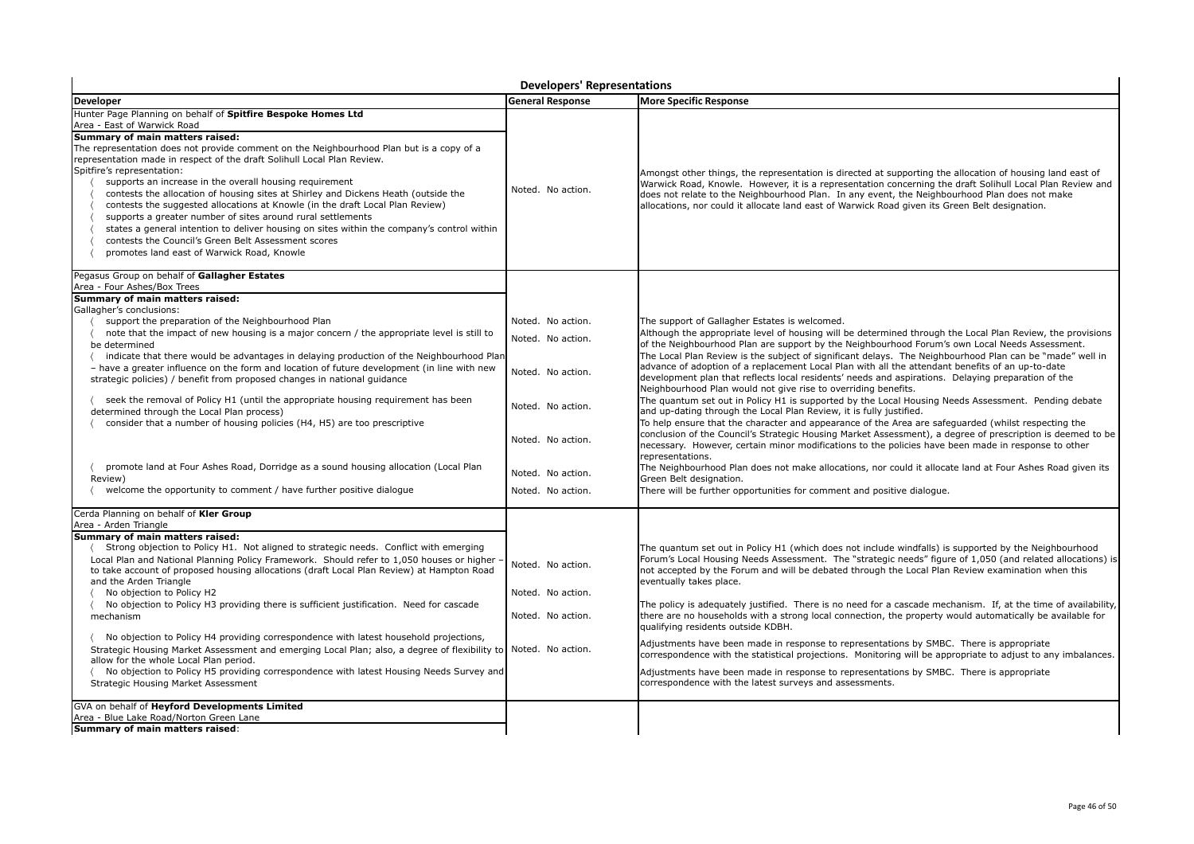| <b>Developers' Representations</b>                                                                                                                                                                                                                                                                                                                                                                                                                                                                                                                                                                                                                                                                                                                                                                                                                                                                                            |                                                                                                                                                 |                                                                                                                                                                                                                                                                                                                                                                                                                                                                                                                                                                                                                                                                                                                                                                                                                                                                                                                                                                                                                                                                                                                                                                                                                                                                                                                                                                                                       |
|-------------------------------------------------------------------------------------------------------------------------------------------------------------------------------------------------------------------------------------------------------------------------------------------------------------------------------------------------------------------------------------------------------------------------------------------------------------------------------------------------------------------------------------------------------------------------------------------------------------------------------------------------------------------------------------------------------------------------------------------------------------------------------------------------------------------------------------------------------------------------------------------------------------------------------|-------------------------------------------------------------------------------------------------------------------------------------------------|-------------------------------------------------------------------------------------------------------------------------------------------------------------------------------------------------------------------------------------------------------------------------------------------------------------------------------------------------------------------------------------------------------------------------------------------------------------------------------------------------------------------------------------------------------------------------------------------------------------------------------------------------------------------------------------------------------------------------------------------------------------------------------------------------------------------------------------------------------------------------------------------------------------------------------------------------------------------------------------------------------------------------------------------------------------------------------------------------------------------------------------------------------------------------------------------------------------------------------------------------------------------------------------------------------------------------------------------------------------------------------------------------------|
| <b>Developer</b>                                                                                                                                                                                                                                                                                                                                                                                                                                                                                                                                                                                                                                                                                                                                                                                                                                                                                                              | <b>General Response</b>                                                                                                                         | <b>More Specific Response</b>                                                                                                                                                                                                                                                                                                                                                                                                                                                                                                                                                                                                                                                                                                                                                                                                                                                                                                                                                                                                                                                                                                                                                                                                                                                                                                                                                                         |
| Hunter Page Planning on behalf of Spitfire Bespoke Homes Ltd<br>Area - East of Warwick Road<br>Summary of main matters raised:<br>The representation does not provide comment on the Neighbourhood Plan but is a copy of a<br>representation made in respect of the draft Solihull Local Plan Review.<br>Spitfire's representation:<br>supports an increase in the overall housing requirement<br>contests the allocation of housing sites at Shirley and Dickens Heath (outside the<br>contests the suggested allocations at Knowle (in the draft Local Plan Review)<br>supports a greater number of sites around rural settlements<br>states a general intention to deliver housing on sites within the company's control within<br>contests the Council's Green Belt Assessment scores<br>promotes land east of Warwick Road, Knowle                                                                                       | Noted. No action.                                                                                                                               | Amongst other things, the representation is directed at supporting the allocation of housing land east of<br>Warwick Road, Knowle. However, it is a representation concerning the draft Solihull Local Plan Review and<br>does not relate to the Neighbourhood Plan. In any event, the Neighbourhood Plan does not make<br>allocations, nor could it allocate land east of Warwick Road given its Green Belt designation.                                                                                                                                                                                                                                                                                                                                                                                                                                                                                                                                                                                                                                                                                                                                                                                                                                                                                                                                                                             |
| Pegasus Group on behalf of Gallagher Estates                                                                                                                                                                                                                                                                                                                                                                                                                                                                                                                                                                                                                                                                                                                                                                                                                                                                                  |                                                                                                                                                 |                                                                                                                                                                                                                                                                                                                                                                                                                                                                                                                                                                                                                                                                                                                                                                                                                                                                                                                                                                                                                                                                                                                                                                                                                                                                                                                                                                                                       |
| Area - Four Ashes/Box Trees<br>Summary of main matters raised:<br>Gallagher's conclusions:<br>support the preparation of the Neighbourhood Plan<br>note that the impact of new housing is a major concern / the appropriate level is still to<br>be determined<br>indicate that there would be advantages in delaying production of the Neighbourhood Plan<br>- have a greater influence on the form and location of future development (in line with new<br>strategic policies) / benefit from proposed changes in national guidance<br>seek the removal of Policy H1 (until the appropriate housing requirement has been<br>determined through the Local Plan process)<br>consider that a number of housing policies (H4, H5) are too prescriptive<br>promote land at Four Ashes Road, Dorridge as a sound housing allocation (Local Plan<br>Review)<br>welcome the opportunity to comment / have further positive dialogue | Noted. No action.<br>Noted. No action.<br>Noted. No action.<br>Noted. No action.<br>Noted. No action.<br>Noted. No action.<br>Noted. No action. | The support of Gallagher Estates is welcomed.<br>Although the appropriate level of housing will be determined through the Local Plan Review, the provisions<br>of the Neighbourhood Plan are support by the Neighbourhood Forum's own Local Needs Assessment.<br>The Local Plan Review is the subject of significant delays. The Neighbourhood Plan can be "made" well in<br>advance of adoption of a replacement Local Plan with all the attendant benefits of an up-to-date<br>development plan that reflects local residents' needs and aspirations. Delaying preparation of the<br>Neighbourhood Plan would not give rise to overriding benefits.<br>The quantum set out in Policy H1 is supported by the Local Housing Needs Assessment. Pending debate<br>and up-dating through the Local Plan Review, it is fully justified.<br>To help ensure that the character and appearance of the Area are safeguarded (whilst respecting the<br>conclusion of the Council's Strategic Housing Market Assessment), a degree of prescription is deemed to be<br>necessary. However, certain minor modifications to the policies have been made in response to other<br>representations.<br>The Neighbourhood Plan does not make allocations, nor could it allocate land at Four Ashes Road given its<br>Green Belt designation.<br>There will be further opportunities for comment and positive dialoque. |
| Cerda Planning on behalf of Kler Group<br>Area - Arden Triangle                                                                                                                                                                                                                                                                                                                                                                                                                                                                                                                                                                                                                                                                                                                                                                                                                                                               |                                                                                                                                                 |                                                                                                                                                                                                                                                                                                                                                                                                                                                                                                                                                                                                                                                                                                                                                                                                                                                                                                                                                                                                                                                                                                                                                                                                                                                                                                                                                                                                       |
| Summary of main matters raised:<br>Strong objection to Policy H1. Not aligned to strategic needs. Conflict with emerging<br>Local Plan and National Planning Policy Framework. Should refer to 1,050 houses or higher<br>to take account of proposed housing allocations (draft Local Plan Review) at Hampton Road<br>and the Arden Triangle<br>No objection to Policy H2<br>No objection to Policy H3 providing there is sufficient justification. Need for cascade<br>mechanism<br>No objection to Policy H4 providing correspondence with latest household projections,<br>Strategic Housing Market Assessment and emerging Local Plan; also, a degree of flexibility to<br>allow for the whole Local Plan period.<br>No objection to Policy H5 providing correspondence with latest Housing Needs Survey and<br>Strategic Housing Market Assessment                                                                       | Noted. No action.<br>Noted. No action.<br>Noted. No action.<br>Noted. No action.                                                                | The quantum set out in Policy H1 (which does not include windfalls) is supported by the Neighbourhood<br>Forum's Local Housing Needs Assessment. The "strategic needs" figure of 1,050 (and related allocations) is<br>not accepted by the Forum and will be debated through the Local Plan Review examination when this<br>eventually takes place.<br>The policy is adequately justified. There is no need for a cascade mechanism. If, at the time of availability,<br>there are no households with a strong local connection, the property would automatically be available for<br>qualifying residents outside KDBH.<br>Adjustments have been made in response to representations by SMBC. There is appropriate<br>correspondence with the statistical projections. Monitoring will be appropriate to adjust to any imbalances.<br>Adjustments have been made in response to representations by SMBC. There is appropriate<br>correspondence with the latest surveys and assessments.                                                                                                                                                                                                                                                                                                                                                                                                             |
| GVA on behalf of Heyford Developments Limited<br>Area - Blue Lake Road/Norton Green Lane<br>Summary of main matters raised:                                                                                                                                                                                                                                                                                                                                                                                                                                                                                                                                                                                                                                                                                                                                                                                                   |                                                                                                                                                 |                                                                                                                                                                                                                                                                                                                                                                                                                                                                                                                                                                                                                                                                                                                                                                                                                                                                                                                                                                                                                                                                                                                                                                                                                                                                                                                                                                                                       |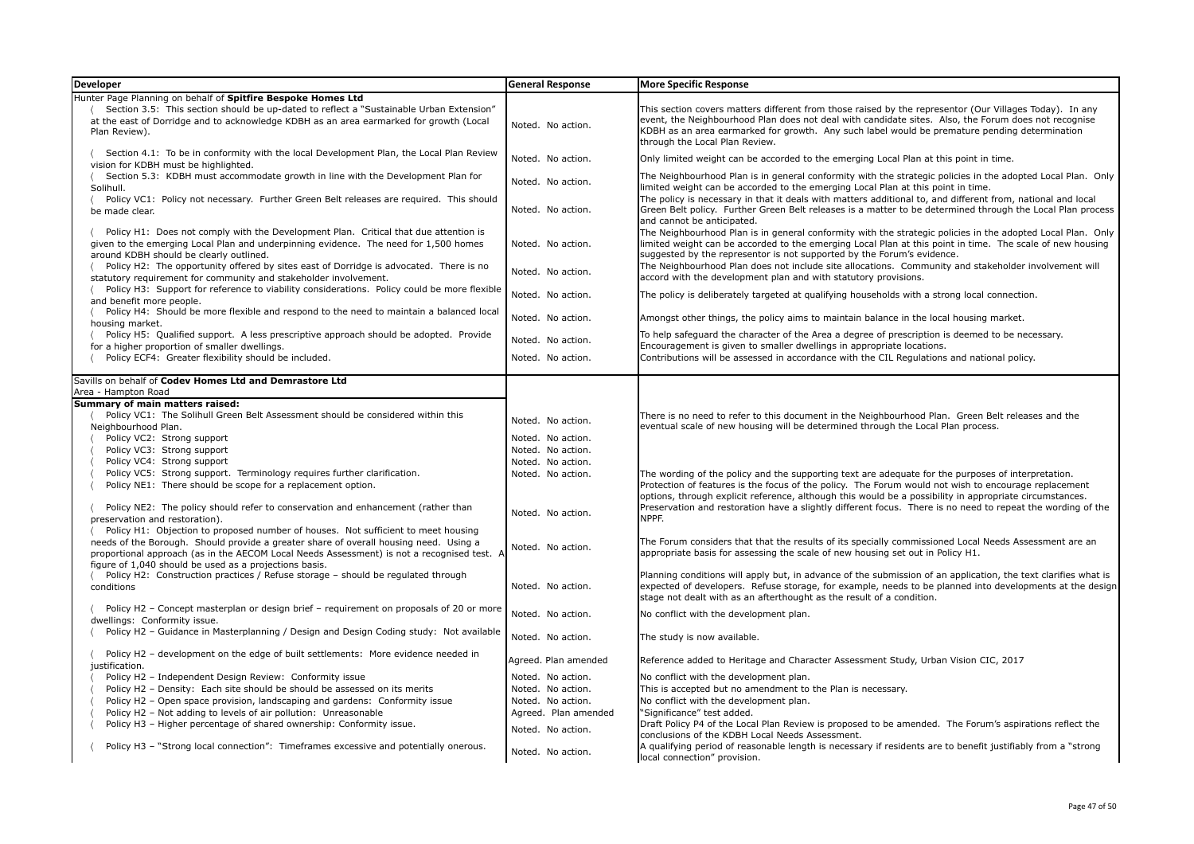| <b>Developer</b>                                                                                                                                                                                                        | <b>General Response</b> | <b>More Specific Response</b>                                                                                                                                                                                                                                                                                                                      |
|-------------------------------------------------------------------------------------------------------------------------------------------------------------------------------------------------------------------------|-------------------------|----------------------------------------------------------------------------------------------------------------------------------------------------------------------------------------------------------------------------------------------------------------------------------------------------------------------------------------------------|
| lunter Page Planning on behalf of Spitfire Bespoke Homes Ltd                                                                                                                                                            |                         |                                                                                                                                                                                                                                                                                                                                                    |
| Section 3.5: This section should be up-dated to reflect a "Sustainable Urban Extension"<br>at the east of Dorridge and to acknowledge KDBH as an area earmarked for growth (Local<br>Plan Review).                      | Noted. No action.       | This section covers matters different from those raised by the representor (Our Villages Today). In any<br>event, the Neighbourhood Plan does not deal with candidate sites. Also, the Forum does not recognise<br>KDBH as an area earmarked for growth. Any such label would be premature pending determination<br>through the Local Plan Review. |
| Section 4.1: To be in conformity with the local Development Plan, the Local Plan Review<br>vision for KDBH must be highlighted.                                                                                         | Noted. No action.       | Only limited weight can be accorded to the emerging Local Plan at this point in time.                                                                                                                                                                                                                                                              |
| Section 5.3: KDBH must accommodate growth in line with the Development Plan for<br>Solihull.                                                                                                                            | Noted. No action.       | The Neighbourhood Plan is in general conformity with the strategic policies in the adopted Local Plan. Only<br>limited weight can be accorded to the emerging Local Plan at this point in time.                                                                                                                                                    |
| Policy VC1: Policy not necessary. Further Green Belt releases are required. This should<br>be made clear.                                                                                                               | Noted. No action.       | The policy is necessary in that it deals with matters additional to, and different from, national and local<br>Green Belt policy. Further Green Belt releases is a matter to be determined through the Local Plan process<br>and cannot be anticipated.                                                                                            |
| Policy H1: Does not comply with the Development Plan. Critical that due attention is<br>given to the emerging Local Plan and underpinning evidence. The need for 1,500 homes<br>around KDBH should be clearly outlined. | Noted. No action.       | The Neighbourhood Plan is in general conformity with the strategic policies in the adopted Local Plan. Only<br>limited weight can be accorded to the emerging Local Plan at this point in time. The scale of new housing<br>suggested by the representor is not supported by the Forum's evidence.                                                 |
| Policy H2: The opportunity offered by sites east of Dorridge is advocated. There is no<br>statutory requirement for community and stakeholder involvement.                                                              | Noted. No action.       | The Neighbourhood Plan does not include site allocations. Community and stakeholder involvement will<br>accord with the development plan and with statutory provisions.                                                                                                                                                                            |
| Policy H3: Support for reference to viability considerations. Policy could be more flexible<br>and benefit more people.                                                                                                 | Noted. No action.       | The policy is deliberately targeted at qualifying households with a strong local connection.                                                                                                                                                                                                                                                       |
| Policy H4: Should be more flexible and respond to the need to maintain a balanced local<br>housing market.                                                                                                              | Noted. No action.       | Amongst other things, the policy aims to maintain balance in the local housing market.                                                                                                                                                                                                                                                             |
| Policy H5: Qualified support. A less prescriptive approach should be adopted. Provide                                                                                                                                   | Noted. No action.       | To help safeguard the character of the Area a degree of prescription is deemed to be necessary.                                                                                                                                                                                                                                                    |
| for a higher proportion of smaller dwellings.<br>Policy ECF4: Greater flexibility should be included.                                                                                                                   | Noted. No action.       | Encouragement is given to smaller dwellings in appropriate locations.<br>Contributions will be assessed in accordance with the CIL Regulations and national policy.                                                                                                                                                                                |
| Savills on behalf of Codev Homes Ltd and Demrastore Ltd                                                                                                                                                                 |                         |                                                                                                                                                                                                                                                                                                                                                    |
| Area - Hampton Road                                                                                                                                                                                                     |                         |                                                                                                                                                                                                                                                                                                                                                    |
| Summary of main matters raised:                                                                                                                                                                                         |                         |                                                                                                                                                                                                                                                                                                                                                    |
| Policy VC1: The Solihull Green Belt Assessment should be considered within this                                                                                                                                         | Noted. No action.       | There is no need to refer to this document in the Neighbourhood Plan. Green Belt releases and the<br>eventual scale of new housing will be determined through the Local Plan process.                                                                                                                                                              |
| Neighbourhood Plan.<br>Policy VC2: Strong support                                                                                                                                                                       | Noted. No action.       |                                                                                                                                                                                                                                                                                                                                                    |
| Policy VC3: Strong support                                                                                                                                                                                              | Noted. No action.       |                                                                                                                                                                                                                                                                                                                                                    |
| Policy VC4: Strong support                                                                                                                                                                                              | Noted. No action.       |                                                                                                                                                                                                                                                                                                                                                    |
| Policy VC5: Strong support. Terminology requires further clarification.                                                                                                                                                 | Noted. No action.       | The wording of the policy and the supporting text are adequate for the purposes of interpretation.                                                                                                                                                                                                                                                 |
| Policy NE1: There should be scope for a replacement option.                                                                                                                                                             |                         | Protection of features is the focus of the policy. The Forum would not wish to encourage replacement<br>options, through explicit reference, although this would be a possibility in appropriate circumstances.                                                                                                                                    |
| Policy NE2: The policy should refer to conservation and enhancement (rather than<br>preservation and restoration).                                                                                                      | Noted. No action.       | Preservation and restoration have a slightly different focus. There is no need to repeat the wording of the<br>NPPF.                                                                                                                                                                                                                               |
| Policy H1: Objection to proposed number of houses. Not sufficient to meet housing                                                                                                                                       |                         |                                                                                                                                                                                                                                                                                                                                                    |
| needs of the Borough. Should provide a greater share of overall housing need. Using a<br>proportional approach (as in the AECOM Local Needs Assessment) is not a recognised test. <i>I</i>                              | Noted. No action.       | The Forum considers that that the results of its specially commissioned Local Needs Assessment are an<br>appropriate basis for assessing the scale of new housing set out in Policy H1.                                                                                                                                                            |
| figure of 1,040 should be used as a projections basis.<br>/ Policy H2: Construction practices / Refuse storage - should be regulated through                                                                            |                         | Planning conditions will apply but, in advance of the submission of an application, the text clarifies what is                                                                                                                                                                                                                                     |
| conditions                                                                                                                                                                                                              | Noted. No action.       | expected of developers. Refuse storage, for example, needs to be planned into developments at the design<br>stage not dealt with as an afterthought as the result of a condition.                                                                                                                                                                  |
| Policy H2 - Concept masterplan or design brief - requirement on proposals of 20 or more<br>dwellings: Conformity issue.                                                                                                 | Noted. No action.       | No conflict with the development plan.                                                                                                                                                                                                                                                                                                             |
| \ Policy H2 - Guidance in Masterplanning / Design and Design Coding study: Not available                                                                                                                                | Noted. No action.       | The study is now available.                                                                                                                                                                                                                                                                                                                        |
| Policy H2 - development on the edge of built settlements: More evidence needed in<br>justification.                                                                                                                     | Agreed. Plan amended    | Reference added to Heritage and Character Assessment Study, Urban Vision CIC, 2017                                                                                                                                                                                                                                                                 |
| Policy H2 - Independent Design Review: Conformity issue                                                                                                                                                                 | Noted. No action.       | No conflict with the development plan.                                                                                                                                                                                                                                                                                                             |
| Policy H2 - Density: Each site should be should be assessed on its merits                                                                                                                                               | Noted. No action.       | This is accepted but no amendment to the Plan is necessary.                                                                                                                                                                                                                                                                                        |
| Policy H2 - Open space provision, landscaping and gardens: Conformity issue                                                                                                                                             | Noted. No action.       | No conflict with the development plan.                                                                                                                                                                                                                                                                                                             |
| Policy H2 - Not adding to levels of air pollution: Unreasonable                                                                                                                                                         | Agreed. Plan amended    | "Significance" test added.                                                                                                                                                                                                                                                                                                                         |
| Policy H3 - Higher percentage of shared ownership: Conformity issue.                                                                                                                                                    | Noted. No action.       | Draft Policy P4 of the Local Plan Review is proposed to be amended. The Forum's aspirations reflect the<br>conclusions of the KDBH Local Needs Assessment.                                                                                                                                                                                         |
| Policy H3 - "Strong local connection": Timeframes excessive and potentially onerous.                                                                                                                                    | Noted. No action.       | A qualifying period of reasonable length is necessary if residents are to benefit justifiably from a "strong<br>local connection" provision.                                                                                                                                                                                                       |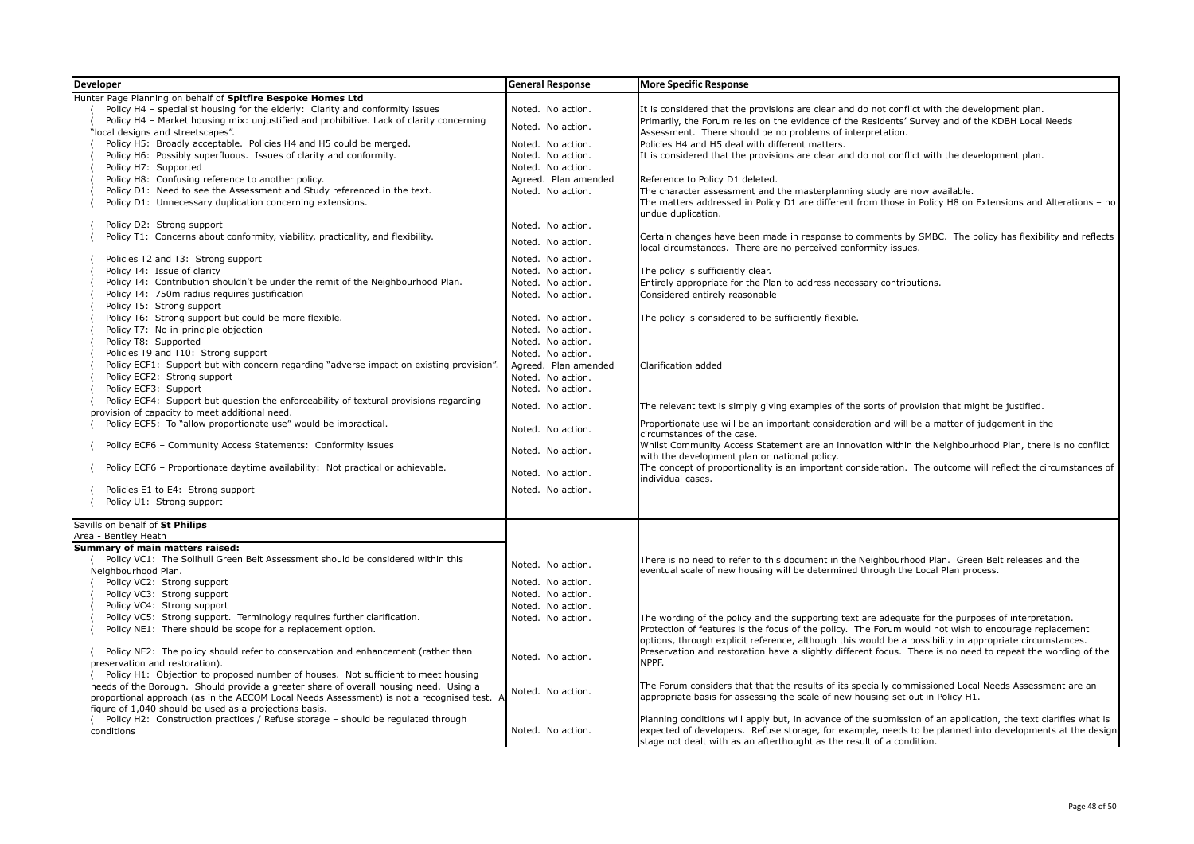| <b>Developer</b>                                                                                                                        | <b>General Response</b> | <b>More Specific Response</b>                                                                                                                                                                                                                                                                       |
|-----------------------------------------------------------------------------------------------------------------------------------------|-------------------------|-----------------------------------------------------------------------------------------------------------------------------------------------------------------------------------------------------------------------------------------------------------------------------------------------------|
| Hunter Page Planning on behalf of Spitfire Bespoke Homes Ltd                                                                            |                         |                                                                                                                                                                                                                                                                                                     |
| Policy H4 - specialist housing for the elderly: Clarity and conformity issues                                                           | Noted. No action.       | It is considered that the provisions are clear and do not conflict with the development plan.                                                                                                                                                                                                       |
| Policy H4 - Market housing mix: unjustified and prohibitive. Lack of clarity concerning                                                 | Noted. No action.       | Primarily, the Forum relies on the evidence of the Residents' Survey and of the KDBH Local Needs                                                                                                                                                                                                    |
| "local designs and streetscapes".                                                                                                       |                         | Assessment. There should be no problems of interpretation.                                                                                                                                                                                                                                          |
| Policy H5: Broadly acceptable. Policies H4 and H5 could be merged.                                                                      | Noted. No action.       | Policies H4 and H5 deal with different matters.                                                                                                                                                                                                                                                     |
| Policy H6: Possibly superfluous. Issues of clarity and conformity.                                                                      | Noted. No action.       | It is considered that the provisions are clear and do not conflict with the development plan.                                                                                                                                                                                                       |
| Policy H7: Supported                                                                                                                    | Noted. No action.       |                                                                                                                                                                                                                                                                                                     |
| Policy H8: Confusing reference to another policy.                                                                                       | Agreed. Plan amended    | Reference to Policy D1 deleted.                                                                                                                                                                                                                                                                     |
| Policy D1: Need to see the Assessment and Study referenced in the text.                                                                 | Noted. No action.       | The character assessment and the masterplanning study are now available.                                                                                                                                                                                                                            |
| Policy D1: Unnecessary duplication concerning extensions.                                                                               |                         | The matters addressed in Policy D1 are different from those in Policy H8 on Extensions and Alterations - no<br>undue duplication.                                                                                                                                                                   |
| Policy D2: Strong support                                                                                                               | Noted. No action.       |                                                                                                                                                                                                                                                                                                     |
| Policy T1: Concerns about conformity, viability, practicality, and flexibility.                                                         | Noted. No action.       | Certain changes have been made in response to comments by SMBC. The policy has flexibility and reflects<br>local circumstances. There are no perceived conformity issues.                                                                                                                           |
| Policies T2 and T3: Strong support                                                                                                      | Noted. No action.       |                                                                                                                                                                                                                                                                                                     |
| Policy T4: Issue of clarity                                                                                                             | Noted. No action.       | The policy is sufficiently clear.                                                                                                                                                                                                                                                                   |
| Policy T4: Contribution shouldn't be under the remit of the Neighbourhood Plan.                                                         | Noted. No action.       | Entirely appropriate for the Plan to address necessary contributions.                                                                                                                                                                                                                               |
| Policy T4: 750m radius requires justification                                                                                           | Noted. No action.       | Considered entirely reasonable                                                                                                                                                                                                                                                                      |
| Policy T5: Strong support                                                                                                               |                         |                                                                                                                                                                                                                                                                                                     |
| Policy T6: Strong support but could be more flexible.                                                                                   | Noted. No action.       | The policy is considered to be sufficiently flexible.                                                                                                                                                                                                                                               |
| Policy T7: No in-principle objection                                                                                                    | Noted. No action.       |                                                                                                                                                                                                                                                                                                     |
| Policy T8: Supported                                                                                                                    | Noted. No action.       |                                                                                                                                                                                                                                                                                                     |
| Policies T9 and T10: Strong support                                                                                                     | Noted. No action.       |                                                                                                                                                                                                                                                                                                     |
| Policy ECF1: Support but with concern regarding "adverse impact on existing provision"                                                  | Agreed. Plan amended    | Clarification added                                                                                                                                                                                                                                                                                 |
| Policy ECF2: Strong support                                                                                                             | Noted. No action.       |                                                                                                                                                                                                                                                                                                     |
| Policy ECF3: Support                                                                                                                    | Noted. No action.       |                                                                                                                                                                                                                                                                                                     |
| Policy ECF4: Support but question the enforceability of textural provisions regarding<br>provision of capacity to meet additional need. | Noted. No action.       | The relevant text is simply giving examples of the sorts of provision that might be justified.                                                                                                                                                                                                      |
| Policy ECF5: To "allow proportionate use" would be impractical.                                                                         | Noted. No action.       | Proportionate use will be an important consideration and will be a matter of judgement in the<br>circumstances of the case.                                                                                                                                                                         |
| Policy ECF6 - Community Access Statements: Conformity issues                                                                            | Noted. No action.       | Whilst Community Access Statement are an innovation within the Neighbourhood Plan, there is no conflict<br>with the development plan or national policy.                                                                                                                                            |
| Policy ECF6 - Proportionate daytime availability: Not practical or achievable.                                                          | Noted. No action.       | The concept of proportionality is an important consideration. The outcome will reflect the circumstances of<br>individual cases.                                                                                                                                                                    |
| Policies E1 to E4: Strong support                                                                                                       | Noted. No action.       |                                                                                                                                                                                                                                                                                                     |
| Policy U1: Strong support                                                                                                               |                         |                                                                                                                                                                                                                                                                                                     |
|                                                                                                                                         |                         |                                                                                                                                                                                                                                                                                                     |
| Savills on behalf of St Philips<br>Area - Bentley Heath                                                                                 |                         |                                                                                                                                                                                                                                                                                                     |
| Summary of main matters raised:                                                                                                         |                         |                                                                                                                                                                                                                                                                                                     |
| Policy VC1: The Solihull Green Belt Assessment should be considered within this                                                         |                         | There is no need to refer to this document in the Neighbourhood Plan. Green Belt releases and the                                                                                                                                                                                                   |
| Neighbourhood Plan.                                                                                                                     | Noted. No action.       | eventual scale of new housing will be determined through the Local Plan process.                                                                                                                                                                                                                    |
| Policy VC2: Strong support                                                                                                              | Noted. No action.       |                                                                                                                                                                                                                                                                                                     |
| Policy VC3: Strong support                                                                                                              | Noted. No action.       |                                                                                                                                                                                                                                                                                                     |
| Policy VC4: Strong support                                                                                                              | Noted. No action.       |                                                                                                                                                                                                                                                                                                     |
| Policy VC5: Strong support. Terminology requires further clarification.                                                                 | Noted. No action.       | The wording of the policy and the supporting text are adequate for the purposes of interpretation.                                                                                                                                                                                                  |
| Policy NE1: There should be scope for a replacement option.                                                                             |                         | Protection of features is the focus of the policy. The Forum would not wish to encourage replacement<br>options, through explicit reference, although this would be a possibility in appropriate circumstances.                                                                                     |
| Policy NE2: The policy should refer to conservation and enhancement (rather than                                                        |                         | Preservation and restoration have a slightly different focus. There is no need to repeat the wording of the                                                                                                                                                                                         |
| preservation and restoration).                                                                                                          | Noted. No action.       | NPPF.                                                                                                                                                                                                                                                                                               |
| Policy H1: Objection to proposed number of houses. Not sufficient to meet housing                                                       |                         |                                                                                                                                                                                                                                                                                                     |
| needs of the Borough. Should provide a greater share of overall housing need. Using a                                                   | Noted. No action.       | The Forum considers that that the results of its specially commissioned Local Needs Assessment are an                                                                                                                                                                                               |
| proportional approach (as in the AECOM Local Needs Assessment) is not a recognised test. A                                              |                         | appropriate basis for assessing the scale of new housing set out in Policy H1.                                                                                                                                                                                                                      |
| figure of 1,040 should be used as a projections basis.                                                                                  |                         |                                                                                                                                                                                                                                                                                                     |
| Policy H2: Construction practices / Refuse storage - should be regulated through<br>conditions                                          | Noted. No action.       | Planning conditions will apply but, in advance of the submission of an application, the text clarifies what is<br>expected of developers. Refuse storage, for example, needs to be planned into developments at the design<br>stage not dealt with as an afterthought as the result of a condition. |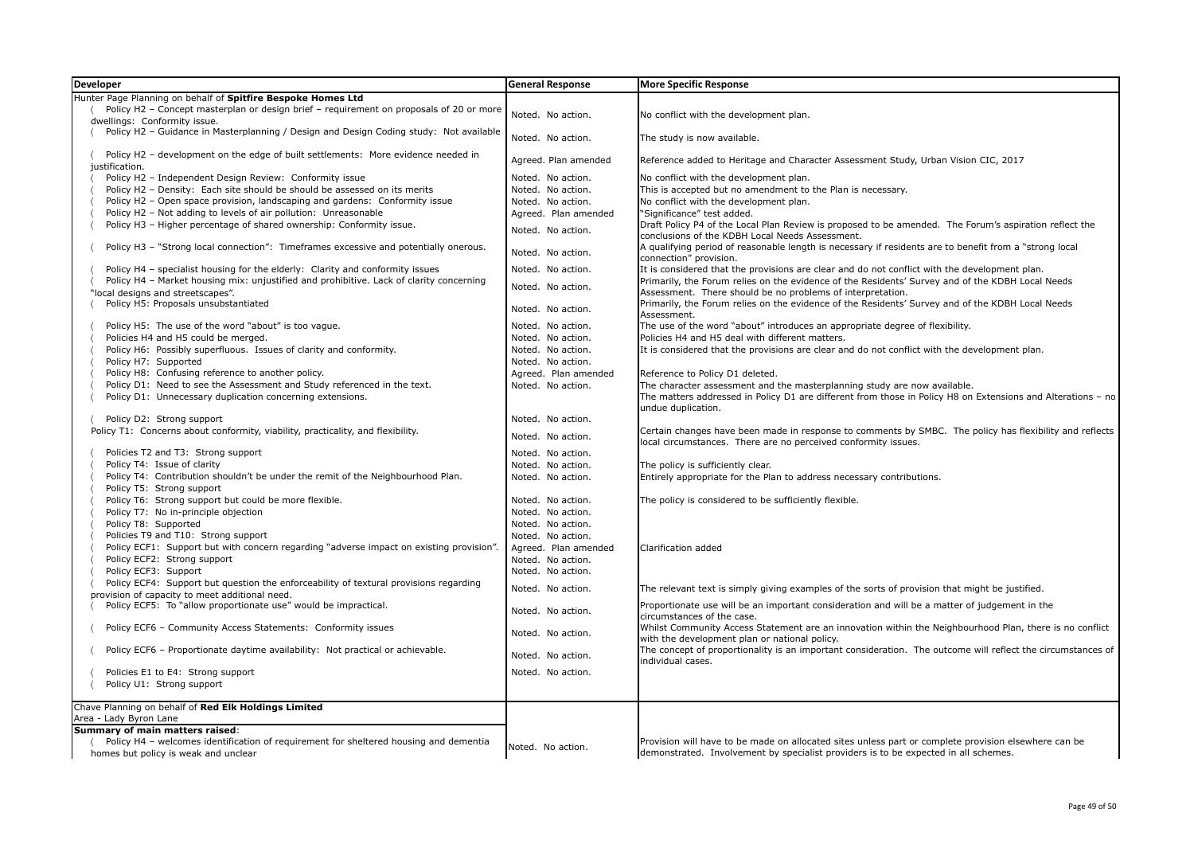| <b>Developer</b>                                                                                                         | <b>General Response</b>                | <b>More Specific Response</b>                                                                                                                                  |
|--------------------------------------------------------------------------------------------------------------------------|----------------------------------------|----------------------------------------------------------------------------------------------------------------------------------------------------------------|
| Hunter Page Planning on behalf of Spitfire Bespoke Homes Ltd                                                             |                                        |                                                                                                                                                                |
| Policy H2 - Concept masterplan or design brief - requirement on proposals of 20 or more                                  | Noted. No action.                      | No conflict with the development plan.                                                                                                                         |
| dwellings: Conformity issue.                                                                                             |                                        |                                                                                                                                                                |
| Policy H2 - Guidance in Masterplanning / Design and Design Coding study: Not available                                   | Noted. No action.                      | The study is now available.                                                                                                                                    |
|                                                                                                                          |                                        |                                                                                                                                                                |
| Policy H2 - development on the edge of built settlements: More evidence needed in                                        | Agreed. Plan amended                   | Reference added to Heritage and Character Assessment Study, Urban Vision CIC, 2017                                                                             |
| justification.<br>Policy H2 - Independent Design Review: Conformity issue                                                | Noted. No action.                      | No conflict with the development plan.                                                                                                                         |
| Policy H2 - Density: Each site should be should be assessed on its merits                                                | Noted. No action.                      | This is accepted but no amendment to the Plan is necessary.                                                                                                    |
| Policy H2 - Open space provision, landscaping and gardens: Conformity issue                                              | Noted. No action.                      | No conflict with the development plan.                                                                                                                         |
| Policy H2 - Not adding to levels of air pollution: Unreasonable                                                          | Agreed. Plan amended                   | "Significance" test added.                                                                                                                                     |
| Policy H3 - Higher percentage of shared ownership: Conformity issue.                                                     |                                        | Draft Policy P4 of the Local Plan Review is proposed to be amended. The Forum's aspiration reflect the                                                         |
|                                                                                                                          | Noted. No action.                      | conclusions of the KDBH Local Needs Assessment.                                                                                                                |
| Policy H3 - "Strong local connection": Timeframes excessive and potentially onerous.                                     | Noted. No action.                      | A qualifying period of reasonable length is necessary if residents are to benefit from a "strong local                                                         |
|                                                                                                                          |                                        | connection" provision.                                                                                                                                         |
| Policy H4 - specialist housing for the elderly: Clarity and conformity issues                                            | Noted. No action.                      | It is considered that the provisions are clear and do not conflict with the development plan.                                                                  |
| Policy H4 - Market housing mix: unjustified and prohibitive. Lack of clarity concerning                                  | Noted. No action.                      | Primarily, the Forum relies on the evidence of the Residents' Survey and of the KDBH Local Needs                                                               |
| "local designs and streetscapes".                                                                                        |                                        | Assessment. There should be no problems of interpretation.<br>Primarily, the Forum relies on the evidence of the Residents' Survey and of the KDBH Local Needs |
| Policy H5: Proposals unsubstantiated                                                                                     | Noted. No action.                      | Assessment.                                                                                                                                                    |
| Policy H5: The use of the word "about" is too vague.                                                                     | Noted. No action.                      | The use of the word "about" introduces an appropriate degree of flexibility.                                                                                   |
| Policies H4 and H5 could be merged.                                                                                      | Noted. No action.                      | Policies H4 and H5 deal with different matters.                                                                                                                |
| Policy H6: Possibly superfluous. Issues of clarity and conformity.                                                       | Noted. No action.                      | It is considered that the provisions are clear and do not conflict with the development plan.                                                                  |
| Policy H7: Supported                                                                                                     | Noted. No action.                      |                                                                                                                                                                |
| Policy H8: Confusing reference to another policy.                                                                        | Agreed. Plan amended                   | Reference to Policy D1 deleted.                                                                                                                                |
| Policy D1: Need to see the Assessment and Study referenced in the text.                                                  | Noted. No action.                      | The character assessment and the masterplanning study are now available.                                                                                       |
| Policy D1: Unnecessary duplication concerning extensions.                                                                |                                        | The matters addressed in Policy D1 are different from those in Policy H8 on Extensions and Alterations - no                                                    |
|                                                                                                                          |                                        | undue duplication.                                                                                                                                             |
| Policy D2: Strong support                                                                                                | Noted. No action.                      |                                                                                                                                                                |
| Policy T1: Concerns about conformity, viability, practicality, and flexibility.                                          | Noted. No action.                      | Certain changes have been made in response to comments by SMBC. The policy has flexibility and reflects                                                        |
|                                                                                                                          |                                        | local circumstances. There are no perceived conformity issues.                                                                                                 |
| Policies T2 and T3: Strong support<br>Policy T4: Issue of clarity                                                        | Noted. No action.<br>Noted. No action. |                                                                                                                                                                |
| Policy T4: Contribution shouldn't be under the remit of the Neighbourhood Plan.                                          | Noted. No action.                      | The policy is sufficiently clear.<br>Entirely appropriate for the Plan to address necessary contributions.                                                     |
| Policy T5: Strong support                                                                                                |                                        |                                                                                                                                                                |
| Policy T6: Strong support but could be more flexible.                                                                    | Noted. No action.                      | The policy is considered to be sufficiently flexible.                                                                                                          |
| Policy T7: No in-principle objection                                                                                     | Noted. No action.                      |                                                                                                                                                                |
| Policy T8: Supported                                                                                                     | Noted. No action.                      |                                                                                                                                                                |
| Policies T9 and T10: Strong support                                                                                      | Noted. No action.                      |                                                                                                                                                                |
| Policy ECF1: Support but with concern regarding "adverse impact on existing provision"                                   | Agreed. Plan amended                   | Clarification added                                                                                                                                            |
| Policy ECF2: Strong support                                                                                              | Noted. No action.                      |                                                                                                                                                                |
| Policy ECF3: Support                                                                                                     | Noted. No action.                      |                                                                                                                                                                |
| Policy ECF4: Support but question the enforceability of textural provisions regarding                                    | Noted. No action.                      | The relevant text is simply giving examples of the sorts of provision that might be justified.                                                                 |
| provision of capacity to meet additional need.                                                                           |                                        |                                                                                                                                                                |
| Policy ECF5: To "allow proportionate use" would be impractical.                                                          | Noted. No action.                      | Proportionate use will be an important consideration and will be a matter of judgement in the                                                                  |
|                                                                                                                          |                                        | circumstances of the case.                                                                                                                                     |
| Policy ECF6 - Community Access Statements: Conformity issues                                                             | Noted. No action.                      | Whilst Community Access Statement are an innovation within the Neighbourhood Plan, there is no conflict<br>with the development plan or national policy.       |
| Policy ECF6 - Proportionate daytime availability: Not practical or achievable.                                           |                                        | The concept of proportionality is an important consideration. The outcome will reflect the circumstances of                                                    |
|                                                                                                                          | Noted. No action.                      | individual cases.                                                                                                                                              |
| Policies E1 to E4: Strong support                                                                                        | Noted. No action.                      |                                                                                                                                                                |
| Policy U1: Strong support                                                                                                |                                        |                                                                                                                                                                |
|                                                                                                                          |                                        |                                                                                                                                                                |
| Chave Planning on behalf of Red Elk Holdings Limited                                                                     |                                        |                                                                                                                                                                |
| Area - Lady Byron Lane                                                                                                   |                                        |                                                                                                                                                                |
| Summary of main matters raised:<br>Policy H4 - welcomes identification of requirement for sheltered housing and dementia |                                        | Provision will have to be made on allocated sites unless part or complete provision elsewhere can be                                                           |
| homes but policy is weak and unclear                                                                                     | Noted. No action.                      | demonstrated. Involvement by specialist providers is to be expected in all schemes.                                                                            |
|                                                                                                                          |                                        |                                                                                                                                                                |